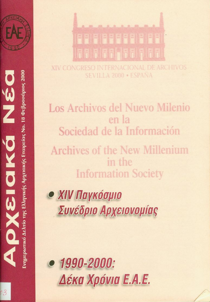

**AN** 

OXSIOKO

Evnµερωτικό Δελτίο της Ελληνικής Αρχειακής Eταιρείας No. 18 Φεβρουάριος 2000

# 

XIV CONGRESO INTERNACIONAL DE ARCHIVOS SEVILLA 2000 · ESPANA

Los Archivos del Nuevo Milenio enla Sociedad de la Información Archives of the New Millenium inte **Information Society** 

**• ΧΙV Παγκόσμιο** Συνέδριο Αρχειονομίας



 $\bullet$  1990-2000: Δέκα Χρόνια Ε.Α.Ε.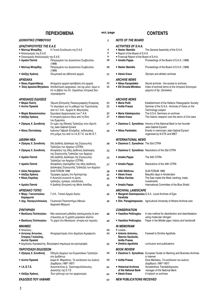|                                                                                                                                      | <b><i><u>THEPIEXOMENA</u></i></b>                                                                                                                                           | σελ./page         |                                                                                                                                                   | <b>CONTENTS</b>                                                                                                                                                |
|--------------------------------------------------------------------------------------------------------------------------------------|-----------------------------------------------------------------------------------------------------------------------------------------------------------------------------|-------------------|---------------------------------------------------------------------------------------------------------------------------------------------------|----------------------------------------------------------------------------------------------------------------------------------------------------------------|
| ΔΙΟΙΚΗΤΙΚΟ ΣΥΜΒΟΥΛΙΟ                                                                                                                 |                                                                                                                                                                             | 3                 | <b>NOTE OF THE BOARD</b>                                                                                                                          |                                                                                                                                                                |
| ΔΡΑΣΤΗΡΙΟΤΗΤΕΣ ΤΗΣ Ε.Α.Ε.<br>• Νέστωρ Μπαμίδης<br>• Απολογισμός της Ε.Α.Ε.<br>· Οικονομικός Απολογισμός της Ε.Α.Ε.<br>• Αμαλία Παππά | Η Γενική Συνέλευση της Ε.Α.Ε<br>Πεπραγμένα του Διοικητικού Συμβουλίου                                                                                                       | 4<br>5<br>9<br>10 | <b>ACTIVITIES OF S.H.A.</b><br>• Nestor Bamidis<br>• Report of the Board of S.H.A.<br>• Financial Report of the Board of S.H.A.<br>• Amalia Pappa | The General Assembly of the S.H.A.<br>Proceedings of the Board of S.H.A. (1998)                                                                                |
| • Νέστωρ Μπαμίδης                                                                                                                    | (1998)<br>Πεπραγμένα του Διοικητικού Συμβουλίου<br>(1999)                                                                                                                   | 10                | • Nestor Bamidis                                                                                                                                  | Proceedings of the Board of S.H.A. (1999)                                                                                                                      |
| • Αλέξης Κράους                                                                                                                      | Ολυμπιακά και αθλητικά αρχεία                                                                                                                                               | 11                | • Alexis Kraus                                                                                                                                    | Olympic and athletic archives                                                                                                                                  |
| <b>APXEIAKA</b><br>• Νίκος Καραπιδάκης                                                                                               | Απόρρητα αρχεία-πρόσβαση στα αρχεία<br>• Έλλη Δρούλια-Μητράκου Αποδελτίωση αρχειακών - και όχι μόνο- όρων α-<br>πό το βιβλίο του Σπ. Ζαμπέλιου Ιστορικά Σκη-<br>νογραφήματα | 12<br>15          | <b>ARCHIVE NEWS</b><br>• Nikos Karapidakis<br>• Elli Droulia-Mitrakou                                                                             | Secret archives - the access to archives<br>Index of archival terms to the Ιστορικά Σκηνογρα-<br>φήματα of Sp. Zambelios                                       |
| ΑΡΧΕΙΑΚΕΣ ΕΙΔΗΣΕΙΣ                                                                                                                   |                                                                                                                                                                             |                   | <b>ARCHIVE NEWS</b>                                                                                                                               |                                                                                                                                                                |
| • Μαρία Πολίτη<br>• Αννίτα Πρασσά<br>• Μαρία Βακαλοπούλου                                                                            | Ίδρυση Ελληνικής Παλαιογραφικής Εταιρείας<br>Το σεμινάριο για το μάθημα της Τεχνολογίας<br>από τα Γ.Α.Κ. - Αρχεία Ν. Μαγνησίας<br>Σεμινάρια Αρχειονομίας των Γ.Α.Κ.         | 23<br>23<br>25    | • Maria Politi<br>• Anitta Prassa<br>• Maria Vakalopoulou                                                                                         | Establishment of the Hellenic Paleographic Society<br>Seminar of the G.S.A.- Archives of Volos on the<br>Technology subject<br>The G.S.A. Seminars on archives |
| • Αλέξης Κράους                                                                                                                      | Η ιστορική έρευνα πάνω από τη δίνη<br>του Εμφυλίου                                                                                                                          | 27                | • Alexis Kraus                                                                                                                                    | The historic research over the storm of Civil wars                                                                                                             |
| • Ζήσιμος Χ. Συνοδινός<br>• Νίκος Παντελάκης                                                                                         | Οι τιμές της Εθνικής Τράπεζας στον ιδρυτή<br>της Jean-Gabriel Eynard<br>Ιωάννης-Γαβριήλ Εϋνάρδος· εκδηλώσεις                                                                | 27<br>29          | · Nikos Pantelakis                                                                                                                                | • Zissimos C. Synodinos Honors of the National Bank to her founder<br>Jean-Gabriel Eynard<br>Events in memoriam Jean-Gabriel Eynard                            |
|                                                                                                                                      | στη μνήμη του από το Ι.Α./Ε.Τ.Ε. και Μ.Ι.Ε.Τ.                                                                                                                               |                   |                                                                                                                                                   | organized by IA ETE and MIET                                                                                                                                   |
| <b><i>AIEONH NEA</i></b><br>• Ζήσιμος Χ. Συνοδινός                                                                                   | 33η Διεθνής Διάσκεψη της Στρογγυλής<br>Τράπεζας των Αρχείων (CITRA)                                                                                                         | 30                | <b>INTERNATIONAL NEWS</b><br>. Zissimos C. Synodinos The 33d CITRA                                                                                |                                                                                                                                                                |
| • Ζήσιμος Χ. Συνοδινός                                                                                                               | Αποφάσεις της 33ης Διεθνούς Διάσκεψης<br>της Στρογγυλής Τράπεζας των Αρχείων                                                                                                | 32                |                                                                                                                                                   | • Zissimos C. Synodinos Resolutions of the 33d CITRA                                                                                                           |
| • Αμαλία Παππά                                                                                                                       | 34η Διεθνής Διάσκεψη της Στρογγυλής<br>Τράπεζας των Αρχείων (CITRA)                                                                                                         | 33                | • Amalia Pappa                                                                                                                                    | The 34th CITRA                                                                                                                                                 |
| • Αμαλία Παππά                                                                                                                       | Αποφάσεις (προσχέδιο) της 34ης Διεθνούς<br>Διάσκεψης Στρογγυλής Τράπεζας των Αρχείων                                                                                        | 37                | • Amalia Pappa                                                                                                                                    | Resolutions of the 34th CITRA                                                                                                                                  |
| • Αλίκη Νικηφόρου<br>• Αλέξης Κράους                                                                                                 | DLM FORUM 1999<br>Όμορφες ημέρες στο Άμστερνταμ                                                                                                                             | 38                | • Aliki Nikiforou<br>• Alexis Kraus                                                                                                               | DLM FORUM 1999<br>Beautiful days in Amsterdam                                                                                                                  |
| • Νίκος Καρόλας                                                                                                                      | Η Ανατολή συναντά τη Δύση:<br>τράπεζες, εμπόριο, επενδύσεις                                                                                                                 | 41<br>42          | • Nikos Karolas                                                                                                                                   | The East meets the West: banking, trade,<br>investments                                                                                                        |
| • Αμαλία Παππά                                                                                                                       | Η Διεθνής Επιτροπή της Μπλε Ασπίδας                                                                                                                                         | 42                | • Amalia Pappa                                                                                                                                    | International Committee of the Blue Shield                                                                                                                     |
| ΑΡΧΕΙΑΚΟ ΤΟΠΙΟ<br>• Μαργ. Γιαννοπούλου-<br>Καραφωτιά                                                                                 | Γ.Α.Κ. - Τοπικό Αρχείο Αιγίου                                                                                                                                               | 45                | <i><b>ARCHIVAL LANDSCAPE</b></i><br>Karafotia                                                                                                     | • Margaret Giannopoulou-G.S.A. - Local Archives of Egio                                                                                                        |
| • Δημ. Παναγιωτόπουλος                                                                                                               | Γεωπονικό Πανεπιστήμιο Αθηνών<br>Αρχειακή Μέριμνα                                                                                                                           | 45                |                                                                                                                                                   | • Dim. Panagiotopoulos Agricultural University of Athens-Archival care                                                                                         |
| ΣΥΝΤΗΡΗΣΗ<br><b>• Βασίλειος Πελτίκογλου</b>                                                                                          | Νέα οικολογική μέθοδος απολύμανσης & απε-<br>ντόμωσης με τη χρήση μοριακού αζώτου                                                                                           | 48                | <b>CONSERVATION</b><br>· Vassilios Pelticoglou                                                                                                    | A new method for desinfection and desinfestation<br>using molecular nitrogen                                                                                   |
| • Βασίλειος Πελτίκογλου                                                                                                              | Το χαρτί στο Μεσαίωνα· ιστορία και τεχνικές                                                                                                                                 | 49                | • Vassilios Pelticoglou                                                                                                                           | Paper in the Middle ages; history and handicraft                                                                                                               |
| MNHMEΣ<br>• Απώλειες<br>• Αντώνης Αντωνίου,<br>Σταύρος Γουλούλης,<br>Αννίτα Πρασσά                                                   | Αποχαιρετισμός στον Δημήτρη Αγραφιώτη<br>• Δημήτρης Αγραφιώτης. Βιογραφικό σημείωμα και εργογραφία                                                                          | 54<br>54          | <b>IN MEMORIAM</b><br>$\bullet$ Losses<br>• Antonis Antoniou,<br><b>Stavros Gouloulis,</b><br>Anitta Prassa<br>• Dimitris Agrafiotis              | <b>Farewell to Dimitris Agrafiotis</b><br>curriculum and publications                                                                                          |
|                                                                                                                                      |                                                                                                                                                                             | 55                |                                                                                                                                                   |                                                                                                                                                                |
| ΠΑΡΟΥΣΙΑΣΗ ΕΚΔΟΣΕΩΝ<br>• Ζήσιμος Χ. Συνοδινός                                                                                        | Οδηγός Αρχείων των Ευρωπαϊκών Τραπεζών<br>στο Διαδίκτυο                                                                                                                     | 59                | <b>BOOK REVIEW</b><br>• Zissimos C. Synodinos                                                                                                     | European Guide on Banking and Business Archives<br>in Internet                                                                                                 |
| • Αννίτα Πρασσά                                                                                                                      | Δώρα Φ. Μαρκάτου, Τα κατάλοιπα του Ιωάννη<br>Δαμβέργη (1887-1937)                                                                                                           | 59                | • Anitta Prassa                                                                                                                                   | Dora Markatou, Τα κατάλοιπα του Ιωάννη<br>Δαμβέργη (1887-1937)                                                                                                 |
| $\bullet$ I.A./E.T.E.                                                                                                                | Κωνσταντίνος Δ. Τριανταφυλλόπουλος,<br>Διοικητής της Ε.Τ.Ε.                                                                                                                 | 61                | • Historical Archives<br>of the National Bank                                                                                                     | Konstantinos Triantafyllopoulos,<br>manager of the National Bank                                                                                               |
| • Αλέξης Κράους                                                                                                                      | Ένα τρίπτυχο για την αρχειονομία                                                                                                                                            | 61                | • Alexis Kraus                                                                                                                                    | A triptych on archives                                                                                                                                         |
| ΕΚΔΟΣΕΙΣ ΠΟΥ ΛΑΒΑΜΕ                                                                                                                  |                                                                                                                                                                             | 63                | <b>NEW PUBLICATIONS RECEIVED</b>                                                                                                                  |                                                                                                                                                                |

# ΕΚΔΟΣΕΙΣ ΠΟΥ ΛΑΒΑΜΕ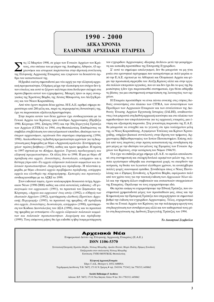# **1990 - 2000 ∧EKA XPONIA ЕЛЛНИЈКН АРХЕЈАКН ЕТАЈРЕЈА**

Με 12 Μαρτίου 1990, σε χώρο των Γενικών Αρχείων του Κρά-<br>τους, στο υπόγειο του μεγάρου της Ακαδημίας Αθηνών, 43 αργαθούλου και ιστορικοί παρίστανται στην ιδρυτική συνέλευση<br>της Ελληνικής Αονειακής Εταιρείας και ενκοίνουν τους, στο υπόγειο του μεγάρου της Ακαδημίας Αθηνών, 43 αρτης Ελληνικής Αρχειακής Εταιρείας και εγκρίνουν τα δεκαπέντε άρθρα του καταστατικού της.

Η βραδιά εκείνη σηματοδοτεί μια νέα αρχή για την ελληνική αρχειακή πραγματικότητα. Ο δρόμος μέχρι την υλοποίηση του στόχου δεν ήταν εύκολος και αυτό το ξέρουν καλύτερα όσοι δούλεψαν σκληρά στα πρώτα βήματα αυτού του εγχειρήματος. Μακρές ήταν οι ώρες συνεργασίας της Χριστίνας Βάρδα, της Λίτσας Μπαφούνη, του Αλέξη Κράους και του Νίκου Καραπιδάκη.

Aπό τότε έχουν περάσει δέκα χρόνια. Η Ε.Α.Ε. αριθμεί σήμερα περισσότερα από 280 μέλη και, παρά τις περιορισμένες δυνατότητές της, έχει να παρουσιάσει αξιόλογη δραστηριότητα.

Στην πορεία αυτών των δέκα χρόνων έχει συνδιοργανώσει με τα Γενικά Αρχεία του Κράτους τρία συνέδρια Αρχειονομίας (Πρέβεζα 1990, Κέρκυρα 1991, Σπάρτη 1993) και την 30η Στρογγυλή Τράπεζα των Αρχείων (CITRA) το 1994, στη Θεσσαλονίκη. Επιθυμώντας να συμβάλει στη βελτίωση του επαγγελματικού επιπέδου, ιδιαίτερα των νεότερων αργειονόμων, οργάνωσε δύο σεμινάρια επιμόρφωσης (1994, 1998). Ακολουθώντας τη διεθνή πραγματικότητα φρόντισε για τη διοργάνωση μιας διημερίδας με θέμα «Αρχειακή ορολογία -Συντήρηση αρχείων· πρώτες βοήθειες» (1996), καθώς και τριών ημερίδων. Η πρώτη το 1997 σχετικά με τα «Κτήρια Αρχείων. Τεχνικές προδιαγραφές και ελληνική πραγματικότητα». Οι άλλες δύο το 1998. Η μια με θέμα «Η πρόσβαση στα αρχεία. Δυνατότητες, δεοντολογία, απόρ*οητο»* και η δεύτερη γύρω από «Τα αρχεία ελληνικών πολιτικών κομμάτων και πολιτικών προσωπικοτήτων. Διαχείριση και πρόσβαση». Η τελευταία ημερίδα, με θέμα «Ανοικτά αρχεία προβλήματα πρόσβασης, απόρρητα *αρχεία και ελευθερία της πληροφόρησης. Εμπειρίες και πρακτικές»* συνδιοργανώθηκε με τα ΑΣΚΙ το 1999.

Στον εκδοτικό τομέα, έγουν κυκλοφορήσει δεκαοκτώ τεύγη Αργειακών Νέων (1990-2000) καθώς και επτά αυτοτελείς εκδόσεις: «Η φυσιογνωμία του αρχειακού» (1991), τα πρακτικά του Συμποσίου της Κέρκυρας, «Αρχεία και αρχειακοί· ένας ιστός» (1992), ο «Οδηγός των ιδιωτικών Αρχείων» (1992), η μετάφραση «Διεθνούς Προτύπου Αρχει*ακής Περιγραφής»* (1995), τα πρακτικά της ημερίδας «Η πρόσβαση στα αρχεία. Δυνατότητες, δεοντολογία, απόρρητο» (1998), η μετάφραση του Κώδικα Δεοντολογίας του ΔΣΑ (1998), όπως και τα πρακτικά της ημερίδας με αντικείμενο «Τα αρχεία ελληνικών πολιτικών κομμάτων και πολιτικών προσωπικοτήτων. Διαχείριση και πρόσβαση» (1999). Τους επόμενους μήνες θα έχει εκδοθεί η ήδη έτοιμη μετάφραση

του εγχειριδίου Αρχειονομίας «Keeping Archives» μετά την μακρόχρονη και κοπιώδη προσπάθεια της Επιτροπής Εγχειριδίου.

 $\Sigma'$  αυτό το σημείωμα απολογισμού, δεν θα μπορούσε να μη γίνει  $\mu$ νεία στο ερευνητικό πρόγραμμα που καταρτίστηκε με πολύ μεράκι από την Ε.Α.Ε. σχετικό με τα Αθλητικά και Ολυμπιακά Αρχεία και φέρει την προσωπική σφραγίδα του Αλέξη Κράους αλλά και στην εργασία πολλών επιτροπών εργασίας, που αν και δεν έχει δει το φως της δημοσιότητας ή δεν έχει παρουσιασθεί συστηματικά, έχει θέσει αθόρυβα τις βάσεις για μια επιστημονική αντιμετώπιση της λειτουργίας των αρχείων.

Η Εταιρεία προσπάθησε να είναι πάντα συνεπής στις ετήσιες διεθνείς συναντήσεις στο πλαίσιο των CITRA, των συναντήσεων των Προέδρων των Αρχειακών Εταιρειών και των συνελεύσεων της Διεθνούς Ένωσης Αρχείων Εργατικής Ιστορίας (IALHI), αναδεικνύοντας έτσι μπροστά στη διεθνή αρχειακή κοινότητα και στο πλαίσιο των αρμοδιοτήτων που επιφυλάσσονται για τις αρχειακές εταιρείες, μια έντιμη και αξιοπρεπή παρουσία. Στη γενικότερη παρουσία της Ε.Α.Ε. θα μπορούσε να ενταχθεί και το γεγονός ότι τρία τουλάχιστον μέλη της, οι Νίκος Καραπιδάκης, Αγαμέμνων Τσελίκας και Κρίτων Χρυσοχοίδης, υπήρξαν βασικοί συντελεστές στην ίδρυση του τμήματος Αργειονομίας-Βιβλιοθηκονομίας του Ιονίου Πανεπιστημίου. Επίσης πολλοί από τους παρόντες στην πρώτη καταστατική της συνεδρίαση πήραν μέρος με την ιδιότητα του μέλους της Εφορείας των Γενικών Αργείων του Κράτους, στην κατάρτιση του Νόμου 1946/91.

Ό,τι έχει να επιδείξει μέχρι σήμερα η Ε.Α.Ε. το οφείλει αποκλειστικά στη συστηματική και σκληρή δουλειά ορισμένων μελών της, τα oποία εργάστηκαν αθόρυβα και συστηματικά χωρίς να σκεφθούν την κούραση, τη θυσία του λιγοστού ελεύθερου χρόνου, τα ανυπέρβλητα πολλές φορές οικονομικά εμπόδια. Συνάδελφοι όπως ο Νίκος Παντελάκης και ο Ζήσιμος Συνοδινός, η Χριστίνα Βάρδα, αφιέρωσαν πολύ από τον χρόνο τους για την τακτική έκδοση των Αρχειακών Νέων αλλά και την τήρηση άλλων συμβατικών και ουσιαστικών υποχρεώσεων της Εταιρείας. Οφείλουμε να τους ευχαριστήσουμε εδώ.

Θα πρέπει ακόμη να ευχαριστήσουμε την Εθνική Τράπεζα, που συστηματικά χρηματοδοτεί μέρος των προσπαθειών μας, όπως και την Κτηματική και την Εμπορική Τράπεζα που επιχορήγησαν σε σημαντικό βαθμό την έκδοση του εγχειριδίου Αρχειονομίας. Τέλος, ευχαριστούμε τα ίδια τα Γενικά Αρχεία του Κράτους για την πολύμορφη αρωγή τους στη διοργάνωση των συνεδρίων μας αλλά και τον καθοριστικό τους ρόλο στη διοργάνωση της Διεθνούς Στρογγυλής Τράπεζας του 1994.

*To Διοικητικό Συμβούλιο* 

# Αρχειακά Νέα Ενημερωτικό Δελτίο της Ελληνικής Αρχειακής Εταιρείας (Ε.Α.Ε.) **ISSN 1106-5370** Συντακακή Επιτροπή: Χριστίνα Βάρδα, Νέστωρ Μπαμίδης, Αμαλία Παππά, Μαρία Πολίτη, Ζήσιμος Συνοδινός Επεξεργασία στον υπολογιστή: *Νέστωρ Μπαμίδης* Εκτύπωση: ΤΥΠΟ ΜΟΥΓΚΟΣ, Θεσσαλονίκη Ελληνική Αρχειακή Εταιρεία Έδρα: Γ.Α.Κ., Θεάτρου 6, 10532 ΑΘΗΝΑ Tαχυδρομική Διεύθυνση: Τ.Θ. 76072, 171 01 Ν. Σμύρνη • τηλ. 3343194, 7713412, fax 7781515, 6450062

**Société Hellenique d' Archives**

Adresse: B.P. 76072, 171 01 Nea Smyrni, Grèce • fax: 30-1-7781515, 6450062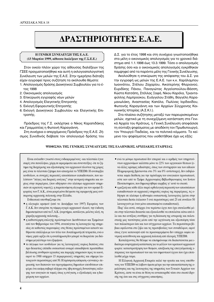# **¢PA™THPIOTHTE™ E.A.E. ¢PA™THPIOTHTE™ E.A.E.**

# **Η ΓΕΝΙΚΗ ΣΥΝΕΛΕΥΣΗ ΤΗΣ Ε.Α.Ε. (13 Μαρτίου 1999, αίθουσα διαλέξεων της Γ.Σ.Ε.Ε.)**

Στον οικείο πλέον χώρο της αίθουσας διαλέξεων της ΓΣΕΕ πραγματοποιήθηκε και αυτή η εκλογοαπολογιστική Συνέλευση των μελών της Ε.Α.Ε. Στην ημερήσια διάταξη είχαν εγγραφεί προς συζήτηση τα ακόλουθα θέματα:

- 1. Απολογισμός δράσης Διοικητικού Συμβουλίου για το έτος 1998
- 2. Οικονομικός απολογισμός
- 3. Επικύρωση εγγραφής νέων μελών
- 4. Απολογισμός Ελεγκτικής Επιτροπής
- 5. Εκλογή Εφορευτικής Επιτροπής
- 6. Εκλογή Διοικητικού Συμβουλίου και Ελεγκτικής Επιτροπής.

Πρόεδρος της Γ.Σ. εκλέχτηκε ο Νίκος Καραπιδάκης και Γραμματέας η Φωτεινή Καραγιάννη.

Στη συνέχεια ο απερχόμενος Πρόεδρος της Ε.Α.Ε. Ζήσιμος Συνοδινός διάβασε τον απολογισμό δράσης του Δ.Σ. για το έτος 1998 και στη συνέχεια γνωστοποιήθηκε στα μέλη ο οικονομικός απολογισμός για το χρονικό διάστημα από 1.1.1998 έως 13.3.1999. Τόσο ο απολογισμός δράσης όσο και ο οικονομικός απολογισμός εγκρίθηκαν παμψηφεί από τα παρόντα μέλη της Γενικής Συνέλευσης.

Aκολούθησε η επικύρωση της απόφασης του Δ.Σ. για την εγγραφή ως μελών της Ε.Α.Ε. των κ.κ. Χαράλαμπου Ιωαννάτου, Στέλιου Ζαχαρίου, Αικατερίνης Φλεριανού, Ευριδίκης Πάνου, Παναγιώτας Αγγελοπούλου-Βάσση, Κώστα Κατσάπη, Στέλλας Ξαφά, Νίκου Καρόλα, Τριανταφύλλης Λαμπρούκου, Ευάγγελου Στάθη, Βαγγέλη Καραμανωλάκη, Αναστασίας Καπόλα, Πωλίνας Ιορδανίδου, Φωτεινής Καραγιάννη και των Αρχείων Σύγχρονης Κοινωνικής Ιστορίας (Α.Σ.Κ.Ι.).

Στα πλαίσια συζήτησης μεταξύ των παρευρισκομένων μελών, σχετικά με τη συνεχιζόμενη κατάσταση στα Γενικά Αρχεία του Κράτους, η Γενική Συνέλευση αποφάσισε τη σύνταξη ψηφίσματος με αποδέκτη τον Πρωθυπουργό, τον Υπουργό Παιδείας, και τα πολιτικά κόμματα. Το κείμενο του ψηφίσματος που υιοθετήθηκε έχει ως εξής:

# **ΨΗΦΙΣΜΑ ΤΗΣ ΓΕΝΙΚΗΣ ΣΥΝΕΛΕΥΣΗΣ ΤΗΣ ΕΛΛΗΝΙΚΗΣ ΑΡΧΕΙΑΚΗΣ ΕΤΑΙΡΕΙΑΣ**

Είναι ανέκαθεν γνωστό στους ενδιαφερομένους -και τελευταία έγινε σαφές στο πανελλήνιο, χάρη σε αφιερώματα και συνεντεύξεις- ότι το ζήτημα της διαχείρισης και αξιοποίησης του αρχειακού πλούτου της χώρας μας είναι το τελευταίο ζήτημα που απασχολεί το ΥΠΕΠΘ. Η ανυπαρξία κονδυλίων, οι συνεχείς περικοπές αποσπάσεων εκπαιδευτικών, που καλύπτουν "πάγιες και διαρκείς ανάγκες" στην κεντρική υπηρεσία και κυρίως στην περιφέρεια, (που οδήγησαν στο κλείσιμο αρχειακών υπηρεσιών σε αρκετούς νομούς), η παρατεινόμενη ολιγωρία για τον ορισμό Εφορείας των Γ.Α.Κ., είναι μικρά μόνο δείγματα της εφαρμογής μιας ανύπαρκτης αρχειακής πολιτικής στην Ελλάδα.

Ενδεικτικά υπενθυμίζουμε ότι:

- η ολιγωρία ορισμού (από το Δεκέμβριο του 1997) Εφορείας των Γ.Α.Κ. δεν επιτρέπει τη νόμιμη αγορά αρχειακού υλικού, την έκδοση δημοσιευμάτων από τα Γ.Α.Κ. (ευρετήρια, κατάλογοι, μελέτες κλπ), τη χάραξη αρχειακής πολιτικής...
- η καθυστέρηση επιλογής προϊσταμένων Διευθύνσεων και Τμημάτων από τον Φεβρουάριο του 1994, συνεπάγεται τη λειτουργία της υπηρεσίας σε καθεστώς παρανομίας: στις θέσεις προϊσταμένων ασκούν καθήκοντα υπάλληλοι με τον τίτλο του Αναπληρωτή επί τετραετία, ενώ ο vόμος ρητά ορίζει ότι η αναπλήρωση δεν μπορεί να διαρκέσει για διάστημα μεγαλύτερο του εξαμήνου.
- το πάγωμα των κονδυλίων για τις λειτουργικές κυρίως δαπάνες στα προ δεκαετίας επίπεδα ουσιαστικά αναιρεί οποιαδήποτε προσπάθεια βελτίωσης συνθηκών εργασίας και παροχής υπηρεσιών προς το κοινό, αφού το 1988 υπήρχαν 15 περιφερειακές υπηρεσίες και σήμερα λειτουργούν περισσότερες από 50. Η πρόσφατη απόφαση «γενναίας» περικοπής των δαπανών του προγράμματος δημοσίων επενδύσεων επιφέρει ένα ακόμη σοβαρό πλήγμα στις ήδη πενιχρές δυνατότητες κάλυψης των αναγκών σε τομείς όπως η στέγαση, ο εξοπλισμός και η διαχείριση των αρχείων.
- ενώ το μόνιμο προσωπικό δεν επαρκεί και ο αριθμός των υπηρετού-Vτων αρχειονόμων καλύπτει μόνο το 22% των οργανικών θέσεων (ενώ άλλες κρίσιμες ειδικότητες, όπως των συντηρητών και των ειδικών Πληροφορικής βρίσκονται στο 3% και 0% αντίστοιχα), δεν εκδηλώνεται καμία διάθεση για την πρόσληψη του αναγκαίου προσωπικού, ούτε καν από το Τμήμα Αρχειονομίας-Βιβλιοθηκονομίας του Ιονίου Πανεπιστημίου, που δημιουργήθηκε ακριβώς γι' αυτό το σκοπό.
- η μαζική και κάθε άλλο παρά ορθολογική περικοπή των αποσπάσεων εκπαιδευτικών σε αρχειακές υπηρεσίες κυρίως της περιφέρειας, τις oδήγησε σε κλείσιμο ή αδυναμία ουσιαστικής λειτουργίας (μέσα στην τελευταία διετία έκλεισαν 5 ενώ περισσότερες από 25 επί συνόλου 50 λειτουργούν με έναν μόνο αποσπασμένο εκπαιδευτικό).

Παρ' όλα αυτά, υπάρχει ένα τεράστιο έργο που έχει επιτελεσθεί μέσα στην τελευταία δεκαετία και εξακολουθεί να επιτελείται κάτω από όλο και πιο αντίξοες συνθήκες για τη διάσωση της ιστορικής και πολιτιστικής μας ταυτότητας μέσα από την οργάνωση και αξιοποίηση τόσο των παλαιότερων όσο και των σύγχρονων αρχείων. Τα περισσότερα βέβαια οφείλονται στο ζήλο και τις πρωτοβουλίες των συναδέλφων, αφού όπως έγινε κατανοητό από τα προαναφερόμενα δεν υπάρχει καμία κεντρική κατεύθυνση και αρχειακή πολιτική από πλευράς ΥΠΕΠΘ.

Καταλήγοντας θα θέλαμε να επισημάνουμε ότι διαπιστώνεται μια ιδιαίτερα ανησυχητική κατάσταση για το μέλλον του κρατικού αρχειακού φορέα: καταστρατήγηση των θεσμών, απαξίωση της επαγγελματικής επάρχειας του προσωπικού του και του σημαντικού έργου που έχει επιτελεσθεί μέχρι τώρα.

Η Ελληνική Αρχειακή Εταιρεία καλεί την ηγεσία και τους υπεύθυνους του ΥΠΕΠΘ να λάβουν άμεσα μέτρα για την αποκατάσταση της ομαλότητας και της λειτουργίας της υπηρεσίας των Γενικών Αρχείων του Κράτους, ώστε να είναι σε θέση να ανταποκριθεί τόσο στο σκοπό ίδρυσής της όσο και στις σύγχρονες απαιτήσεις.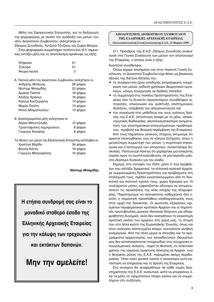Μέλη της Εφορευτικής Επιτροπής, για τη διεξαγωγή της ψηφοφορίας με σκοπό την ανάδειξη των μελών του νέου Διοικητικού Συμβουλίου, εκλέχτηκαν οι:

Ζήσιμος Συνοδινός, Άντζελα Τζιτζίκου και Σοφία Μπόρα. Στην ψηφοφορία συμμετείχαν πενήντα ένα (51) ταμεια-Κώς εντάξει μέλη και το αποτέλεσμα προέκυψε ως εξής:

| Ψήφισαν     | 51       |
|-------------|----------|
| Έγκυρα      | 51       |
| Άκυρα-λευκά | $\Omega$ |

Α. Τακτικά μέλη του Διοικητικού Συμβουλίου εκλέχτηκαν οι: Ανδρέας Μπάγιας **ο τραγματιστικό** 26 ψήφοι Νέστωρ Μπαμίδης **1988 - 1998** 20 ψήφοι Aμαλία Παππά <u>του του 19</u> ψήφοι Αλέξης Κράους 19 ψήφοι

| Κάλλια Χατζηγιάννη | 14 ψήφοι |
|--------------------|----------|
| Μαρία Πολίτη       | 13 ψήφοι |
| Ντίνα Αδαμοπούλου  | 13 ψήφοι |

| Β. Αναπληρωματικά μέλη εκλέχτηκαν οι: |          |
|---------------------------------------|----------|
| Αλέκα Μπουτζουβή                      | 12 ψήφοι |
| Τριανταφύλλη Λαμπρούκου               | 8 ψήφοι  |
| Γιώργος Κανάκης                       | 6 ψήφοι  |

Τις θέσεις των μελών της Εξελεγκτικής Επιτροπής κατέλαβαν οι: ÃÚÈÛÙ›Ó· µ¿Ú‰· 34 "‹ÊÔÈ Bούλα Κόντη Γεινήθει της 19 ψήφοι Γιώργος Μητροφάνης <sup>15</sup> ψήφοι

**Νέστωρ Μπαμίδης** 

**H** ετήσια συνδρομή σας είναι το μοναδικό σταθερό έσοδο της **Ελληνικής Αρχειακής Εταιρείας** για την κάλυψη των τρεχουσών **και εκτάκτων δαπανών.** 

# **Mην την αμελείτε!**

# **«ΜΌΛΟΓΙΣΜΟΣ ΔΙΟΙΚΗΤΙΚΟΥ ΣΥΜΒΟΥΛΙΟΥ ΤΗΣ ΕΛΛΗΝΙΚΗΣ ΑΡΧΕΙΑΚΗΣ ΕΤΑΙΡΕΙΑΣ**

(Εκλογοαπολογιστική Γενική Συνέλευση της Ε.Α.Ε., 13 Μαρτίου 1999)

Ο τ. Πρόεδρος της *Ε.Α.Ε. Ζήσιμος Συνοδινός ανακοί*νωσε στη Γενική Συνέλευση των μελών τον απολογισμό της Εταιρείας, ο οποίος είναι ο εξής:

# Αγαπητοί συνάδελφοι,

Όπως είχαμε επισημάνει και στην περσινή Γενική Συνέλευση, το Διοικητικό Συμβούλιο είχε θέσει ως βασικούς άξονες της διετούς θητείας του:

- τη συνέχεια στο έργο υποδομής (επιμόρφωση, ενημέρωση των μελών, έκδοση χρήσιμων θεωρητικών εργαλείων, γόνιμη συνεργασία σε διεθνές επίπεδο)
- τη συμμετοχή στις ποικίλες δραστηριότητες της Εταιρείας όσο το δυνατόν περισσοτέρων συναδέλφων (επιτροπές, επικοινωνία και ανάπτυξη επιστημονικού διαλόγου, υπέρβαση του απομονωτισμού) και
- **•** την ανανέωση στις μεθόδους και τους τρόπους δράσης της Ε.Α.Ε. (στενότερη επαφή με τα μέλη, αποκεντρωτικές διαδικασίες, αποτελεσματικότερη αντιμετώπιση των επιστημονικών-επαγγελματικών προβλημάτων, προβολή και θεσμική παρέμβαση της Εταιρείας). Aπό τους παραπάνω γενικούς στόχους εκτιμούμε ότι

αρκετοί επιτεύχθηκαν, ενώ σε κάποια ζητήματα, όπως η μεγαλύτερη συμμετοχή των μελών, η συχνότερη επικοινωνία και η λειτουργία των επιτροπών, συναντήσαμε δυσκολίες. Πιστεύουμε πάντως ότι χαράχτηκε μια ειλικρινής πορεία προς τη σωστή κατεύθυνση, σε μία περίοδο μάλιστα ιδιαίτερα δύσκολη για τον κλάδο.

Σήμερα, στο κατώφλι του 2000, μέσα σ' ένα περιβάλλον που αλλάζει δραματικά, τα ελληνικά κρατικά Αρχεία, με συρρικνωμένες δραστηριότητες και προβλήματα στη στελέχωσή τους, σχεδόν εγκαταλελειμμένα από τη διοικητική και πολιτική ηγεσία τους, χωρίς Εφορεία για 15 τουλάχιστον μήνες, εμφανίζονται αδύναμα να αντιμετωπίσουν τις προκλήσεις της νέας εποχής της πληροφορίας. Παρατηρούμε να ανατρέπεται καθημερινά όλη εκείνη η σημαντική προσπάθεια αναδιοργάνωσής τους στην αρχή της δεκαετίας. Οι φωτεινές εξαιρέσεις ορισμένων περιφερειακών κρατικών Αρχείων και οι σημαντικές πρωτοβουλίες μερικών ιδιωτικών δείχνουν μια αδιαμφισβήτητη δυναμική, αλλά δεν ανατρέπουν τη γενικότερη αρνητική εικόνα των αρχείων στη χώρα μας, τη στιγμή που στα άλλα κράτη της Ευρωπαϊκής Ένωσης, όπως και στον υπόλοιπο ανεπτυγμένο κόσμο, συντελείται αληθινή κοσμογονία. Από την άλλη μεριά οι σπουδές και τα προγράμματα αρχειονομίας των εκπαιδευτικών ιδρυμάτων μας δεν ανταποκρίνονται στοιχειωδώς στις σύγχρονες επαγγελματικές ανάγκες, -παρά τη θέσπιση, τα τελευταία χρόνια, της τρίμηνης πρακτικής άσκησης σε Αρχεία-, ενώ ο θεσμικός ρόλος της Ε.Α.Ε. παραμένει ακόμη περιθωριακός. Ήταν πολύ φυσικό λοιπόν η γενικότερη αυτή κατάσταση να επηρεάσει και τη δράση της Εταιρείας.

Στη συνέχεια θα αναφερθούμε σε κάθε τομέα δραστηριότητας της Ε.Α.Ε. αναλυτικά, ώστε να μπορέσουν όλα τα μέλη να σχηματίσουν πλήρη εικόνα και να συμμετέχουν στη συζήτηση.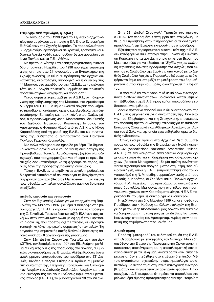#### **Επιμορφωτικά σεμινάρια, ημερίδες**

Τον Ιανουάριο του 1998 έγινε το Σεμινάριο αρχειονοιίας που οργάνωσε με επιτυχία η Ε.Α.Ε. στο Εντευκτήριο Εκδηλώσεων της Σχολής Μωραΐτη. Το παρακολούθησαν 30 αρχειονόμοι εργαζόμενοι σε κρατικά, τραπεζικά και ιδιωτικά Αρχεία καθώς και σπουδαστές αρχειονομίας στο Ιόνιο Παν/μιο και τα Τ.Ε.Ι. Αθήνας.

Με πρωτοβουλία της Εταιρείας πραγματοποιήθηκαν οι δύο σημαντικές Ημερίδες του 1998 που είχαν ευρύτερη απήχηση: μία στις 24 Ιανουαρίου στο Εντευκτήριο της Σχολής Μωραΐτη, με θέμα "Η πρόσβαση στα αρχεία: δυνατότητες, δεοντολογία, απόρρητο" και η δεύτερη στις 14 Μαρτίου, στο αμφιθέατρο της Γ.Σ.Ε.Ε., με το επίκαιρο τότε θέμα "Αρχεία πολιτικών κομμάτων και πολιτικών προσωπικοτήτων: διαχείριση και πρόσβαση".

Φέτος συμμετείχαμε, μαζί με τα Α.Σ.Κ.Ι., στη διοργάνωση της εκδήλωσης της 5ης Μαρτίου, στο Αμφιθέατρο Λ. Ζέρβα του Ε.Ι.Ε., με θέμα "Ανοικτά αρχεία: προβλήματα πρόσβασης, απόρρητα αρχεία και ελευθερία της πληροφόρησης. Εμπειρίες και πρακτικές", όπου έλαβαν μέρος ο προσκεκλημένος Jaap Kloosterman, διευθυντής του Διεθνούς Ινστιτούτου Κοινωνικής Ιστορίας του Άμστερνταμ, ο Φίλιππος Ηλιού από τα Α.Σ.Κ.Ι., ο Νίκος Καραπιδάκης από τη μεριά της Ε.Α.Ε., και ως συντονιστής της συζήτησης ο αντιπρύτανης του Παντείου Παν/μίου Γιώργος Κουκουλές.

Μια πολύ ενδιαφέρουσα ημερίδα με θέμα "Τα δημοτικά-κοινοτικά αρχεία και ο νόμος για τη συγκρότηση της Πρωτοβάθμιας Τοπικής Αυτοδιοίκησης (σχέδιο Καποδί*στριας*)", που προγραμματίζαμε για σήμερα το πρωί, δυστυχώς δεν καταφέραμε να τη φέρουμε σε πέρας, κυρίως λόγω της πρόσφατης πολιτικής συγκυρίας.

Τέλος, η Ε.Α.Ε. ανταποκρίθηκε με μεγάλη προθυμία σε διακρατικό εκπαιδευτικό σεμινάριο για τη διαχείριση των σύγχρονων αρχείων (Records Management), μια διεθνή πρωτοβουλία των Ιταλών συναδέλφων μας που βρίσκεται σε εξέλιξη.

#### **Διεθνής παρουσία και συνεργασία**

Στην 5η Ευρωπαϊκή Διάσκεψη για τα αρχεία στη Βαρκελώνη, τον Μάιο του 1997, με θέμα "Επιστροφή στις βασικές αρχές", η Ε.Α.Ε. εκπροσωπήθηκε από τον πρόεδρό της Ζ. Συνοδινό. Το εκπαιδευτικό ταξίδι Ελλήνων αρχειονόμων στην Ισπανία-Καταλωνία με αφορμή την Ευρωπαϊκή Διάσκεψη, που προετοίμαζε η Εταιρεία, δεν πραγματοποιήθηκε λόγω της μικρής συμμετοχής των μελών. Τις εργασίες της σημαντικής αυτής διεθνούς διάσκεψης παρακολούθησαν 8 αρχειονόμοι της χώρας μας.

Στην 32η Διεθνή Στρογγυλή Τράπεζα των αρχείων (CITRA), τον Σεπτέμβριο του 1997 στο Εδιμβούργο, με θέμα "Οι νομικές όψεις της πρόσβασης στα αρχεία", συμμετείχε ο αντιπρόεδρος της Εταιρείας Αλέξης Κράους, λόγω ανειλημμένων υποχρεώσεων του προέδρου στο ΣΤ' Διεθνές Πανιόνιο Συνέδριο. Επίσης ο κ. Κράους συμμετείχε στη συνάντηση της Επιτροπής Κοινωνικών και Οικονομικών Αρχείων του Διεθνούς Συμβουλίου Αρχείων και στο 25ο Συνέδριο της Διεθνούς Ενώσεως Ιδρυμάτων Εργατικής Ιστορίας (Ι.Α.L.Η.Ι.), το φθινόπωρο του '98 στο Μιλάνο.

Στην 33η Διεθνή Στρογγυλή Τράπεζα των αρχείων (CITRA), τον περασμένο Σεπτέμβριο στη Στοκχόλμη, με θέμα "Η πρόσβαση στην πληροφορία: οι τεχνολογικές προκλήσεις", την Εταιρεία εκπροσώπησε ο πρόεδρος.

Εξαιτίας των περιορισμένων οικονομικών της, η Ε.Α.Ε. δεν κατάφερε να συμμετάσχει στην Ευρωπαϊκή Συνάντηση Κορυφής για τα αρχεία, η οποία έγινε στη Βέρνη τον Μάιο του 1998 για να εξετάσει το "Σχέδιο για μια πρότυ*πη ευρωπαϊκή πολιτική πρόσβασης στα αρχεία"*, που εκπόνησε το Συμβούλιο της Ευρώπης από κοινού με το Διεθνές Συμβούλιο Αρχείων. Παρακολουθεί όμως με ενδιαφέρον το θέμα και ετοιμάζει τη μετάφραση του βαρυσήμαντου αυτού κειμένου, μόλις ολοκληρωθεί η ψήφισή TOU.

Τα πρακτικά και το συνοδευτικό υλικό όλων των παραπάνω διεθνών συναντήσεων βρίσκονται κατατεθειμένα στη βιβλιοθήκη της Ε.Α.Ε. προς χρήση οποιουδήποτε ενδιαφερόμενου μέλους.

Δεν θα πρέπει να παραλείψουμε ότι οι εκπρόσωποι της Ε.Α.Ε., στις μεγάλες διεθνείς συναντήσεις της Βαρκελώνης, του Εδιμβούργου και της Στοκχόλμης, επανέφεραν την πρόταση-πρωτοβουλία της Εταιρείας για τη σύσταση Επιτροπής Ολυμπιακών και Αθλητικών Αρχείων στα πλαίσια του Δ.Σ.Α., για την οποία έχει εκδηλωθεί αρκετό διεθνές ενδιαφέρον.

Όπως έχουμε γράψει στα Αρχειακά Νέα, συμμετέχουμε σε πρωτοβουλία της Εταιρείας των Ιταλών αρχειoνόμων (Associazione Nazionale Archivistica Italiana, A.N.A.I.) σε ένα διακρατικό εκπαιδευτικό σεμινάριο αρχειακών εταιρειών για τη διαχείριση των σύγχρονων αρχείων (Records Management). Σε μία πρώτη συνάντηση για το σχεδιασμό του προγράμματος στη Ρώμη, τον Ιούλιο του 1998, όπου η Ε.Α.Ε. εκπροσωπήθηκε από τον αντιπρόεδρό της Ν. Μπαμίδη, συμμετείχαν εκτός από τους Ιταλούς, οι Κροάτες, οι Σλοβένοι και οι Πολωνοί αρχειονόμοι. Η όλη διαχείριση του προγράμματος συναντάει κάποιες δυσκολίες. Μια συνάντηση στο τέλος του προηγούμενου χρόνου στην Κροατία ματαιώθηκε. Η Ε.Α.Ε. παρακολουθεί το θέμα με διακηρυγμένο ενδιαφέρον.

Η εκδήλωση της 5ης Μαρτίου 1999 και οι επαφές του Προέδρου, του κ. Κράους και άλλων στελεχών της Εταιρείας με τον Jaap Kloosterman, μας έδωσαν την ευκαιρία να διευρύνουμε τη σχέση μας με το Διεθνές Ινστιτούτο Κοινωνικής Ιστορίας του Άμστερνταμ, κυρίως στην προοπτική της επιμόρφωσης των μελών μας.

#### **Απο**κέντρωση

Παρά τη "μεταφορά" του εκδοτικού τομέα της Ε.Α.Ε. στη Θεσσαλονίκη με επικεφαλής τον Νέστορα Μπαμίδη, υπεύθυνο της Επιτροπής Περιφερειακής Οργάνωσης, η ουσιαστική αποκέντρωση και η αποτελεσματική επικοινωνία-επαφή με τα μέλη μας -ιδιαίτερα τα νέα- στην περιφέρεια, δεν επιτεύχθηκε στο επιθυμητό επίπεδο. Μέτρια ανταπόκριση είχε επίσης το ερωτηματολόγιο που απεστάλη, με σκοπό τη συστηματική καταγραφή των προβλημάτων των περιφερειακών αρχειακών φορέων. Ως απερχόμενο Δ.Σ. εκτιμούμε ότι πρέπει να αποτελέσει στο μέλλον θέμα άμεσης προτεραιότητας για την Εταιρεία η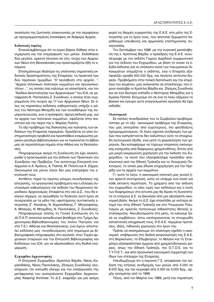ανανέωση της ζωντανής επικοινωνίας με την περιφέρεια με προγραμματισμένες επισκέψεις σε διάφορα Αρχεία.

# Εκδοτικός τομέας

Επαναλαμβάνουμε ότι το κύριο βάρος δόθηκε στην ενημέρωση και την επιμόρφωση των μελών. Εκδόθηκαν δύο μεγάλα, αρκετά πλούσια σε ύλη, τεύχη των Αρχειακών Νέων στη Θεσσαλονίκη και προετοιμάζεται ήδη το επόμενο.

Επισημαίνουμε ιδιαίτερα τις υπόλοιπες σημαντικές εκδοτικές δραστηριότητες της Εταιρείας: τα πρακτικά των δύο περσινών ημερίδων "Η πρόσβαση στα αρχεία...", "Αρχεία ελληνικών πολιτικών κομμάτων και προσωπικοτήτων...", τις οποίες σας καλούμε να αποκτήσετε, και τον "Κώδικα Δεοντολογίας των Αρχειονόμων" του ICA, σε μετάφραση Ν. Παντελάκη-Ζ. Συνοδινού, ο οποίος ήταν συρραμμένος στο τεύχος αρ.17 των Αρχειακών Νέων. Σε όλες τις παραπάνω εκδόσεις καθοριστικός υπήρξε ο ρόλος του Νέστορα Μπαμίδη και των συναδέλφων της συμπρωτεύουσας, ενώ η πρόσφατη, άψογη έκδοσή μας, για τα αρχεία των πολιτικών κομμάτων, οφείλεται στην ικανότητα και την πείρα της κ. Μαρίας Πολίτη.

Το οξύ πρόβλημα της διακίνησης και πώλησης των εκδόσεων της Εταιρείας παραμένει. Χρειάζεται να γίνει συστηματικότερη προβολή και προσπάθεια ενημέρωσης μερικών μεγάλων βιβλιοπωλείων για να πωλούνται τα βιβλία μας σε περισσότερα σημεία στην Αθήνα και τη Θεσσαλοvíkn.

Πληροφορούμε ακόμη τη Συνέλευση ότι έχει ολοκληρωθεί η προετοιμασία για την έκδοση των Πρακτικών του Συνεδρίου της Πρέβεζας. Την αντίστοιχη Επιτροπή στελέχωσαν οι Α. Κράους, Α. Παππά, Μ. Πολίτη και Χ. Σάρρα. Οικονομικοί και μόνον λόγοι δεν μας επέτρεψαν την εκτύπωσή τους.

Αντίθετα, παρά τις πρώτες γόνιμες συνεδριάσεις της επιτροπής, τα οργανωτικά προβλήματα και η έλλειψη συντονισμού καθυστερούν την έκδοση του θεωρητικού περιοδικού Αρχειονόμος. Επαφίεται στο νέο Δ.Σ., που θα εκλεγεί σήμερα, να προωθήσει το δύσκολο αυτό έργο σε συνεργασία με τα μέλη της υφιστάμενης συντακτικής επιτροπής (Γ. Κανάκης, Ν. Καραπιδάκης, Γ. Μητροφάνης, Α. Μπάγιας, Ν. Μπαμίδης, Ν. Παντελάκης, Ζ. Συνοδινός).

Πληροφορούμε επίσης τη Γενική Συνέλευση ότι το ΔΙ.Π.Α.Π. αποτελεί εκπαιδευτικό βοήθημα στο Τμήμα Αρχειονομίας-Βιβλιοθηκονομίας του Ιονίου Παν/μίου και στα Τ.Ε.Ι. Αθήνας και Θεσσαλονίκης, ενώ έχουν αποσταλεί εκδόσεις μας -συνοδευόμενες από σημείωμα με βιβλιογραφικές πληροφορίες στα αγγλικά- στον Τομέα αρχειακών εταιρειών και την Επιτροπή Βιβλιογραφίας και Εκδόσεων του ICA, για να αξιοποιηθούν στη διεθνή ενημέρωση.

# Εγχειρίδιο Αρχειονομίας

Η Επιτροπή Εγχειριδίου (Χριστίνα Βάρδα, Νίκος Καραπιδάκης, Νίκος Παντελάκης, Ζήσιμος Συνοδινός) ολοκλήρωσε τον κοπιώδη έλεγχο και την επεξεργασία της μετάφρασης του αυστραλιανού Εγχειριδίου Αρχειονομίας Keeping Archives. Το Δ.Σ. εκφράζει για μία ακόμη φορά τις θερμές ευχαριστίες της Ε.Α.Ε. στα μέλη της Επιτροπής για το έργο τους, που αποτελεί ξεχωριστό παράδειγμα υπεύθυνης και αρμονικής επιστημονικής συνεργασίας.

Τον Σεπτέμβριο του 1998 -με την ευγενική μεσολάβηση της κ. Χριστίνας Βάρδα- ο πρόεδρος της Ε.Α.Ε. συνυπέγραψε με τον εκδότη Γιώργο Δαρδανό συμφωνητικό για την έκδοση του Εγχειριδίου, με βάση το οποίο τα έξοδα έκδοσης και το υπόλοιπο ποσό των πνευματικών δικαιωμάτων επωμίζεται ο εκδότης, ενώ η Εταιρεία εξασφαλίζει αμοιβή 500.000 δρχ. και πενήντα αντίτυπα δωρεάν. Προβλήματα στην τελική διατύπωση και την επιμέλεια του κειμένου, μας ανάγκασαν σε επανέλεγχο, που έχουν αναλάβει οι Χριστίνα Βάρδα και Ζήσιμος Συνοδινός και σε ένα δεύτερο επίπεδο ο Νέστορας Μπαμίδης και η Αμαλία Παππά. Εκτιμούμε ότι σε ένα το πολύ εξάμηνο το βασικό και έγκυρο αυτό επαγγελματικό εργαλείο θα έχει εκδοθεί.

#### Οικονομικά

Σε πολλές συνεδριάσεις του το Συμβούλιο προβληματίστηκε με το οξύ οικονομικό πρόβλημα της Εταιρείας, που μας αποτρέπει από ευρύτερους, πιο φιλόδοξους προγραμματισμούς. Οι λίγες σχετικά συνδρομές των μελών που εισπράττονται δεν καλύπτουν ούτε τα στοιχειώδη λειτουργικά έξοδα, ενώ μετά τη φορολόγηση των χορηγιών, δεν καταφέραμε να τύχουμε επαρκούς οικονομικής ενίσχυσης από διάφορους χρηματοδότες. Εκτός από μια μικρή εκκρεμούσα χορήγηση για την έκδοση του Εγχειριδίου, τα ποσά που εξασφαλίσαμε προήλθαν αποκλειστικά από την Εθνική Τράπεζα και το Υπουργείο Πολιτισμού, το οποίο μας έδωσε επιχορήγηση για την Ημερίδα για τα αρχεία των κομμάτων.

Γι' αυτό το λόγο, η οικονομική πολιτική μας γενικά ήταν αρκετά συντηρητική, ώστε να υπάρχει ένα ποσό για κάθε έκτακτη περίσταση. Τα χρήματα από την έκδοση του εγχειριδίου, οι νέες τιμές των εκδόσεων και η λύση των διαφημίσεων στα έντυπά μας θα δώσει τη δυνατότητα το επόμενο Δ.Σ. να ξεκινήσει από μια αξιοπρεπή οικονομική βάση. Ακόμη το Δ.Σ. έχει επανέλθει με νεότερο αίτημά του στην Εθνική Τράπεζα και στο Υπουργείο Πολιτισμού με αρκετές πιστεύουμε πιθανότητες θετικής ανταπόκρισης. Απευθυνόμαστε στα μέλη, τα καλούμε ξανά να συμβάλουν, έστω εκπληρώνοντας τη στοιχειώδη καταστατική υποχρέωσή τους. Η Ε.Α.Ε. περιμένει προτάσεις, ιδέες, πιθανούς χορηγούς στο έργο της.

Πρέπει να επισημάνουμε ότι ολόκληρη σχεδόν η οικονομική επιβάρυνση στη διεθνή εκπροσώπηση της Ε.Α.Ε. στη Βαρκελώνη, το Εδιμβούργο, το Μιλάνο και τη Στοκχόλμη εξασφαλίστηκε έμμεσα από χρηματοδοτικούς φορείς, όπως την Εθνική Τράπεζα, την Ο.Τ.Ο.Ε. και το Τ.Υ.Π.Ε.Τ., και από προσωπική οικονομική συμμετοχή των ίδιων των στελεχών της Εταιρείας.

Υπενθυμίζουμε ότι η περσινή Γ.Σ. αποφάσισε την αύξηση της ετήσιας συνδρομής των μελών από 5.000 σε 8.000 δρχ. και την εγγραφή από 2.000 σε 3.000 δρχ., αρχής γενομένης από το 1999.

Τέλος, από τον Μάρτιο του 1988, μετά την παραίτηση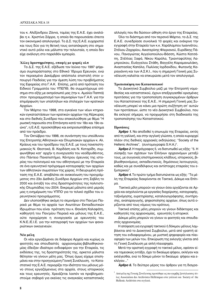του κ. Αλέξανδρου Ζάννα, ταμίας της Ε.Α.Ε. έχει αναλάβει η κ. Χριστίνα Σάρρα, η οποία θα παρουσιάσει έπειτα τον οικονομικό απολογισμό. Το Δ.Σ. της Ε.Α.Ε. ευχαριστεί και τους δύο για τη θετική τους ανταπόκριση στο σημαντικό αυτό ρόλο και μάλιστα την τελευταία, η οποία δεν είχε ανάλογη στο παρελθόν εμπειρία.

#### Άλλες δραστηριότητες, επαφές με φορείς κλπ

Το Δ.Σ. της Ε.Α.Ε. εξέδωσε τον Ιούνιο του 1997 ψήφισμα συμπαράστασης στο Εθνικό Ίδρυμα Ερευνών, ενώ τον περασμένο Δεκέμβριο απέστειλε επιστολή στον υπουργό Παιδείας για την άμεση λύση του προβλήματος της Εφορείας στα Γ.Α.Κ. Επίσης, μετά από πρόταση του Ειδικού Γραμματέα του ΥΠΕΠΘ, θα συμμετέχουμε επίσημα στο εξής με εκπρόσωπό μας (την κ. Αμαλία Παππά) στον προγραμματισμό των σεμιναρίων των Γ.Α.Κ. για την επιμόρφωση των υπαλλήλων και στελεχών των κρατικών Αρχείων.

Τον Μάρτιο του 1998, στα εγκαίνια των νέων κτηριακών εγκαταστάσεων των κρατικών αρχείων της Κέρκυρας και στο διεθνές Συνέδριο που επακολούθησε με θέμα "Η ρωσική παρουσία στα Επτάνησα κατά τον 18ο και 19ο αιώνα", η Ε.Α.Ε. προσκλήθηκε και εκπροσωπήθηκε επίσημα από τον πρόεδρο.

Τον Οκτώβριο του 1998, σε συνάντηση του υπεύθυνου της Επιτροπής Αθλητικών και Ολυμπιακών αρχείων κ. Αλ. Κράους και του προέδρου της Ε.Α.Ε. με τους πανεπιστημιακούς Ν. Θεοτοκά, Β. Καρδάση και Ν. Κοταρίδη, συμφωνήθηκε κατ' αρχήν η συνεργασία του νεοϊδρυθέντος, στο Πάντειο Πανεπιστήμιο, Κέντρου έρευνας της ιστορίας του πολιτισμού και του αθλητισμού με την Εταιρεία σε ένα ερευνητικό πρόγραμμα καταγραφής των αρχείων των αθλητικών σωματείων της χώρας. Η διευρυμένη πρόταση της Ε.Α.Ε. αποβλέπει σε ανακοίνωση του προγράμματος στο 23ο Διεθνές Συνέδριο Αρχείων στη Σεβίλη το 2000 και ένταξή του στις δραστηριότητες της πολιτιστικής Ολυμπιάδας του 2004. Εκκρεμεί μάλιστα από μεριάς μας η ενημέρωση του ΥΠΠΟ για το τελικό σχέδιο του ερευνητικού προγράμματος.

Δεν υλοποιήθηκε ακόμη το σεμινάριο στο Παν/μιο Πειραιά με θέμα τα αρχεία των Ανωτάτων Εκπαιδευτικών Ιδρυμάτων που είναι πρόταση του κ. Θανάση Καλαφάτη, καθηγητή του Παν/μίου Πειραιά και μέλους της Ε.Α.Ε., ούτε προχώρησε η συνεργασία με ερευνητές του Κ.Ν.Ε./Ε.Ι.Ε. για την καταγραφή των αρχείων των φαναριώτικων οικογενειών.

#### **Νέα μέλη**

Οι νέοι εργαζόμενοι σε διάφορα Αρχεία και κυρίως οι φοιτητές και σπουδαστές αρχειονομίας-βιβλιοθηκονομίας έδειξαν ιδιαίτερο ενδιαφέρον για την Εταιρεία, τις εκδόσεις της, τις δραστηριότητές της, αρκετοί μάλιστα θέλησαν να γίνουν μέλη μας. Όπως όμως είχαμε επισημάνει και στην προηγούμενη Γενική Συνέλευση, το Καταστατικό της Ε.Α.Ε. περιορίζει την ιδιότητα του μέλους μόνο στους εργαζόμενους στα αρχεία, στους ιστορικούς και τους ερευνητές. Χρειάζεται λοιπόν να προβληματιστούμε σοβαρά για εκείνες τις αναγκαίες καταστατικές αλλαγές που θα δώσουν ώθηση στο έργο της Εταιρείας.

Όλο το διάστημα από τον περσινό Μάρτιο, το Δ.Σ. της E.A.E. συνεδρίασε συνολικά 10 φορές και ενέκρινε την εγγραφή στην Εταιρεία των κ.κ. Χαράλαμπου Ιωαννάτου, Στέλιου Ζαχαρίου, Αικατερίνης Φλεριανού, Ευριδίκης Πάνου, Παναγιώτας Αγγελοπούλου-Βάσση, Κώστα Κατσάπη, Στέλλας Ξαφά, Νίκου Καρόλα, Τριανταφύλλης Λαμπρούκου, Ευάγγελου Στάθη, Βαγγέλη Καραμανωλάκη, Αναστασίας Καπόλα, Πωλίνας Ιορδανίδου, Φωτεινής Καραγιάννη και των Α.Σ.Κ.Ι., που η σημερινή Γενική μας Συνέλευση καλείται να επικυρώσει μετά τον απολογισμό.

#### **Τροποποίηση του Καταστατικού**

Το Διοικητικό Συμβούλιο μαζί με την Επιτροπή νομοθεσίας και καταστατικού, έχουν επεξεργασθεί ορισμένες προτάσεις για την τροποποίηση συγκεκριμένων άρθρων του Καταστατικού της Ε.Α.Ε.. Η σημερινή Γενική μας Συνέλευση μπορεί να κάνει μια πρώτη συζήτηση επ' αυτών των προτάσεων, ώστε το νέο Διοικητικό Συμβούλιο, που θα εκλεγεί σήμερα, να προχωρήσει στη διαδικασία της τροποποίησης του Καταστατικού.

#### **Προτάσεις**

**Άρθρο 1.** Να αποδοθεί η επωνυμία της Εταιρείας, εκτός από τη γαλλική, και στην αγγλική γλώσσα, η οποία κυριαρχεί πλέον στις διεθνείς αρχειακές εκδηλώσεις: "Society of the Hellenic Archives", (συντομογραφία S.H.A.)<sup>1</sup>.

**Άρθρο 2.** Η παράγραφος 5, να διατυπωθεί ως εξής: "5. Η σύσφιξη των σχέσεων των Ελλήνων αρχειονόμων μεταξύ τους, με συγγενείς επιστημονικούς κλάδους, ιστορικούς, βιβλιοθηκονόμους, εκπαιδευτικούς, δημόσιους λειτουργούς, καθώς και με συναδέλφους και αντίστοιχες εταιρείες του εξωτερικού".

**Άρθρο 4.** Το πρώτο τμήμα διατυπώνεται ως εξής: "Τα μέλη της Εταιρείας διακρίνονται σε Τακτικά, Δόκιμα και Επίτι- $\mu$ a.

Τακτικά μέλη μπορούν να γίνουν όσοι εργάζονται σε Aρχεία και ασχολούνται με εργασίες διαχείρισης, καταγραφής, ταξινόμησης, ευρετηρίασης, καταλογογράφησης, συντήρησης, αναπαραγωγής, ψηφιοποίησης αρχείων, όπως αυτά oρίζονται από τους νόμους του κράτους.

Τακτικά επίσης μέλη μπορούν να γίνουν διδάκτορες και καθηγητές της αρχειονομίας, ερευνητές ή ιστορικοί.

Δόκιμα μέλη μπορούν να γίνουν οι φοιτητές και σπουδαστές αρχειονομίας.

Η απόφαση για εγγραφή τακτικού ή δόκιμου μέλους λαμβάνεται από το Διοικητικό Συμβούλιο, μετά από γραπτή αίτηση του ενδιαφερομένου, με μυστική ψηφοφορία και πλειοψηφία των μελών του. Επικύρωση της εκλογής γίνεται από τη Γενική Συνέλευση με απλή πλειοψηφία.

Μετά την οριστική εγγραφή το τακτικό μέλος, εφόσον είναι ταμειακώς εντάξει, έχει το δικαίωμα ψήφου, εκλέγειν και εκλέγεσθαι, ενώ το δόκιμο μόνον το δικαίωμα ψήφου και εκλέγειν..."

**Άρθρο 6.** Το δεύτερο μέρος του άρθρου για τη διαγρα-

 $^1\,$ Από μέλη της Γενικής Συνέλευσης προτάθηκε ως πιο ακριβής ξενόγλωσσος τίτλος Association des Archivistes Helléniques στα γαλλικά και Society of the Hellenic Archivists στα αγγλικά.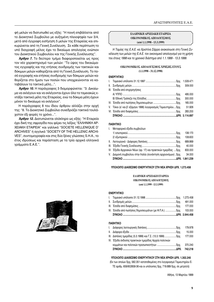φή μελών να διατυπωθεί ως εξής: "Η ποινή επιβάλλεται από το Διοικητικό Συμβούλιο με αυξημένη πλειοψηφία των 3/4, μετά από έγγραφη εισήγηση 5 μελών της Εταιρείας και επικυρώνεται από τη Γενική Συνέλευση. Σε κάθε περίπτωση το υπό διαγραφή μέλος έχει το δικαίωμα απολογίας ενώπιον του Διοικητικού Συμβουλίου και της Γενικής Συνέλευσης".

**Άρθρο 7.** Το δεύτερο τμήμα διαφοροποιείται ως προς τον νέο χαρακτηρισμό των μελών: "Το ύψος του δικαιώματος εγγραφής και της ετήσιας συνδρομής των τακτικών και δόκιμων μελών καθορίζεται από τη Γενική Συνέλευση. Το ποσό εγγραφής και ετήσιας συνδρομής των δόκιμων μελών καθορίζεται στο ήμισυ των ποσών που υποχρεώνονται να καταβάλουν τα τακτικά μέλη...".

**Άρθρο 10.** Η παράγραφος 3 διαμορφώνεται: "3. Δικαίωμα να εκλέγουν και να εκλέγονται έχουν όλα τα ταμειακώς εντάξει τακτικά μέλη της Εταιρείας, ενώ τα δόκιμα μέλη έχουν μόνον το δικαίωμα να εκλέγουν".

Η παράγραφος 8 του ίδιου άρθρου αλλάζει στην αρχή της: "8. Το Διοικητικό Συμβούλιο συνεδριάζει τακτικά τουλάχιστον έξι φορές το χρόνο...".

**Άρθρο 12.** Διατυπώνεται ολόκληρο ως εξής: "Η Εταιρεία έχει δική της σφραγίδα που φέρει τις λέξεις "ΕΛΛΗΝΙΚΗ ΑΡ-ΧΕΙΑΚΗ ΕΤΑΙΡΕΙΑ" και γαλλικά "SOCIETE HELLENIQUE D' ARCHIVES" ή αγγλικά "SOCIETY OF THE HELLENIC ARCHI-VES", συντομογραφία και στις δύο ξένες γλώσσες S.H.A., το έτος ιδρύσεως και παράσταση με τα τρία αρχικά ελληνικά γράμματα Ε.Α.Ε.".

# *<b>€ΔΛΗΝΙΚΗ ΑΡΧΕΙΑΚΗ ΕΤΑΙΡΕΙΑ* ΟΙΚΟΝΟΜΙΚΟΣ ΑΠΟΛΟΓΙΣΜΟΣ (από 1.1.1998 - 13.3.1999)

*Η Ταμίας της Ε.Α.Ε. κα Χοιστίνα Σάρρα ανακοίνωσε στη Γενική Συ*νέλευση των μελών της Ε.Α.Ε. τον οικονομικό απολογισμό για τη χρήση *ÙÔ˘ ¤ÙÔ˘˜ 1998 Î·È ÙÔ ¯ÚÔÓÈÎfi ‰È¿ÛÙËÌ· ·fi 1.1.1999 - 13.3.1999.*

#### ΟΙΚΟΝΟΜΙΚΟΣ ΑΠΟΛΟΓΙΣΜΟΣ ΧΡΗΣΗΣ ΕΤΟΥΣ **(1.1.1998 - 31.12.1998)**

#### **ENEPΓHTIKO**

|                                                                | 309.000 |
|----------------------------------------------------------------|---------|
| III. Έσοδα από επιχορηγήσεις                                   |         |
|                                                                | 495.000 |
|                                                                | 300.000 |
|                                                                | 165,000 |
| V. Τόκοι (α' και β' εξάμηνο 1998) λογαριασμός Ταμιευτηρίουδρχ. | 51.926  |
|                                                                | 283.200 |
|                                                                |         |

#### $\Pi$ <sup> $\Delta$ </sup> $\Theta$  $H$ <sup> $\Pi$ </sup> $\Gamma$  $\Omega$

| L. | Μεταφορικά έξοδα συμβούλων                                    |         |
|----|---------------------------------------------------------------|---------|
|    |                                                               | 138.170 |
|    |                                                               | 108.600 |
|    |                                                               | 689.869 |
|    |                                                               | 40.000  |
|    | ΙV Έξοδα Αρχειακών Νέων (αρ. 17) και πρακτικών ημερίδας δρχ.  | 833.000 |
|    | V. Διαμονή συμβούλου στην Ιταλία (συνάντηση αρχειονόμων) δρχ. | 34.000  |
|    |                                                               |         |

ΥΠΟΛΟΙΠΟ ΔΙΑΘΕΣΙΜΟ ΕΝΕΡΓΗΤΙΚΟΥ ΣΤΗ ΝΕΑ ΧΡΗΣΗ ΔΡΧ. 1.273.458

# *<u>EAAHNIKH APXEIAKH ETAIPEIA</u>* ΟΙΚΟΝΟΜΙΚΟΣ ΑΠΟΛΟΓΙΣΜΟΣ **(·fi 1.1.1999 - 13.3.1999)**

#### **ENEPΓHTIKO**

| ΙV. Έσοδα από πωλήσεις δημοσιευμάτων (με Φ.Π.Α.) δρχ. 103.000 |  |
|---------------------------------------------------------------|--|
|                                                               |  |
|                                                               |  |
|                                                               |  |

#### $\P$ <sup>A</sup>ΘΗΤΙΚΟ

|                                                            | 742.218 |
|------------------------------------------------------------|---------|
|                                                            | 370.240 |
| ΙΝ. Έξοδα έκδοσης πρακτικών ημερίδας Αρχεία πολιτικών      |         |
| ΙΙΙ. Δαπάνες ημερίδας (5.3.1999) και Γ.Σ. (13.3.1999) δρχ. | 177.000 |
|                                                            | 15,000  |
|                                                            | 179.978 |

#### ΥΠΟΛΟΙΠΟ ΔΙΑΘΕΣΙΜΟ ΕΝΕΡΓΗΤΙΚΟΥ ΣΤΗ ΝΕΑ ΧΡΗΣΗ ΔΡΧ. 1.302.240

(Εκ των οποίων δοχ. 582.351 κατατεθειμένες στο λοναριασμό Ταμιευτηρίου Ε-ΤΕ αριθμ. 659/602658-36 και οι υπόλοιπες δρχ. 719.889 δρχ. σε μετρητά)

Αθήνα, 13 Μαρτίου 1999

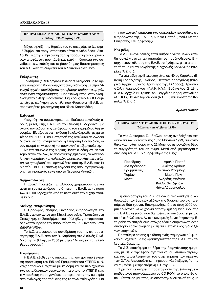# **ΠΕΠΡΑΓΜΕΝΑ ΤΟΥ ΔΙΟΙΚΗΤΙΚΟΥ ΣΥΜΒΟΥΛΙΟΥ (Ιούλιος 1998-Μάρτιος 1999)**

Μέχρι τη λήξη της θητείας του το απερχόμενο Διοικητικό Συμβούλιο πραγματοποίησε πέντε συνεδριάσεις. Ακολουθεί, για την ενημέρωσή σας, η παράθεσή των κυριοτέρων αποφάσεων που πάρθηκαν κατά τη διάρκεια των συνεδριάσεων, καθώς και οι βασικότερες δραστηριότητες του Δ.Σ. κατά τη διάρκεια του τελευταίου οκταμήνου.

#### Εκδηλώσεις

Το Μάρτιο (1999) οργανώθηκε σε συνεργασία με τα Apχεία Σύγχρονης Κοινωνικής Ιστορίας εκδήλωση με θέμα *"Α-VΟΙχτά αρχεία: προβλήματα πρόσβασης, απόρρητα αρχεία,* ελευθερία πληροφόρησης". Προσκεκλημένος στην εκδήλωση ήταν ο Jaap Kloosterman. Εκ μέρους των Α.Σ.Κ.Ι. συμμετείχε με εισήγησή του ο Φίλιππος Ηλιού, ενώ η Ε.Α.Ε. εκπροσωπήθηκε με εισήγηση του Νίκου Καραπιδάκη.

#### Εκδοτικά

Υπογράφηκε συμφωνητικό, με ιδιαίτερα ευνοϊκούς όρους, μεταξύ της Ε.Α.Ε. και του εκδότη Γ. Δαρδανού με σκοπό την έκδοση της μετάφρασης του εγχειριδίου Αρχειονομίας. Ελπίζουμε ότι η έκδοση θα ολοκληρωθεί μέχρι το τέλος του 1999. Η καθυστέρησή της οφείλεται σε σωρεία δυσκολιών που αντιμετώπισε η Επιτροπή Εγχειριδίου, όσον αφορά τη γλωσσική και ορολογική επεξεργασία της.

Με την επιμέλεια της Μαρίας Πολίτη εκδόθηκαν, σε ένα τόμο εκατό σελίδων, τα πρακτικά της ημερίδας "Αρχεία πολιτικών κομμάτων και πολιτικών προσωπικοτήτων. Διαχείρι*ση και πρόσβαση*" που οργανώθηκε από την Ε.Α.Ε. στις 14 Μαρτίου 1998. Η επίπονη εργασία της απομαγνητοφώνησης των πρακτικών έγινε από το Νέστορα Μπαμίδη.

# *X***<sub>o</sub>nματοδότηση**

Η Εθνική Τραπέζα της Ελλάδος χρηματοδότησε και αυτή τη χρονιά τις δραστηριότητες της Ε.Α.Ε. με το ποσό των 300.000 δραχμών. Από τη θέση αυτή την ευχαριστούμε θερμά.

#### **Διεθνής εκπροσώπηση**

Ο Πρόεδρος Ζήσιμος Συνοδινός εκπροσώπησε την E.A.E. στις εργασίες της 33ης Στρογγυλής Τράπεζας στη Στοκχόλμη, το Σεπτέμβριο του 1998 (βλ. για περισσότερες λεπτομέρειες την παρουσίαση του Ζ. Συνοδινού στα  $Δ$ IEΘNH NEA).

Το Δ.Σ. αποφάσισε σε συνεδρίασή του την εκπροσώπηση της Ε.Α.Ε. από τον Β. Καρδάση στο Διεθνές Συνέδριο της Σεβίλλης το 2000 με θέμα *"Τα αρχεία του ελεύ*θερου χρόνου".

#### **Επιμόρφωση**

Η Ε.Α.Ε. εξέθεσε τις απόψεις της, ύστερα από έγγραφη πρόσκληση του Ειδικού Γραμματέα του ΥΠΕΠΘ κ. Ν. Ζαχαρόπουλου, σχετικά με τη δομή και το περιεχόμενο των εκπαιδευτικών σεμιναρίων, τα οποία το ΥΠΕΠΘ είχε την πρόθεση να οργανώσει, μεταφέροντας την εμπειρία από ανάλογες προσπάθειές της τα τελευταία χρόνια. Για την οργανωτική επιτροπή των σεμιναρίων προτάθηκε ως εκπρόσωπος της Ε.Α.Ε. η Αμαλία Παππά (υπεύθυνη της Επιτροπής Επιμόρφωσης)

#### **Νέα μέλη**

Το Δ.Σ. έκανε δεκτές επτά αιτήσεις νέων μελών επειδή συγκέντρωναν τις απαραίτητες προϋποθέσεις. Επίσης, στους κόλπους της Ε.Α.Ε. εντάχθηκαν, μετά από αίτησή τους και τα Αρχεία της Συγχρονής Κοινωνικής Ιστορίας (Α.Σ.Κ.Ι.).

Τα νέα μέλη της Εταιρείας είναι οι: Νίκος Καρόλας (Εθνική Τράπεζα της Ελλάδος), Φωτεινή Καραγιάννη (Ιστορικό Αρχείο Εθνικής Τράπεζας της Ελλάδος), Τριανταφύλλη Λαμπρούκου (Γ.Α.Κ.-Κ.Υ.), Ευάγγελος Στάθης (Γ.Α.Κ.-Αρχεία Ν. Τρικάλων), Βαγγέλης Καραμανωλάκης (Α.Σ.Κ.Ι.), Πωλίνα Ιορδανίδου (Α.Σ.Κ.Ι.) και Αναστασία Καπόλα (Α.Σ.Κ.Ι.).

#### *<i><u>Αμαλία Παππά</u>*

# **ΠΕΠΡΑΓΜΕΝΑ ΤΟΥ ΔΙΟΙΚΗΤΙΚΟΥ ΣΥΜΒΟΥΛΙΟΥ (Μάρτιος - Δεκέμβριος 1999)**

Το νέο Διοικητικό Συμβούλιο, όπως αναδείχθηκε στη διάρκεια των εκλογών της 13ης Μαρτίου 1999, συναντήθηκε για πρώτη φορά στις 22 Μαρτίου με μοναδικό θέμα τη συγκρότησή του σε σώμα. Μετά από ψηφοφορία η σύνθεση του Δ.Σ. διαμορφώθηκε ως εξής:

| Πρόεδρος:     | Αμαλία Παππά       |
|---------------|--------------------|
| Αντιπρόεδρος: | Αλέξης Κράους      |
| Γραμματέας:   | Νέστωρ Μπαμίδης    |
| Ταμίας:       | Μαρία Πολίτη       |
| Μέλη:         | Ανδρέας Μπάγιας    |
|               | Κάλλια Χατζηγιάννη |
|               | Ντίνα Αδαμοπούλου  |

Τη συγκρότηση του Δ.Σ. σε σώμα ακολούθησε ο καθορισμός των βασικών αξόνων της δράσης του για τα επόμενα δύο χρόνια. Επισημάνθηκε ότι το έτος 2000 συμπληρώνονται δέκα χρόνια από την ημερομηνία ίδρυσης της Ε.Α.Ε., γεγονός που θα πρέπει να συνδυαστεί με μια σειρά εκδηλώσεων. Αν οι οικονομικές δυνατότητες της Εταιρείας το επιτρέψουν, στόχος είναι η διοργάνωση ενός συνεδρίου αρχειονομίας με τη συμμετοχή ενός ή δύο ξέ**νων εισηγητών.** 

Προτάθηκε επίσης η έκδοση ενός ενημερωτικού φυλλαδίου σχετικά με τις δραστηριότητες της Ε.Α.Ε. την τελευταία δεκαετία.

Το Δ.Σ. επανέφερε το θέμα της διοργάνωσης ημερίδας με θέμα την εφαρμογή του νόμου «Καποδίστριας» και των αποτελεσμάτων του στην τήρηση των αρχείων των Ο.Τ.Α. Αποφασίστηκε η ημερομηνία διεξαγωγής της να συμπέσει με την επόμενη Γ.Σ. της Ε.Α.Ε.

Έχει ήδη ξεκινήσει η προετοιμασία της έκδοσης εκπαιδευτικού προγράμματος σε CD-ROM, το οποίο θα απευθύνεται σε μαθητές, με σκοπό την εξοικείωσή τους με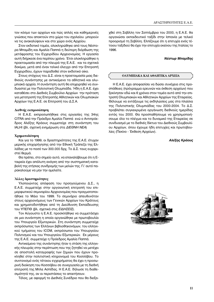τον κόσμο των αρχείων και πώς απλές και καθημερινές γνώσεις που αποκτούν στο χώρο του σχολείου μπορούν να τις ανακαλύψουν και στο χώρο ενός Αρχείου.

Στον εκδοτικό τομέα, ολοκληρώθηκε από τους Νέστορα Μπαμίδη και Αμαλία Παππά η δεύτερη διόρθωση της μετάφρασης του Εγχειριδίου Αρχειονομίας. Η εργασία αυτή διήρκεσε ένα περίπου χρόνο. Έτσι ολοκληρώθηκε η προετοιμασία από την πλευρά της Ε.Α.Ε. και τα σχετικά δοκίμια, μετά από έναν τελικό έλεγχο από την Επιτροπή Εγχειριδίου, έχουν παραδοθεί στον εκδοτικό οίκο.

Στους στόχους του Δ.Σ. είναι η προετοιμασία μιας διεθνούς συνάντησης με αντικείμενο τα αθλητικά και ολυμπιακά αρχεία. Η συνάντηση αυτή θα επιχειρηθεί να συνδυαστεί με την Πολιτιστική Ολυμπιάδα. Ήδη η Ε.Α.Ε. έχει καταθέσει στο Διεθνές Συμβούλιο Αρχείων την πρόταση για μετατροπή της Επιτροπής Αθλητικών και Ολυμπιακών Αρχείων της Ε.Α.Ε. σε Επιτροπή του Δ.Σ.Α.

#### **Διεθνής εκπροσώπηση**

Η Ε.Α.Ε. εκπροσωπήθηκε στις εργασίες της 34ης CITRA από την Πρόεδρο Αμαλία Παππά ενώ ο Αντιπρόεδρος Αλέξης Κράους συμμετείχε στη συνάντηση του IALHI (βλ. σχετική ενημέρωση στα *ΔΙΕΘΝΗ ΝΕΑ*)

#### **Χ**ρηματοδότηση

Και για το 1999, οι δραστηριότητες της Ε.Α.Ε. έτυχαν μερικής επιχορήγησης από την Εθνική Τράπεζα της Ελλάδας με το ποσό των 300.000 δρχ. Το Δ.Σ. τους ευχαριστεί θερμά.

Θα πρέπει, στο σημείο αυτό, να επαναλάβουμε ότι η Εταιρεία έχει απόλυτη ανάγκη από την συστηματική καταβολή της ετήσιας συνδρομής των μελών της. Γι' αυτό παρακαλούμε να μην την αμελείτε.

#### Άλλες δραστηριότητες

Υλοποιώντας απόφαση του προηγούμενου Δ.Σ., η Ε.Α.Ε. συμμετείχε στην οργανωτική επιτροπή του επιμορφωτικού σεμιναρίου Αρχειονομίας που πραγματοποιήθηκε το Μάιο του 1999. Το σεμινάριο απευθυνόταν στους αρχειονόμους των Γενικών Αρχείων του Κράτους και χρηματοδοτήθηκε από τη Διεύθυνση Εκπαίδευσης του ΥΠΕΠΘ (βλ. σχετικά στις *ΕΙΔΗΣΕΙΣ*).

Τον Αύγουστο η Ε.Α.Ε. προσκλήθηκε να συμμετάσχει σε μια συνάντηση η οποία οργανώθηκε με πρωτοβουλία του Υπουργείο Εξωτερικών. Στη συνάντηση συμμετείχε εκπρόσωπος των Ελλήνων βιβλιοθηκονόμων, του ελληνικού τμήματος του ICOM, εκπρόσωποι του Υπουργείου Πολιτισμού και του Υπουργείου Εξωτερικών. Εκ μέρους της Ε.Α.Ε. συμμετείχε η Πρόεδρος Αμαλία Παππά.

Αντικείμενο της συνάντησης ήταν η στάση της ελληνικής πλευράς στην περίπτωση που της ζητηθεί να μετέχει σε αποστολή καταγραφής των ζημιών που έχουν προκληθεί στην πολιτιστική κληρονομιά του Κοσσόβου. Το συντονισμό ενός τέτοιου εγχειρήματος θα έχει η προσωρινή διοίκηση του Κοσσόβου σε συνεργασία με τη διεθνή επιτροπή της Μπλε Ασπίδας. Η Ε.Α.Ε. δήλωσε τη διαθεσιμότητά της, αν οι περιστάσεις το απαιτήσουν.

Τέλος, με αφορμή το Διεθνές Συνέδριο που θα διεξα-

χθεί στη Σεβίλλη τον Σεπτέμβριο του 2000, η Ε.Α.Ε. θα οργανώσει εκπαιδευτικό ταξίδι στην Ισπανία με τελικό προορισμό τη Σεβίλλη. Ελπίζουμε ότι η επιτυχία ενός τέτοιου ταξιδιού θα έχει την επιτυχία εκείνου της Ιταλίας το 1996.

#### **Νέστωρ Μπαμίδης**

### **OΛΥΜΠΙΑΚΑ ΚΑΙ ΑΘΛΗΤΙΚΑ ΑΡΧΕΙΑ**

Η Ε.Α.Ε. έχει αποφασίσει να δώσει συνέχεια στις προσπάθειες (πρόγραμμα ερευνών και έκθεση αρχείων) που ξεκίνησαν εδώ και 6 χρόνια στον τομέα αυτό από την επιτροπή Ολυμπιακών και Αθλητικών Αρχείων της Εταιρείας. Θέλουμε να εντάξουμε τις εκδηλώσεις μας στα πλαίσια της Πολιτιστικής Ολυμπιάδας του 2000-2004. Το Δ.Σ. προβλέπει συγκεκριμένα οργάνωση διεθνούς ημερίδας εντός του 2000. Θα προσπαθήσουμε να χρησιμοποιήσουμε όλο το πλέγμα και το δυναμικό της Εταιρείας σε συνδυασμό με το διεθνές δίκτυο του Διεθνούς Συμβουλίου Αρχείων, όπου έχουμε ήδη επιτυχίες και πρωτοβουλίες (Πεκίνο - Έκθεση Αρχείων).

# Αλέξης Κράους

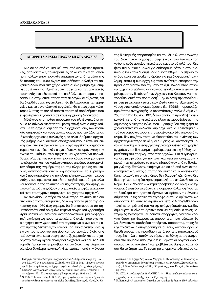# **APXEIAKA**

#### ΑΠΟΡΡΗΤΑ ΑΡΧΕΙΑ-ΠΡΟΣΒΑΣΗ ΣΤΑ ΑΡΧΕΙΑ<sup>1</sup>

Μια σειρά από νομικά κείμενα, από διοικητικές πρακτικές, από ιδιωτικές πρωτοβουλίες αλλά και η επισημοποίηση πολλών επιστημονικών απαιτήσεων από τα μέσα της δεκαετίας του 1980 έχουν οπωσδήποτε αλλάξει τα αρχειακά δεδομένα στη χώρα -αυτό σ' ένα βαθμό έχει επηρεασθεί από τις εξελίξεις στα αρχεία και τις αρχειακές πρακτικές στο εξωτερικό- και επιβάλλεται σήμερα να περάσουμε στην επισκόπηση των αλλαγών ελπίζοντας ότι θα διορθώσουμε τις ατέλειες, θα βελτιώσουμε τις ερμηνείες και τα εννοιολογικά εργαλεία, θα επιτύχουμε καλύτερες λύσεις σε πολλά από τα πρακτικά προβλήματα που εμφανίζονται λίγο-πολύ σε κάθε αρχειακή διαδικασία.

Μιλώντας στο πρώτο πρόσωπο του πληθυντικού εννοούμε το σύνολο εκείνων που με τη στενή έννοια ασχολούνται με τα αρχεία, δηλαδή τους αρχειονόμους των κρατικών υπηρεσιών και τους αρχειονόμους που εργάζονται σε ιδιωτικές αρχειακές συλλογές ή σε άλλα ιδρύματα αρχειακής μνήμης αλλά και τους απασχολούμενους έστω και ευκαιριακά στα ενεργά και τα ημιενεργά αρχεία του δημόσιου τομέα και των ιδιωτικών επιχειρήσεων. Διευρύνοντας την έννοια του κόσμου των αρχείων, θα χρειαστεί να περιλάβουμε σ' αυτήν και τον επιστημονικό κόσμο που χρησιμοποιεί αρχεία - και που κυρίως αντιπροσωπεύουν οι ιστορικοίτον κόσμο της ενημέρωσης και της πληροφορίας που κυρίως αντιπροσωπεύουν οι δημοσιογράφοι, το ευρύτερο κοινό που παραμένει για την ελληνική πραγματικότητα ένας στόχος που πρέπει να ευαισθητοποιηθεί περισσότερο αλλά και τον κόσμο της πολιτικής και της ανώτερης διοίκησης, αφού απ' αυτούς πηγάζουν οι σημαντικές αποφάσεις και αυτοί είναι ταυτόχρονα παραγωγοί και χρήστες αρχείων<sup>2</sup>.

Αν αναλύσουμε τώρα το γενικότερο πολιτικό πλαίσιο στο οποίο τοποθετούμαστε, δηλαδή από τα μέσα της δεκαετίας του 1980 έως σήμερα, θα διαπιστώσουμε ότι σηματοδοτείται από ορισμένα κείμενα αρχειακού χαρακτήρα -τρία βασικά κείμενα- που αντιπροσωπεύουν μια διαφορετική αντίληψη ως προς τα αρχεία από εκείνη που είχε κυριαρχήσει στην χώρα κατά τον περασμένο αιώνα και τις οκτώ πρώτες δεκαετίες του αιώνα μας. Πιο συγκεκριμένα, η έννοια του ιστορικού αρχείου και του αρχείου διοίκησης παύουν να είναι κατά σαφή τρόπο ξεχωριστές και αυτό χάρη στην αντίληψη που αρχίζει να διαχέεται - και που το 1986 νομοθετήθηκε- ότι η πρόσβαση σε μια διοικητική πληροφορία είναι δικαίωμα πολιτικό<sup>3</sup>. Η μετατόπιση από την έννοια της διοικητικής πληροφορίας και του δικαιώματος γνώσης του διοικητικού εγγράφου στην έννοια του δικαιώματος γνώσης ενός αρχείου γενικότερα και στο σύνολό του, δεν ήταν πια δύσκολη, αλλά για διάφορους λόγους στους οποίους θα επανέλθουμε, δεν αξιοποιήθηκε. Το βέβαιο ωστόσο είναι ότι άνοιξε το δρόμο για μια διαφορετική αντίληψη, αφού η κυρίαρχη ως τότε αντίληψη επέτρεπε την πρόσβαση για τον πολίτη μόνο σε ό,τι θεωρούνταν ιστορικό αρχείο και μάλιστα αφήνοντας μεγάλα υποκειμενικά περιθώρια στον διευθυντή των Αρχείων του Κράτους να απαγορεύσει αυτή την πρόσβαση<sup>4</sup>. Την αλλαγή την αποδίδουμε στη μεταφορά νεωτερικών ιδεών από το εξωτερικό -ο νόμος στον οποίο αναφερόμαστε (Ν.1599/86) παρουσιάζει ομοιότητες αντιγραφής με τον αντίστοιχο γαλλικό νόμο 78-753 της 17ης Ιουλίου 1978<sup>5</sup>- του οποίου η πρόσληψη διευκολύνθηκε από το γενικότερο κλίμα μεταρρυθμίσεων, της δημόσιας διοίκησης ιδίως, που κυριαρχούσε στη χώρα τα χρόνια εκείνα και άλλωστε κυριαρχεί ακόμα. Το πνεύμα αυτού του νόμου ωστόσο, επηρεασμένο ακριβώς από αυτό το κλίμα, δεν ερχόταν τόσο να θεραπεύσει τις ανάγκες των αρχείων γενικότερα αλλά ήθελε κυρίως να ικανοποιήσει μόνο ένα δικαίωμα άμεσης γνώσης για ορισμένες κατηγορίες εγγράφων και δεν άφηνε περιθώρια για μια εις βάθος αντιμετώπιση του προβλήματος των αρχείων. Πιο συγκεκριμένα, δεν μεριμνούσε για την τύχη - και άρα τον αποχαρακτηρισμό- των εγγράφων τα οποία εξαιρούνταν από το δικαίωμα γνώσης. Επιπλέον, εισήγαγε μια σειρά από έννοιες πολύ σημαντικές, όπως αυτή της "ιδιωτικής και οικογενειακής ζωής τρίτων", τις οποίες όμως δεν διασαφήνιζε, όπως δεν διασαφήνισε και η διοικητική πρακτική που ακολούθησε τον Νόμο. Έδινε δηλαδή δικαίωμα πρόσβασης για ορισμένα έγγραφα, δεσμεύοντας όμως επ' αόριστον άλλα, αφήνοντας το δικαίωμα στα κρατικά όργανα να ορίσουν τις έννοιες σύμφωνα με τις οποίες τα έγγραφα αυτά θα ορίζονταν ως απόρρητα. Απ' αυτό το σημείο και μετά, ο Ν.1599/86 εγκαταλείπει το πρότυπό του και την ανάγκη διαφάνειας και δεν δημιουργεί εκείνο το όργανο που θα δημοσίευε ποιες κατηγορίες εγγράφων θεωρούνται απόρρητες, για ποιο χρονικό διάστημα θεωρούνται απόρρητες, ποια μέριμνα θα λαμβανόταν γι' αυτές όσο παρέμεναν απόρρητες, ποιος θα είχε το δικαίωμα αποχαρακτηρισμού τους και ποιοι όροι θα διευθετούσαν την πρόσβαση μετά τον αποχαρακτηρισμό τους. Σιωπηλά σ' αυτόν τον νόμο, οι ευθύνες αυτές αφήνονται στα αρμόδια υπουργεία ή κυβερνητικά όργανα χωρίς ουσιαστικά να ασκείται ή να προβλέπεται έλεγχος κατά πόσον θα το έπρατταν. Το ερώτημα μπορεί να τεθεί ακόμα και

<sup>&</sup>lt;sup>1</sup> Εισήγηση στην εκδήλωση που διοργάνωσαν τα ΑΣΚΙ με συμμετοχή της Ε.Α.Ε. στις 5/3/1999 στο αμφιθέατρο Ζ. Ζέρβα του ΕΙΕ με θέμα "Ανοικτά αρχεία: προβλήματα πρόσβασης, απόροητα αρχεία και ελευθερία της πληροφόρησης".

<sup>&</sup>lt;sup>2</sup> Συμπόσιο Αρχειονομίας, αρχεία και αρχειακοί: ένας ιστός, Κέρκυρα, 11-13 Οκτωβρίου 1991, Ελληνική αρχειακή Εταιρεία, Αθήνα 1992, σσ. 21-35.

<sup>&</sup>lt;sup>3</sup> Ν. 1599, 11 Ιουνίου 1986, ΦΕΚ Α' 75, Σχέσεις κράτους - πολίτη, καθιέρωση νέου τύπου δελτίου ταυτότητας και άλλες διατάξεις. Επίσης, Φ. Ηλιού, Ν. Κα-

ραπιδάκης, Β. Κρεμμυδάς, Λίλιαν Μήτρου, Γ. Μητροφάνης, Ζ. Συνοδινός, Η πρόσβαση στα αρχεία: δυνατότητες, δεοντολογία, απόροητο, Στρογγυλή τράπεζα, Αθήνα, 24 Ιανουαρίου 1998, Ελληνική Αρχειακή Εταιρεία, Θεσσαλονίxn. 1998.

<sup>&</sup>lt;sup>4</sup> Ν. 2027/39, 19 Οκτωβρίου 1939, ΦΕΚ Α' 448, Περί αναδιοργανώσεως της υπηρεσίας των Γενικών Αρχείων του Κράτους, άρ. 6

<sup>&</sup>lt;sup>5</sup> H. Bastien, *Droit des archives*, Direction des Archives de France, 1996, σελ. 90 κε.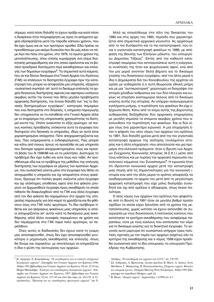σήμερα, κατά πόσο δηλαδή το έχουν πράξει και κατά πόσο η διαφάνεια στην πληροφόρηση ως προς τα απόρρητα αρχεία εξασφαλίζεται μετά την πάροδο κάποιου χρόνου, που θα έχει όμως και εκ των προτέρων ορισθεί. Εδώ πρέπει να προσθέσουμε μια ακόμα δυσκολία που θα μας κάνει να πάμε λίγο πιο πίσω στο χρόνο, στα 1979, τα πρώτα χρόνια της μεταπολίτευσης, όπου επίσης κυριάρχησε ένα κλίμα διοικητικής μεταρρύθμισης και στο οποίο οφείλονται και τα βασικά προεδρικά διατάγματα περί εκκαθαρίσεων και επιλογής των δημοσίων εγγράφων<sup>6</sup>. Τα σημαντικά αυτά κείμενα, που αν και δίνουν δικαίωμα στα Γενικά Αρχεία του Κράτους (ΓΑΚ) να επιλέγουν τα διατηρητέα έγγραφα πριν την καταστροφή που μπορεί να αποφασίσει μια υπηρεσία, εξαιρούν -ουσιαστικά σιωπηλά- απ' αυτό το δικαίωμα επιλογής τα αρχεία διηνεκούς διατήρησης αφενός και αφετέρου εισάγουν ακριβώς αυτήν την έννοια που θέτει μεγάλα προβλήματα αρχειακής διατήρησης, την έννοια δηλαδή των "εις το διηνεκές διατηρουμένων εγγράφων", κατηγορία τεκμηρίων που ενώ διατηρείται στο διηνεκές, η υπηρεσία παραγωγής δεν υποχρεούται να τα καταθέσει στα Γενικά Αρχεία αλλά με το επιχείρημα της υπηρεσιακής χρησιμότητας τα διατηρεί κοντά της. Οπότε ανακύπτει το εξής ερώτημα: σε ποιους κανόνες πρόσβασης υπόκεινται αυτά τα έγγραφα που διατηρούν στο διηνεκές οι υπηρεσίες, ιδίως αν αυτά είναι χαρακτηρισμένα απόρρητα; Πότε αποχαρακτηρίζονται και πώς; Πώς ενημερώνεται ο ενδιαφερόμενος; Πώς μπορεί και κάτω από ποιους όρους να προσέλθει σε μια υπηρεσία που διατηρεί αρχεία αποχαρακτηρισμένα, ίσως και προσιτά βάσει του Ν.1599/86 και να τα μελετήσει; Δυστυχώς το πρόβλημα δεν έχει λυθεί και ούτε ίσως καν τεθεί. Αν προσθέσουμε εδώ και το πρόβλημα της μεθόδου της επιλογής διατήρησης των εγγράφων εκ μέρους των κρατικών Αρχείων, που ουσιαστικά γίνεται μόνο στα έγγραφα που θέλει να αποχωρισθεί η υπηρεσία και όχι απαραίτητα στους φακέλους. ξέρουμε ότι πολλές φορές σώζονται μόνο έγγραφα και όχι ολόκληρες υποθέσεις αφού από ένα φάκελο μπορούν να ξεχωρισθούν έγγραφα προς εκκαθάριση τα οποία πιθανόν θα διαφυλαχθούν από τα ΓΑΚ ενώ άλλα έγγραφα από τον ίδιο φάκελο θα παραμείνουν στο αρχείο της υπηρεσίας παραγωγής για όσο καιρό τα χρειάζεται και θα φθάσουν ίσως στα ΓΑΚ πολύ αργότερα. Το ίδιο πρόβλημα τίθεται και για ακέραιους φακέλους μιας υπηρεσίας οι οποίοι αποχωρίζονται απ' αυτήν κατά τη διενέργεια μιας εκκαθάρισης αλλά άλλοι συναφείς παραμένουν σε χρήση και δεν περιέρχονται στα ΓΑΚ παρά πολύ αργότερα, αν περιέλθουν.

Όλες αυτές οι διαδικασίες δεν έχουν κατά τη γνώμη μας αποσαφηνισθεί, όπως δεν έχει αποσαφηνισθεί γενικότερα ο μηχανισμός εκκαθάρισης και επιλογής -όπως θα δούμε και παρακάτω- με αποτέλεσμα να επηρεάζεται η ίδια η φύση της λειτουργίας των αρχείων.

Αλλά ας επανέλθουμε στα τέλη της δεκαετίας του 1980 και στις αρχές του 1990, περίοδο που χαρακτηρίζεται από σημαντικά αρχειακά γεγονότα. Ας αρχίσουμε από το πιο δυσάρεστο και το πιο καταστροφικό, που είναι η γιγαντιαία καταστροφή φακέλων το 1989, με απόφαση της Βουλής των Ελλήνων μάλιστα, του υπουργείου Δημοσίας Τάξεως<sup>7</sup>. Εκτός από την καθαυτό καταστροφή τεκμηρίων που αντιπροσώπευε αυτή η ενέργεια, οι συνέπειές της ήταν και ψυχολογικές αφού, ενώ από την μια μεριά γίνονταν δειλά βήματα για το δικαίωμα γνώσης του διοικητικού εγγράφου, από την άλλη μεριά η ίδια η Δημοκρατία διά του Κοινοβουλίου της ερχόταν να ορίσει με αυθαιρεσία ό,τι αυτή θεωρούσε εθνική μνήμη και με μια "αυτοκρατορική" χειρονομία να διαγράψει την ιστορία χιλιάδων ανθρώπων και των δύο πλευρών και κυρίως να στερήσει εκατομμύρια άλλους από το δικαίωμα γνώσης αυτής της ιστορίας. Αν υπήρχαν αναγνωρισμένα εγκλήματα μνήμης, η πυρπόληση των φακέλων θα είχε εξέχουσα θέση. Κάτω από το κλίμα αυτής της βαρύτατης αυθαιρεσίας διεξήχθησαν δύο αρχειακές επιχειρήσεις με μεγάλη σημασία τα επόμενα ακριβώς χρόνια που ακολουθούν την πυρπόληση των φακέλων. Και οι δύο είχαν ίσως ένα χαρακτήρα ειρωνικό. Η μια επιχείρηση ήταν η ψήφιση του νέου νόμου των αρχείων του κράτους το 1991, δύο δηλαδή χρόνια μετά από την πιο γιγαντιαία καταστροφή αρχείων της νεότερης τουλάχιστον ιστορίας και η άλλη επιχείρηση -που αποτελούσε και μια πρεμιέρα στα ελληνικά πράγματα- ήταν η ίδρυση των Αρχείων Σύγχρονης Κοινωνικής Ιστορίας (Α.Σ.Κ.Ι.) μέσα από τους κόλπους και με πυρήνα την αρχειακή περιουσία του πολιτικού κόμματος του Συνασπισμού<sup>8</sup>. Η ειρωνεία ήταν ότι ιδρύονταν κοινωνικά αρχεία μετά την καταστροφή μιας πηγής από τις σημαντικότερες για την κοινωνική ιστορία ενώ από την άλλη μεριά το κράτος αποφάσιζε να αναδιοργανώσει τα αρχεία του μετά από τη μεγαλύτερη αρχειακή καταστροφή που είχε μόλις διαπράξει συνειδητά και όχι από αμέλεια ή αδιαφορία, όπως έκανε παλιότερα.

Ο νέος νόμος των αρχείων του κράτους που ψηφίστηκε από τη Βουλή το 1991 ήταν σε μεγάλο βαθμό προϊόν σχεδίων τα οποία είχαν ξεκινήσει από τα χρόνια της μεταπολίτευσης, χωρίς ωστόσο να έχουν εκπονηθεί σε συνεργασία με τους διοικητικούς ή πολιτικούς κύκλους που εκπόνησαν τα κριτήρια εκκαθάρισης που αναφέραμε παραπάνω, ούτε με τους κύκλους που εκπόνησαν τον νόμο για το δικαίωμα γνώσης για το διοικητικό έγγραφο. Το γεγονός αυτό μαρτυρεί ότι ουσιαστικά υπήρχαν τρεις πολιτικές σχετικές με τον τομέα των αρχείων ασχέτως εάν τα κριτήρια της εκκαθάρισης και ο νόμος 1599 είχαν προέλθει ουσιαστικά από το ίδιο υπουργείο, το υπουργείο Προεδρίας της Κυβέρνησης.

<sup>&</sup>lt;sup>6</sup> βλ. πρόχειρα, Ν. Καραπιδάκης, "Οι εκκαθαρίσεις και οι επιλογές σύγχρονων διοικητικών αρχείων", Επετηρίδα των Γενικών Αρχείων του Κράτους-1990, Αθήνα 1991 [βιβλιοθήκη των Γενικών Αρχείων του Κράτους 19] σσ. 25-34 και Μαρία Μπακαδήμα, "Επιλογές και εκκαθαρίσεις διοικητικών αρχείων", Επετηρίδα των Γενικών Αρχείων του Κράτους, 1997, [βιβλιοθήκη των Γενικών Αρχείων του Κράτους 31] σσ. 137-143 και στον ίδιο τόμο, σσ. 143-179, Δ. Γεωργόπουλος, "Πρόταση για τις εκκαθαρίσεις ημιενεργών αρχείων" και Χ.

Λάνδρος, "Η εκκαθάριση των αρχείων των Δ.Ο.Υ." σσ. 179-192.

 $^7$ Σπ. Ασδ<br/>ραχάς, Λ. Βρανούσης, Λουκία Δρούλια, Φ. Ηλιού, Α. Λιάκος, Άννα Ματθαίου, Γ. Μπαφούνης, Β. Παναγιωτόπουλος, Σύγχρονα αρχεία. Φάκελοι και ιστορική έρευνα, Εταιρεία Μελέτης Νέου Ελληνισμού, Αθήνα 1991 [Παράρτημα του περιοδικού Μνήμων, αριθ. 6].

<sup>&</sup>lt;sup>8</sup> Φ. Ηλιού, "Ανοιχτά αρχεία", Αρχειοτάξιο, 1 (1999) σσ. 4-7.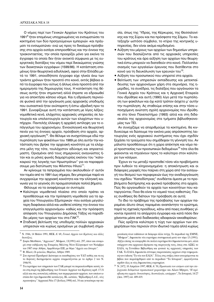Ο νόμος περί των Γενικών Αρχείων του Κράτους του 1991<sup>9</sup> ήταν επομένως υποχρεωμένος να ενσωματώσει τα κεκτημένα των δύο προηγούμενων εμπειριών -και πράγματι τα ενσωματώνει- ενώ ως προς το δικαίωμα πρόσβασης στα αρχεία εισάγει επιπροσθέτως και την έννοια της τριακονταετίας, την οποία προορίζει μόνο για εκείνα τα έγγραφα τα οποία δεν ήταν ανοικτά σύμφωνα με τις ευεργετικές διατάξεις του νόμου περί δικαιώματος γνώσης των διοικητικών εγγράφων (1599/86). Η κατάσταση επομένως ήταν θεωρητικά ειδυλλιακή, αφού στην Ελλάδα μετά το 1991, οποιοδήποτε έγγραφο είχε ηλικία άνω των τριάντα χρόνων ήταν προσιτό στο κοινό, εκτός βέβαια από τα έγγραφα που ούτως ή άλλως είναι προσιτά από την ημερομηνία της δημιουργίας τους. Η κατάκτηση της θέσεως αυτής ήταν σημαντική αλλά έπρεπε να εδραιωθεί για να αποκτήσει κάποιο νόημα. Και η εδραίωση περνούσε φυσικά από την οργάνωση μιας αρχειακής υποδομής που ουσιαστικά ήταν ανύπαρκτη ή έστω υβριδική πριν το 1991. Συνοψίζουμε αυτή την κατάσταση με λίγες λέξεις: VOμοθετικά κενά, ελάχιστες αρχειακές υπηρεσίες σε λειτουργία και υπολειτουργία αυτών των ελαχίστων που υπήρχαν. Παντελής έλλειψη ή αρχαϊκή αντίληψη για το επάγγελμα του αρχειονόμου. Εννοιολογική και θεωρητική πενία για τις έννοιες αρχείο, πρόσβαση στο αρχείο, αρχειακή οργάνωση<sup>10</sup>. Θα θέλαμε να συσχετίσουμε εδώ την πυρπόληση των φακέλλων του 1989 με όλη αυτήν την κατάσταση που βρήκε την αρχειακή κοινότητα με τα ελάχιστα μέλη της τότε, τουλάχιστον αδύναμη και απροετοίμαστη. Ορισμένοι από τους σημερινούς αναγνώστες ήταν και οι μόνες φωνές διαμαρτυρίας εκείνου του "καλοκαιριού της λογικής των Ηρωστράτων" για να παραφράσουμε μια διατύπωση του Φίλιππου Ηλιού<sup>11</sup>.

Aν κρίνουμε τα πεπραγμένα που ακολουθούν σ' αυτόν τον τομέα από το 1991 έως σήμερα, δεν μπορούμε παρά να συγχαρούμε την αρχειακή κοινότητα και την ελληνική κοινωνία για το γεγονός ότι πραγματοποίησε πολλά βήματα.

Θέλουμε να τα αναφέρουμε εν συντομία:

- Καλύτερο νομοθετικό πλαίσιο στο οποίο πρέπει να προσθέσουμε και την πρόσφατη νομοθεσία για τα αρχεία του Υπουργείου Εξωτερικών -που εισάγει μεγαλύτερη διαφάνεια αλλά και υιοθετεί επίσης την έννοια του επαγγελματία αρχειονόμου- καθώς και την πρόσφατη απόφαση του Υπουργείου Δημόσιας Τάξης να παραδίδει μέρος των αρχείων του στα ΓΑΚ<sup>12</sup>.
- Σταδιακή βελτίωση της υποδομής πολλών αρχειακών υπηρεσιών και κυρίως ορισμένων με συμβολική σημα-

σία, όπως της Υδρας, της Κέρκυρας, της Θεσσαλονίκης και της Σύρου και πιο πρόσφατα της Σάμου. Το κατεξοχήν ωστόσο σύμβολο, το κτίριο της κεντρικής υπηρεσίας, δεν είναι ακόμα κερδισμένο.

- Αύξηση του μέρους των αρχείων των δημοσίων υπηρεσιών που διασώζονται από τις αρχειακές υπηρεσίες του κράτους και άρα αύξηση των αρχείων που θεωρητικά έστω μπορούν να διατεθούν στο κοινό. Πολλαπλασιασμός των εργαλείων έρευνας που διατίθενται στο Κοινό για τη διευκόλυνση των ερευνών του<sup>13</sup>.
- Αύξηση του προσωπικού που υπηρετεί στα αρχεία.
- Βελτίωση των υπηρεσιών εκπαίδευσης και μετεκπαίδευσης των αρχειονόμων χάρη στα σεμινάρια, της ημερίδες, τα συνέδρια, τις διαλέξεις που οργάνωσαν τα Γενικά Αρχεία του Κράτους και η Αρχειακή Εταιρεία που ιδρύθηκε και αυτή (1990) λίγο μετά την πυρπόληση των φακέλλων και όχι κατά τρόπον άσχετο μ' αυτήν την πυρπόληση. Ας σταθούμε επίσης και στην τόσα υποσχόμενη ανώτατη σχολή αρχειονομίας που ιδρύθηκε στο Ιόνιο Πανεπιστήμιο (1993) αλλά και στη διδασκαλία της αρχειονομίας στα τμήματα βιβλιοθηκονομίας των ΤΕΙ.

Aν συνεχίζαμε να απαριθμούμε τα κεκτημένα, θα κινδυνεύαμε να δώσουμε την εικόνα μιας απρόσκοπτης λειτουργίας ενός αρχειακού συστήματος που έχει σχεδόν ξεχάσει τα τραύματα που σημάδεψαν τη γέννησή του. Αν μάλιστα προσθέσουμε ότι η χώρα απέκτησε και νόμο περί προστασίας των προσωπικών δεδομένων<sup>14</sup> τότε όλα θα φαίνονται να πηγαίνουν προς το καλύτερο στον καλύτερο των κόσμων.

Έχουν εν τω μεταξύ προστεθεί τόσα νέα προβλήματα πριν λυθούν τα κληρονομημένα: η αποκέντρωση και οι διάφορες μορφές που παίρνει στη χώρα από την εισαγωγή του θεσμού των περιφερειών έως την αναδιοργάνωση του σχεδίου "Καποδίστριας" συνδέεται άμεσα με το προβλήματα διατήρησης και φυσικά πρόσβασης στα αρχεία. Πώς θα οργανωθούν τα αρχεία των κοινοτήτων που καταργούνται; Ποιο θα είναι το νομικό τους καθεστώς; Ποιες συνθήκες θα διέπουν την πρόσβαση σε αυτά;

To ίδιο το πρόβλημα της πρόσβασης των αρχείων παραμένει άλυτο όπως παραμένει αναπάντητο το ερώτημα, παρά τις σχετικές προόδους, κάτω από ποιες συνθήκες γίνονται προσιτά τα απόρρητα έγγραφα και κατά πόσο δεν χάνονται μέσα από διαδικασίες αδιαφανών εκκαθαρίσων;

Πώς ορίζεται καλύτερα η τύχη των αρχείων των επιχειρήσεων που περνούν στον ιδιωτικό τομέα αλλά κυρίως

<sup>&</sup>lt;sup>9</sup> Ν. 1946, 14 Μαΐου 1991, ΦΕΚ Α' 69, Γενικά Αρχεία του Κράτους και άλλες  $διατ$ *ά* $ξεις.$ 

<sup>&</sup>lt;sup>10</sup> Σοφία Ματθαίου, "Αρχειακά", Μνήμων, 13(1991) σελ. 297, όπου και αναφορά στην εκδήλωση της Εταιρείας Μελέτης Νέου Ελληνισμού τον Νοέμβριο του 1987 στην Αθήνα, Αμφιθέατρο ΕΙΕ, με θέμα "Αρχεία και Ιστορία".

<sup>&</sup>lt;sup>11</sup> Φ. Ηλιού, *Οι φάκελοι*, Θεμέλιο, Αθήνα 1989.

<sup>&</sup>lt;sup>12</sup> Στο σχετικό Προεδρικό Διάταγμα οι εκκαθαρίσεις του ΥΔΤ καθώς και τα εις το διηνεκές διατηρούμενα αρχεία εναρμονίζονται με το άρθρο 2 του Ν. 1946/91.

 $^{13}$  Τα ευρετήρια των υπηρεσιών των ΓΑΚ μπορεί να παρακολουθήσει κανείς τόσο στη σειρά της βιβλιοθήχης των Γενιχών Αργείων του Κράτους αριθ. 17-31 αλλά και στις αυτοτελείς εκδόσεις των περιφερειακών αρχείων, των οποίων ωστόσο δεν έχει δημοσιευθεί κατάλογος. Βλ. ωστόσο, "Βιβλιοθήκη Ε.Α.Ε., νέες προσκτήσεις" Αρχειακά Νέα 17 (Ιούλιος 1998) σελ. 54 και γενικότερα την πα-

ρουσίαση νέων εκδόσεων σε διάφορα άλλα τεύχη. Το περιοδικό της ΕΜΝΕ, "Μνήμων", δημοσιεύει νέα ευρετήρια συστηματικά μετά τον τόμο 13 (1991). Αξίζει επίσης να αναφερθεί ότι πολλά ευρετήρια δεν δημοσιεύονται μεν, αλλά υπάρχουν στα αρχειακά ιδρύματα της παραγωγής τους, όπως στα ΑΣΚΙ, το ΕΛΙΑ, τη Γεννάδειο Βιβλιοθήκη και φυσικά τις αρχειακές υπηρεσίες των ΓΑΚ. Το ΕΛΙΑ, δημοσιεύει σύντομες παρουσιάσεις αρχείων στην ενημερωτική του έκδοση "Τα νέα του ΕΛΙΑ". Τέλος στις στήλες όπου αναγράφονται τα βιβλία που παραλήφθηκαν από το περιοδικό "Τα Ιστορικά", εμφανίζονται

σχεδόν όλες οι νέες δημοσιεύσεις ευρετηρίων.<br><sup>14</sup> Ν. 2472, 10 Απριλίου 1997, ΦΕΚ Α' 50, *Προστασία του ατόμου από την επε*ξεργασία δεδομένων προσωπικού χαρακτήρα και Λίλιαν Μήτρου, "Η πρόσβαση στα αρχεία: δυνατότητες, δεοντολογία, απόρ*οητο*", Τα Ιστορικά, 14/27  $(Aεx. 1997)$  σσ. 409-419.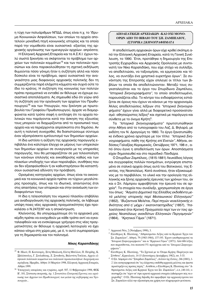η τύχη των πολυάριθμων ΝΠΔΔ, όπως είναι π.χ. το Ίδρυμα Κοινωνικών Ασφαλίσεων, των οποίων τα αρχεία αποτελούν μοναδική πηγή κοινωνικής ιστορίας και τα οποία παρά την νομοθεσία είναι ουσιαστικά -εξαιτίας της αρχειακής οργάνωσης των ημιενεργών αρχείων- απρόσιτα;

Η Ελληνική Αρχειακή Εταιρεία και τα Α.Σ.Κ.Ι. έχουν πολύ σωστά ξεκινήσει να σκέφτονται το πρόβλημα των αρχείων των πολιτικών κομμάτων<sup>15</sup> και των πολιτικών προσώπων και όσοι παρακολούθησαν τη σχετική εκδήλωση θυμούνται πόσο γόνιμη ήταν η συζήτηση αλλά και πόσο δύσκολο είναι το πρόβλημα, αφού ουσιαστικά την αναγκαιότητα μιας διαφανούς αρχειακής πολιτικής δεν τη συμμερίζονται παρά ελάχιστα κόμματα και συχνά ούτε το ίδιο το κράτος. Η συζήτηση της κοινωνίας των πολιτών πρέπει πραγματικά να ενταθεί αν θέλουμε να έχουμε ουσιαστικά αποτελέσματα. Ας σημειωθεί εδώ ότι γύρω από τη συζήτηση για την οργάνωση των αρχείων του Πρωθυπουργού<sup>16</sup> και των Υπουργών, που ξεκίνησε με πρωτοβουλία του Γραφείου Πρωθυπουργού, άρχισε να διαμορφώνεται κατά τρόπο σαφή η αντίληψη ότι τα αρχεία πολιτικών που παράγονται κατά την άσκηση της εξουσίας τους μπορούν να διαχωρίζονται από το προσωπικό τους αρχείο και να περιέρχονται απρόσκοπτα στο δημόσιο. Αν αυτή η πολιτική συνεχισθεί, θα διαπιστώσουμε σύντομα έναν αξιοπρόσεκτο εμπλουτισμό των δημοσίων αρχείων.

Η ίδια ωστόσο η αύξηση της αρχειακής παραγωγής επιβάλλει ένα καλύτερο έλεγχο εκ μέρους των υπηρεσιών των δημοσίων αρχείων σε συνεργασία με τις υπηρεσίες παραγωγής, που θα μεταφραζόταν σε μια τελειοποίηση των κανόνων επιλογής και εκκαθάρισης καθώς και των πλαισίων υποδοχής των νέων παραλαβών, συνθήκες που αν δεν εξασφαλισθούν ή αν καθυστερήσουν θα καταστήσουν ουσιαστικά αδύνατη την πρόσβαση.

Ορισμένες κατηγορίες αρχείων, όπως είναι τα οικονομικά και τα κοινωνικά αρχεία πρέπει να τύχουν μεγαλύτερης προσοχής, όπως και τα ιδιωτικά, απαντώντας έτσι στις απαιτήσεις των ιστορικών και στην ανανέωση των ενδιαφερόντων τους.

Η ίδια η τελειοποίηση του νομικού πλαισίου επιβάλλει μια αναδιοργάνωση της αρχειακής πολιτικής, αν λάβουμε υπόψη ποιες νέες αρχειακές πραγματικότητες έχει προκαλέσει ο Ν.2472/97 και η αποκέντρωση.

Κλείνοντας, θα υπογραμμίσουμε ότι τα αρχειακά μας κέρδη πρέπει να ενισχυθούν με κάθε τρόπο αντί να εγκαταλειφθούν και να ενσκύψουμε γρήγορα στις νέες πραγματικότητες αν θέλουμε η αρχειακή λειτουργία να έχει κάποιο νόημα στη χώρα μας, με ό, τι αυτό συμπαρασύρει για τη δημοκρατία και τον πολιτισμό.

#### Νίκος Καραπιδάκης

# ΑΠΟΔΕΛΤΙΩΣΗ ΑΡΧΕΙΑΚΩΝ - ΚΑΙ ΟΧΙ ΜΟΝΟ-ΟΡΩΝ ΑΠΟ ΤΟ ΒΙΒΛΙΟ ΤΟΥ ΣΠ. ΖΑΜΠΕΛΙΟΥ, ΙΣΤΟΡΙΚΑ ΣΚΗΝΟΓΡΑΦΗΜΑΤΑ

Η αποδελτίωση αρχειακών όρων είχε κριθεί σκόπιμη από την Ελληνική Αρχειακή Εταιρεία, κατά τη Γενική Συνέλευση, το 1990. Έτσι, προτάθηκε η δημιουργία της Επιτροπής Εγχειριδίου και Αρχειακής Ορολογίας με συντονιστή τον Νίκο Καραπιδάκη, που είχε στόχο να συλλέξει, να αποδελτιώσει, να ταξινομήσει, να ερμηνεύσει και τέλος, να συντάξει ένα χρηστικό ευρετήριο όρων<sup>1</sup>. Σε συνάντηση της Επιτροπής είχαν επιλεγεί οι τίτλοι των βιβλίων τα οποία θα αποδελτιώνονταν. Μεταξύ τους συγκαταλεγόταν και το έργο του Σπυρίδωνα Ζαμπέλιου, "Ιστορικά Σκηνογραφήματα", το οποίο αποδελτιωμένο, παρουσιάζεται εδώ. Το κέντρο του ενδιαφέροντος εστιάζεται σε όρους που έχουν να κάνουν με την αρχειονομία. Άλλες αποδελτιώσεις λέξεων στα "Ιστορικά Σκηνογραφήματα" έχουν γίνει αλλά με διαφορετικό προσανατολισμό: αθησαύριστες λέξεις<sup>2</sup> και σχετικά με παράγωγα και σύνθετα με το όνομα Κρήτη<sup>3</sup>.

Τα "Ιστορικά Σκηνογραφήματα" πρωτοτυπώθηκαν στην Αθήνα από το τυπογραφείο του Λαζ. Δ. Βηλαρά, με εκδότη τον Ν. Δραγούμη το 1860. Το έργο ξανατυπώθηκε ένδεκα χρόνια αργότερα με τον τίτλο: "Ιστορικά Σκηνογραφήματα, πάθη της Κρήτης επί Ενετών", Αθήναι, εκδόσεις Γαλαξίας-Κεραμεικός, Οκτώβριος 1971, 198 σ., από όπου έγινε η αποδελτίωση των όρων. Αποσπάσματα είχαν δημοσιευθεί και στο περιοδικό Πανδώρα.

Ο Σπυρίδων Ζαμπέλιος, (1815-1881) Λευκάδιος λόγιος και συγγραφέας πολλών πονημάτων, εντρύφησε επισταμένα σε ιταλικά αρχεία όπως αυτά του Βατικανού, της Ενετίας, της Νεαπολέως. Κατά συνέπεια, ήταν εξοικειωμένος με το περιβάλλον, το υλικό και την ορολογία της ελληνικής και ξένης αρχειακής έρευνας των χρόνων του, αν και ο Σπ. Λάμπρου αμφισβήτησε την έρευνά του σε αρχεία<sup>4</sup>. Τα στοιχεία που συνέλεξε, χρησιμοποίησε σε έργα του όπως: "Άσματα Δημοτικά της Ελλάδος εκδοθέντα μετά μελέτης ιστορικής περί Μεσαιωνικού Ελληνισμού" (1852), "Βυζαντιναί Μελέται, Περί πηγών νεοελληνικής εθνότητος από η' μέχρι ι' εκατονταετηρίδος" (1857), "Ιταλοελληνικά ήτοι Κριτική Πραγματεία περί των εν τοις αρχείοις Νεαπόλεως ανεκδότων Ελληνικών Περγαμηνών" (1864), "Κρητικοί Γάμοι" (1871).

<sup>&</sup>lt;sup>15</sup> Φ. Ηλιού, Π. Κουτουφάς, Ξένη Μπαλωτή, Ελένη Μπέλλου, Π. Πετρίδης, Κ. Σβολόπουλος, Γ. Σουλαδάκης, Ζ. Συνοδινός, Βαλεντίνη Τσελίκα, Αρχεία ελληνικών πολιτικών κομμάτων και πολιτικών προσωπικοτήτων: διαγείριση και πρόσβαση. Ημερίδα, Αθήνα 14 Μαρτίου 1998, Ελληνική Αρχειακή Εταιρεία, Αθήνα 1999.

<sup>&</sup>lt;sup>16</sup> Υπουργικές αποφάσεις και εγκρίσεις, αριθ. 507, 11 Φεβρουαρίου 1998, ΦΕΚ Β', 101, Σύσταση επιτροπής, άρ. 1 Συνιστάται Επιτροπή Ερευνας και οργάνωσης των Αρχείων του Πρωθυπουργού, των μελών της κυβέρνησης και Υφυπουργών...

<sup>&</sup>lt;sup>1</sup> Αρχειακά Νέα, 2 (Νοέμβριος 1990), 3.

 $\sqrt{2}$ Ελευθέριος Κ. Πλατάκης, "Αθησαύριστοι Λέξεις από τα Κρητικά Έργα του Σπ. Ζαμπελίου", Αθηνά, 79 (1983-1984), 137-193. Έχουν αποθησαυριστεί τα "Ιστορικά Σκηνογραφήματα" και οι "Κρητικοί Γάμοι" (1871). Από 606 λέξεις που παρατίθενται, ένα ποσοστό 5% προέρχεται από τα "Ιστορικά Σκηνογρα $φ$ ήματα"

 $^3$ Ελευθέ<br/>ριος Κ. Πλατάκης, "Τα Σχετικά με το Όνομα Κρήτη: Παράγωγα και Σύνθετα", Κρητολογία, 14-15 (Ιανουάριος-Δεκέμβριος 1982), σσ. 5-33.

 $\overline{A}$ Ο Σπ. Λάμπρου στο "Σπυρίδων Ζαμπέλιος", Δελτίον της Εστίας, 246 (1881), 1-2 λέει κατηγορηματικά ότι "εις ελάχιστας επεδόθη αρχεικάς μελέτας και ήκιστα προσέτρεξεν εις πρώτας πηγάς". Αντίθετα, ο Ελευθέριος Κ. Πλατάκης στο "Αθησαύριστοι Λέξεις από Κρητικά Έργα του Σπ. Ζαμπελίου", ό.π.,140-141, υποστηρίζει ότι "είχεν υπ' όψει αρκετά αρχειακά στοιχεία (αδιάφορον πώς τα εχειρίσθη)". Ο Ελ. Πλατάκης δηλαδή, δεν αμφισβητεί την αρχειακή έρευνα του Σπ. Ζαμπελίου αλλά την αξιοποίηση και χρήση των πληροφοριών μετέπειτα.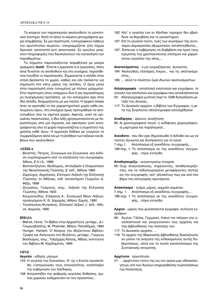Τα κείμενα των παραπομπών ακολουθούν το μονοτονικό σύστημα. Κατά τα άλλα το κείμενο μεταγράφεται χωρίς επεμβάσεις. Σε μια περίπτωση, τυπογραφικού λάθους του πρωτότυπου κειμένου, υπογραμμίζεται (στο λήμμα Χρονικά: αποστατία αντί αποστασία). Σε αγκύλες μπαίνουν πληροφορίες που διευκολύνουν την κατανόηση των παραθεμάτων.

Τα λήμματα παρουσιάζονται αλφαβητικά με μαύρα γράμματα (**bold**). Έπεται η ερμηνεία ή οι ερμηνείες, όπου είναι δυνατόν να αποδοθούν και στη συνέχεια, παρατίθενται λογάδην οι παραπομπές. Σημειώνεται η σελίδα στην οποία βρίσκεται το χωρίο, καθώς και εάν πρόκειται για σημείωση στο κάτω μέρος της σελίδας. Ο όρος μέσα στην παραπομπή είναι τυπωμένος με πλάγια γράμματα. Στην περίπτωση όπου υπάρχουν δυο ή και περισσότερες μη συνεχόμενες προτάσεις με τον επιλεγμένο όρο στην ίδια σελίδα, διαχωρίζονται με μια παύλα. Η αρχική σκέψη ήταν να κρατηθεί το πιο χαρακτηριστικό χωρίο κάθε επιλεγμένου όρου, στη συνέχεια όμως προτιμήθηκε να αποτυπωθούν όλα τα σχετικά χωρία. Αφενός, γιατί σε ορισμένες περιπτώσεις, η ίδια λέξη χρησιμοποιούνταν με περισσότερες από μια σημασία, και αφετέρου γιατί καταγράφοντας όλα τα χωρία παρουσιάζεται η συχνότητα της χρήσης κάθε όρου. Η ερμηνεία δόθηκε με γνώμονα τα συμφραζόμενα αλλά και με τη βοήθεια των λεξικών και βιβλίων που ακολουθούν:

# **AEEIKA**

- Βλαστός, Πέτρος, Συνώνυμα και Συγγενικά, νέα έκδοση συμπληρωμένη από τα κατάλοιπα του συγγραφέα, Αθήνα, Ε.Λ.Ι.Α., 1989
- Βοσταντζόγλου, Θεόδωρος, Αντιλεξικόν ή Ονομαστικόν της Νεοελληνικής Γλώσσης, β' εκδ., Αθήναι 1990
- Ζαρούχος, Δημήτριος, Επίτομον Λεξικόν της Ελληνικής Γλώσσης, εν Αθήναις, εκδ. καταστήματι Γεωργίου Δ. Φέξη, 1899
- Ζευγώλης, Γεώργιος, επιμ., Λεξικόν της Ελληνικής Γλώσσης, Αθήναι 1933
- Κουμανούδης, Στέφανος Α., Συναγωγή Νέων Λέξεων, προλεγόμενα Κ. Θ. Δημαράς, Αθήνα, Ερμής, 1980
- Τεγόπουλος-Φυτράκης, Ελληνικό Λεξικό, γ' έκδ., Αθήνα, Αρμονία, 1990

# **BIBAIA**

- Blanck, Horst, Το Βιβλίο στην Αρχαιότητα, μετάφρ., Δ.Ι. Γεωργοβασίλης, Μ. Pfreimter, Αθήνα, Παπαδήμας, 1994
- Hunger, Herbert, Ο Κόσμος του Βυζαντινού Βιβλίου: Γραφή και Ανάγνωση στο Βυζάντιο, μετάφρ., Γιώργος Βασίλαρος, επιμ., Ταξιάρχης Κόλιας, Αθήνα, Ινστιτούτο του Βιβλίου-Μ. Καρδαμίτσα, 1995

# **OPOI**

Αγγελία - είδηση, μήνυμα

- 143: Η αγγελία της Εγκυκλίου, δι' ης η Ενετία προσεπάθει ν'απομονώσει τους επαναστάτας, κατέπληξεν την κυβέρνησιν του Χάνδακος.
- 158: Αστραπηδόν της φοβεράς αγγελίας δοθείσης, όμιλος χωρικών εισέρρευσεν εκ των προαστίων,...
- 162: Αλλ' η αγγελία των εν Χάνδακι ταραχών δεν εβράδυνε να θορυβήση και το μοναστήριον.
- 187: Επί τη αγγελία ταύτη, τινές των ανωτέρων της αυτονόμου Δημοκρατίας αξιωματικών, καταπτοηθέντες...
- 197: Έσπευσε η κυβέρνησις να διαβιβάση και προς τους ηγεμόνας της χριστιανοσύνης επίσημον και χαρμόσυνον αγγελίαν της νίκης,...

#### **Ακατανόμαστος** - ο μη ονομαζόμενος, άγνωστος

- 194: Ακολούθως τέσσαρες έτεροι... και τις ακατανόμαστος...
- 195: ... αλλά το πλείστον ζωαί ιδιωτών ακατονόμαστων.

# Αλληλογραφία - ανταλλαγή επιστολών και εγγράφων, το σύνολο των επιστολών και εγγράφων που ανταλλάσσονται

- 55: Αλληλογραφία μυστική περί το 1298 διατρέξασα μεταξύ του Δουκός...
- 117: Το Δουκικόν αρχείον, η Βίβλος των Εγγραφών, η μετά της Συγκλητου αλληλογραφία κατεσχέθησαν.

#### Αναδίφησις - έρευνα, αναζήτηση

95: Αι χρονογραφικαί πηγαί, η ανδίφησις χειρογράφων, αι μαρτυρίαι και παραπομπαί...

**Ανέκδοτο** - που δεν έχει δημοσιευθεί ή έκδοθεί και ως εκ τούτου άγνωστο και δυσπρόσιτο για το κοινό

- Απόσπασμα εξ ανεκδότου συγγραφής,...  $7 \text{ cm}$  $\mu$ .1:
- 198 σημ. 1: Το απόσπασμα εκ της ανεκδότου συγγραφής... λήγει ενταύθα.

#### Αποθησαυρίζω - συγκεντρώνω στοιχεία

95: Ουχί αναγινώσκονες, σημειούντες, αποθησαυρίζοντες, και τα τεθησαυρισμένα μεταφέροντες πιστώς εις την συγγραφήν, αλλ' αλλοκότως πως και ανά παν βήμα τας κατηγορίας αμυνόμενοι.

# Απόσπασμα - τμήμα, μέρος, κομμάτι κειμένου

- 7 σημ. 1: Απόσπασμα εξ ανεκδότου συγγραφής,...
- 198 σημ. 1: Το απόσπασμα εκ της ανεκδότου συγγραφής... λήγει ενταύθα.

Αρχείο - μέρος που φυλάσσονται έγγραφα, συλλογή εγγράφων

- 95: Άγγλοι, Γάλλοι, Γερμανοί, Ιταλοί την πάτριον γην ανασκάπτουσι και γεωργούσινεν τοις αρχείοις και ταις βιβλιοθήκαις της πολιτείας των.
- 117: Το Δουκικόν αρχείον, ...
- 118: Τα αρχεία της Μαρκιανής βιβλιοθήκης διασώζουσιν ου μόνον τα ονόματα της ενδεκαμελούς αυτής Kuβερνήσεως, αλλά και τα λοιπά εικοσιτέσσερα της Συντακτικής επιτροπής.

#### Αρχέτυπο - πρωτότυπο

41: ... αρχέτυπον τούτο της εις τον αιώνα μας αδικαιολογήτως υπό των Άγγλων επιχειρηθείσης πυρπολήσεως της Κοπενάγης.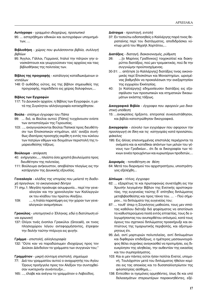# Αυτόγραφο - γραμμένο ιδιοχείρως, προσωπικό

95: ... εστερήθημεν εθνικών και αυτογράφων υπομνημάτων, ...

# Βιβλιοθήκη - χώρος που φυλάσσονται βιβλία, συλλογή βιβλίων

95: Άγγλοι, Γάλλοι, Γερμανοί, Ιταλοί την πάτριον γην ανασκάπτουσι και γεωργούσινεν τοις αρχείοις και ταις βιβλιοθήκαις της πολιτείας των.

Βίβλος της προγραφής - κατάλογος καταδιωκόμενων αντιπάλων

148: Ο αυθάδης ούτος, εις της βίβλον σημειωθείς της προγραφής, παρεδίδετο εις χείρας δολοφόνων,...

# Βίβλος των Εγγραφών

117: Το Δουκικόν αρχείον, η Βίβλος των Εγγραφών, η μετά της Συγκλητου αλληλογραφία κατασχέθησαν.

# Βούλα - επίσημο έγγραφο του Πάπα

- 99: ... διό, αι Βούλαι αυτού [Πάπα] τυγχάνουσιν ενίοτε των ανταστεϊσμών της Γερουσίας.
- 103: ..., αναγιγνώσκονται Βούλαι Παπικαί προς διευθέτησιν των Επισκοπικών κτημάτων, αλλ' αναξία συνήθως ιδαιτέρας προσοχής εκρίθη η εντός του κύκλου των πατρίων εθίμων και δογμάτων περιστολή της τιμαριευθείσης τάξεως.

# Βούλευμα - απόφαση

- 40: ενήργησεν,..., πλείστα όσα χρηστά βουλεύματα προς διευθέτησιν της πολιτείας.
- 111: Βούλευμα ανήκουστον, αποβλέπον πλαγίως εις την κατάργησιν της Δουκικής εξουσίας.

Γενεαλογία - κλάδος της ιστορίας που μελετά τη διαδοχή προγόνων, το οικογενειακό δέντρο

- 71 σημ.1: Μεγάλη προέκυψε ασυμφωνία... περί την γενεαλογίαν και την χρονολογίαν των Καλλεργών εκ του κλάδου του πρώτου Αλεξίου.
- ..., η Ιταλία παρεπέμφη εις την χώραν των γενε- $109:$ αλογικών αναμνήσεων.

# Γραικύλος - υποτιμητικά ο Έλληνας, εδώ η διατύπωση είναι ειρωνική

137: Ολίγοι τινές ένοπλοι Γραικύλοι (Grocaili), εκ τινος πλησιοχώρου λόγου αντεφορμήσαντες, έτρεψαν την δειλήν ταύτην πτέρυγα εις φυγήν.

# Γράμμα - επιστολή, αλληλογραφία

132: "Ούτε καν να παραδώσωμεν ιδιοχείρως προς τον Δούκαν Δάνδολον τα γράμματα των συγγενών του;"

# Γραμμάτιον - μικρή σύντομη επιστολή, σημείωμα

- 77: Διά του γραμματίου αυτού ο αναχωρητής του Αγίου Όρους προήγγελε προς τον Αλέξιον την συνταχθείσαν νυκτερινήν συνέντευξιν...
- 165: ..., έλαβε και ανέγνω το γραμμάτιον ο Λαβούδος.

# Διάταγμα - προσταγή, εντολή

37: Εν τοσούτω ειδοποιηθείς ο Καλλέργης παρά τινος θεραπαίνης περί του διατάγματος, αποδιδράσκει νύκτωρ μετά του Μιχαήλ Χορτάτου,...

# Διατάξεις - διαταγή, διακανονισμός, ρύθμιση

- $26:$ ... [ο Μαρίνος Γραδίνικος] τοιχοκολλεί και διακηρύττει διατάξεις, πού μεν τρομακτικάς, πού δε την συγγνώμην προϋποσχόμενας.
- 30-31: ... απήτησε [ο Καλλέργης] διατάξεις τινας οικονομικάς περί Επισκόπων και Μοναστηρίων, ωρισμένας βαθμηδόν να προκαλέσωσι την ανεξαρτησίαν της εγχωρίου Εκκλησίας.
- $40:$ [ο Καλλέργης] εδημοσίευσεν διατάξεις εις εξασφάλισιν των προσωπικών και κτηματικών δικαιωμάτων εκάστης τάξεως.

# Δικογραφικά Βιβλία - έγγραφα που αφορούν μια δικαστική υπόθεση

15: ...ανακρίσεις ήρξαντο, επιτροπαί συνεσυστάθησαν, και βιβλία κατεστρώθησαν δικογραφικά.

Δικογραφίαι - σύνολο των εγγράφων που αφορουν την προσαγωγή σε δίκη και τις κατηγορίες κατά προσώπου, Φάκελος

195: Εις άλλας επισυνημμένας επιστολάς περιέχονται τα ονόματα και αι καταδίκαι απάντων των μελών του γένους των Γραδικίων... έτι δε αι δικογραφίαι των τέκνων εννέα προυχόντων και κυριωτέρων προδοτών,...

# Διορισμός - τοποθέτηση σε θέση

64: Μετά του διορισμού του αρχιστρατήγου, υποστράτηγος εξελέχθη...

# Δίπλωμα - τίτλος, έγγραφο

- 62: ... εξαιρέτως τε και πρωτοφανώς συνετάχθη εις την Χρυσήν λεγομένην Βίβλον της Ενετικής αριστοκρατίας, της ευγενείας ταύτης δ' επίτηδες διπλώματος μεταβιβασθείσης και προς τέκνα του. ... - Πού σήμερον... τα διπλώματα της ευγενείας του;
- 87: ... τουθ' όπερ η Σύγκλητος μαθούσα, τους μεν ιππότας καθόλου διέταξε διά ψηφίσματος να αποτίσωσι τα καθυστερούμενα ποσά εντός επταετίας, τους δε ολιγωρήσαντας του ανυπερθέτου οπλισμού, κατά τους όρους του σχετικού διπλώματος προεκήρυξε και εκπτώτους της τιμαριωτικής περιβολής, και αξιοτιμώρητους έτι.
- 95: Διό, αντί μαρτυριών πολυτελείας, αντί διπλωμάτων και διφθερών επιδείξεως, ο ημέτερος μασαιωνογράφος θέλει συχνάκις αναγκασθεί να προτιμήσει, εις διευκρίνησιν της αληθείας, την αυθεντίαν της εικασίας και του συμπεράσματος.
- 103: Και ει μεν πάντες ούτοι ήσαν πολίται Ενετοί, υπομονή. Τουλάχιστον μετά του διπλώματος ήθελον κομίσει εις τας αποικίας και το δυσαπαλλοτρίωτον της φιλοπατρίας αίσθημα....
- 138: Εντεύθεν οι ηγεμόνες ορμηθέντες, ίσως δε και υπό δελεασμάτων στερεωτέρων παρακινηθέντες, εξέ-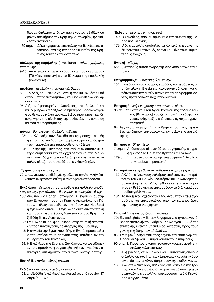δωσαν διπλώματα, δι ων πας έκαστος εξ ιδίων ου μόνον απεκήρυξε την Κρητικήν αυτονομίαν, ην εκάλεσαν ανταρσίαν...

139 σημ. 1: Δέκα ηγεμόνων επιστολάς και διπλώματα, αναφερόμενα εις την αποδοκιμασίαν της Κρητικής ταύτης επαναστάσεως,...

# Δίπλωμα της περιβολής (investiture) - τελετή χρήσεως ιπποσύνης

9-10: Αναγιγνώσκονται τα ονόματα και προνόμια αυτών [70 νέων ιπποτών] εις το δίπλωμα της περιβολής (investiture).

# Διφθέρα - μεμβράνη, περγαμηνή, δέρμα

- 82: ... ο Αλέξιος ... είωθε να μονάζη περικυκλωμένος υπό αναρίθμητων εικονισμάτων, και υπό διφθερών εκκλησιαστικών.
- 95: Διό, αντί μαρτυριών πολυτελείας, αντί διπλωμάτων και διφθερών επιδείξεως, ο ημέτερος μασαιωνογράφος θέλει συχνάκις αναγκασθεί να προτιμήσει, εις διευκρίνησιν της αληθείας, την αυθεντίαν της εικασίας και του συμπεράσματος.

# Δόγμα - θρησκευτική δοξασία, αξίωμα

- 103: ..., αλλ' αναξία συνήθως ιδαιτέρας προσοχής εκρίθη η εντός του κύκλου των πατρίων εθίμων και δογματων περιστολή της τιμαριευθείσης τάξεως.
- 104: ... Ελληνικής Εκκλησίας, ήτις ανέκαθεν αποστολικωτέρα διαμείνασα την τε αρχαιρεσίαν και τας διαθέσεις, ούτε δόγματα και τελετάς μετεκίνει, ούτε το άσυλον εβίαζε του συνειδότου, ως θεοκάπηλος.

# Έγγραφο - γραπτό κείμενο

72: ... ο... νεανίας... εκδιδαχθείς, μάλιστα την Λατινικήν διάλεκτον, εν η τότε τα επίσημα έγγραφα συνετάσσοντο, ...

Εγκύκλιος - έγγραφο που απευθύνεται πολλούς αποδέκτες και έχει γενικότερο ενδιαφέρον το περιεχόμενό της

- 108: Διό, πάλιν ο Πάπας Γρηγόριος ΙΑ' έγραψεν αυστηράν Εγκύκλιον προς τον Κρήτης Αρχιεπίσκοπον Πέτρον, ... όλως ανεπιμέλητον την έδραν του. Νουθετεί η εγκύκλιος αυτού... Η εγκύκλιος αύτη συναπεστάλη και προς εννέα ετέρους Λατινεπισκόπους Κρήτη. εξεδόθη δε εις Αυενιώνα...
- 138: Εγκύκλιος πικρά, φαρμακερά, στηλιτευτική απεστάλη προς πάντας τους πολιτάρχας της Ευρώπης.
- 143: Η αγγελία της Εγκυκλίου, δι'ης η Ενετία προσεπάθει ν' απομονώσει τους επαναστάτας, κατέπληξεν την κυβέρνησιν του Χάνδακος.
- 169: Η Εγκύκλιος της Ενετικής Συγκλήτου, και ως είδομεν εν τοις πρόσθεν, η συγκαταβατική των ηγεμόνων απάντησις, απεκήρυττον την αυτονομίαν της Κρήτης.

# Εθνική Βιολογία - εθνική ιστορία

# Εκδίδω - συντάσσω και δημοσιοποιώ

108: ... εξεδόθη [εγκύκλιος] εις Αυενιώνα, υπό χρονίαν 17 Απριλίου 1375.

# Έκθεσις - περιγραφή, αναφορά

- 149: Ο Σανούτος, παρ' ου αρυόμεθα την έκθεσιν της μιαράς πολυκτονίας,...
- 175: Ο δι' επιστολής αποδηλών τα Κρητικά, επέραινε την έκθεσίν του κατονομάζων ένα καθ' ένα τους κυριωτέρους ενόχους,...

# Εντολή - είδηση

55: ..., μεταδούς αυτοίς πλήρη της ειρηνοποιήσεως την εντολήν.

# Επιγραμματίζω - υπογραμμίζω, τονίζω

101: Εχλεύασαν τας ερυθράς εμβάδας του ιεράρχου, ον απέστειλεν η Ενετία εις Κωνσταντινούπολιν, και απέπνευσαν την αυτών αγανάκτησιν επιγραμματίσαντες την τερατώδη παχυσαρκίαν του.

Επιγραφή - κείμενο χαραγμένο πάνω σε πλάκα

- 93 σημ. 2: Εν τω ναω του Αγίου Ιωάννου της πόλεως ταυτης [Κέρκυρας] εσώζετο, πριν ή το έδαφος ανακαινισθη, η εξής επί πλακός εγκεχαραγμένη επιγραφή...
- 94: Άγγλος τις περιηγητής, την Κρήτην προ τίνος περιελθών εις ζήτησιν επιγραφών και μνημείων της αρχαιότητος,...

# Επιγράφω - δίνω τίτλο

- 7 σημ 1: Απόσπασμα εξ ανεκδότου συγγραφής, επιγραφομένης "Τα Πάθη της Κρήτης επί Ενετών".
- 179 σημ.1: ... εις τινα συγγραφήν επιγραφείσα "De officio et virtutibus Imperatoris".

#### Επικυρώνω - επιβεβαιώνω, καθιστώ έγκυρο, εγκρίνω,

- 130: Αλλ' ότε ο Νικόλαος Φαλιέρος επέθεσεν εις την τράπεζαν του Συμβουλίου δευτέραν και μάλλον εμπεριστατωμένην επιστολήν, φθάσασαν επί του παρόντος εκ Ρεθύμνης και επικυρούσαν τα διά Κερκύρας προδιαγγελθέντα....
- 181: Το πολεμικόν σχέδιον του Λουκίνου ήτον επεξεργασμένον, και επικυρωμένον υπό των εμπειροτέρων της Ιταλίας οπλαρχηγών.

# Επιστολή - γραπτό μήνυμα, γράμμα

- 79: Εις επιβεβαίωσιν δε των λεγομένων, ο ηγούμενος έφερεν επιστολήν του Μάρκου Καλλέργου,... - Διά της επιστολής εκείνης υπεύθυνος καταστάς προς τους γονείς της ζωής των αδελφών...
- 88: Ένθα μεν Έλλην Επίσκοπος έσχιζεν την επιστολήν του Όρσου Δελφίνου,..., παραινούσαν τους υπηκόους...
- 90 σημ. 1: Προς τον σκοπόν τοιούτον γράφει αυτώ επιστολάς κολακευτικάς...
- 100: Αμφιβάλλεις, ότι οι Βαλδουϊνοι..., αυτοί τους οποίους αι Συλλογαί των Παπικών Επιστολών καταδεικνύουσιν υπέρ πάντα λόγον θρησκομανείς, μισέλληνας,...
- 130: Αλλ' ότε ο Νικόλαος Φαλιέρος επέθεσεν εις την Τράπεζαν του Συμβουλίου δευτέραν και μάλλον εμπεριστατωμένην επιστολήν... επικυρούσαν τα διά Κερκύρας διαγγελθέντα....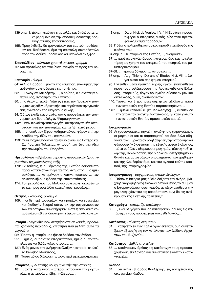- 139 σημ. 1: Δέκα ηγεμόνων επιστολάς και διπλώματα, αναφερόμενα εις την αποδοκιμασίαν της Κρητικής ταύτης επαναστάσεως,...
- 155: Προς ένδειξιν δε τρανοτέρων του εαυτού προθέσεων και διαθέσεων, άμα τη επιστολή συναπέστειλε προς τον Δούκα Γραδίνικον και υποκόλπιον ξίφος...

# **Επιστολίδιον** - σύντομο γραπτό μήνυμα, γράμμα

76: Και προτείνας επιστολίδιον, ενεχείρισε προς τον δεσμώτην.

# **Επωνυμία** - όνομα

- 64: Αλλ' ο Βάρδας... μόνην της λαμπράς επωνυμίας την αυθεντίαν συνεισέφερεν εις το κίνημα.
- 65: ... Γεώργιον Καλλέργην,..., διορίσας, εις αντίταξιν επωνυμίας, σγρατηγού του ιππικού,...
- 80: ..., ο Λέων απεκρίθη 'οίτινες έχετε την Γραικικήν επωνυμίαν ως λέξιν υβριστικήν, και κηρύττετε την γενεάν σας ανωτέραν της ιθαγενούς φυλής...
- 94: Ούτως έληξε και ο αγών, όστις προσείληφε την επωνυμίαν των δύο αδελγών Ψαρομηλίγγων,...
- 142: Ήσαν Ιταλοί την καταγωγήν, και την ευγενικήν κατάστασιν, και την επωνυμίαν, και τα ήθη κατά μέρος.
- 155: ... υποκόλπιον ξίφος καθημαγμένον, φέρον επί της λεπίδος την ιδίαν του επωνυμίαν.
- 159: Ουδέ ησχύνθησαν να πανηγυρίσωσιν ως Πατέρα και Σωτήρα της Πολιτείας, ω προσήπτον έως της χθες την επωνυμίαν του Επαράτου.

# **Ημερολόγιον** - Βιβλίο καταγραφής προσωπικών δραστη- $\rho$ ιοτήτων με χρονολογική τάξη

- 173: Εν τούτοις, η Κυβέρνησις της Ενετίας εδιδάσκετο παρά κατασκόπων περί παντός κινήματος. Εις ημερολόγιον,..., κατεμήνυεν ο Λατινεπίσκοπος ... τας αλλεπαλλήλους φάσεις της επαναστάσεως.
- 174: Το ημερολόγιον του Μολίνου συνεφώνει ακριβέστατα και προς όσα άλλα κατεμήνυον κρυφίως...

#### **Θεσμός** - κανόνας, δικαίωμα

109: ... οι δε περί προνομίων, και τιμαρίων, και ευγενείας και διαδοχής θεσμοί ούτως εκ της συγχωνεύσεως των ετεροτήτων συνεφήρησαν, ώστε η αποικιακή νομοθεσία απέβη εν διαστήματι εξήκοντα ετών κυκεών.

# **Ιστορία** - γεγονότα που αναφέρονται σε λαούς, πρόσωτα, χρονικές περιόδους, επιστήμη που μελετά αυτά τα *<u>νενονότα</u>*

- 92: "Πόσον η Ιστορία μας ήθελε δοξάσει τον άνδρα,...
- 95: ... ημείς, οι πάντων ιστορικώτατοι, ημείς οι πρωτόπλαστοι και διδάσκαλοι Ιστορίας, ...
- 127: Ενός μόνου την μνήμην εφύλαξεν η ιστορία, εκαλείτο Ιάκωβος Μουάτσος,...
- 191: Ταύτα μόνον διέσωσε η ιστορία περί της καταστροφής.

# **Ιστορικός** - μελετητής και ερμηνευτής της ιστορίας

18: ..., ώστε κατά τινος νεωτέρου ιστορικού την μαρτυρίαν, η ανταρσία απέβη... πόλεμος...,

- 18 σημ. 1: Daru, Hist. de Venise, I, V: " Η Ευρώπη, προσεπιφέρει ο ιστορικός αυτός, είδε τότε πρωτοφανώς θέαμα παράδοξον.
- 33: Πόθεν ο πολυμαθής ιστορικός ηρύσθη τας βαφάς της εικόνος του;
- 64 σημ. 1: Οι ιστορικοί της Ενετίας,..., αναιρούσιν...
- 67: ... παρέχει σκηνάς δραματικωτέρας άμα και ποικιλωτέρας εις χρήσιν του ιστορικού, του ποιητού, του μυθιστοριογράφου.
- 67-68: ..., γράφει δόκιμος τις ιστορικός, ...
- 67 σημ. 1: Aug. Thierry, Dix ans d' Etudes Hist. VII, ... λόγοι ούτοι του περίφημου ιστορικού.
- 95: Εντεύθεν μέγα κριτικής τέχνης έργον εναποτίθεται προς τους φιλέρευνους της Αναγεννηθείσης Ελλάδος, ιστορικούς, έργον ερμηνείας δύσκολον μεν και ακανθώδες, όμως αναπόφευκτον.
- 140: Ταύτα, και έτερα ίσως ουχ ήττον αξιόλογα, παρά των ιστορικών της Ενετίας παρασιωπηθέντα,...
- 145: ... ήθελε καταδείξει [Ιω. Καλλέργης] ..., εκείθεν δε την απόλυτον ανάγκην δικτατωρίας, ην κατά γνώμην των ιστορικών Ενετίας προσεποιείτο εαυτώ.

# **Ιστοριογραφία**

95: Αι χρονογραφικαί πηγαί, η αναδίφησις χειρογράφων, αι μαρτυρίαι και αι παραπομπαί, και όσα άλλα οδηγούσι τον Ευρωπαίον ιχνηλάτην εις την ιστορικήν και φιλοσοφικήν διαφώτισιν της εθνικής αυτού βιολογίας, ταύτα ουδόλως εξαρκούσι προς ημάς, οίτινες καθ' όλην της Ιταλοκρατίας την διάρκειαν εστερήθημεν εθνικών και αυτογράφων υπομνημάτων, εστερήθημεν και της ελευθερίας άμα, και του αγλαού ταύτης καρπού, της ιστοριογραφίας.

#### **Ιστοριογράφος** - συγγραφέας ιστορικών έργων

92: "Πόσον η Ιστορία μας ήθελε δοξάσει τον άνδρα, [Mιχαήλ Ψαρομηλίγγο] εκφωνεί διηγούμενος το συμβάν ο Ιστοριογράφος Ιουστινιανός, αν είχεν αναθέσει την μεγαλοψυχίαν του εις υπεράσπισιν, ουχί δε εις αντίκρουσιν της Ενετικής πολιτείας!"

#### **Καταγράφω** - καταρτίζω κατάλογο

88: ..., εκεί δε γέρων πολιός κατέγραφεν όρθιος εις κατάστιχον τους προσερχομένους εθελοντάς,...

#### **Kατάλογος** - πίνακας ονομάτων

31: ... κατήγετο εκ των Καλλεργών εκείνων, ους συνετάξαμεν εξ αρχής εις τον κατάλογον των Δώδεκα Αρχόντων του Βυζαντίου.

#### **Κατάστιχον** - βιβλίο στοιχείων

88: ... κατέγραφεν όρθιος εις κατάστιχον τους προσερχομένους εθελοντάς και συνέττατεν εκάστην εκατονταρχίαν.

### Κλάδος

64: ... ότι ανήκεν [Βάρδας Καλλέργης] εις τον τρίτον της οικογενείας κλάδον.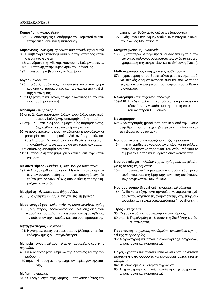# Κομιστής - αγγελιοφόρος

165: ... ν' απονείμη εις τ' απόρρητα του κομιστού πλατυτάτην ευλάβειαν και εμπιστοσύνη.

Κυβέρνησις - διοίκηση, πρόσωπα που ασκούν την εξουσία

- 63: Η κυβέρνησις καταπέμψασα δυο τάγματα προς κατάσχεσιν των φονέων,...
- 118: ... ονόματα της ενδεκαμελούς αυτής Κυβερνήσεως,...
- 143: ... κατέπληξεν την κυβέρνησιν του Χάνδακος.
- 197: Έσπευσε η κυβέρνησις να διαβιβάση...

# Λόγος - αγόρευση

- 125: ... ο δουξ Γραδίνικος, ... απήγγειλε λόγον πανηγυρικόν άμα και παραινετικόν εις τα εγκαίνια της κτηθείσης αυτονομίας.
- 167: Εξεφωνήθη και λόγος πανηγυρικώτατος επί του τάφου του [Γραδινίκου].

# Μαρτυρία - πληροφορία

- 62 σημ. 2: Κατά μαρτυρίαν άλλων προς άλλον μεταγενέστερον Καλλέργην απενεμήθη αύτη η τιμή.
- 71 σημ. 1: ..., τας διαφόρους μαρτυρίας παραβάλοντες, δεχόμεθα την ευλογωτέραν γνώμην,...
- 95: Αι χρονογραφικαί πηγαί, η αναδίφησις χειρογράφων, αι μαρτυρίαι και παραπομπαί... - Διό, αντί μαρτυριών πολυτελείας, αντί διπλωμάτων και διφθερών επιδείξεως,... - ... αναζητώμεν ... εις μαρτυρίας των τυράννων μας...
- 147: Απίθανος μαρτυρία δεν είναι.
- 149: Η παραβολή των μαρτυριών επαληθεύει την καταμήνυσιν.

# Μέλαινα Βίβλος - Μαύρη Βίβλος, Μαύρα Κατάστιχα

192: Αλλ'ως ο αριθμός των εν τη Μελαίνη Βίβλω σημειωθέντων συνεπληρώθη εν τη πρωτευούση (έτυχε δε τούτο μετ' ολίγον), αίφνις απεκαλύφθη της προκηρύξεως ο σκοπός.

# Μεμβράνη - έγγραφα από δέρμα ζώου

95: ..., να ζητήσωμεν εις ξένην γην, εις μεμβράνας, ...

#### Μεσαιωνογράφος - μελετητής της μεσαιωνικής ιστορίας

95: ..., ο ημέτερος μεσαιωνογράφος θέλει συχνάκις αναγκασθή να προτιμήση, εις διευκρίνησιν της αληθείας, την αυθεντίαν της εικασίας και του συμπεράσματος.

# Μεταγενέστερος - νεότερος

101: Ηγνόησαν, όμως, ότι σαφέστερον βλέπομεν και διακρίνομεν ημείς οι μεταγενέστεροι.

Μνημεία - σημαντικό γραπτό έργο περασμένης χρονικής περιόδου

- 40: Εκ των εγγράφων μνημείων της Κρητικής ταύτης πε $o<sub>l</sub>$ οιόδου...
- 179 σημ.1: Η προσφώνησις, μνημείον περίεργον της εποχής, ...

# Mvnun - aváuvnon

84: Οι Τραγουδηταί της Κρήτης ... επανακαλούντες την

μνήμην των Βυζαντινών αιώνων, εξυμνούντες ...

127: Ενός μόνου την μνήμην εφύλαξεν η ιστορία, εκαλείτο Ιάκωβος Μουάτσος, ή ...

# Mνήμων (Notarius) - γραφεύς

133: ..., κατωτέρω δε περί την αίθουσαν εκάθηντο οι τον ευγενικόν σύλλογον συγκροτούντες, εν δε τω μέσω οι γραμματείς της επικρατείας, και οι Μνήμονες (Notari).

# Μυθιστοριογράφος - συγγραφέας μυθιστοριών

67: η χρονογραφία του Ευρωπαϊκού μεσαίωνος... παρέχει σκηνάς δραματικωτέρας άμα και ποικιλωτέρας εις χρήσιν του ιστορικού, του ποιητού, του μυθιστοριογράφου.

# Νεωτέρισμα - πρωτοφανές, περίεργο

109-110: Την δε αταξίαν της νομοθεσίας εκορύφωσεν κατόπιν έτερον νεωτέρισμα: η περιττή επέκτασις του Ανωτέρου Συμβουλίου...

# Νεωτερισμός

62: Ο νεωτερισμός [μετοίκηση αποίκων από την Ενετία στην Κρήτη] ούτος, είχεν ήδη ερεθίσει την δυσφορίαν των ιθαγενών αρχόντων ...

# Νομισματοκοπείο - εργαστήριο κοπής νομισμάτων

154: ..., ή στερηθέντες νομισματοκοπείου και μετάλλου, ηναγκάσθησαν να τηρήσωσι του Αγίου Μάρκου το σύμβολον εις τας καθημερινάς συναλλαγάς των;

Νομισματολογία - κλάδος της ιστορίας που ασχολείται με τη μελέτη νομισμάτων

154: ... η μεσαιωνική νομισματολογία ουδέν εύρε μέχρι τούδε νόμισμα της Κρητικής πολιτείας αυτόνομον, κεχαραγμένον τω 1363 ή 1364.

#### Nouiouatóonuo (Medaillon) - αναμνηστικό νόμισμα

154: Αν δε κατά τύχην, αντί αργυρίου, νενομισμένο εχάραξαν τουλάχιστον εις ανάμνησιν της κτηθείσης αυτονομίας των χαλκά νομισματόσημα (medaillons), ...

# Όρος - συμφωνία

30: Οι χρονογράφοι παρεσιώπησαν τους όρους, ...

59 σημ. 1: Παρελήφθη ο 18 όρος της Συνθήκης ως δυσκατάληπτος....

Παραπομπή - σημείωση που δηλώνει με ακρίβεια την πηγή της πληροφορίας

95: Αι χρονογραφικαί πηγαί, η αναδίφησις χειρογράφων, αι μαρτυρίαι και παραπομπαί...

Πηγές - γραπτά πρωτότυπα κείμενα από όπου αντλούμε πρωτογενείς πληροφορίες και συνάγουμε άμεσα συμπεράσματα

- 64: Βέβαιον, όμως, εξ ετέρων πηγών, ότι ...
- 95: Αι χρονογραφικαί πηγαί, η αναδίφησις χειρογράφων, αι μαρτυρίαι και παραπομπαί...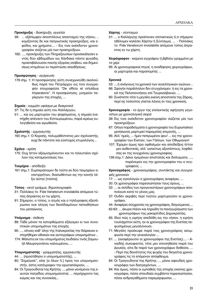# Προκήρυξις - διακήρυξη, αγγελία

- 39: ... εξέπεμψεν αποστόλους απανταχού της νήσου, .. κομίζοντας δε και πατριωτικάς προκηρύξεις, και εφόδια, και χρήματα.... - Εις τινα ανέκδοτον χρονογραφίαν σώζεται μία των προκηρύξεων.
- 192: ..., προκήρυξις των Πληρεξουσίων προσεκάλεσεν εντός δύο εβδομάδων εις Χάνδακα πάντα φυγάδα, προεπιβάλουσαν ποινής εξορίας ισοβίου, και δημεύσεως κτημάτων εν περιπτώσει απειθήσεως.

# Προσφώνησις - αγόρευση

179 σημ. 1: Η προσφώνησις αύτη συνεχωνεύθη ακολούθως παρά του Πετράρχου εις τινα συγγραφήν επιγραφείσα "De officio et virtutibus Imperatoris". Η προσφώνησις, μνημείον περίεργον της εποχής, ...

# Σημαία - κομμάτι υφάσμα με διακριτικά

- 37: Τις δε η σημαία αύτη του Καλλέργου;
- 51: ... και εις μαρτυρίαν του ψηφίσματος, η σημαία ενεπήχθη απέναντι του Εσταυρωμένου, παρά ιερέως ευλογηθείσα και ιερωθείσα.

# Σχολιστής - ερμηνευτής

160 σημ.1: Ο Κοραής, πολυμαθέστατος μεν σχολιαστής, ουχί δε πάντοτε και εύστοχος ετυμολόγος...

# Σχόλιο - κρίση

175: Ουχ ήττον αξιομνημόνευτον και το τελευταίον σχόλιον της καταμηνύσεώς του.

# Τεκμήριο - απόδειξη

161 σημ.1: Συμπεραίνομεν δε τούτο εκ δύο τεκμηρίων αναντιρρήτων, διασωθέντων εις την κοινήν λέξιν αύτην [τσύπα].

# Τύπος - κενό γράμμα, δημοσιογραφία

- 31: Πολλάκις το Fide Venetorum inviolabilis απόμεινε τύπος άπρακτος εν τω χάρτη.
- 91: Σήμερον, ο τύπος, ο ατμός και ο τηλέγραφος εξεσάρωσαν ουκ ολίγας των δεισιδαιμόνων πεποιθήσεων του μεσαίωνος.

# Υπόμνημα - έκθεση

- 89: Τάδε μόνον τα κατορθώματα εξάγομεν ει των συνοπτικών υπομνημάτων της εποχής.
- 95: ..., οίτινες καθ' όλην της Ιταλοκρατίας την διάρκειαν εστερήθημεν εθνικών και αυτογράφων υπομνημάτων...
- 174: Μάλιστα εκ του υπομνήματος Ιουδαίου τινός Σαμουήλ Μαυρογονάτου καλουμένου, ...

# Υπομνηματιστής - γραμματέας, ερμηνευτής

- 44: ... (προστίθησιν ο υπομνηματιστής), ...
- 80: "Σημείωσε", είπε [ο Λέων Λ.] προς τον υπομνηματιστήν, όστις κατέγραφεν την ερωταπόκρισιν, ...
- 84: Οι Τραγουδηταί της Κρήτης ..., μόνοι γενόμενοι της εαυτών πατρίδος υπομνηματισταί, ... περιήρχοντο τας κώμας και τας συνοικίας...

# Χάρτης - σύνταγμα

31: ... ο Καλλέργης προέτεινεν επιτακτικώς ό,τι σήμερον ηθέλομεν καλέσει Χάρτην ή Σύνταγμα. ... - Πολλάκις το Fide Venetorum inviolabilis απόμεινε τύπος άπρακτος εν τω χάρτη.

Χειρόγραφον - κείμενο εγγράφου ή βιβλίου γραμμένο με το χέρι

95: Αι χρονογραφικαί πηγαί, η αναδίφησις χειρογράφων, αι μαρτυρίαι και παραπομπαί, ...

# Χρονικά

- 33: .., ή ανάγνους τα χρονικά των νεοελληνικών αγώνων...
- 66: Σφαγήν παράλληλον δεν ετυγχάνομεν, ή εις τα χρονικά της Πελοποννήσου επί Τουρκαλβανών, ...
- 90: Συνέπιπτε τότε η μεγάλη εκείνη αποστατία της Ζάρας, περί ης τοσούτος γίνεται λόγος εν τοις χρονικοίς.

Χρονογραφία - το έργο της επιλεκτικής αφήγηση γεγονότων με χρονολογική σειρά

- 39: Εις τινα ανέκδοτον χρονογραφίαν σώζεται μία των προκηρύξεων.
- 67: Ολίγα παραδείγματα η χρονογραφία του Ευρωπαϊκού μεσαίωνος μαρτυρεί παρομοίας επιμονής, ...
- 95: Αλλ' ημείς, ... ήμεν πεπρωμένοι φευ! ... εις την χρονογραφίαν των Ενετών, των Γάλλων, των Οθωμανών!
- 107: Έχομεν όμως προ οφθαλμών και αποδείξεις ήττον μεν αυθεντικάς, αλλ' ωσαύτως αξιοπίστους, ληφθείσας εκ της συγχρόνου χρονογραφίας.
- 139 σημ.1: Δέκα ηγεμόνων επιστολάς και διπλώματα, ..., παρένειρεν εις την χρονογραφίαν του ο συγγραφεύς ...

Χρονογράφος - χρονικογράφος, συντάκτης και συγγραφές χρονικών

- 17: ... ως ογκολογών ο χρονογράφος αναφέρει, ...
- 30: Οι χρονογράφοι παρεσιώπησαν τους όρους, ...
- 32: ... αι σελίδες των προγενεστέρων χρονογράφων αποπνέουσι κατά το γένος μας.
- 37: Ουδέν ακριβές περί τούτου μαρτυρούσιν οι χρονογράφοι.

44: Αναφέρει σύγχρονός τις χρονογράφος, διηγούμενος ...

- 62-63: ... άκυρα πλέον και ληρώδη τα πανηγυρίσματα των χρονογράφων της μακαρίτιδος Δημοκρατίας.
- 65: Ιδού πώς η ειρήνη απεδόθη εις την νήσον. η ειρήνη τουλάχιστον αύτη, ην οι χρονογράφοι της Ενετίας πεφυσημένως μεγαλύνουσι.
- 71: Μεγάλη προέκυψε παρά τοις χρονογράφοις ασυμφωνία περί την γενεαλογίαν ...
- 81: ... (αναφέρουσιν οι χρονογράφοι της Ενετίας).... Αναιδής συκοφαντία, τότε μεν επινοηθείσα παρά του Δουκός, είτα δε παρά των χρονογράφων δοθείσα, ... - Περί της δεινότητος της ψυχής του διηγείται χρονογράφος τις το επόμενον απόφθεγμα.
- 84: Οι Τραγουδηταί της Κρήτης ..., μόνοι αψευδείς χρονογράφοι των διατρεχόντων, ...
- 94: Και όμως, πόσα οι εμπαθείς της εποχής εκείνης χρονογράφοι, πόσα σπουδαία συμβάντα παρεσιώπησαν, πόσα ανδραγαθήματα παρεμόρφωσαν, ...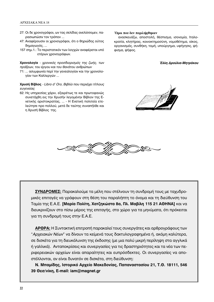- 27: Οι δε χρονογράφοι, ων τας σελίδας ανελίσσομεν, παρασιωπώσιν τον τρόπον ...
- 47: Αναφέρουσιν οι χρονογράφοι, ότι ο θηριώδης ούτος δημαγωγός, ...
- 157 σημ.1.: Το περιστατικόν των λογχών αναφέρεται υπό ετέρων χρονογράφων.

Χρονολογία - χρονικός προσδιορισμός της ζωής, των πράξεων, του έργου και του θανάτου ανθρώπων

71: ... ασυμφωνία περί την γενεαλογίαν και την χρονολογίαν των Καλλεργών ...

Χρυσή Βίβλος - Libro d' Oro, Βιβλίο που περιέχει τίτλους ευγενείας

62: Ης υπηρεσίας χάριν, εξαιρέτως τε και πρωτοφανώς συνετάχθη εις την Χρυσήν λεγομένην Βίβλον της Ενετικής αριστοκρατίας, ... - Η Ενετική πολιτεία ετελεύτησε προ πολλού, μετά δε ταύτης συναπήλθε και η Χρυσή Βίβλος της.

#### Όροι που δεν περιλήφθηκαν

ανασκευάζω, αποστολή, θέσπισμα, ισονομία, Ιταλοκρατία, κλητήρας, κοινοκτημοσύνη, νομοθέτημα, οίκος, οργανισμός, συνθήκη, τομή, υπούργημα, υφήγησις, ψήφισμα, ψήφος.

Έλλη Δρούλια-Μητράκου





ΣΥΝΔΡΟΜΕΣ: Παρακαλούμε τα μέλη που στέλνουν τη συνδρομή τους με ταχυδρομικές επιταγές να γράφουν στη θέση του παραλήπτη το όνομα και τη διεύθυνση του Ταμία της Ε.Α.Ε. [Μαρία Πολίτη, Χατζηκώστα 8α, Πλ. Μαβίλη 115 21 ΑΘΗΝΑ] και να διευκρινίζουν στο πίσω μέρος της επιταγής, στο χώρο για τα μηνύματα, ότι πρόκειται για τη συνδρομή τους στην Ε.Α.Ε.

ΑΡΘΡΑ: Η Συντακτική επιτροπή παρακαλεί τους συνεργάτες και αρθρογράφους των "Αρχειακών Νέων" να δίνουν τα κείμενά τους δακτυλογραφημένα ή, ακόμη καλύτερα, σε δισκέτα για τη διευκόλυνση της έκδοσης (με μια πολύ μικρή περίληψη στα αγγλικά ή γαλλικά). Ανταποκρίσεις και συνεργασίες για τις δραστηριότητες και τα νέα των περιφερειακών αρχείων είναι απαραίτητες και ευπρόσδεκτες. Οι συνεργασίες να αποστέλλονται, αν είναι δυνατόν σε δισκέτα, στη διεύθυνση:

Ν. Μπαμίδης, Ιστορικό Αρχείο Μακεδονίας, Παπαναστασίου 21, Τ.Θ. 18111, 546 39 Θεσ/νίκη, E-mail: iam@magnet.gr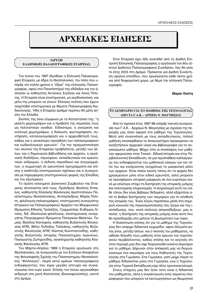# **¢ APXEIAKEΣ EIAHΣEIΣ**

# **ΙΔΡΥΣΗ** ΕΛΛΗΝΙΚΗΣ ΠΑΛΑΙΟΓΡΑΦΙΚΗΣ ΕΤΑΙΡΕΙΑΣ

Τον Ιούνιο του 1997 ιδρύθηκε η Ελληνική Παλαιογραφική Εταιρεία, με έδρα τη Θεσσαλονίκη, την πόλη που υπήρξε επί πολλά χρόνια η "έδρα" της ελληνικής Παλαιογραφίας, αφού στο Πανεπιστήμιό της εδίδαξαν και την άσκησαν οι καθηγητές Αντώνιος Σιγάλας και Λίνος Πολίτης. Η Εταιρεία είναι επιστημονική, μη κερδοσκοπική, και μέλη της μπορούν να γίνουν Έλληνες πολίτες που έχουν ασχοληθεί επιστημονικά με θέματα Παλαιογραφίας-Κωδικολογίας. Ήδη η Εταιρεία αριθμεί περίπου 60 μέλη απ' όλη την Ελλάδα.

Σκοπός της είναι σύμφωνα με το Καταστατικό της: "η μελέτη χειρογράφων και η προβολή της σημασίας τους ως πολιτιστικών αγαθών. Ειδικότερα, η ανεύρεση και συλλογή χειρογράφων, η διάσωση, φωτογράφηση, συντήρηση, καταλογογράφηση και η αρχειοθέτησή τους, καθώς και η γενικότερη προώθηση των παλαιογραφικών και κωδικολογικών ερευνών". Για την πραγματοποίηση του σκοπού της Εταιρείας προβλέπεται, μεταξύ των άλλων, και η δημιουργία βιβλιοθήκης και αρχείου, η οργάνωση διαλέξεων, σεμιναρίων, εκπαιδευτικών και ερευνητικών εκδρομών, η έκδοση περιοδικού και συγγραμμάτων, η συμμετοχή σε ερευνητικά προγράμματα και επίσης η ανάπτυξη επιστημονικών σχέσεων και η συνεργασία με παρεμφερείς επιστημονικούς φορείς της Ελλάδας και του εξωτερικού.

Το πρώτο εκλεγμένο Διοικητικό Συμβούλιο της Εταιρείας αποτελείται από τους: Πρόεδρος: Βασίλης Άτσαλος, καθηγητής Κλασικής Φιλολογίας Αριστοτέλειου Πανεπιστημίου Θεσσαλονίκης, Αντιπρόεδρος: Μαρία Πολίτη, φιλόλογος-παλαιογράφος, επιστημονική συνεργάτης Ιστορικού και Παλαιογραφικού Αρχείου του Μορφωτικού Ιδρύματος Εθνικής Τραπέζης, Γραμματέας: Ευθύμιος Λίτσας, διδ. Θεολογίας-φιλόλογος, επιστημονικός συνεργάτης Πατριαρχικού Ιδρύματος Πατερικών Μελετών, *Ταμίας*: Βασίλης Κατσαρός, καθηγητής Βυζαντινής Φιλολογίας ΑΠΘ, Μέλη: Εύδοξος Τσολάκης, καθηγητής Βυζαντινής Φιλολογίας ΑΠΘ, Κώστας Κωνσταντινίδης, καθηγητής Βυζαντινής Ιστορίας Πανεπιστημίου Ιωαννίνων, Παναγιώτης Σωτηρούδης, αναπληρωτής καθηγητής Κλασικής Φιλολογίας ΑΠΘ.

Τον Μάρτιο-Απρίλιο 1999 η Εταιρεία οργάνωσε στη Θεσσαλονίκη, σε συνεργασία με τον Σύλλογο Αποφοίτων της Φιλοσοφικής Σχολής του Πανεπιστημίου Θεσσαλονίκης "Φιλόλογος", σειρά οκτώ ομιλιών παλαιογραφικού ενδιαφέροντος, που είχαν μεγάλη επιτυχία και συγκέντρωσαν ένα ευρύ κοινό. Επίσης τον Ιούνιο οργανώθηκε εκδρομή στη μονή Κοσινίτσας (Εικοσιφοινίσσης), κοντά στη Δράμα.

Στην Εταιρεία έχει ήδη ανατεθεί από τη Διεθνή Επιτροπή Ελληνικής Παλαιογραφίας η οργάνωση του 6ου (έκτου) Διεθνούς Παλαιογραφικού Συνεδρίου, που θα γίνει το έτος 2003 στη Δράμα. Πρόκειται για Διεθνή Συνάντηση υψηλού επιπέδου, που οργανώνεται κάθε πέντε χρόνια από διαφορετική χώρα, με θέμα την ελληνική Παλαιογραφία.

# *Μαρία Πολίτη*

# **√ΤΟ ΣΕΜΙΝΑΡΙΟ ΓΙΑ ΤΟ ΜΑΘΗΜΑ ΤΗΣ ΤΕΧΝΟΛΟΓΙΑΣ ΔΠΟ ΤΑ Γ.Α.Κ. - ΑΡΧΕΙΑ Ν. ΜΑΓΝΗΣΙΑΣ**

Aπό το σχολικό έτος 1997-98 υπήρξε τακτική συνεργασία των Γ.Α.Κ. - Αρχείων Ν. Μαγνησίας με σχολεία της περιοχής μας όσον αφορά στο μάθημα της Τεχνολογίας. Μετά από συνεννόηση με τους εκπαιδευτικούς, πολλοί μαθητές επισκέφθηκαν το Αναγνωστήριο προκειμένου να αναζητήσουν αρχειακό υλικό και βιβλιογραφία για το συγκεκριμένο μάθημα. Μέχρι τότε οι επισκέψεις των μαθητών αφορούσαν στην Τοπική - Εθνική Ιστορία και στην Περιβαλλοντική Εκπαίδευση, σε μια προσπάθεια καλλιέργειας του ενδιαφέροντος του μαθητικού κόσμου για τον τόπο του και ενισχύοντας συγχρόνως το μορφωτικό ρόλο των αρχείων. Είναι πλέον κοινός τόπος ότι τα αρχεία δεν χρησιμεύουν μόνο στον ειδικό ερευνητή, αλλά μπορούν να προσφέρουν ιστορική μόρφωση σε ένα ευρύτερο κοινό με απώτερο στόχο τη διατήρηση της ιστορικής μνήμης και πολιτισμικής κληρονομιάς. Η κληρονομιά αυτή του κάθε τόπου δεν είναι βεβαίως δεδομένη, αλλά εξαρτάται από το βαθμό διατήρησης των τεκμηρίων για τη σύνθεση της ιστορίας του. Ένας λόγος παραπάνω μέσα στη σημερινή κοινωνία της παγκοσμιοποίησης που ζούμε και της ισοπέδωσης, που -κατά πολλούς απαισιόδοξους- μας απειλεί, η διατήρηση της ιστορικής μνήμης είναι αυτή που θα προσδιορίζει στο μέλλον τη βιωσιμότητα των λαών.

Η διαπίστωση επίσης ότι για το μάθημα της Τεχνολογίας δεν υπάρχει διδακτικό εγχειρίδιο, αφού άλλωστε αυτός είναι, μεταξύ άλλων, και ο σκοπός του μαθήματος, να ωθήσει δηλαδή τους μαθητές στην έρευνα του τεχνολογικού περιβάλλοντος, καθώς επίσης και το γεγονός ότι στην περιοχή μας δεν είχε διοργανωθεί κανένα σεμινάριο για το μάθημα, βάρυναν στην απόφασή μας να διοργανώσουμε ένα σεμινάριο για τους Καθηγητές της Τεχνολογίας στα Γυμνάσια. Στα Γυμνάσια, γιατί μέχρι πέρσι το μάθημα διδασκόταν μόνο στα Γυμνάσια, ενώ η Τεχνολογία στην Τεχνική Εκπαίδευση είχε άλλο προσανατολισμό.

Στους στόχους μας δεν ήταν ούτε είναι η διδακτική του μαθήματος, αλλά η συγκέντρωση ενός σώματος πληροφοριών που μπορούν να λειτουργήσουν ως θεωρητικό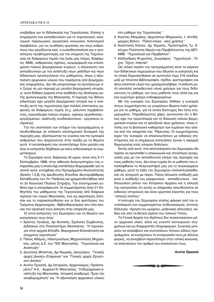υπόβαθρο για τη διδασκαλία της Τεχνολογίας. Επίσης η ενημέρωση των εκπαιδευτικών για το τεχνολογικό, οικονομικό, παραγωγικό, εργασιακό, κοινωνικό, πολιτισμικό περιβάλλον, για τις συνθήκες εργασίας και τους ανθρώπους που εργάζονται εκεί, η ευαισθητοποίηση και ο γενικότερος προβληματισμός για την επιρροή της Τεχνολογίας σε διάφορους τομείς της ζωής μας (τέχνη, διαφήμιση, ΜΜΕ, ανθρώπινες σχέσεις, αναμόρφωση και επανάχρηση παλιών βιομηχανικών κτιρίων), η εξοικείωση των εκπαιδευτικών με την ανάπτυξη νέων μεθόδων και νέων διδακτικών προσεγγίσεων του μαθήματος, όπως η αξιοποίηση αρχειακού υλικού που παράγεται από βιομηχανικές επιχειρήσεις. Δεν θα μπορούσαμε να αγνοήσουμε ότι ζούμε σε μία περιοχή με μεγάλη βιομηχανική ιστορία, γι' αυτό δόθηκε έμφαση στην ανάδειξη της ιδιαίτερης αυτής φυσιογνωμίας της Μαγνησίας. Η περιοχή του Βόλου ειδικότερα έχει μεγάλη βιομηχανική ιστορία και η ανάπτυξη αυτή της τεχνολογίας έχει πολλές επιπτώσεις εμφανείς σε διάφορους τομείς (π.χ. μόλυνση περιβάλλοντος, εγκατάλειψη παλιών κτιρίων, σχέσεις εργοδοσίας εργαζομένων, ανάπτυξη συνδικαλιστικού - εργατικού κινήματος).

Για την υλοποίηση των στόχων του προγράμματος απευθυνθήκαμε σε επίλεκτο επιστημονικό δυναμικό της περιοχής μας, αξιοποιώντας τις γνώσεις και την εμπειρία ανθρώπων που ασχολούνται στην πράξη με τα θέματα αυτά. Η ανταπόκριση που συναντήσαμε ήταν μεγάλη και όλοι οι εισηγητές δέχθηκαν με πολύ ενθουσιασμό να συμμετάσχουν.

Το Σεμινάριο αυτό, διάρκειας 42 ωρών, έγινε στις 3-11 Σεπτεμβρίου 1998, στην αίθουσα Αναγνωστηρίου της υπηρεσίας μας η οποία είχε κατάλληλα διαμορφωθεί για το σκοπό αυτό, εντάχθηκε στα Προγράμματα Κινητικότητας (δράση 1.2.β) της Διεύθυνσης Σπουδών Δευτεροβάθμιας Εκπαίδευσης του Υπ. Παιδείας και χρηματοδοτήθηκε από το 2ο Κοινοτικό Πλαίσιο Στήριξης. Την επιστημονική ευθύνη είχε η υπογράφουσα. Οι συμμετέχοντες ήταν 21 Καθηγητές του μαθήματος της Τεχνολογίας από διάφορα σχολεία του νομού Μαγνησίας, ενώ ως ακροάτριες ζήτησαν και το παρακολούθησαν και οι δύο φοιτήτριες του Τμήματος Αρχειονομίας - Βιβλιοθηκονομίας που τότε έκαναν την πρακτική τους άσκηση στην υπηρεσία μας.

Οι επτά εισηγητές του Σεμιναρίου και τα θέματα των εισηγήσεών τους ήταν:

- 1. Χρίστος Ξενάκης, Δρ Φυσικός, Σχολικός Σύμβουλος, Διδάσκων στο Πανεπιστήμιο Θεσσαλίας: "Η τεχνολογία στην αρχαία Ελλάδα. Βιομηχανική Επανάσταση και *Û‡Á¯ÚÔÓË Ù¯ÓÔÏÔÁ›·"*
- 2. Πάνος Αδάμος, Ηλεκτρολόγος Μηχανολόγος Μηχανικός, μέλος Δ.Σ. του ΤΕΕ Μαγνησίας: "Τεχνολογία και *Aνάπτυξη*"
- 3. Διονύσης Μπάστας, Δρ Νομικής, Δικηγόρος: "Γενικές *αρχές Δικαίου Εταιρειών*" και "Γενικές αρχές Εργατι*κού Δικαίου*"
- 4. Αννίτα Πρασσά, Δρ Ιστορικός, Αρχειονόμος, Προϊσταμένη Γ.Α.Κ. - Αρχείων Ν. Μαγνησίας: "Η βιομηχανική α-*Vάπτυξη της Μαγνησίας. Ιστορική αναδρομή. Προς την αποβιομηχάνιση*" και "Η αξιοποίηση αρχειακού υλικού

στο μάθημα της Τεχνολογίας"

- 5. Κώστας Αδαμάκης, Αρχιτέκτων Μηχανικός, τ. Αντιδήμαρχος Βόλου: "Παλιά κτίρια - νέες χρήσεις"
- 6. Αναστασία Κολιού, Δρ Χημικός, Προϊσταμένη Τμ. Ελέγχου Ποιότητας Νερών και Περιβάλλοντος της ΔΕΥ-AMB: *"Τεχνολογία και Περιβάλλον"*
- 7. Αλέξανδρος Ψυχούλης, Ζωγράφος: "Τεχνολογία Τέ- $$

Ως τελικό προϊόν του προγράμματος είναι τα κείμενα των διδακτικών σημειώσεων που έδωσαν οι εισηγητές και τα οποία δημοσιεύθηκαν σε αυτοτελή τόμο 216 σελίδων μαζί με πλούσια βιβλιογραφία, σχέδια, φωτογραφίες και άλλο εποπτικό υλικό που χρησιμοποιήθηκε. Η έκδοση αυτή αποτελεί εκπαιδευτικό υλικό χρήσιμο για τους διδάσκοντες το μάθημα, για τους μαθητές τους αλλά και για ένα ευρύτερο φάσμα ενδιαφερομένων.

Με την ευκαιρία του Σεμιναρίου δόθηκε η ευκαιρία στους συμμετέχοντες να γνωρίσουν θέματα πολύ χρήσιμα για το μάθημα, για τα οποία δυστυχώς δεν ήταν ενημερωμένοι. Παραδείγματος χάρη, αγνοούσαν ότι ο Βόλος έχει την πρωτοπορία για τη διάσωση παλιών βιομηχανικών κτιρίων και τη φιλοξενία νέων χρήσεων, όπως επίσης για το βιολογικό καθαρισμό των λυμάτων που γίνεται από την υπηρεσία της *'*Υδρευσης. Οι συμμετέχοντες είχαν την ευκαιρία να επικοινωνήσουν με ειδικούς επιστήμονες και οι επιμέρους εισηγήσεις έγιναν η αφορμή δημιουργίας ενός γόνιμου διαλόγου.

Eκτός από αυτό, στα αποτελέσματα του Σεμιναρίου θα πρέπει να προστεθεί η επικοινωνία και στενότερη συνεργασία μας με τον εκπαιδευτικό κόσμο της περιοχής και τους μαθητές τους. Δεν είναι τυχαίο ότι οι μαθητές που επισκέφθηκαν το Αναγνωστήριό μας για το συγκεκριμένο μάθημα, μετά τη λήξη του Σεμιναρίου πολλαπλασιάσθηκαν σε σύγκριση με πέρσι. Πάγια άλλωστε επιδίωξή μας είναι η ανάδειξη του μορφωτικού - εκπαιδευτικού - παιδαγωγικού ρόλου του Ιστορικού Αρχείου και η αλλαγή της νοοτροπίας ότι αυτές οι υπηρεσίες απευθύνονται σε ειδικούς ιστορικούς και είναι ερμητικά κλειστές για τους "απλούς πολίτες".

Η επιτυχία του Σεμιναρίου επίσης φάνηκε από την ανταπόκριση των συμμετεχόντων (ενθουσιασμός, έντονος διάλογος, τήρηση του ωραρίου, μηδενικές απουσίες), καθώς και από τα θετικά σχόλια του τοπικού Τύπου.

Τα Γενικά Αρχεία του Κράτους δεν συγκεντρώνουν μόνο αρχειακό υλικό, αλλά ως γνωστό λειτουργούν συγχρόνως και ως διαχειριστές πληροφοριών. Συνεπώς μπορούν να αναλάβουν και συντονίσουν τέτοιου είδους προγράμματα, να ενισχύσουν τη συνεργασία τους με άλλους φορείς, να ανοιχθούν περισσότερο στην τοπική κοινωνία, να επεκτείνουν τον αριθμό των επισκεπτών τους. α ενισχύσουν τη συνεργασία τους μ<br>νοιχθούν περισσότερο στην τοπική<br>υν τον αριθμό των επισκεπτών του<br>**Αννίτα**<br>**Αννίτα** 

# *Aννίτα Πρασσά*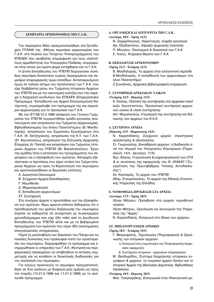#### ΣΕΜΙΝΑΡΙΑ ΑΡΧΕΙΟΝΟΜΙΑΣ ΤΩΝ Γ.Α.Κ.

Τον περασμένο Μάιο πραγματοποιήθηκε στο ξενοδοχείο ΤΙΤΑΝΙΑ της Αθήνας σεμινάριο αρχειονομίας των Γ.Α.Κ. στο πλαίσιο του Τέταρτου Υποπρογράμματος του ΕΠΕΑΕΚ που προβλέπει επιμόρφωση για τους υπαλλήλους αρμοδιότητας του Υπουργείου Παιδείας, επιμόρφωση στην οποία για πρώτη φορά εντάχθηκαν και τα Γ.Α.Κ.

Η Δ/νση Εκπαίδευσης του ΥΠΕΠΘ διοργανώνει συνήθως σεμινάρια διοικητικού κυρίως περιεχομένου και σεμινάρια πληροφορικής τριών επιπέδων. Ανταποκρινόμενη όμως σε παλαιό αίτημα του προσωπικού των Γ.Α.Κ. που είχε διαβιβαστεί μέσω του Τμήματος Ιστορικών Αρχείων του ΥΠΕΠΘ και με την οικονομική ευελιξία που της παρέχει η διαχείριση κονδυλίων του ΕΠΕΑΕΚ (Επιχειρησιακό Πρόγραμμα "Εκπαίδευση και Αρχική Επαγγελματική Κατάρτιση), συμπεριέλαβε στο πρόγραμμά της και σεμινάρια αρχειονομίας για το προσωπικό των Γ.Α.Κ.

Με την ΙΣΤ/36/12.3.1999 απόφαση του Γενικού Γραμματέα του ΥΠΕΠΘ συγκροτήθηκε ομάδα εργασίας αποτελούμενη από εκπρόσωπο του Τμήματος Αρχειονομίας-Βιβλιοθηκονομίας του Ιονίου Πανεπιστημίου (Β. Μανδηλαράς), εκπρόσωπο του Σωματείου Εργαζομένων στα Γ.Α.Κ. (Κ. Χατζηγιάννη), εκπρόσωπο της Κ.Υ. των Γ.Α.Κ. (Στ. Φωτοπούλου), εκπρόσωπο της Ελληνικής Αρχειακής Εταιρείας (Α. Παππά) και εκπρόσωπο του Τμήματος Ιστορικών Αρχείων του ΥΠΕΠΘ (Μ. Βακαλοπούλου). Έργο της ομάδας ήταν η εκπόνηση του προγράμματος του σεμιναρίου και η εξασφάλιση των ομιλητών. Καταρχήν εξετάστηκαν οι προτάσεις που είχαν σταλεί στο Τμήμα Ιστορικών Αρχείων ως προς τη θεματολογία του σεμιναρίου και οριστικοποιήθηκαν οι θεματικές ενότητες:

A. Διοικητικά-Οικονομικά

- Β. Σύγχρονα Αρχεία-Εκκαθαρίσεις
- Γ. Νομοθεσία
- Δ. Μηχανοργάνωση
- Ε. Εκπαίδευση αρχειονόμων
- ΣΤ. Συντήρηση

Στη συνέχεια άρχισε η προσπάθεια για την εξασφάλιση των ομιλητών, θέμα αρκετά επίπονο δεδομένου ότι ο προσδιορισμός του χρόνου διεξαγωγής του σεμιναρίου έπρεπε να καθοριστεί σε συνάρτηση με συγκεκριμένο χρονοδιάγραμμα που είχε ήδη τεθεί από τη Διεύθυνση Εκπαίδευσης του ΥΠΕΠΘ αλλά και με τα βεβαρυμένα προγράμματα των ομιλητών που είχαν ήδη ανειλημμένες επαγγελματικές υποχρεώσεις.

Παρά τη μεσολάβηση των διακοπών του Πάσχα και τις ποικίλες δυσκολίες που προέκυψαν κατά την προετοιμασία του σεμιναρίου, διαμορφώθηκε το πρόγραμμα και ενημερώθηκαν οι υπηρεσίες των Γ.Α.Κ. (Κεντρική και περιφερειακές) προκειμένου να υποβληθούν οι αιτήσεις συμμετοχής και να κινηθούν οι διοικητικές διαδικασίες για την υλοποίηση του σεμιναρίου.

Για λόγους πρακτικούς το σεμινάριο πραγματοποιήθηκε σε δύο κύκλους με διαφορά μιας ημέρας ως προς την έναρξη (10-21.5.1999 και 11-21.5.1999) με το ακόλουθο πρόγραμμα:

#### **Δ. ΟΡΓΑΝΩΣΗ ΚΑΙ ΛΕΙΤΟΥΡΓΙΑ ΤΩΝ Γ.Α.Κ.**

#### **(Δευτέρα, 10/5 - Τρίτη, 11/5)**

Ν. Ζαχαρόπουλος, Χαιρετισμός, έναρξη εργασιών Αικ. Εξαδακτύλου, Χάραξη αρχειακής πολιτικής Π. Μουγίου, *Οικονομικά & διοικητικά των Γ.Α.Κ.* Σ. Λύκος, *Κτηριακά θέματα των Γ.Α.Κ.* 

#### **B. ΕΚΠΑΙΔΕΥΣΗ ΑΡΧΕΙΟΝΟΜΩΝ**

#### **(∆Ú›ÙË, 11/5 - ∆ÂÙ¿ÚÙË, 12/5)**

Β. Μανδηλαράς, *Τα αρχεία στην ελληνιστική περίοδο* Β.Μανδηλαράς, Η εκπαίδευση των αρχειονόμων στο *Ιόνιο Πανεπιστήμιο* 

Ζ. Συνοδινός, *Αρχειακή βιβλιογραφική ενημέρωση* 

# Γ. ΣΥΝΤΗΡΗΣΗ ΑΡΧΕΙΑΚΟΥ ΥΛΙΚΟΥ

**(∆ÂÙ¿ÚÙË, 12/5 - ¶¤ÌÙË, 13/5)**

Κ. Χούλης, *Πολιτική της συντήρησης στο αρχειακό υλικό* Ιωάν. Κωνσταντίνου, Προληπτική συντήρηση αρχεια*κού υλικού & υλικά συντήρησης* 

Αντ. Μοροπούλου, *Η εμπειρία της συντήρησης και διάσωσης των αρχείων του Κ.Κ.Ε.* 

#### **Δ. ΣΥΓΧΡΟΝΑ ΑΡΧΕΙΑ**

#### **(Πέμπτη, 13/5 - Παρασκευή, 14/5)**

Ν. Καραπιδάκης, *Σύγχρονα αρχεία: στρατηγικές* πρόσκτησης & αξιοποίησης

Στ. Γεωργούλης, *Εκκαθάριση αρχείων: η διαδικασία από την πλευρά του Υπουργείου Εσωτερικών* (Παρασκευή, 14/4 - Δευτέρα, 17/5)

Άγγ. Χάγιος, *Η οργάνωση & μηχανοργάνωση των ΟΤΑ & οι συνέπειες της εφαρμογής του Ν. 2539/97* ("Συγκρότηση της Πρωτοβάθμιας Τοπικής Αυτοδιοίκησης")

Αλ. Κατσαρός, *Το αρχείο του ΥΠΕΠΘ* 

Αδαμ. Σταυροπούλου, *Το αρχείο της Εθνικής Στατιστι*κής Υπηρεσίας της Ελλάδος

#### Ε. ΝΟΜΟΘΕΣΙΑ-ΠΡΟΣΒΑΣΗ ΣΤΑ ΑΡΧΕΙΑ

(Δευτέρα, 17/5 - Τρίτη, 18/5)

Λίλιαν Μήτρου, Πρόσβαση στα αρχεία- νομοθετικό πλαίσιο

Λίλιαν Μήτρου, *Οργάνωση και λειτουργία της Υπηρε* $o$ *ίας της "Αρχής"* 

Ν. Καραπιδάκης, *Εισαγωγή στο δίκαιο των αρχείων* 

#### **ΣΤ. ΜΗΧΑΝΟΡΓΑΝΩΣΗ ΑΡΧΕΙΩΝ**

(Τρίτη, 18/5 - Τετάρτη, 19/5)

Γ. Μητροφάνης, *Τεχνολογίες Πληροφορικής & Οργά-Vωσης των ιστορικών αρχείων:* 

α. Εισαγωγή στις τεχνολογίες της Πληροφορικής-Αρχειακές εφαρμογές

β. Συστήματα ιστορικών - αρχειακών πληροφοριών

Μ. Θεοδωρίδου, *Σύστημα διαχείρισης ιστορικών εγ*γράφων & aρχείων: το τουρκικό αρχείο Χανίων και το Ιστορικό Αρχείο της Βικελαίας Δημοτικής Βιβλιοθήκης Ηρακλείου

#### **(Τετάρτη, 19/5 - Πέμπτη, 20/5)**

Μαν. Τσαγκαράκης, *Εισαγωγικά στην Ηλεκτρονική ορ-*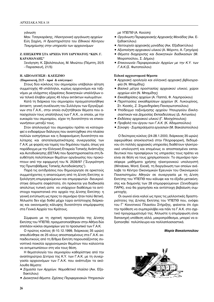#### γάνωση

Μαν. Τσαγκαράκης, Ηλεκτρονική οργάνωση αρχείων Εύη Σαχίνη, Η δραστηριότητα του Εθνικού Κέντρου *Τεκμηρίωσης στην υπηρεσία των αρχειονόμων* 

# **Ζ. ΕΠΙΣΚΕΨΗ ΣΤΑ ΑΡΧΕΙΑ ΤΟΥ ΙΔΡΥΜΑΤΟΣ "ΚΩΝ. Γ. ΚΑΡΑΜΑΝΛΗΣ"**

Ξενάγηση: Κ. Σβολόπουλος, Μ. Μινώτου (Πέμπτη, 20/5 - Παρασκευή, 21/5)

# **Η. ΑΞΙΟΛΟΓΗΣΗ - ΚΛΕΙΣΙΜΟ**

#### **(Παρασκευή, 21/5 - πρωί & απόγευμα)**

Στους δύο κύκλους του σεμιναρίου υπέβαλαν αίτηση συμμετοχής 49 υπάλληλοι, κυρίως αρχειονόμοι και ταξιvόμοι με ελάχιστες εξαιρέσεις διοικητικών υπαλλήλων ενώ τελικά έλαβαν μέρος 45 λόγω εκτάκτων κωλυμάτων.

Κατά τη διάρκεια του σεμιναρίου πραγματοποιήθηκε έκτακτη γενική συνέλευση του Συλλόγου των Εργαζομένων στα Γ.Α.Κ., στην οποία συζητήθηκαν θέματα που ατασχολούν τους υπαλλήλους των Γ.Α.Κ., οι οποίοι, με την ευκαιρία του σεμιναρίου, είχαν τη δυνατότητα να επικοινωνήσουν μεταξύ τους.

Στον απολογισμό του σεμιναρίου πρέπει να καταγραφεί ο ενδιαφέρων διάλογος που αναπτύχθηκε στο πλαίσιο πολλών εισηγήσεων και η διαφαινόμενη δυνατότητα καλύτερης και αποτελεσματικότερης συνεργασίας των Γ.Α.Κ. με φορείς και τομείς του δημόσιου τομέα, όπως για παράδειγμα με την Ελληνική Εταιρεία Τοπικής Ανάπτυξης και Αυτοδιοίκησης (ΕΕΤΑΑ) που δραστηριοποιείται στη διευθέτηση πολύπλοκων θεμάτων οργάνωσης που προκύπτουν από την εφαρμογή του Ν. 2539/97 ("Συγκρότηση της Πρωτοβάθμιας Τοπικής Αυτοδιοίκησης").

Παρά τις αντιδράσεις που δημιούργησε σε αρκετούς συμμετέχοντες η απαιτούμενη από τη Δ/νση Εκπ/σης α-*Ε*ιολόγηση επιμορφούμενων και επιμορφωτών -διευκρινίστηκε άλλωστε σαφέστατα, ότι πρόκειται για διαδικασία απολύτως τυπική ώστε να υπάρχουν διαθέσιμα τα αντίστοιχα παραστατικά στο αρχείο της Δ/νσης Εκπ/σης- η γενική εντύπωση ως προς το σεμινάριο ήταν πολύ θετική. Άλλωστε δεν είχε δοθεί μέχρι τώρα αντίστοιχης διάρκειας και οικονομικής κάλυψης δυνατότητα επιμόρφωσης στα Γενικά Αρχεία του Κράτους.

Σύμφωνα με τη σχετική προαναγγελία της Δ/νσης Εκπ/σης του ΥΠΕΠΘ, πραγματοποιήθηκαν στην Αθήνα δύο επιπλέον κύκλοι σεμιναρίων για το προσωπικό των Γ.Α.Κ.

Ο πρώτος κύκλος (6-10.12.1999, διάρκειας 35 ωρών) απευθύνθηκε σε 25 νέους αποσπασμένους στα Γ.Α.Κ. εκπαιδευτικούς από τη Β/θμια Εκπ/ση παρουσιάζοντας συνοπτικά ποικιλία αρχειονομικών θεμάτων που καλούνται να αντιμετωπίσουν στη νέα τους θέση.

Η θεματολογία του σεμιναρίου καθορίστηκε από την αναπληρώτρια Δ/ντρια της Κ.Υ. των Γ.Α.Κ. με τη συνεργασία αρχειονόμων των Γ.Α.Κ. που ανέπτυξαν τα ακόλουθα θέματα:

- *Σημασία των Αρχείων. Νομοθετικό πλαίσιο* (Αικ. Εξαδακτύλου)
- **Διοικητικά θέματα. Σχέσεις Περιφερειακών Υπηρεσιών**

*με ΥΠΕΠΘ* (Α. Κιούση)

- *Οργάνωση Περιφερειακής Αρχειακής Μονάδας (*Αικ. Εξαδακτύλου)
- Λειτουργία αρχειακής μονάδας (Αικ. Εξαδακτύλου)
- *Αξιοποίηση αρχειακού υλικού* (Α. Μόρντο, Α. Γρηγόρα)
- Θέματα διαχείρισης και διοικητικών διαδικασιών (Μ. Μοιροπούλου, Σ. Δήμου)
- Επικοινωνία Περιφερειακών Αρχείων με την Κ.Υ. των *Γ.Α.Κ.*(Σ. Φωτοπούλου)

# **Ειδικά αρχειονομικά θέματα**

- Αρχειακή ορολογία και ελληνική αρχειακή βιβλιογρα*φία* (Ν. Μπαμίδης)
- **Βασικά μέτρα προστασίας αρχειακού υλικού, χώροι** *αρχείων κλπ* (Ν. Μπαμίδης)
- *Εκκαθαρίσεις αρχείων* (Α. Παππά, Φ. Λαμπρούκου)
- Περιπτώσεις εκκαθαρίσεων αρχείων (Κ. Λυκουρίνος, Στ. Κιοσές, Ζ. Σημανδηράκη-Παναγιωτοπούλου)
- Υπόδειγμα ταξινόμησης αρχείου Υπουργείου Εκκλησιαστικών και Δημοσίας Εκπαιδεύσεως (Δ. Αντωνίου)
- *Εκδόσεις αρχειακού υλικού* (Γ. Μοσχόπουλος)
- Προβολή του έργου των Γ.Α.Κ. (Κ. Αδαμοπούλου)
- **•** Σύνοψη Συμπεράσματα εργασιών (Μ. Βακαλοπούλου)

Ο δεύτερος κύκλος (24-28.1.2000, διάρκειας 35 ωρών) αφιερώθηκε αποκλειστικά στην Πληροφορική, δεδομένου ότι πολλές αρχειακές υπηρεσίες διαθέτουν ηλεκτρονικό υπολογιστή και επομένως οι αποσπασμένοι εκπαιδευτικοί που προσφέρουν τις υπηρεσίες τους πρέπει να είναι σε θέση να τους χρησιμοποιούν. Το σεμινάριο προσέφερε μαθήματα χρήσης ηλεκτρονικού υπολογιστή (Windows, Word, Excel), τη διοργάνωση των οποίων ανέλαβε το Κέντρο Οικονομικών Ερευνών του Οικονομικού Πανεπιστημίου Αθηνών σε συνεργασία με τη Δ/νση Εκπ/σης του ΥΠΕΠΘ που κάλυψε και τα έξοδα μετακίνησης και διαμονής των 28 επιμορφούμενων (Ξενοδοχείο ΠΑΡΚ), ενώ θα χορηγήσει και αντίστοιχη βεβαίωση συμμετοχής.

Οι οιωνοί είναι καλοί ως προς τις μελλοντικές δραστηριότητες της Δ/νσης Εκπ/σης του ΥΠΕΠΘ που, ενόψει του Γ' Κοινοτικού Πλαισίου Στήριξης, φαίνεται ότι έχει την πρόθεση να συμπεριλάβει και πάλι τα Γ.Α.Κ. στο σχετικό προγραμματισμό της. Άλλωστε η επιμόρφωση είναι δαπανηρή υπόθεση αλλά, μακροπρόθεσμα, μπορεί να αξιοποιηθεί πολύπλευρα και πολλαπλασιαστικά.

#### *Mapía Baκαλοπούλου*

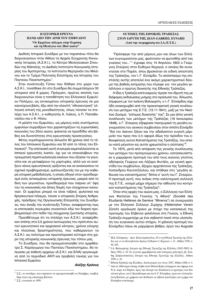# Η ΙΣΤΟΡΙΚΗ ΕΡΕΥΝΑ ΠΑΝΩ ΑΠΟ ΤΗΝ ΔΙΝΗ ΤΟΥ ΕΜΦΥΛΙΟΥ "Οι Εμαύλιοι πόλεμοι στην Ευρώπη και τη Μεσόγειο του 20ού αιώνα"

Διεθνές Ιστορικό Συνέδριο με τον παραπάνω τίτλο θα διοργανώσουν στην Αθήνα τα Αρχεία Σύγχρονης Κοινωνικής Ιστορίας (Α.Σ.Κ.Ι.), το Κέντρο Μεσογειακών Σπουδών της Νάπολης, το Διεθνές Ινστιτούτο Κοινωνικής Ιστορίας του Άμστερνταμ, το Ινστιτούτο Φερτρινέλι του Μιλάνου και το Τμήμα Πολιτικής Επιστήμης και Ιστορίας του Παντείου Πανεπιστημίου<sup>1</sup>.

Στην συνέντευξη Τύπου που δόθηκε στο χώρο των Α.Σ.Κ.Ι., τονίσθηκε ότι στο Συνέδριο θα συμμετάσχουν 30 ιστορικοί από 8 χώρες. Πράγματι, πρώτος σκοπός των διοργανωτών είναι η τοποθέτηση του Ελληνικού Εμφυλίου Πολέμου, ως αντικειμένου ιστορικής έρευνας σε μια καινούργια βάση, έξω από την κλειστή "εθνοκεντρική" ελληνική οπτική της μοναδικότητας, όπως τόνισαν τα στελέχη των Α.Σ.Κ.Ι., ο καθηγητής Α. Λιάκος, η Π. Παπαθανασίου και ο Φ. Ηλίου.

Η μελέτη του Εμφυλίου, ως μέρους ενός συστήματος εμφυλίων συρράξεων που χαρακτηρίζουν τις ευρωπαϊκές κοινωνίες του 20ού αιώνα, φαίνεται να προσδίδει νέο βάθος και δυνατότητες στις ερευνητικές προσεγγίσεις.

Φέτος συμπληρώνονται άλλωστε 60 χρόνια από το τέλος του Ισπανικού Εμφυλίου και 50 από το τέλος του Ελληνικού<sup>2</sup>. Την επετειακή αυτή συγκυρία εκμεταλλεύονται οι Ισπανοί ερευνητές λοιπόν, όχι για να επαναλάβουν την τραυματική περιπτωσιολογία εκείνων που έζησαν τα γεγονότα και να μεταφέρουν τις μαρτυρίες, αλλά για να ανοίξουν νέους ερευνητικούς ορίζοντες και να ανανεώσουν το σχετικό προβληματισμό, εμπλουτίζοντάς τον με την καθαρά ιστορική μεθοδολογία, η οποία οδηγεί στον προσδιορισμό ενός αντικειμένου ιστορικής έρευνας, μακριά από τη δίνη των γεγονότων, προσδιορισμό που παίρνει υπ' όψη του τις κοινωνικές και άλλες δομές των σύγχρονων κοινωνιών. Οι εμφύλιοι μπορεί να είναι ταξικοί, φυλετικοί και θρησκευτικοί πόλεμοι, τόνισε ο ιστορικός Σπύρος Ασδραχάς, πρόεδρος της Οργανωτικής Επιτροπής του Συνεδρίου, που άνοιξε την συνέντευξη Τύπου, αναφέροντας πως οι επετειακές συγκυρίες συναντούν εδώ τον διαρκή προβληματισμό στο πεδίο της σύγχρονης ζωντανής ιστορίας.

Προσθέτουμε ότι τα στελέχη των Α.Σ.Κ.Ι. αναφέρθηκαν επίσης στα 3,5 χρόνια λειτουργίας του πρότυπου αυτού ερευνητικού και αρχειακού κέντρου, χρόνια γόνιμης και πλούσιας δραστηριότητας, που καθιερώνουν τα Α.Σ.Κ.Ι. ως πολύτιμο και πρωτοποριακό κύτταρο στο χώρο της ιστορικής κοινωνικής έρευνας του τόπου μας.

Το Συνέδριο, που θα πραγματοποιηθεί στο αμφιθέατρο Σ. Καράγιωργα του Παντείου Πανεπιστημίου, θα τελειώσει με έκθεση αρχείων (Α.Σ.Κ.Ι. και ΕΛΙΑ) οργανωμένη από το περιοδικό ANTI και προβολή ταινίας για τον Ισπανικό Εμφύλιο.

Αλέξης Κράους

# ΟΙ ΤΙΜΕΣ ΤΗΣ ΕΘΝΙΚΗΣ ΤΡΑΠΕΖΑΣ ΣΤΟΝ ΙΔΡΥΤΗ ΤΗΣ JEAN-GABRIEL EYNARD (Από την τεκμηρίωση του Ι.Α./Ε.Τ.Ε.)

"Πρόσφερε την από μέρους μου και όλων των Ελλήνων ευγνωμοσύνην μας, φρόντισον να φωτισθής από τας γνώσεις του..."<sup>1</sup> έγραφε στις 14 Απριλίου 1852 ο Γεώργιος Σταύρος στον Ευθύμιο Κεχαγιά, ο οποίος θα συναντούσε στο Παρίσι, όπου βρισκόταν σε ειδική αποστολή της Τράπεζας, τον Ι.-Γ. Εϋνάρδο. Το απόσπασμα της επιστολής αυτής αποτελεί ένα ακόμη χαρακτηριστικό δείγμα της βαθιάς εκτίμησης που έτρεφε για τον μεγάλο φιλέλληνα ο πρώτος διοικητής της Εθνικής Τράπεζας.

Η ίδια η Τράπεζα κατά καιρούς τίμησε τον ιδρυτή της με διάφορες εκδηλώσεις μνήμης στο πρόσωπό του. Άλλωστε, σύμφωνα με τον Ιωάννη Βαλαωρίτη, ο Ι.-Γ. Εϋνάρδος είχε ήδη ανακηρυχθεί από την προκαταρκτική γενική συνέλευση των μετόχων της Ε.Τ.Ε. (13.11.1841), μαζί με τον Νικόλαο Ζωσιμά, "επίτιμος διοικητής" της<sup>2</sup>. Σε μια άλλη γενική συνέλευση των μετόχων της Τράπεζας (19 Ιανουαρίου 1848), ο Γ. Σταύρος εξέφρασε πανηγυρικά τη μεγάλη ευγνωμοσύνη του γενικού συμβουλίου στον ιππότη Εϋνάρδο "διά τον άοκνον ζήλον και την αδιάλειπτον ευγενή μέριμνάν του προς παν ό,τι αφορά ιδίως την πρόοδον του εθνωφελούς αυτού Καταστήματος της Τραπέζης, του οποίου κατά μέγιστον εις αυτόν χρεωστείται η σύστασις"<sup>3</sup>.

Το 1875, μετά από απόφαση της γενικής συνέλευσης των μετόχων του προηγούμενου χρόνου, κατασκευάστηκε η μαρμάρινη προτομή του από τους ικανούς γλύπτες αδελφούς Γεώργιο και Λάζαρο Φυτάλη, με γενική φροντίδα του συμβούλου, έξοχου αρχιτέκτονα της Τράπεζας, Λύσανδρου Καυτατζόγλου, και στήθηκε στη "μεγάλη αίθουσα του καταστήματος" δίπλα σ' αυτή του Γ. Σταύρου. Η προτομή αυτή, που ανήκει στην καλλιτεχνική συλλογή της Ε.Τ.Ε., κοσμεί μέχρι σήμερα την αίθουσα του κεντρικού καταστήματος της Τράπεζας<sup>4</sup>.

Όταν στις αρχές του αιώνα μας, ο Σύλλογος των Ελλήνων Φοιτητών της Γενεύης "η Αθηνά" (Société des Etudiants Hellènes de Genève "Minerva") σε συνεργασία με τον Ελληνικό Σύλλογο Ζυρίχης (Hellenisher Verein Zürich) οργάνωσε έρανο με στόχο την κατασκευή της προτομής του Ελβετού φιλέλληνα στη Γενεύη, η Εθνική Τράπεζα συμμετείχε με ένα σεβαστό ποσό στην υλοποίηση του ευγενικού αυτού στόχου. Η χάλκινη προτομή του Εϋνάρδου πάνω σε μαρμάρινο βάθρο, έργο του Auguste

<sup>&</sup>lt;sup>1</sup> Σ.Σ.: το συνέδριο, που επρόκειτο να πραγματοποιηθεί το Νοέμβριο, αναβλήθηκε λόγω της επίσκεψης Κλίντον.

<sup>&</sup>lt;sup>2</sup> Σ.Σ.: εννοείται το 1999.

<sup>&</sup>lt;sup>1</sup> Μ.Σ. Ευλάμπιος - Διον. Καλογερόπουλος: Η εν τη Εθνική Τραπέζη της Ελλάδος και εν τω Κοινοβουλίω δράσις Ευθυμίου Ι. Κεχαγιά, τ. Α', Αθήνα 1930, σ. 94, 305.

<sup>&</sup>lt;sup>2</sup> Ι.Α. Βαλαωρίτης: Ιστορία της Εθνικής Τραπέζης της Ελλάδος (1842-1902) Αθήνα 1902, σ. 10. Το γεγονός αμφισβητείται από νεότερους μελετητές, βλ. Στάθης Σπηλιωτόπουλος: Ιστορία της Εθνικής Τραπέζης της Ελλάδος, Αθήνα  $1949. \sigma. 41.$ 

<sup>3</sup> Εθνική Τράπεζα της Ελλάδος: Απολογισμός του έτους 1847, Αθήνα 1848, σ. 4. Από το 1866 είχαν επίσης στηθεί στον Εθνικό Κήπο (υπάρχουν και σήμερα στο Ν.Α. άκρο του Κήπου, προς την πλευρά του Ζαππείου) οι προτομές των δύο στενών φίλων, του Ι. Καποδίστρια και του Ι.-Γ. Εϋνάρδου, έργα του γλύπτη Ιωάννη Κόσσου, με χρήματα που διέθεσαν οι ελβετοί φιλέλληνες και η χήρα του Εϋνάρδου αντίστοιχα.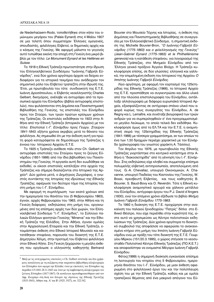de Niederhaüsern-Rodo, τοποθετήθηκε στον κήπο του ομώνυμου μεγάρου του (Palais Eynard) στις 4 Μαΐου 1907 σε μια τελετή όπου συμμετείχαν Έλληνες ομογενείς, οπουδαστές, φιλέλληνες Ελβετοί, οι δημοτικές αρχές και ο κόσμος της Γενεύης. Με αφορμή μάλιστα το γεγονός αυτό τυπώθηκε εκείνη την εποχή στη Γενεύη ένα μικρό βι $βλ$ ίο με τον τίτλο: Le Monument Eynard et les Hellènes en *Suisse*.

Το 1918 η Εθνική Τράπεζα πρωτοστάτησε στην ίδρυση του Ελληνοελβετικού Συνδέσμου "Ιωάννης Γαβριήλ Εϋνάρδος", ενώ δύο χρόνια αργότερα άρχισε να δείχνει ενδιαφέρον για τα ιστορικά τεκμήρια που ανάδειχναν τον σημαντικό ρόλο του Ελβετού τραπεζίτη στην ίδρυσή της. Έτσι, με πρωτοβουλία του τότε συνδιοικητή της Ε.Τ.Ε. Ιωάννη Δροσόπουλου, ο Ελβετός νεοελληνιστής Charles Gelbert, δικηγόρος, ανέλαβε να αντιγράψει από τα προσωπικά αρχεία του Εϋνάρδου (βιβλία αντιγραφής επιστολών), που φυλάσσονταν στη Δημόσια και Πανεπιστημιακή Βιβλιοθήκη της Γενεύης, τις επιστολές του Εϋνάρδου προς τον Σταύρο, των τριών πρώτων κρίσιμων χρόνων της Τράπεζας. Οι επιστολές εκδόθηκαν το 1923 στην Αθήνα από την Εθνική Τράπεζα (Ιστορικόν Αρχείον) με τον τίτλο: *Επιστολαί Ι.-Γ. Εϋνάρδου προς Γεώργ. Σταύρον 1841-1843*, εξήντα χρόνια ακριβώς μετά το θάνατο του φιλέλληνα. Ας σημειωθεί ότι με την έκδοση αυτή για πρώτη φορά καταγράφεται σε δημοσίευμα της Τράπεζας η έννοια του Ιστορικού Αρχείου Ε.Τ.Ε.

Το 1925 η Τράπεζα ανέθεσε πάλι στον Ch. Gelbert να αντιγράψει επιστολές του Σταύρου προς το ζεύγος Εϋνάρδου (1851-1866) από την ίδια βιβλιοθήκη του Πανεπιστημίου της Γενεύης. Η εργασία αυτή δεν ευωδόθηκε να εκδοθεί, οι είκοσι επιστολές κατέληξαν στα αρχεία της Τράπεζας και σήμερα διασώζονται στο Ιστορικό της Αρχείο<sup>5</sup>. Δύο χρόνια μετά, ο Δημήτριος Ζωγράφος, ο γνωστός συντάκτης της *Ιστορίας της ιδρύσεως της Εθνικής Τραπέζης*, αφιέρωσε τον δεύτερο τόμο της Ιστορίας του στη μνήμη του Ι.-Γ. Εϋνάρδου.

Με αφορμή τη συμπλήρωση των εκατό χρόνων από την ημερομηνία του θανάτου του (5 Φεβρουαρίου 1863), έγιναν, αρχές Φεβρουαρίου του 1963, στην Αθήνα και τη Γενεύη διάφορες εκδηλώσεις στη μνήμη του, οργανωμένες από τις επίσημες αρχές των δύο χωρών, τον Ελληνοελβετικό Σύνδεσμο "Ι.-Γ. Εϋνάρδος", το Σύλλογο παλαιών Ελλήνων φοιτητών Γενεύης "Minerva" και την Εθνική Τράπεζα της Ελλάδος. Στην Αθήνα, έγιναν ομιλίες στην Αρχαιολογική Εταιρεία και την Εθνική Τράπεζα, ετοιμάστηκε έκθεση στο Εθνικό Ιστορικό Μουσείο και κατατέθηκαν στεφάνια, παρουσία του διοικητή της Ε.Τ.Ε. Δημητρίου Χέλμη, στην προτομή του Ελβετού φιλέλληνα στον Εθνικό Κήπο. Στη Γενεύη ξεχώρισαν η μεγάλη έκθεση που οργάνωσε ο ελληνιστής καθηγητής Bertrand Bouvier στο Μουσείο Τέχνης και Ιστορίας, η έκθεση της Δημόσιας και Πανεπιστημιακής Βιβλιοθήκης σε συνεργασία με τον Ελληνοελβετικό Σύνδεσμο, η σημαντική έκδοση της Michelle Bouvier-Bron, "Ο Ιωάννης-Γαβριήλ Εϋ*νάρδος (1775-1863) και ο φιλελληνισμός της Γενεύης" (Jean-Gabriel Eynard (1775-1863) et le Philhellénisme* genevois) και η κατάθεση στεφάνου, για λογαριασμό της Εθνικής Τράπεζας, στο Μνημείο Εϋνάρδου από τον Έλληνα γενικό πρόξενο Άγγελο Βλάχο. Η Τράπεζα κυκλοφόρησε επίσης, σε δύο γλώσσες: ελληνικά και γαλλικά, την επιμελημένη έκδοση του Ιστορικού της Αρχείου *Ο Ιππότης Ιωάννης Γαβριήλ Εϋνάρδος.* 

Λίγο αργότερα, με αφορμή τον εορτασμό της 125ετηρίδας της Εθνικής Τράπεζας (1966), το Ιστορικό Αρχείο της Ε.Τ.Ε. προσπάθησε να συγκεντρώσει και άλλα υλικά από την πλούσια επιστολογραφία του Εϋνάρδου, αντάλλαξε αλληλογραφία με διάφορα ευρωπαϊκά Ιστορικά Αρχεία, εξασφαλίζοντας σε αντίγραφα σπάνιο υλικό που αφορά κυρίως τους συνεργάτες του Εϋνάρδου, A. de Regny και L. Lemaître, και συνέταξε βιογραφικά των τριών ανδρών για να συμπεριληφθούν σ' ένα προγραμματισμένο μεγάλο Λεύκωμα, το οποίο τελικά δεν εκδόθηκε. Κυκλοφόρησε όμως από τα ΕΛ.ΤΑ και την Ε.Τ.Ε. η αναμνηστική σειρά της 125ετηρίδας της Εθνικής Τράπεζας (1841-1966) με τέσσερα γραμματόσημα, εκ των οποίων το ένα των 1,50 δραχμών περιέχει χαρακτικό με τον Εϋνάρδο (χαλκογραφία του γνωστού χαράκτη Α. Τάσσου).

Τον Απρίλιο του 1976, με πρωτοβουλία της Εθνικής Τράπεζας γιορτάστηκε στο κεντρικό κατάστημα στην Αθήνα η "διακοσιετηρίδα" από τη γέννηση του Ι.-Γ. Εϋνάρδου. Στις εκδηλώσεις είχε κληθεί και συμμετείχε επίσημα πολυμελής ελβετική αντιπροσωπεία, αποτελούμενη από τους G.-A. Chevallaz, υπουργό Οικονομικών, A. Chavanne, υπουργό Παιδείας του Καντονίου της Γενεύης, W. Bossi, πρεσβευτή Ελβετίας, και τους καθηγητές Β. Bouvier, S. Baud-Bovy και Ο. Reverdin. Τότε η Εθνική κυκλοφόρησε αναμνηστικό αργυρό και χάλκινο μετάλλιο του Εϋνάρδου, αντίγραφο έργου του P.J. David d'Angers (1830), ενώ τον επόμενο χρόνο εξέδωσε το βιβλίο *Μνήμη Ιωάννη Γαβριήλ Εϋνάρδου 1775-1863.* 

Το 1992 η διοίκηση της Ε.Τ.Ε. προχώρησε στην ανακαίνιση του παλαιού ξενοδοχείου "Πατρίς" δίπλα στο Εθνικό Θέατρο, που είχε περιέλθει στην κυριότητά της, ώστε αυτό να χρησιμεύσει ως Κέντρο πολιτιστικών εκδηλώσεων της Τράπεζας. Δύο χρόνια αργότερα το διοικητικό συμβούλιό της αποφάσισε να αφιερώσει το ανακαινισμένο κτήριο στη μνήμη του Ιππότη Ιωάννη-Γαβριήλ Εϋνάρδου ενώ με πράξη του τότε διοικητή της Ε.Τ.Ε. Γεωργίου Μίρκου (151/20.3.1995), ο χώρος στέγασε το νεοσυοταθέν Πολιτιστικό Κέντρο Εθνικής Τράπεζας (ΠΟ.Κ.Ε.Τ.) και αποφασίστηκε να ονομαστεί Μέγαρο Ιωάννη-Γαβριήλ Εϋνάρδου.

Φέτος (1999) η σημερινή διοίκηση εγκαινίασε επίσημα τη λειτουργία του κτηρίου στις 5 Φεβρουαρίου, ημερομηνία θανάτου του Ι.-Γ. Εϋνάρδου, με μιαν έκθεση αφιερωμένη στο φιλελληνικό έργο του και την πολύπλευρη σχέση του με την Εθνική Τράπεζα, καθώς και με ομιλία τραπεζικού θέματος από ένα μακρινό απόγονο του Εϋ-

 $^5$ Μαζί με τις αντιγραμμένες επιστολές ο Ch. Gelbert συνέταξε και δύο χρήσιμους καταλόγους με τη σωζόμενη στην παραπάνω βιβλιοθήκη αλληλογραφία του Εϋνάρδου που αφορά την Ελλάδα: έναν με επιστολές του Εϋνάρδου της περιόδου 4.9.1841-28.11.1843 και έναν με τη λαμβανόμενη αλληλογραφία του ξεύγους Εϋνάρδου (1817-1867). Οι κατάλογοι πρωτοδημοσιεύθηκαν από τον Δημ. Ζωγράφο στη δική του Ιστορία της ιδρύσεως της Εθνικής Τραπέζης *(1833-1843)*, Αθήνα τομ. Α' και Β' (1925, 1927), σσ. 322-342.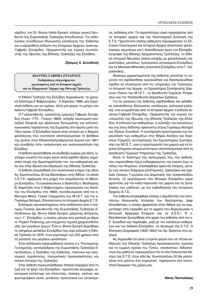νάρδου, τον Dr. Bruno Valdo Eynard, επίτιμο γενικό διευθυντή της Ευρωπαϊκής Τράπεζας Επενδύσεων. Τις εκδηλώσεις συνοδεύουν δίγλωσσος κατάλογος της Έκθεσης και η καλαίσθητη έκδοση του Ιστορικού Αρχείου Ιωάννης-Γαβριήλ Εϋνάρδος, Οραματιστής και κύριος συντελε*στής της ίδρυσης της Εθνικής Τράπεζας της Ελλάδος.* 

# *Zήσιμος X. Συνοδινός*

**ΠΩΑΝΝΗΣ-ΓΑΒΡΙΗΛ ΕΫ́ΝΑΡΔΟΣ** Εκδηλώσεις στη μνήμη του οργανωμένες από το Ιστορικό Αρχείο **και το Μορφωτικό Ίδρυμα της Εθνικής Τράπεζας** 

Η Εθνική Τράπεζα της Ελλάδος διοργάνωσε, το χρονικό διάστημα 5 Φεβρουαρίου - 5 Απριλίου 1999, μία σημαντική έκθεση για να τιμήσει, άλλη μία φορά, τη μνήμη του Ιωάννη-Γαβριήλ Εϋνάρδου.

Ο Γαλλοελβετός τραπεζίτης Ιωάννης-Γαβριήλ Εϋνάρδος (Λυών 1775 - Γενεύη 1863), υπήρξε οικονομική-τραπεζική ιδιοφυΐα και αξιόλογος διπλωμάτης και πολιτικοκοινωνικός παράγοντας της Ευρώπης στο πρώτο μισό του 19ου αιώνα. Ο Εϋνάρδος έμεινε στην ιστορία ως ο θερμός φιλέλληνας που συντόνισε αποτελεσματικά τη βοήθεια της Δύσης στον Εθνικοαπελευθερωτικό Αγώνα του 1821 και συνέβαλε στην αναγέννηση και ανασυγκρότηση της Ελλάδας.

Η έκθεση προσπάθησε να αναδείξει κυρίως μία άλλη, λιγότερο γνωστή στο ευρύ κοινό αλλά σχεδόν εξίσου σημα-Vτική πτυχή της δραστηριότητάς του: τον καθοριστικό ρόλο του στην ίδρυση και εδραίωση της Εθνικής Τράπεζας.

Η έκθεση στεγάσθηκε στο νεοκλασικό κτήριο της οδού Αγ. Κωνσταντίνου 20 και Μενάνδρου στην Αθήνα, το οποίο η Ε.Τ.Ε. αφιέρωσε στη μνήμη του ονομάζοντάς το Μέγαρο Εϋνάρδου. Τα εγκαίνια έκανε ο διοικητής κ. Θεόδωρος Β. Καρατζάς στις 5 Φεβρουαρίου (ημερομηνία του θανάτου του Εϋνάρδου στα 1863), συνοδευόμενος από τον κ. Βίκτωρα Μελά, Γενικό Γραμματέα του Μ.Ι.Ε.Τ. και τον κ. Γεράσιμο Νοταρά, Εποπτεύοντα το Ιστορικό Αρχείο Ε.Τ.Ε.

Επίσημος προσκεκλημένος στην εκδήλωση ήταν ο επίτιμος Γενικός Διευθυντής της Ευρωπαϊκής Τράπεζας Επενδύσεων Δρ. Bruno Valdo Eynard, μακρινός απόγονος του Ι.-Γ. Εϋνάρδου, ο οποίος μίλησε στα γαλλικά με θέμα το Project Financing, μία σύγχρονη τεχνική χρηματοδότη*σης των μεγάλων έργων.* Στον κ. Bruno Eynard δωρήθηκε το ασημένιο μετάλλιο Εϋνάρδου που είχε εκδώσει η Εθνική Τράπεζα το 1976, στον εορτασμό των 200 χρόνων από τη γέννηση του μεγάλου φιλέλληνα.

Στην εκδήλωση παρευρέθηκαν επίσης ο κ. Παναγιώτης Γεννηματάς, αντιπρόεδρος της Ευρωπαϊκής Τράπεζας Επενδύσεων, ο Πρέσβης της Ελβετίας, πολιτικοί και οικονομικοί παράγοντες, πνευματικές προσωπικότητες και πολλά στελέχη της Τράπεζας.

Στην έκθεση παρουσιάσθηκαν σπάνια τεκμήρια από τη ζωή και το έργο του Εϋνάρδου: πρωτότυπα έγγραφα, οικονομικά κατάστιχα και επιστολές, πίνακες, εικόνες και φωτογραφικό υλικό, μετάλλια, προσωπικά του αντικείμενα, εκδόσεις κλπ. Το περισσότερο υλικό προερχόταν από το Ιστορικό αρχείο και την Καλλιτεχνική Συλλογή της Ε.Τ.Ε. Πρωτότυπα επίσης εκθέματα παραχώρησαν το Ελληνικό Λογοτεχνικό και Ιστορικό Αρχείο (επιστολές φιλελληνικών κομιτάτων και Ι. Καποδίστρια προς τον Εϋνάρδο, έγγραφα της Εθνικής Χρηματιστικής Τράπεζας), το Εθνικό Ιστορικό Μουσείο (πιάτα εποχής με φιλελληνικές παραστάσεις, μετάλλιο, προσωπικά αντικείμενα Εϋνάρδου) και το Μουσείο Μπενάκη (επιστολή Εϋνάρδου στον Γ. Καραϊσκάκη).

Ιδιαίτερο χαρακτηριστικό της έκθεσης αποτελεί το γεγονός ότι σχεδιάσθηκε οργανώθηκε και διεκπεραιώθηκε σχεδόν εξ ολοκλήρου από τις υπηρεσίες της Τράπεζας: το Ιστορικό της Αρχείο, το Εργαστήριο Συντήρησης Χάρτινου Υλικού του Μ.Ι.Ε.Τ., τη Διεύθυνση Τεχνικών Υπηρεσιών και την Υποδιεύθυνση Δημοσίων Σχέσεων.

Για τις ανάγκες της έκθεσης σχεδιάσθηκε και εκδόθηκε καλαίσθητος δίγλωσσος κατάλογος (ελληνικά-γαλλικά), ενώ ετοιμάστηκε από το Ιστορικό Αρχείο η έκδοση *Ιω*άννης-Γαβριήλ Εϋνάρδος, Οραματιστής και κύριος συ-∨τελεστής της ίδρυσης της Εθνικής Τράπεζας της Ελλάδος. Η επιλογή των εκθεμάτων, η σύνταξη του καταλόγου και της όλης έκδοσης οφείλονται στους Γεράσιμο Νοταρά και Ζήσιμο Συνοδινό. Η συντήρηση-προετοιμασία και παρουσίαση των εκθεμάτων στις Μαρία Αλεξίου και Χαρίκλεια Τζιαμτζή, συντηρήτριες του Εργαστηρίου Συντήρησης του Μ.Ι.Ε.Τ., ενώ η προετοιμασία του χώρου και τα τεχνικά ζητήματα αντιμετωπίστηκαν αποτελεσματικά από τη Διεύθυνση Τεχνικών Υπηρεσιών της Τράπεζας.

Κατά το διάστημα της λειτουργίας της, την έκθεση, που παρατάθηκε λόγω ενδιαφέροντος του κοινού έως το τέλος του Απριλίου, επισκέφθηκε αρκετός κόσμος, μεταξύ των οποίων διάφοροι επιστήμονες, τραπεζικοί και σχολεία (Λύκεια, Γυμνάσια και Δημοτικά) του λεκανοπεδίου Αττικής. Οι εργαζόμενοι στο Μέγαρο Εϋνάρδου είχαν φροντίσει για την καλή παρουσία του χώρου και τις ξεναγήσεις των μαθητών, με την καθοδήγηση του Ιστορικού Αρχείου Ε.Τ.Ε.

Την έκθεση επισκέφθηκε επίσης ο Διευθυντής του Ινστιτούτου Κοινωνικής Ιστορίας του Άμστερνταμ Jaap Kloosterman, ο οποίος βρισκόταν στην Αθήνα για να συμμετάσχει στην Ημερίδα για τα αρχεία που διοργάνωσαν η Ελληνική Αρχειακή Εταιρεία και τα Α.Σ.Κ.Ι. Ο κ. Kloosterman ξεναγήθηκε στο χώρο της έκθεσης από τον κ. Z. Συνοδινό και παρέλαβε, μαζί με τον κατάλογο εκθεμάτων και την έκδοση Εϋνάρδου, το Λεύκωμα της Ε.Τ.Ε. Η *Ελληνική Ζωγραφική (1832-1922)* του Χρ. Χρήστου στα αγγλικά.

Aς σημειωθεί ότι είναι η πρώτη φορά που σε τέτοια εκδήλωση της Εθνικής Τράπεζας προσκαλούνται σχολεία και τα ευμενή σχόλια του Τύπου, επισκεπτών, διδασκόντων και μαθητών προοιωνίζουν ότι το νέο Πολιτιστικό Κέντρο της Ε.Τ.Ε. στην οδό Αγ. Κωνσταντίνου 20 θα αποτελέσει στο μέλλον ένα σημαντικό παράγοντα στα πολιτιστικά δρώμενα της χώρα μας.

**Νίκος Παντελάκης**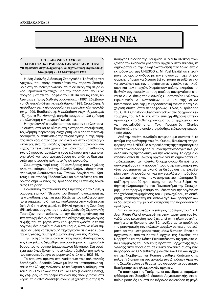# **ΔΙΕΘΝΗ ΝΕΑ**

#### **Η 33η ΔΙΕΘΝΗΣ ΔΙΑΣΚΕΨΗ** ΣΤΡΟΓΓΥΛΗΣ ΤΡΑΠΕΖΑΣ ΤΩΝ ΑΡΧΕΙΩΝ (CITRA) 'Η πρόσβαση στην πληροφορία: οι τεχνολογικές προκλήσεις" Στοκχόλμη 9 - 12 Σεπτεμβρίου 1998

Η 33η Διεθνής Διάσκεψη Στρογγυλής Τράπεζας των Αρχείων, που πραγματοποιήθηκε τον περσινό Σεπτέμβριο στη σουηδική πρωτεύουσα, η δεύτερη στη σειρά ενός θεματικού τριπτύχου για την πρόσβαση, που είχε προγραμματίσει το Γραφείο του CITRA για τις τρεις τελευταίες ετήσιες διεθνείς συναντήσεις (1997, Εδιμβούργο: *Οι νομικές όψεις της πρόσβασης*, 1998, Στοκχόλμη: Η πρόσβαση στην πληροφορία - οι τεχνολογικές προκλήσεις, 1999, Βουδαπέστη: *Η πρόσβαση στην πληροφορία - ζητήματα διατήρησης*), υπήρξε πράγματι πολύ χρήσιμη για ολόκληρη την αρχειακή κοινότητα.

Η τεχνολογική επανάσταση που έφεραν τα ηλεκτρονικά συστήματα και τα δίκτυα στη διατήρηση-αποθήκευση, ταξινόμηση, περιγραφή, διαχείριση και διάδοση των πληροφοριών, οι επιπτώσεις της τεχνολογικής αυτής έκρηξης στον κόσμο των αρχείων, αλλά και στην κοινωνία γενικότερα, είναι τα μεγάλα ζητήματα που απασχολούν συνεχώς τα τελευταία χρόνια όχι μόνο τους υπεύθυνους των σύγχρονων αρχείων ή τους ειδικούς της τεκμηρίωσης αλλά και τους αρχειονόμους ως επόπτες-διαχειριστές της ιστορικής-πολιτιστικής κληρονομιάς.

Συμμετείχαν περί τους 190 συνέδρους από 75 χώρες όλου του κόσμου. Από την Ελλάδα έλαβαν μέρος η αναπληρώτρια Διευθύντρια των Γενικών Αρχείων του Κράτους κ. Αικατερίνη Εξαδακτύλου και ο συντάκτης του παρόντος σημειώματος ως Πρόεδρος της Ελληνικής Αρχειακής Εταιρείας.

Πολιτιστική πρωτεύουσα της Ευρώπης για το 1998, η *όμορφη, ειρηνική "Βενετία του Βορρά", ανακαινισμένη,* πεντακάθαρη, γιορτινή μας έδειξε με τον καλύτερο τρόπο τι σημαίνει ποιότητα και κουλτούρα στην καθημερινή ζωή. Από την άλλη μεριά, τα Εθνικά Αρχεία της Σουηδίας (Riksarkivet), οργανωτές της 33ης Διεθνούς Στρογγυλής Τράπεζας, εντυπωσίασαν με την άψογη οργάνωση και την πετυχημένη αξιοποίηση της σύγχρονης τεχνολογίας αιχμής, που τα φέρνει στην κορυφή των χωρών με τα πιο οργανωμένα αρχεία σ' όλο τον κόσμο, ώστε να είναι σήμερα σε θέση να "εξάγουν" τεχνογνωσία σε άλλες ευρωπαϊκές χώρες, συμπεριλαμβανομένης και της Ρωσίας.

Την Τρίτη 8 Σεπτεμβρίου το απόγευμα ο Αντιδήμαρχος της Στοκχόλμης δεξιώθηκε τους συνέδρους στη χρυσή αίθουσα του ιστορικού Δημαρχειακού Μεγάρου. Στη συνέ-<u>χεια μας έγινε ξενάνηση στο κτίριο-σύμβολο της πόλης.</u> που κατασκευάστηκε σε ρομαντικό στύλ στα 1923-35.

Το επόμενο πρωινό στο Auditorium του πολυτελούς ξενοδοχείου Scandic Crown με θέα τα καταπράσινα νησάκια της λίμνης Μαίλαρεν, τα επιβλητικά οικοδομήματα του 16ου-17ου αιώνα της Γκάμλα Σταν (Παλαιάς Πόλης), τις γέφυρες και τα ήρεμα κανάλια της "πόλης πάνω στα νερά", τη Διεθνή Διάσκεψη άνοιξε με χαιρετισμό της η Υ-

πουργός Παιδείας της Σουηδίας, κ. Marita Ulvskog, τονίζοντας τον ιδιάζοντα ρόλο των αρχείων στην παιδεία, τη δημοκρατία και την αλληλοκατανόηση των λαών, ενώ ο εκπρόσωπος της UNESCO κ. M. Yushkiavitshus επεσήμανε τον ορατό κίνδυνο με την επανάσταση της πληροφορικής σήμερα να διευρυνθεί το χάσμα μεταξύ των αναπτυνμένων και των υπανάπτυκτων χωρών, των πλούσιων και των πτωχών. Χαιρέτησαν επίσης εκπρόσωποι διεθνών οργανισμών με τους οποίους συνεργάζεται στενά το Δ.Σ.Α. όπως της Διεθνούς Ομοσπονδίας Ενώσεων Βιβλιοθηκών & Ινστιτούτων IFLA και της ARMA International (διεθνής μη κερδοσκοπική ένωση για τη διαχείριση συστημάτων πληροφοριών). Τέλος ο Πρόεδρος του CITRA Christoph Graf αναφέρθηκε στα 50 χρόνια λειτουργίας του Δ.Σ.Α. και στην επιτυχή 40χρονη θητείαπροσφορά στο διεθνή οργανισμό του απερχόμενου, λόγω συνταξιοδότησης, Γεν. Γραμματέα Charles Kecskeméti, για το οποίο ετοιμάσθηκε ειδικός αφιερωματικός τόμος.

Aπό την πρώτη συνεδρία αναφέρουμε συνοπτικά το πνεύμα της εισήγησης του Ph. Quéau, διευθυντή πληρο-**ΦΟΟΙΚής Της UNESCO: ΟΙ προκλήσεις της πληροφορικής** για τα αρχεία δεν αφορούν μόνο την τεχνολογική πλευρά αλλά κυρίως την πολιτική και την κοινωνική. Τα αρχεία αναδεικνύονται θεμελιώδη όργανα για τη δημοκρατία και τα δικαιώματα των πολιτών. Οι αρχειονόμοι θα πρέπει να συγκεντρώσουν την προσοχή τους στην κατανόηση των νέων συστημάτων με σκοπό τη διεύρυνση της ελευθερίας στην πληροφόρηση για την ευκολότερη πρόσβαση του κοινού στις πηγές της γνώσης και του πολιτισμού. Τη συζήτηση πυροδότησε η εισήγηση του Peter Seipel, καθηγητή πληροφορικής στο Πανεπιστήμιο της Στοκχόλμης, με το προβληματισμό που έθεσε για την οργάνωση της χαώδους τεκμηρίωσης του κυβερνοχώρου, τη διατήρηση, αναπαραγωγή και ανταλλαγή των ηλεκτρονικών δεδομένων και την μερική ανατροπή της παραδοσιακής ορολογίας.

Στη δεύτερη συνεδρία ο επίτιμος πρόεδρος του Δ.Σ.Α. Jean-Pierre Wallot αναφέρθηκε στην περίπτωση του Καναδά, μιας κοινωνίας που έχει μπεί στην ηλεκτρονική εποχή από τη δεκαετία του '80, τονίζοντας το πρόβλημα της μεταγραφής των παλαιών αρχείων σε νέα υποστρώματα και της μεταφοράς τους μέσω δικτύων. Έπειτα οι αρχειονόμοι από τα Κρατικά Αρχεία της Σκωτίας, της Νορβηγίας και της Κόστα Ρίκα κατέθεσαν τις εμπειρίες από εφαρμογές του Διεθνούς προτύπου αρχειακής περι*γραφής* στην πρόσβαση σε εθνικά αρχειακά συστήματα πληροφοριών. Ο Διευθυντής μάλιστα των Εθνικών Αρχείων της Νορβηγίας Ivar Fonnes στάθηκε ιδιαίτερα στην πολυετή διακρατική συνεργασία των Δημόσιων Αρχείων της Σκανδιναυίας σε θέματα που αφορούν τα συστήματα διατήρησης των ηλεκτρονικών αρχείων.

Το απόγευμα της Τετάρτης, οι σύνεδροι με καραβάκι φθάσαμε στο Σουηδικό Μουσείο Αρχιτεκτονικής, στο οποίο ο βασιλιάς Γουσταύος Κάρολος εγκαινίασε τη μεγά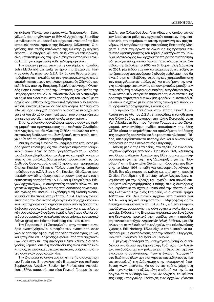λη έκθεση "Πόλεις του νερού: Αγία Πετρούπολη - Στοκχόλμη", που οργάνωσαν τα Εθνικά Αρχεία της Σουηδίας με ενδιαφέρον μουσειακό και αρχειακό υλικό από τις δύο ιστορικές πόλεις-λιμάνια της Βαλτικής Θάλασσας. Ο ογκώδης, πολυτελής κατάλογος της έκθεσης (η αγγλική έκδοση), με ιστορικά κείμενα, εκθέματα και τεκμηρίωση, είναι κατατεθειμένος στη βιβλιοθήκη του Ιστορικού Αρχείου Ε.Τ.Ε. για ενημέρωση κάθε ενδιαφερομένου.

Tny επόμενη μέρα, στην τρίτη συνεδρία, ο Καναδός John McDonald ανέπτυξε το έργο της Επιτροπής Ηλεκτρονικών Αρχείων του Δ.Σ.Α. Εκτός από θέματα όπως η πρόσβαση και η εκκαθάριση των ηλεκτρονικών αρχείων, αναφέρθηκε και στους σχετικούς πρακτικούς Οδηγούς που εκδόθηκαν από την Επιτροπή. Συμπληρώνοντας, ο Ολλανδός Peter Horsman, από την Επιτροπή Τεχνολογίας της Πληροφορικής του Δ.Σ.Α., τόνισε τον όλο και διευρυνόμενο ρόλο του διαδικτύου στην προσέγγιση του κοινού με τα αρχεία (σε 3.000 τουλάχιστον υπολογίζονται οι ηλεκτρονικές διευθύνσεις Αρχείων σε όλο τον κόσμο). Το "είμαι στο Internet, άρα υπάρχω" αποκτάει ουσιαστικό περιεχόμενο για ένα Αρχείο μόνο στην περίπτωση που οι παρεχόμενες υπηρεσίες του εξυπηρετούν απόλυτα τον χρήστη.

Επίσης, οι Ισπανοί συνάδελφοι παρουσίασαν μία πρώτη μορφή του προγράμματος του Διεθνούς Συνεδρίου των Αρχείων, που θα γίνει στη Σεβίλλη το 2000 και την ηλεκτρονική διεύθυνση του Συνεδρίου<sup>1</sup>, στην οποία καταχωρούν όλη τη σχετική πληροφόρηση.

Μια σημαντική εμπειρία το μεσημέρι της επόμενης μέρας ήταν η επίσκεψή μας στο μοντέρνο κτίριο των Σουηδικών Εθνικών Αρχείων, όπου γιορτάστηκαν τα 50 χρόνια του Διεθνούς Συμβουλίου των Αρχείων και τιμήθηκαν με αναμνηστικά μετάλλια δύο μεγάλες προσωπικότητες του Διεθνούς Οργανισμού: ο επί 40 χρόνια γεν. γραμματέας Charles Kecskeméti και ο Γάλλος Jean Favier, επίτιμος πρόεδρος του Δ.Σ.Α. Στον κ. Ch. Kecskeméti μάλιστα προσεφέρθη ογκώδης τόμος, που ετοίμασαν προς τιμήν του η εκτελεστική επιτροπή του Δ.Σ.Α. και η Εταιρεία των Βέλγων Αρχειονόμων, με συνεργασίες παλαιών φίλων του και γνωστών αρχειονόμων από τις σπουδαιότερες αρχειονομικές σχολές του κόσμου. Η χρήσιμη αυτή έκδοση ανακοινώθηκε ότι θα σταλεί στα μέλη του Δ.Σ.Α. Είχε οργανωθεί επίσης για τον ίδιο σκοπό αξιόλογη έκθεση αρχειακού υλικού, φωτογραφιών και δημοσιευμάτων από τη δράση του διεθνούς οργανισμού, εθνικών αρχείων και επαγγελματικών οργανώσεων διαφόρων χωρών. Αργότερα όλοι οι σύνεδροι συμμετείχαν ως καλεσμένοι σε επίσημο εορταστικό δείπνο (gala) στο Κάστρο Karlsberg του 17ου αιώνα.

Την Παρασκευή 11 Σεπτεμβρίου, στην τέταρτη συνεδρία αναπτύχθηκαν οι εμπειρίες των αναπτυσσόμενων χωρών από την εφαρμογή της νέας τεχνολογίας καθώς και ζητήματα επιμόρφωσης-εκπαίδευσης των αρχειονόμων, ενώ στην πέμπτη συνεδρία ειδικά διεθνούς συνεργασίας θέματα, όπως η προστασία της πνευματικής ιδιοκτησίας, τα ψηφιακά αρχειακά πρότυπα, οι δραστηριότητες συγγενών οργανισμών κλπ.

Την ίδια μέρα το απόγευμα έγινε η ετήσια συνάντηση του Τομέα των Επαγγελματικών Εταιρειών του Διεθνούς  $Συμβουλίου Αρχείων (Section for Professional Associa$ tions, SPA), παρουσία του νέου Γενικού Γραμματέα του Δ.Σ.Α., του Ολλανδού Joan Van Albada, ο οποίος τόνισε τον βαρύνοντα ρόλο των αρχειακών εταιρειών στην επικοινωνία, την επιμόρφωση και την προαγωγή των αρχειονόμων. Η εκπρόσωπος της Διοικούσας Επιτροπής Margaret Turner ενημέρωσε το σώμα για τις προγραμματισμένες δραστηριότητες του τομέα (ολοκλήρωση του Κώδικα δεοντολογίας των αρχειακών εταιρειών, τυποποίηση οδηγιών για την οργάνωση συναντήσεων-διασκέψεων, Συνέδριο της Σεβίλλης το 2000 και 6η Ευρωπαϊκή Διάσκεψη το 2001, μία έκδοση με συγκεντρωμένες συνεντεύξεις από έμπειρους αρχειονόμους διεθνούς εμβέλειας, που θα είναι έτοιμη στη Σεβίλλη, στρατηγικές χρηματοδότησης των επαγγελματικών συλλόγων) και επεσήμανε την ανάγκη καλύτερης επικοινωνίας και συνεργασίας μεταξύ των εταιρειών. Στη συνέχεια οι 25 περίπου εκπρόσωποι αρχειακών-ιστορικών εταιρειών παρουσιάσαμε συνοπτικά τις δραστηριότητες των εθνικών μας φορέων και ανταλλάξαμε απόψεις σχετικά με θέματα όπως οικονομικοί πόροι, επιμορφωτικά προγράμματα, εκδόσεις κ.ά.

Το πρωϊνό του Σαββάτου, στην ετήσια Γενική Συνέλευση των μελών του Δ.Σ.Α., επικυρώθηκε η τοποθέτηση του Ολλανδού αρχειονόμου, της πόλης Dordrecht, Joan Van Albada στη θέση του Γενικού Γραμματέα του Οργανισμού, ανακοινώθηκε σχέδιο αποφάσεων της 33ης CITRA (όπου επισημάνθηκαν και προβλήματα απόδοσης της αρχειακής ορολογίας σε διαφορετικές γλώσσες). Τέλος, υπερψηφίστηκαν τα πεπραγμένα και ο οικονομικός απολογισμός της Εκτελεστικής Επιτροπής

Από τη μεριά της Εταιρείας, στο περιθώριο των συναντήσεων ζητήσαμε από τον κ. Christoph Graf, διευθυντή των Ομοσπονδιακών Αρχείων της Ελβετίας, να μας πληροφορήσει για την τύχη της "Διακήρυξης για την Πρόσβαση" στην Ευρωπαϊκή Συνάντηση Κορυφής της Βέρνης, το Μάιο 1998, επειδή για οικονομικούς λόγους η E.A.E. δεν είχε παραστεί, καθώς και από την κ. Isabella Orefice, Πρόεδρο της Εταιρείας Ιταλών Αρχειονόμων, εvημέρωση για την εξέλιξη του σχεδίου του κοινού επιμορφωτικού προγράμματος. Επίσης, στους συνέδρους διαμοιράστηκε το σχετικό υλικό από την πρωτοβουλία της Ελληνικής Αρχειακής Εταιρείας να συσταθεί Τμήμα Αθλητικών και Ολυμπιακών Αρχείων στα πλαίσια του Δ.Σ.Α., και η αγγλική εισήγηση του Γ. Μητροφάνη για το Σύστημα πληροφοριών του *Ι.Α./Ε.Τ.Ε.*, ως ένα ελληνικό παράδειγμα εφαρμογής της σύγχρονης τεχνολογίας στα αρχεία. Εκδόσεις της Εταιρείας (πρακτικά του Συνεδρίου της Κέρκυρας, πρακτικά της ημερίδας για την πρόσβαση, τελευταίο τεύχος Αρχειακών Νέων) δόθηκαν μεταξύ άλλων και στον διευθυντή των Αρχείων της φιλοξενούσας χώρας κ. Erik Norberg. Τέλος είχαμε την ευκαιρία να συζητήσουμε με συναδέλφους από την Ισπανία, Ουγγαρία, Πολωνία, Σλοβενία, Σουηδία και Τουρκία.

Η μεγάλη καινοτομία που εισήγαγαν οι Σουηδοί συνάδελφοι στο θεσμό της Στρογγυλής Τράπεζας των Αρχείων, συνδυάζοντάς την μάλιστα με τη θεματική της συγκεκριμένης συνάντησης, ήταν η έγκαιρη "εισαγωγή" στο διαδίκτυο όλων των εισηγήσεων και εκδηλώσεων (με φωτογραφίες!) της Διάσκεψης στην ηλεκτρονική διεύθυνση www.ra.se/citra. Με αυτόν τον τρόπο, χάρη στη νέα τεχνολογία, την εξελιγμένη υποδομή και την άρτια οργάνωση των Σουηδικών Εθνικών Αρχείων, τα κείμενα Ù˘ 33˘ ™ÙÚÔÁÁ˘Ï‹˜ ∆Ú¿Â˙·˜ ÙˆÓ ∞گ›ˆÓ Á›ÓÔÓÙ·È <sup>1</sup> www.mcu.es/lab/archivos/se2000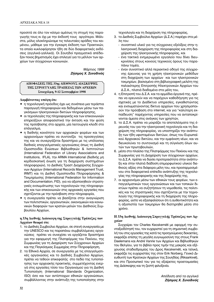προσιτά σε όλο τον κόσμο αμέσως τη στιγμή της παραγωγής τους κι όχι με την έκδοσή τους αργότερα. Μάλιστα, μόλις ολοκληρώναμε τις τελευταίες αράδες του κειμένου, μάθαμε για την έγκαιρη έκδοση των Πρακτικών, τα οποία κυκλοφόρησαν ήδη σε δύο διαφορετικές εκδόσεις (αγγλικά-γαλλικά). Οι Σουηδοί πραγματικά απέδειξαν ποιος βηματισμός έχει επιλεγεί για το μέλλον των αρχείων των σύγχρονων κοινωνιών.

> *Μάρτιος 1999 Zήσιμος X. Συνοδινός*

# **ΔΠΟΦΑΣΕΙΣ ΤΗΣ 33ης ΔΙΕΘΝΟΥΣ ΔΙΑΣΚΕΨΗΣ ΤΗΣ ΣΤΡΟΓΓΥΛΗΣ ΤΡΑΠΕΖΑΣ ΤΩΝ ΑΡΧΕΙΩΝ** Στοκχόλμη, 9-12 Σεπτεμβρίου 1998

**Δαμβάνοντας υπόψη ότι:** 

- η τεχνολογική πρόοδος έχει ως συνέπεια μια τεράστια παραγωγή πληροφοριών και δεδομένων μέσω των παγκόσμιων ηλεκτρονικών δικτύων πληροφόρησης,
- οι τεχνολογίες της πληροφορικής και των επικοινωνιών επηρεάζουν αποφασιστικά την έκταση και την φύση της πρόσβασης στα αρχεία, μία λειτουργία κλειδί στο επάννελμα,
- η διεθνής κοινότητα των αρχειακών φορέων και των αρχειονόμων πρέπει να συντονίζει τις προσεγγίσεις της και να συνεργάζεται δραστήρια με τις υπόλοιπες διεθνείς επαγγελματικές οργανώσεις όπως τη Διεθνή Ομοσπονδία Ενώσεων Βιβλιοθηκών & Ινστιτούτων (International Federation of Library Associations and Institutions, IFLA), την ARMA International (διεθνής μη κερδοσκοπική ένωση για τη διαχείριση συστημάτων πληροφοριών), το Διεθνές Τραστ Διαχείρισης Σύγχρονων Αρχείων (International Records Management Trust, ΙRMT) και τη Διεθνή Ομοσπονδία Πληροφόρησης & Τεκμηρίωσης (International Federation for Information and Documentation, FID), για να αξιοποιηθούν στρατηγικές ενσωμάτωσης των τεχνολογιών της πληροφορικής και των επικοινωνιών στις αρχειακές εργασίες που σχετίζονται με την πρόσβαση στην πληροφορία,
- η συνεργασία πρέπει να βασίζεται στην αναγνώριση των πολιτιστικών, οργανωτικών, οικονομικών και κοινω-VΙΚών διαφορών των κρατών-μελών του Διεθνούς Συμβουλίου Αρχείων,

# η 33η Διεθνής Διάσκεψη της Στρογγυλής Τράπεζας των **Αογείων θεωρεί ότι:**

- 1. το Διεθνές Συμβούλιο Αρχείων, σε στενή συνεργασία με την UNESCO και τις παραπάνω συμβαλλόμενες οργανώσεις πρέπει να συνεχίσει να εργάζεται δραστήρια για την εφαρμογή της Πλατφόρμας του Πεκίνου, της Συμφωνίας για τη Διαχείριση των Σύγχρονων Αρχείων και της Παγκόσμιας Συμμαχίας στην Πληροφόρηση,
- 2. τα Εθνικά Αρχεία, σε συνεργασία με τις επαγγελματικές οργανώσεις και το Διεθνές Συμβούλιο Αρχείων, πρέπει να τεθούν επικεφαλής στο πεδίο της τυποποίησης των αρχειακής πρακτικής, συμμετέχοντας ενεργά στις εργασίες τόσο του Οργανισμού για τη Διεθνή Tυποποίηση (International Standards Organization, ISO) όσο και των αντίστοιχων εθνικών οργανώσεων, συμβάλλοντας στην ανάπτυξη της τυποποίησης στην

τεχνολογία και τη διαχείριση της πληροφορίας,

- 3. το Διεθνές Συμβούλιο Αρχείων (Δ.Σ.Α.) παρέχει στα μέλη του:
	- συνοπτικό υλικό για τις σύγχρονες εξελίξεις στην ηλεκτρονική διαχείριση της πληροφορίας και στη διαχείριση της ηλεκτρονικής πληροφορίας, και
	- ενα τακτικά ενημερωμένο εργαλείο που δίνει διευ-Κρινίσεις στους κοινούς τεχνικούς όρους του παραπάνω τομέα.
	- έναν συνοπτικό αλλά περιεκτικό οδηγό της σύγχρονης έρευνας για τη χρήση ηλεκτρονικών μεθόδων στη διαχείριση των αρχείων και των ηλεκτρονικών τεκμηρίων, βασισμένο στη βιβλιογραφική μελέτη της παλαιότερης Επιτροπής Ηλεκτρονικών Αρχείων του Δ.Σ.Α., πλατιά διαδομένο στα μέλη του,
- 4. η Επιτροπή του Δ.Σ.Α. και τα αρμόδια όργανά της, πρέπει να ερευνούν και να παρέχουν καθοδήγηση για τις σχετικές με το Διαδίκτυο υπηρεσίες, εγκαθιστώντας και ενσωματώνοντας δίκτυα αρχείων που χρησιμοποιούν την πρόσβαση στο internet, και για "καλύτερη εκπαίδευση" παρέχοντας υπηρεσίες που να ανταποκρίνονται άμεσα στις ανάγκες των χρηστών,
- 5. το Δ.Σ.Α. πρέπει να μοιράζει τα αποτελέσματα της έρευνάς του για την ηλεκτρονική τεχνολογία και τη διαχείριση της πληροφορίας, να υποστηρίζει την ανάπτυξη των ήδη υφισταμένων δικτύων, όπως του Ευρωπαϊκού Αρχειακού δικτύου, και την εμφάνιση νέων, και να διευκολύνει το συντονισμό και τη σύγκλιση όλων αυτών των πρωτοβουλιών.
- 6. μέσα στο πλαίσιο της Πλατφόρμας του Πεκίνου και της Συμφωνίας για τη Διαχείριση των σύγχρονων αρχείων, το Δ.Σ.Α. πρέπει να δώσει προτεραιότητα στην ανάπτυξη και στην πλατιά διάδοση επιμορφωτικού υλικού διεθνούς αξίας στα διάφορα μέλη του, και προσαρμοσμένου στα διαφορετικά επίπεδα ανάπτυξης της τεχνολογίας της πληροφορικής και της διαχείρισής της,
- 7. Οι αρχειονόμοι μέσω των εθνικών τους φορέων, των επαγγελματικών τους οργανώσεων και των τοπικών δικτύων πρέπει να συζητήσουν τη νομοθεσία, τις πολιτικές και τις στρατηγικές που σχετίζονται με την τεχνολογία της πληροφορικής και τη διαχείριση της πληροφορίας, ώστε να εξασφαλίσουν ότι η αυθεντικότητα και η αξιοπιστία των τεκμηρίων θα διατηρηθεί μέσα στο χρόνο.

# **Η 33η Διεθνής Διάσκεψη Στρογγυλής Τράπεζας των Αρ-** $\chi$ είων

Συγχαίρει τον Charles Kecskeméti με αφορμή την συνταξιοδότησή του, τον ευχαριστεί για τη σημαντική συμβολή του στις εργασίες της κατά τις προηγούμενες δεκαετίες, εκφράζει επίσης τη μεγάλη ευγνωμοσύνη της στους Frank Daelemans και André Vanrie των Αρχείων και Βιβλιοθηκών του Βελγίου, για το βιβλίο προς τιμήν της μακράς και εξέχουσας σταδιοδρομίας του Δρος Kecskeméti, και τελικά, εκφράζει τις ευχαριστίες της στον Erik Norberg, Γενικό Διευθυντή των Κρατικών Αρχείων της Σουηδίας (Riksarkivet), και στο Προσωπικό του για τις εξαίρετες προετοιμασίες της Διάσκεψης και τη ζεστή φιλοξενία.

> **Aπόδοση από τα αγγλικά** *Zήσιμος Χ. Συνοδινός*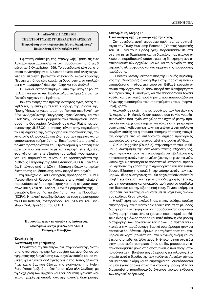# 34η ΔΙΕΘΝΗΣ ΔΙΑΣΚΕΨΗ ΤΗΣ ΣΤΡΟΓΓΥΛΗΣ ΤΡΑΠΕΖΑΣ ΤΩΝ ΑΡΧΕΙΩΝ **"Η πρόσβαση στην πληροφορία: θέματα διατήρησης" Βουδαπέστη, 6-9 Οκτωβρίου 1999**

Η φετεινή Διάσκεψη της Στρογγυλής Τράπεζας των Αρχείων πραγματοποιήθηκε στη Βουδαπέστη από τις 6 μέχρι τις 9 Οκτωβρίου 1999. Το συνεδριακό κέντρο, στο οποίο συναντήθηκαν οι 176 εκπρόσωποι από όλες τις γωνιές του πλανήτη, βρισκόταν σ' έναν ειδυλλιακό λόφο της Πέστης απ' όπου είχε κανείς τη δυνατότητα να απολαύσει την πανοραμική θέα της πόλης και του Δούναβη.

Η Ελλάδα εκπροσωπήθηκε από την υπογράφουσα (Ε.Α.Ε.) και την κα Αικ. Εξαδακτύλου, αν/τρια δ/ντρια των Γενικών Αρχείων του Κράτους.

Πριν την έναρξη της πρώτης ενότητας έγινε, όπως συνηθίζεται, η επίσημη τελετή έναρξης της Διάσκεψης. Προηγήθηκαν οι χαιρετισμοί του Γενικού Διευθυντή των Εθνικών Αρχείων της Ουγγαρίας Layos Gecsenyi και του Zsolt Visy, Γενικού Γραμματέα του Υπουργείου Πολιτισμού της Ουγγαρίας. Ακολούθησε ο Axel Plathe, εκπροσώπος της UNESCO, ο οποίος τόνισε στην παρεμβασή του τη σημασία της διατήρησης και προστασίας της πολιτιστικής κληρονομιάς και ιδιαίτερα των αρχείων ως αναπόσπαστου τμήματός της. Επεσήμανε ότι αποτελεί απόλυτη προτεραιότητα του Οργανισμού η διάσωση των αρχείων που απειλούνται με καταστροφή, είτε εξαιτίας φυσικών αιτίων είτε εξαιτίας του ανθρώπινου παράγοντα, και παρουσίασε, σύντομα, τη δραστηριότητα της Διεθνούς Επιτροπής της Μπλε Ασπίδας (ICBS). Κατέληξε δε, ζητώντας από το ΔΣΑ τη θέσπιση ειδικών κριτηρίων διατήρησης και διάσωσης, όσον αφορά στα αρχεία.

Στη συνέχεια ο Tad Howington, πρόεδρος του ARMA (Association of Records Managers and Administrators) παρουσίασε τις δραστηριότητες και τους στόχους τους, όπως και η Yola de Lusenet, Γενική Γραμματέας της Euρωπαϊκής Επιτροπής για Διατήρηση και την Πρόσβαση (ECPA). Η τελετή έναρξης έκλεισε με τους χαιρετισμούς του Eric Ketelaar, αντιπροέδρου του ΔΣΑ και του Christoph Graf, Προέδρου του CITRA.

# **Παρουσίαση των εργασιών της Διάσκεψης** Συνεδριακό κέντρο ξενοδοχείου AGRO **Τετάρτη, 6 Οκτωβρίου**

# Συνεδρία 1η

#### Κατάσταση του ζητήματος

Η ενότητα αυτή επικεντρώθηκε στην έννοια της διατήρησης ως στρατηγικής λειτουργίας και αναπόσπαστου τμήματος της διαχείρισης των αρχείων καθώς και σε νομικές, ηθικές και τεχνολογικές όψεις της. Αυτός άλλωστε ήταν και ο βασικός άξονας της εισήγησης της Helen Ford. Υποστήριξε ότι η διατήρηση είναι αλληλένδετη με τη διαχείριση των αρχείων και είναι αδύνατη η σωστή διαχείριση χωρίς την ύπαρξη σωστής πολιτικής διατήρησης.

# Συνεδρία 2η, Μέρος 1ο Επισκόπηση της αρχειονομικής πρακτικής

Στη συνεδρία αυτή τέσσερεις ομιλητές, με συντονίστρια την Trudy Huskamp-Peterson (Υπατος Αρμοστής του ΟΗΕ για τους Πρόσφυγες), παρουσίασαν θέματα σχετικά με τη διατήρηση και τη διαχείριση αρχειακού υλικού σε παραδοσιακό υπόστρωμα, τη διατήρηση των οπτικοακουστικών αρχείων, καθώς και τη διαχείριση της ψηφιακής πληροφορίας και των αρχείων της προφορικής παράδοσης.

H Beatrix Kastaly (εκπρόσωπος της Εθνικής Βιβλιοθήκης της Ουγγαρίας) αναφέρθηκε στην πρακτική που εφαρμόζεται στη χώρα της, τόσο στη Βιβλιοθηκονομία όσο και στην Αρχειονομία, όσον αφορά στη διατήρηση των τεκμηρίων στις Βιβλιοθήκες και στα παραδοσιακά Αρχεία καθώς και στα κοινά προβλήματα που παρουσιάζονται λόγω της ευαισθησίας του υποστρώματός τους (περγαμηνή, χαρτί).

Ακολούθησε εκείνη της εκπροσώπου των Αρχείων της Ν. Αφρικής. Η Mandy Gilder παρουσίασε το νέο νομοθετικό πλαίσιο που ισχύει στη χώρα της σχετικά με την προστασία των αρχειακών πηγών και τόνισε ότι η μέχρι πρόσφατα κακή κυβερνητική πολιτική απέναντι στη συλλογή αρχείων, καθώς και η απουσία επίσημης τήρησης στοιχείων, οδήγησε στο να συλλέγονται σήμερα προφορικές μαρτυρίες ώστε να αποκατασταθεί η ιστορική αλήθεια.

Ο Kurt Deggeller (Σουηδία) στην εισήγησή του με θέμα: *η συντήρηση της οπτικοακουστικής κληρονομιάς, στρατηγική και πρακτικές, υποστήριξε ότι η βελτίωση της* κατάστασης αυτών των αρχείων (φωτογραφιών, ταινιών, video) έχει ως αφετηρία τα προληπτικά μέτρα που πρέπει να ληφθούν, τη χρήση της πληροφορικής και την εκπαίδευση. Εξαιτίας της ευαίσθητης φύσης αυτών των τεκμηρίων, όλες οι ενέργειες που θα επιχειρηθούν απαιτούν υψηλή εξειδίκευση και τεχνικές προδιαγραφές τέτοιες, ώστε η συντήρηση και αποκατάστασή τους να συμβάλει στη διάσωση και την αξιοποίησή τους. Τόνισε ακόμη, ότι θα πρέπει να συνταχθεί και να τεθεί σε ισχύ ένας ανάλογος κώδικας δεοντολογίας.

Η συζήτηση που ακολούθησε, επικεντρώθηκε κυρίως στην προβληματική για το ποια είναι η καλύτερη μέθοδος διατήρησης των τεκμηρίων, σε παραδοσιακή ή ψηφιοποιημένη μορφή, ποιοι είναι οι χρονικοί περιορισμοί που θέτει ο ένας ή ο άλλος τρόπος και κατά πόσον η νέα μορφή διατήρησης των αρχειακών τεκμηρίων θα πρέπει να εκτοπίσει την παραδοσιακή. Βασικό συμπέρασμα ήταν ότι πρέπει να λαμβάνεται μέριμνα για τη διατήρηση του τεκμηρίου σε χαρτί (πρωτότυπο) στο διηνεκές ακόμη και αν έχει αποτυπωθεί σε άλλο μέσο. Η ψηφιοποίηση στοχεύει στην προστασία του πρωτοτύπου και δεν μπορούμε να επαναπαύομαστε μόνο στις αποτυπώσεις που πραγματοποιούνται με τη βοήθεια της σύγχρονης τεχνολογίας. Στο σημείο αυτό ο διευθυντής των γαλλικών Αρχείων τόνισε, ότι θα πρέπει ακόμη και τα ευρετήρια που συντάσσονται να μην έχουν αποκλειστικά ηλεκτρονική μορφή αλλά να διατηρηθεί ο παραδοσιακός έντυπος τρόπος έκδοσης των εργαλείων έρευνας.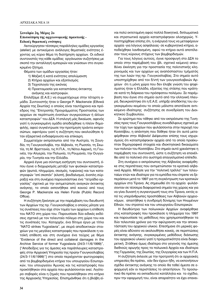# Συνεδρία 2η, Μέρος 2ο Επισκόπηση της αρχειονομικής πρακτικής -Ειδικές θεματικές ενότητες

Λειτούργησαν τέσσερις παράλληλες ομάδες εργασίας (atelier) με αντικείμενο ανάλογες θεματικές ενότητες έχοντας ως κύριο θέμα τη διατήρηση αρχείων. Οι ειδικοί συντονιστές της κάθε ομάδας οργάνωσαν συζητήσεις με σκοπό την ανταλλαγή εμπειριών και γνώσεων στο συγκεκριμένο ζήτημα.

Θέματα των ομάδων εργασίας ήταν:

- 1) Μαζική ή κατά ενότητες απολύμανση
- 2) Κτήρια αρχείων και εξοπλισμός
- 3) Τεχνολογία της εικόνας
- 4) Προετοιμασία για καταστάσεις έκτακτης ανάγκης και καστροφών.

Επιλέξαμε (Ε.Α.Ε.) να συμμετέχουμε στην τέταρτη ομάδα. Συντονιστής ήταν ο George P. Mackenzie (Εθνικά Αρχεία της Σκωτίας) ο οποίος είναι ταυτόχρονα και πρόεδρος της "Επιτροπής Προγράμματος Προστασίας των αρχείων σε περίπτωση ένοπλων συγκρούσεων ή άλλων καταστροφών" του ΔΣΑ. Η επιλογή μάς δικαίωσε, αφενός γιατί η συγκεκριμένη ομάδα αποδείχθηκε η πλέον δημοφιλής, αφού συγκέντρωσε την προτίμηση τριάντα εκπροσώπων, αφετέρου γιατί η συζήτηση που ακολούθησε ήταν εξαιρετικά ενδιαφέρουσα και επίκαιρη.

Συμμετείχαν εκπρόσωποι από την Αυστρία, τη Σουηδία, τη Γιουγκοσλαβία, την Αλβανία, τη Ρωσσία, τη Σκωτία, τη Μ. Βρεττανία, τις Η.Π.Α., τη Νότιο Αφρική, τη Γουινέα, την Αλγερία, την Πολωνία, τη Ρουμανία, την Ουγγαρία, την Τυνησία και την Ελλάδα.

Αρχικά έγινε μια σύντομη εισήγηση του συντονιστή, όπου έγινε ο διαχωρισμός μεταξύ των φυσικών καταστροφών (φωτιά, πλημμύρα, σεισμός, τυφώνας) και των καταστροφών "επί σκοπόν" (κλοπή, βανδαλισμοί, ένοπλη σύρραξη) και στη συνέχεια παρουσιάστηκε ένα "τετράδιο εργασίας" σχετικά με την αντιμετώπιση αναγκών έκτακτης ανάγκης, το οποίο εκπονήθηκε από κοινού από τους George P. Mackenzie Kal Helen Forde (Public Record Office).

Η συζήτηση ξεκίνησε με την παρέμβαση του διευθυντή των Αρχείων της πρ. Γιουγκοσλαβίας ο οποίος μίλησε για τις συνέπειες που είχε στον τομέα των αρχείων η επίθεση του ΝΑΤΟ στη χώρα του. Παρουσίασε δύο ειδικές εκδόσεις σχετικά με τον τελευταίο πόλεμο στη χώρα του και τις συνέπειές του. Καταρχήν, ένα δίτομο έργο με τίτλο "NATO strikes Yugoslavia", με σειρά αποδεικτικών στοιχείων για τις μεγάλες καταστροφές που προκάλεσε η νατοϊκή επίθεση και στη συνέχεια ένα τεύχος με θέμα "Evidence of the direct and collateral damages in the Archive Service of former Yugoslavia (24/3-11/6/1999)", <sup>ε</sup> Αποδείξεις για τις άμεσες και παράπλευρες καταστροφές στην Αρχειακή Υπηρεσία της πρώην Γιουγκοσλαβίας (24/3-11/6/1999)"] στο οποίο περιέχονταν φωτογραφίες από τα βομβαρδισμένα κτήρια του υπουργείου Εσωτερικών, του υπουργείου Άμυνας και τις καταστροφές που προκλήθηκαν στα αρχεία που φυλάσσονταν εκεί. Λιγότερο σοβαρές είναι η ζημιές που προκλήθηκαν στο κτήριο της Αρχειακής Υπηρεσίας. Επισημάνθηκε ότι η βλάβη είναι πολύ εκτεταμένη αφού πολλά δοικητικά, διπλωματικά και στρατιωτικά αρχεία καταστράφηκαν ολοσχερώς. Υποστηρίχθηκε επίσης ότι, η ενέργειά τους να μεταφέρουν αρχεία -για λόγους ασφάλειας- σε κυβερνητικά κτήρια, αποδείχθηκε λανθασμένη, αφού τα κτήρια αυτά αποτέλεσαν τους κύριους στόχους των βομβαρδισμών.

Για τους λόγους αυτούς, έγινε προσφυγή στο ΔΣΑ το οποίο στην παρέμβασή του (βλ. σχετικό κείμενο) απευθύνει έκκληση για την προστασία της πολιτιστικής κληρονομιάς και των αρχείων ως αναπόσπαστου τμήματός της των λαών της πρ. Γιουγκοσλαβίας. Στο σημείο αυτό υποστηρίχθηκε από τον δ/ντή των γιουγκοσλαβικών Αρχείων ότι η μόνη χώρα που δεν έλαβε γνώση του ψηφίσματος ήταν η Ελλάδα, εξαιτίας της στάσης που κράτησε κατά τη διάρκεια του πρόσφατου πολέμου. Σε παρέμβαση που έγινε στο σημείο αυτό από την ελληνική πλευρά, διευκρινίστηκε ότι η Ε.Α.Ε. υπήρξε αποδέκτης του συγκεκριμένου κειμένου το οποίο μάλιστα αποτέλεσε αντικείμενο ιδιαίτερης συζήτησης σε συνεδρίαση του Διοικητικού Συμβουλίου.

Σε ερώτημα που τέθηκε από τον εκπρόσωπο της Τυνησίας προς τους Γιουγκοσλάβους συναδέλφους σχετικά με την τύχη των αρχείων που φυλάσσονται στην περιοχή του Κοσσόβου, η απάντηση που δόθηκε ήταν ότι αυτά μεταφέρθηκαν στην Αλβανία! Διέψευσαν επίσης τους ισχυρισμούς ότι καταστράφηκαν αρχεία από τα οποία προέκυπταν δημογραφικά στοιχεία και ιδιοκτησιακά δικαιώματα των πολιτών του Κοσσόβου. Στο σημείο αυτό χρειάστηκε η παρέμβαση του συντονιστή, ώστε η συζήτηση να επανέλθει από το πολιτικό στο αυστηρά επαγγελματικό επίπεδο.

Στη συνέχεια ο εκπρόσωπος της Αλβανίας αναφέρθηκε στις περιπέτειες που αντιμετώπισαν τα κρατικά αλβανικά Αρχεία. Μίλησε για την "πολιτική τρέλλα" των τελευταίων ετών και ιδιαίτερα για τα εμπόδια που έπρεπε να ξεπεράσουν μετά το 1997 για τη συγκέντρωση των κρατικών αρχείων στα Τίρανα. Ας σημειωθεί ότι τα αρχεία φυλάσσονταν σε τέσσερα διαφορετικά σημεία της χώρας και για να γίνει δυνατή η συγκεντρωσή τους στα Τίρανα, εκτός από τις υπεράνθρωπες προσπάθειες των Αλβανών αρχειονόμων, απαιτήθηκε η συνδρομή δύναμης των Ηνωμένων Εθνών, του στρατού και του υπουργείου Εσωτερικών.

Η διευθύντρια των πολωνικών Αρχείων αναφέρθηκε στις καταστροφές που προκάλεσε η πλημμύρα του 1997 και παρουσίασε τις μεθόδους που χρησιμοποιήθηκαν τα δύο τελευταία χρόνια για την αφύγρανση και την αποκατάσταση του αρχεικού υλικού. Επεσήμανε ότι μερικές φορές είναι αδύνατο να ακολουθήσει κανείς, σε περιπτώσεις έκτακτης ανάγκης, συγκεκριμένες μεθόδους διάσωσης του αρχειακού υλικού γιατί η πραγματικότητα είναι διαφορετική. Στάθηκε όμως ιδιαίτερα στο γεγονός της άμεσης διεθνούς αρωγής προς τα πολωνικά Αρχεία και ιδιαίτερα της Γερμανίας, της Σκωτίας, της Ουγγαρίας και των Η.Π.Α.

Η συζήτηση έκλεισε με την προτροπή ότι οι αρχειακές υπηρεσίες θα πρέπει, εάν δεν έχουν ήδη, να εκπονήσουν σχέδιο έκτακτης ανάγκης το οποίο θα τεθεί άμεσα σε εφαρμογή εάν οι περιστάσεις το απαιτήσουν. Το προσωπικό θα πρέπει να εκπαιδευτεί κατάλληλα και το σχέδιο, πριν την εφαρμογή του, είναι απαραίτητο να έχει επανει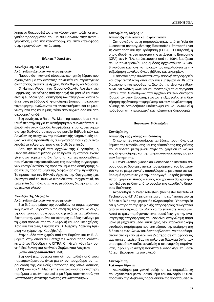λημμένα δοκιμασθεί ώστε να γίνουν στην πράξη οι αναγκαίες προσαρμογές που θα συμβάλλουν στην ανασυγκρότηση, μετά την καταστροφή, και στην επαναφορά στην προηγούμενη κατάσταση.

#### Πέμπτη, 7 Οκτωβρίου

# Συνεδρία 3η, Μέρος 1ο Ανάπτυξη πολιτικών και στρατηγικών

Παρουσιάστηκαν από τέσσερεις εισηγητές θέματα που σχετίζονται με την ανάπτυξη πολιτικών και στρατηγικών διατήρησης σχετικά με Αρχεία, Βιβλιοθήκες και Μουσεία.

O Harmut Weber, των Ομοσπονδιακών Αρχείων της Γερμανίας, ξεκινώντας από την αρχή ότι βασικό καθήκον είναι η εξ ολοκλήρου διατήρηση των τεκμηρίων, αναφέρθηκε στις μεθόδους ψηφιοποίησης (σάρωση, μικροφωτογράφηση), αναλύοντας τα πλεονεκτήματα και τα μειονεκτήματα της κάθε μιας, τόσο από τεχνική όσο και από οικονομική απόψη.

Στη συνέχεια, ο Ralph W. Manning παρουσίασε την εθνική στρατηγική για τη διατήρηση των συλλογών των Βιβλιοθηκών στον Καναδά. Αναφέρθηκε, επίσης, στη σημασία της διεθνούς συνεργασίας μεταξύ Βιβλιοθηκών και Αρχείων ως στοιχείων της πολιτιστικής κληρονομιάς καθώς και στις προσπάθειες συνεργασίας που έχουν αναληφθεί τα τελευταία χρόνια σε διεθνές επίπεδο.

Από την πλευρά των Αρχείων της Ουγγαρίας, η Gabriella Albrecht μίλησε για τα πρώτα βήματα που έχουν γίνει στον τομέα της διατήρησης και τις προσπάθειες που γίνονται στην κατεύθυνση της σύνταξης συγκεκριμένων κριτηρίων τόσο ως προς το θέμα της διατήρησης όσο και ως προς το θέμα της διαφάνειας στην πρόσβαση. Το προσωπικό των Εθνικών Αρχείων της Ουγγαρίας έχει ξεκινήσει από το 1998 να εκπαιδεύεται υποχρεωτικά, σε τρία επίπεδα, πάνω στις νέες μεθόδους διατήρησης του αρχειακού υλικού.

# Συνεδρία 3η, Μέρος 2ο

#### Ανάπτυξη πολιτικών και στρατηγικών

Στο δεύτερο μέρος της συνεδρίας, οι συμμετέχοντες κλήθηκαν να μοιραστούν τις απόψεις τους και να συζητήσουν τρόπους συνεργασίας σχετικά με τις μεθόδους διατήρησης, χωρισμένοι σε τέσσερις ομάδες ανάλογα με τη χώρα προέλευσής τους (Αφρική και Αραβικές χώρες, Ασία και Ωκεανία, Ευρώπη και Β. Αμερική, Λατινική Αμερική και χώρες της Καραϊβικής).

Στην ομάδα των χωρών από την Ευρώπη και τη Β. Αμερική, στην οποία συμμετείχε η Ελλάδα, παρουσιάστηκε από τον Πρόεδρο της CITRA, Ch. Graf η νέα ηλεκτρονική διεύθυνση του Διεθνούς Συμβουλίου Αρχείων:

#### [www.european-archival.net]

Στη συνέχεια, ύστερα από αίτημα πολλών από τους παρευρισκόμενους, έγινε μια εκτός προγράμματος παρουσίαση της Διεθνούς Επιτροπής της Μπλε Ασπίδας (ICBS) από τον G. MacKenzie και ακολούθησε συζήτηση παρόμοια μ' εκείνη του atelier με θέμα: προετοιμασία για καταστάσεις έκτακτης ανάγκης και καταστροφών.

# Συνεδρία 3η, Μέρος 3ο

# Ανάπτυξη πολιτικών και στρατηγικών

Στη συνεδρία αυτή παρουσιάστηκαν από τη Yola de Lusenet τα πεπραγμένα της Ευρωπαϊκής Επιτροπής για τη Διατήρηση και την Πρόσβαση (ECPA). Η Επιτροπή, η οποία ιδρύθηκε στα πρότυπα της αντίστοιχης Επιτροπής (CPA) των Η.Π.Α. και λειτουργεί από το 1994, βασίζεται σε μια πρωτοβουλία μιας ομάδας αρχειονόμων, βιβλιοθηκονόμων και πανεπιστημιακών που ασχολούνται με την ταξινόμηση μεγάλου όγκου βιβλίων και τεκμηρίων.

Η αποστολή της συνίσταται στην παροχή πληροφοριών και στην ανταλλαγή απόψεων και εμπειριών σε θέματα διατήρησης και πρόσβασης. Σκοπός της είναι να ενθαρρύνει, να ενδυναμώνει και να υποστηρίζει τη συνεργασία μεταξύ των Βιβλιοθηκών, των Αρχείων και των συναφών Ιδρυμάτων στην Ευρώπη, έτσι ώστε εξασφαλιστεί η διατήρηση της έντυπης τεκμηρίωσης και των αρχείων τεκμηρίωσης σε οποιοδήποτε υπόστρωμα και να βελτιωθεί η πρόσβαση στην πνευματική και πολιτιστική κληρονομιά.

#### Παρασκευή, 8 Οκτωβρίου

# Συνεδρία 4η,

#### Ανάπτυξη της γνώσης και διάδοση

Οι εισηγητές παρουσίασαν τις θέσεις τους πάνω στα θέματα της εκπαίδευσης και της αξιοποίησης της γνώσης που συνδέεται με τη βιωσιμότητα του χαρτιού καθώς και της ψηφιοποίησης και της μικροφωτογράφησης ως μέσων διατήρησης.

O David Grattan (Canadian Conservation Institute) παρουσίασε τα δύο ερευνητικά προγράμματα του Ινστιτούτου και τα μέχρι στιγμής αποτελέσματα, με σκοπό τον καθορισμό προτύπων για την παραγωγή μακράς βιωσιμότητας χαρτιού. Αυτός ο τύπος του χαρτιού θα χρησιμοποιηθεί στο μέλλον από το σύνολο της καναδικής δημόσιας διοίκησης.

Ακολούθησε ο Peter Adelstein (Rochester Institute of Technology, Η.Π.Α.) με αντικείμενο της εισήγησής του τη διάρκεια ζωής της ψηφιακής πληροφορίας. Υποστήριξε ότι η διατήρηση της ψηφιακής πληροφορίας συναρτάται από το υπόστρωμα, το υλικό και το εκάστοτε λογισμικό. Αυτοί οι τρεις παράγοντες είναι ουσιώδεις για την ανάκτηση της πληροφορίας που δεν είναι αναγνώσιμη παρά μόνο με μηχανικά μέσα. Δυστυχώς, δεν υπάρχουν ακόμη σταθερές παράμετροι που επιτρέπουν την εκτίμηση της διάρκειας των υλικών και δεν προβλέπεται να προσδιοριστούν στο άμεσο μέλλον και ιδιαίτερα σε ότι αφορά τις μαγνητικές ταινίες. Βασικό ρόλο στη διάρκεια ζωής των υποστρωμάτων παίζει ασφαλώς ο οικονομικός παράγοντας, αφού η καλύτερη ποιότητα εξασφαλίζει τη μεγαλύτερη βιωσιμότητα του υλικού.

# Συνεδρία 5η,

# Επίκαιρα θέματα

Ακολούθησε μια γενική συζήτηση και παρεμβάσεις που σχετίζονται με το βασικό θέμα του συνεδρίου. Οι εκπρόσωποι της Αλβανίας παρουσίασαν τις προσπάθειες α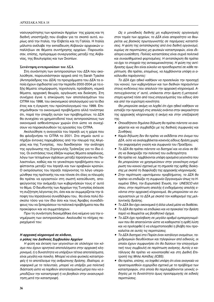νασυγκρότησης των κρατικών Αρχείων της χώρας και τη διεθνή υποστήριξη που έλαβαν για το σκοπό αυτό, κυρίως από την Ιταλία, την Ελβετία και τη Γαλλία. Η Ιταλία μάλιστα ανέλαβε την εκπαίδευση Αλβανών αρχειακών υπαλλήλων σε θέματα συντήρησης αρχείων. Παρουσίασαν, επίσης, πρόγραμμα συνεργασίας μεταξύ της Αλβανίας, της Βουλγαρίας και των Σκοπίων.

#### Συνάντηση αντιπροσώπων του ΔΣΑ

Στη συνάντηση των αντιπροσώπων του ΔΣΑ που ακολούθησε, παρουσιάστηκαν αρχικά από τη Sarah Tyacke (Αντιπρόεδρος του ΔΣΑ) τα προγράμματα του ΔΣΑ τα οποία έχουν σχεδιαστεί για την περίοδο 2000-2004 με τα εξής θέματα: επιμόρφωση, τεχνολογία, πρόσβαση, νομικά θέματα, αρχειακή θεωρία, οργάνωση και διοίκηση. Στη συνέχεια έγινε η επικύρωση των αποτελεσμάτων του CITRA του 1998, του οικονομικού απολογισμού για το ίδιο έτος και η έγκριση του προϋπολογισμού του 1999. Επισημάνθηκαν τα οικονομικά προβλήματα αλλά τονίστηκε ότι, παρά την ύπαρξη αυτών των προβλημάτων, το ΔΣΑ θα συνεχίσει να χρηματοδοτεί τους αντιπροσώπους των οικονομικά ασθενέστερων χωρών έτσι ώστε να συνεχίσουν να παρακολουθούν τις εργασίες του CITRA.

Aκολούθησε η αναγγελία του Ισραήλ ως η χώρα που θα φιλοξενήσει το CITRA το 2001. Στο σημείο αυτό υπήρξαν έντονες παρεμβάσεις από την πλευρά της Αλγερίας και της Τυνησίας, που διεκδίκησαν την ανάληψη της οργάνωσης της Στρογγυλής Τράπεζας για το ίδιο έτος. Οι ενστάσεις τους έθιξαν κυρίως θέματα ασφάλειας, λόγω των τεταμένων σχέσεων μεταξύ Ισραηλινών και Παλαιστινίων, καθώς και το γενικότερα προβλήματα που υφίστανται μεταξύ του Ισραήλ και των αραβικών κρατών. Ο εκπρόσωπος του Ισραήλ παίρνοντας το λόγο υπεραμύνθηκε της πρότασής του και τόνισε ότι όλες οι πλευρές θα πρέπει να εργαστούν στη σωστή κατεύθυνση, αποφεύγοντας την ανάμειξη των κυβερνήσεών τους σ' αυτό το θέμα. Ο διευθυντής των Αρχείων της Τυνησίας έκλεισε τη συζήτηση λέγοντας ότι, όσο και αν συμμερίζεται την άποψη του Ισραηλινού συναδέλφου του, θα είναι πολύ δύσκολο τόσο για τον ίδιο όσο και τους Άραβες συναδέλφους του να ξεπεράσουν τα πολιτικά προβλήματα που θα προκύψουν και να συμμετάσχουν.

Πριν τη συνάντηση διανεμήθηκε ένα κείμενο για την ενημέρωση των αντιπροσώπων. Ακολουθεί το πλήρες περιεχόμενό του:

# *Η αρχειακή κληρονομιά σε κίνδυνο, Ο ρόλος του Διεθνούς Συμβουλίου Αρχείων*

*Η φύση και έκταση των γεγονότων σε ολόκληρο τον κό*σμο που έχουν αρνητικά αποτελέσματα στην αρχειακή κλη- $\rho$ ονομιά, ή η δυνατότητα να υπάρξουν τέτοια αποτελέσματα, είναι μεγάλη και ποικίλη. Μπορεί να είναι φυσικές καταστροφές ή το αποτέλεσμα της ανθρώπινης δράσης. Ιδιαίτερα, α*vαφορικά με το τελευταίο, μπορεί να υπάρξει μια πολιτική* διάσταση ώστε να παρθούν αποτελεσματικά μέτρα που να εμποδίζουν την καταστροφή ή να βοηθούν στην ανασυγκρό*τηση μετά την καταστροφή.* 

Ως ο μοναδικός διεθνής μη κυβερνητικός οργανισμός στον τομέα των αρχείων, το ΔΣΑ είναι απαραίτητο να θεωρείται ως βασικός πρωταγωνιστής σε παρόμοιες καταστάσεις. Η φύση της ανταπόκρισης από ένα διεθνή οργανισμό, *κυρίως σε περιπτώσεις μη φυσικών καταστροφών, είναι ιδιαίτερα ευαίσθητη. Πολλές καταστάσεις είναι συχνά πολιτικά και συναισθηματικά φορτισμένες. Η ανταπόκριση θα πρέπει* να έχει το στοιχείο της αντικειμενικότητας. Η φύση της αντίδρασης όμως δεν είναι εύκολο να προσδιοριστεί σε κάθε πε- $\rho$ ίπτωση. Θα πρέπει, επομένως, να λαμβάνονται υπόψη οι α*κόλουθοι παράγοντες:* 

*Το ΔΣΑ έχει ηθικό καθήκον να προσελκύει την προσοχή* του κοινού, των κυβερνήσεων και των διεθνών παραγόντων στους κινδύνους που απειλούν την αρχειακή κληρονομιά. Αποτυγχάνοντας σ' αυτό, υπόκειται στην άμεση ή μεταγενέστερη κριτική τόσο από τους επαγγελματίες του είδους όσο *και από την ευρύτερη κοινότητα.* 

Θα μπορούσε ακόμη να λεχθεί ότι έχει ηθικό καθήκον να εστιάζει την προσοχή στις απειλές ενάντια στην ακεραιότητα της αρχειακής κληρονομιάς ή ακόμη και στην υπεξαίρεσή *της.* 

- Οποιαδήποτε δημόσια δήλωση θα πρέπει πάντοτε να αναφέρεται και να συμβαδίζει με τις διεθνείς συμφωνίες και Συνθήκες.
- Καμία δήλωση δεν θα πρέπει να εκδίδεται στο όνομα του  $ΔΣA$ , ούτε να αναλαμβάνεται κανενός είδους δράση χωρίς την εκφρασμένη γνώση και συμφωνία του Προέδρου.
- *Το ∆ΣΑ θα πρέπει πάντοτε να διατηρεί και να είναι σε θέ*ση να διακηρύξει την πολιτική του ουδετερότητα.
- *Θα πρέπει να λαμβάνονται υπόψη ορισμένα γεγονότα που* θα μπορούσαν να χρησιμεύσουν στην γενικότερη ενημέρωση του κοινού σχετικά με τη σημασία της ορθής διοίκησης με σκοπό τη διαφύλαξη της αρχειακής κληρονομιάς.
- $\bullet$  Στην περίπτωση υφιστάμενου προβλήματος, το ΔΣΑ θα πρέπει να επιδιώξει τη συμφωνία Οργανισμών όπως τα Ηνωμένα Έθνη, την Ευρωπαϊκή Ένωση, την UNESCO κλπ *όπου, στην περίπτωση απειλής ή ενδεχόμενης απειλής ε*νάντια στην αρχειακή κληρονομιά, θα μπορούσαν να συνεργαστούν με το ΔΣΑ με σκοπό τον καθορισμό της μελλοντικής δράσης.
- $\bullet$  Το ∆ΣΑ δεν έχει οικονομικά ή άλλα υλικά μέσα να διαθέσει.
- *To ∆ΣΑ θα πρέπει να επιδιώκει και να προκαλεί την δράση παρά να θεωρείται ως βοηθητικό όχημα.*
- *To ΔΣΑ έχει πρόσβαση σε μεγάλο αριθμό εμπειρογνωμό*νων που θα απαιτούνταν ώστε να καθοριστεί η ορθή λύση και να προληφθεί ή να ελαχιστοποιηθεί η βλάβη που προ*καλείται σε αυτές τις περιπτώσεις.*
- $\bullet$  Το ΔΣΑ διατηρεί στο Παρίσι έναν κατάλογο ονομάτων, ταχυδρομικών διευθύνσεων και τηλεφώνων από ειδικούς, οι οποίοι έχουν συμφωνήσει ότι θα δώσουν την επαγγελματική τους συμβουλή σε περίπτωση ανάγκης. Αυτός ο κατάλογος θα πρέπει να κοινοποιηθεί και στη Διεθνή Επιτροπή της Μπλε Ασπίδας (ICBS).
- Θα πρέπει, επίσης, να ληφθεί υπόψη ότι είναι αναγκαίο να προετοιμασθούν εγχειρίδια σχετικά με το πρόβλημα των *καταστροφών, στα οποία θα περιλαμβάνονται γενικές ο*δηγίες με τη δυνατότητα όμως προσαρμογής σε ειδικές *ÂÚÈÙÒÛÂȘ.*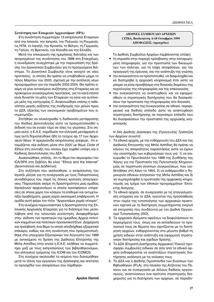#### Συνάντηση των Εταιρειών Αρχειονόμων (SPA)

Στη συνάντηση συμμετείχαν 13 εκπρόσωποι Εταιρειών από την Ισπανία, την Ιαπωνία, την Πολωνία, τη Ρουμανία, τις ΗΠΑ, το Ισραήλ, την Κροατία, το Βέλγιο, τη Γερμανία, τη Γαλλία, τη Βρετανία, τον Καναδά και την Ελλάδα.

Μετά την επικύρωση της ημερήσιας διάταξης και των πεπραγμένων της συνάντησης του 1998 στη Στοκχόλμη, η συνεδρίαση συνεχίστηκε με την παρουσίαση της δράσης του Διοικητικού Συμβουλίου για το προηγούμενο διάστημα. Το Διοικητικό Συμβουλίο είναι ανοιχτό σε νέες προτάσεις, οι οποίες θα πρέπει να υποβληθούν μέχρι το τέλος Μαρτίου του 2000, σχετικά με την εκτέλεση νέων προγραμμάτων για την περίοδο 2000-2004. Θα πρέπει ακόμη να γίνει αντικείμενο συζήτησης στις Εταιρείες και να προκύψουν συγκεκριμένες προτάσεις, για το κατά πόσον είναι δυνατόν τα μέλη των Εταιρειών να είναι και αυτόνομα μέλη της κατηγορίας C. Ανακοινώθηκε επίσης η πιθανότητα μικρής αύξησης της συνδρομής των μελών προς το ΔΣΑ, εξαιτίας των οικονομικών προβλημάτων που αντιμετωπίζει.

Ζητήθηκε να ολοκληρωθεί η διαδικασία μετάφρασης του Κώδικα Δεοντολογίας ώστε να πραγματοποιηθεί η εκδοσή του σε ενιαίο τόμο σε όλες τις γλώσσες. Στο σημείο αυτό, η Ε.Α.Ε. παρέδωσε την ελληνική μετάφραση ότως αυτή δημοσιεύθηκε ήδη το τεύχος αρ.17 των Αρχει*ακών Νέων*. Η αμερικανίδα εκπρόσωπος ανέφερε, ότι ετοιμάζεται νέα έκδοση μέσα στο 2000 με θέμα *Code of Ethics* στη σύνταξη του οποίου έχει ληφθεί υπόψη και ο Κώδικας Δεοντολογίας του ΔΣΑ.

Ανακοινώθηκε, επίσης, ότι το θέμα του σεμιναρίου του ICA/SPA στη Σεβίλλη θα είναι "Ethics and the Internet" (Δεοντολογία και Διαδίκτυο).

Στη συζήτηση που ακολούθησε, ο εκπρόσωπος του Ισραήλ μίλησε για τη συνεργασία με τους Παλαιστίνιους συναδέλφους του, παρά τις όποιες κρατικές απαγορεύσεις. Παρουσίασε ακόμη τη δραστηριότητα μιας ομάδας Ισραηλινών αρχειονόμων οι οποίοι προσφέρουν υπηρεσίες σε όποια χώρα του κόσμου το επιθυμεί και αντιμετωτίζει προβλήματα, χωρίς καμία οικονομική επιβάρυνση. Η ομάδα αυτή φέρει τον τίτλο "Αρχειονόμοι χωρίς σύνορα".

Στη συνέχεια παρουσιάστηκε η δραστηριότητα της Ελληνικής Αρχειακής Εταιρείας για το διάστημα που μεσολάβησε από την τελευταία συνάντηση. Αναφερθήκαμε στην έκδοση των πρακτικών της ημερίδας Αρχεία πολιτι-*Κών ΚΟμμάτων Και πολιτικών προσωπικοτήτων. Διαχείριση και πρόσβαση*, ένα θέμα το οποίο αποδείχθηκε εξαιρετικά επίκαιρο, καθώς και στη συνάντηση που πραγματοποιήθηκε στο υπουργείο Εξωτερικών τον Αύγουστο του 1999 με αντικείμενο τη δράση της Διεθνούς Επιτροπής της Μπλε Ασπίδας στην οποία η Ε.Α.Ε. κλήθηκε να συμμετάσχει μαζί με τους εκπροσώπους των βιβλιοθηκονόμων, του ελληνικού τμήματος του ICOM και του ICOMOS.

Στη συνέχεια ακολουθεί το κείμενο που διανεμήθηκε μετά το τέλος των εργασιών της Διάσκεψης και αποτελεί το προσχέδιο των αποφάσεων που πάρθηκαν.

*Αμαλία Παππά* 

# **ΔΙΕΘΝΕΣ ΣΥΜΒΟΥΛΙΟ ΑΡΧΕΙΩΝ CITRA, Βουδαπέστη 6-10 Οκτωβρίου 1999 ΑΠΟΦΑΣΕΙΣ** (προσχέδιο)

Το Διεθνές Συμβούλιο Αρχείων λαμβάνοντας υπόψη:

- τη σημασία στην παροχή πρόσβασης στην καταχωρημένη πληροφορία, για την προστασία των δικαιωμάτων των πολιτών, για τη λήψη αποφάσεων, για την προαγωγή της έρευνας και την ανάπτυξη της γνώσης
- την αναγκαιότητα να προστατευθεί, να διαφυλαχθεί και να διατηρηθεί η αρχειακή κληρονομιά έτσι ώστε να μπορεί να είναι προσβάσιμη στο διηνεκές διαμέσου της τεχνολογίας της πληροφορίας και της επικοινωνίας
- την αναγκαιότητα να αναπτυχθούν και να εφαρμοσθούν οι στρατηγικές διατήρησης που θα διασφαλίσουν την προστασία της πληροφορίας στο διηνεκές
- την αναγκαιότητα της συνεργασίας σε εθνικό, περιφερειακό και διεθνές επίπεδο ώστε να αναπτυχθούν στρατηγικές διατήρησης σε παγκόσμιο επίπεδο που θα διασφαλίσουν την προστασία της αρχειακής κληρονομιάς

# Η 34η Διεθνής Διάσκεψη της Στρογγυλής Τράπεζας *ÙˆÓ ∞گ›ˆÓ Û˘ÓÈÛÙ¿:*

- 1. Τα εθνικά αρχεία, με την ενθάρρυνση του ΔΣΑ και της Διεθνούς Επιτροπής της Μπλε Ασπίδας θα πρέπει να κάνουν τις απαραίτητες παραστάσεις ώστε να έχουν την υποστήριξη των κυβερνήσεών τους για: 1) να επικυρωθεί το Πρωτόκολλο του 1999 της Συνθήκης της Χάγης για την Προστασία της Πολιτιστικής Κληρονομιάς σε περίπτωση ένοπλων συγκρούσεων, που υιοθετήθηκε στη Χάγη το 1954, 2) να ενθαρρυνθεί η δημιουργία εθνικών επιτροπών της Μπλε Ασπίδας και 3) να συμπεριληφθεί η προστασία της αρχειακής κληρονομιάς ως τμήμα των εθνικών προγραμμάτων Έκτακτης Ανάγκης.
- 2. Τα εθνικά αρχεία, σε συνεργασία με τις επαγγελματικές εταιρείες και το ΔΣΑ, ηγούνται της προσπάθειας στον τομέα της τυποποίησης των αρχειακών πρακτικών σχετικά με τη διατήρηση συμμετέχοντας ενεργά σε επιτροπές που συνδέονται με τον Διεθνή Οργανισμό Τυποποίησης (ISO).
- 3. Τα αρχειακά ιδρύματα οφείλουν να διαφυλάσσουν το περιεχόμενό τους όπως και να εκπαιδεύουν το προσωπικό τους σε θέματα που σχετίζονται με τη διατήρηση αρχείων, ενθαρρύνοντας στο μέγιστο βαθμό τη χρήση ειδικών στην ανάπτυξη και εφαρμογή στρατηγικών διατήρησης και σχεδίων δράσης.
- 4. Το ΔΣΑ (Επιροπή Διατήρησης Αρχειακού Υλικού) προσφέρει συμβουλές ειδικών σε όσα από τα εθνικά αρχεία ενδιαφέρονται να αναπτύξουν στρατηγικές διατήρησης ανάλογες με τις ανάγκες τους.
- 5. Το ΔΣΑ και η Διεθνής Ομοσπανδία των Ενώσεων των Bιβλιοθηκών (IFLA), στο πλαίσιο της Ατζέντας του Πεκίνου και σε συνεργασία με άλλους διεθνείς οργανισμούς, αναπτύσσουν ένα πρότυπο στρατηγικής διαχείρισης για τη διατήρηση των αρχείων, σε παραδο-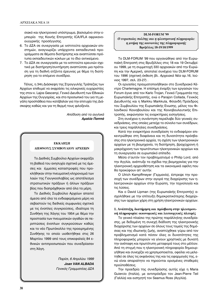σιακό και ηλεκτρονικό υπόστρωμα, βασισμένο στην εμπειρία της Κοινής Επιτροπής ICA/IFLA αφρικανοουγγρικής προσέγγισης.

- 6. Το ΔΣΑ σε συνεργασία με ινστιτούτα αρχειακών επιστημών, αναγνωρίζει υπάρχοντα εκπαιδευτικά προγράμματα σε θέματα διατήρησης και αναπτύσσει πρότυπα εκπαιδευτικών κύκλων με το ίδιο αντικείμενο.
- 7. Το ΔΣΑ σε συνεργασία με τα ινστιτούτα ερευνών σχετικά με διατήρηση/συντήρηση αναπτύσσει μια πρόταση για τη διεθνή ατζέντα έρευνας με θέμα τη διατήρηση για το επόμενο συνέδριο.

Τέλος, η 34η Διάσκεψη της Στρογγυλής Τράπεζας των Αρχείων επιθυμεί να εκφράσει τις ειλικρινείς ευχαριστίες της στον κ. Lajos Gescenyi, Γενικό Διευθυντή των Εθνικών Αρχείων της Ουγγαρίας, και στο προσωπικό του για τη μεγάλη προσπάθεια που κατέβαλαν για την επιτυχία της Διάσκεψης καθώς και για τη θερμή τους φιλοξενία.

> *Aπόδοση από τα αγγλικά Αμαλία Παππά*

# **ΓΚΚΛΗΣΗ** *ΔΙΕΘΝΟΥΣ ΣΥΜΒΟΥΛΙΟΥ ΑΡΧΕΙΩΝ*

Το Διεθνές Συμβούλιο Αρχείων εκφράζει τη βαθειά του ανησυχία σχετικά με τις άμεσες και έμμεσες καταστροφές που προκλήθηκαν στην πνευματική κληρονομιά των λαών της Γιουγκοσλαβίας ως αποτέλεσμα στρατιωτικών πράξεων ή άλλων πράξεων βίας που διαπράχθηκαν από όλα τα μέρη.

Το Διεθνές Συμβούλιο Αρχείων απαιτεί άμεσα από όλα τα ενδιαφερόμενα μέρη να σεβαστούν τις διεθνείς συμφωνίες σχετικά με τις ένοπλες συγκρούσεις, ιδιαίτερα τη Συνθήκη της Χάγης του 1954 με θέμα την προστασία των πνευματικών αγαθών σε περιπτώσεις ένοπλων συγκρούσεων καθώς και το νέο Πρωτόκολλο της προειρημένης Συνθήκης το οποίο υιοθετήθηκε στις 26 Μαρτίου 1999 από τους επικεφαλείς 84 εθνικών αντιπροσωπειών που συνεδρίασαν στη Χάγη.

> $\Pi$ αρίσι, 6 Απριλίου 1999 *Joan VAN ALBADA* Γενικός Γραμματέας ΔΣΑ

# **DLM-FORUM '99** Ο ευρωπαίος πολίτης και η ηλεκτρονική πληροφορία: *η μνήμη της κοινωνίας της πληροφορικής* **Βουξέλλες 18-19/10/1999**

To DLM-FORUM '99 που οργανώθηκε από την Ευρωπαϊκή Επιτροπή στις Βρυξέλλες στις 18 και 19 Οκτωβρίου 1999, με τη συμμετοχή 330 αρχειακών από την Ευρώπη και την Αμερική, αποτελεί συνέχεια του DLM-FORUM του 1996 (σχετική έκθεση βλ. *Αρχειακά Νέα* αρ.16, Ιούνιος 1997, σελ. 23-27).

Οι εργασίες πραγματοποιήθηκαν στο Συνεδριακό Κέντρο Charlemagne. Η επίσημη έναρξη των εργασιών του Forum έγινε από τον Karlo Trojan, Γενικό Γραμματέα της Ευρωπαϊκής Επιτροπής, ενώ ο Parajon Collada, Γενικός Διευθυντής και η Markku Markkula, Φιλανδή Πρόεδρος του Συμβουλίου της Ευρωπαϊκής Ενωσης, μέλος του Φιλανδικού Κοινοβουλίου και της Κοινοβουλευτικής Επιτροπής, εκφώνησαν τις εναρκτήριες εισηγήσεις.

Στη συνέχεια η συνάντηση περιέλαβε δύο γενικές συνεδριάσεις, στις οποίες μετείχε το σύνολο των συνέδρων, και τρεις παράλληλες συνεδριάσεις.

Κατά την εναρκτήρια συνεδρίαση το ενδιαφέρον επικεντρώθηκε στη διαφάνεια και τη δυνατότητα πρόσβασης στα ηλεκτρονικά αρχεία, τη σχέση των ηλεκτρονικών αρχείων με τη βιομηχανία, τη διατήρηση, βραχύχρονη ή μακρόχρονη των πρωτότυπων ηλεκτρονικών αρχείων και τη συνεργασία σε ευρωπαϊκό επίπεδο.

Μέσα σ' αυτόν τον προβληματισμό ο Philip Lord, από την Αγγλία, ανέπτυξε τα σχέδια της βιομηχανίας για την ηλεκτρονική αρχειοθέτηση και τα οικονομικά οφέλη που θα προκύψουν απ' αυτήν.

Ο Ulrich Kampffmeyer (Γερμανία), έστρεψε την προσοχή των συνέδρων στην αγορά της διαχείρισης των ηλεκτρονικών αρχείων στην Ευρώπη, την τεχνολογία και τις λύσεις.

Και ο David Lipman (της Ευρωπαϊκής Επιτροπής) ασχολήθηκε με την επίτευξη δημοκρατικότερης διαχείρισης των αρχείων χάρη στη χρήση ηλεκτρονικών αρχείων.

# 1. Ανάπτυξη, διατήρηση και πρόσβαση στην ηλεκτρονι**κή πληροφορία: οικονομικές και λειτουργικές πλευρές**

Το γενικό πλαίσιο της πρώτης παράλληλης συνεδρίασης, με δεδομένη τη συνεχή διάδοση της ηλεκτρονικής διαχείρισης των αρχείων σε όλους τους τομείς της δημόσιας και της ιδιωτικής ζωής, αναπτύχθηκε γύρω από τον προβληματισμό κατά πόσον όλες οι δυνατότητες της πληροφορικής μπορούν να γίνουν χρηστικές με δυνατή την ανέπαφη και πρωτότυπη μεταφορά τους στο μέλλον. Από τη στιγμή που η ηλεκτρονική πληροφορία δημιουργήθηκε και συνεχίζει να χρησιμοποιείται, οφείλει να μελετηθεί σε όλες τις εκφάνσεις της και τις εφαρμογές της, ενώ είναι απαραίτητο να τηρούνται ορισμένες σταθερές προϋποθέσεις.

Την προεδρία της συνεδρίασης αυτής είχε η Maria Guiercio (Ιταλία), με αντιπρόεδρο τον Jean-Pierre Teil (Γαλλία) και εισηγητή τον Seamus Ross (Αγγλία).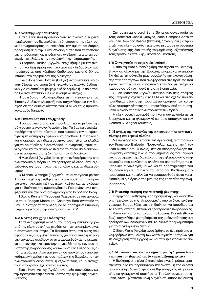# 1/1: Λειτουργικές απαιτήσεις

Αυτές είναι που προσδιορίζουν το αναγκαίο τεχνικό περιβάλλον που διευκολύνει τη δημιουργία της ηλεκτρονικής πληροφορίας και επιτρέπει την άμεση και διαρκή πρόσβαση σ' αυτήν. Είναι δηλαδή αυτές που επιτρέπουν την απρόσκοπτη αρχειοθέτηση, ανεξάρτητα από τις συνεχείς μεταβολές στην τεχνολογία της πληροφορικής.

O Stephen Harries (Αγγλία), ασχολήθηκε με την ανάκτηση και διαχείριση των ηλεκτρονικών δεδομένων που προέρχονται από κόμβους διαδικτύου και από δίκτυα Intranet στο περιβάλλον της διοίκησης.

Ενώ ο Johannes Hofman (Βέλγιο) αναρωτήθηκε: να αναπτύξουμε μια τράπεζα ψηφιακών αρχειακών δεδομένων για να διασώσουμε ψηφιακά δεδομένα ή με ποιο τρόπο θα αντιμετωπίσουμε ένα κινούμενο στόχο;

Η συνεδρίαση ολοκληρώθηκε με την εισήγηση του Timothy A. Slavin (Αμερική) που ασχολήθηκε με την διασφάλιση της αυθεντικότητας του DLM και τους προϋπολογισμούς δαπανών.

# 1/2: Τυποποίηση και επεξηγήσεις

Η συμβατότητα αποτελεί πρόκληση για το μέλλον της σύγχρονης τεχνολογικής ανάπτυξης. Τα βασικά στοιχεία ανεξάρτητα από το σύστημα- που αφορούν την αμοιβαιότητα ή τη διατήρηση οφείλουν να ορισθούν. Η τυπολογία και ο ορισμός των ιδιαιτεροτήτων τους, είναι τα κλειδιά για να ορισθούν οι διασυνδέσεις, η αναμεταξύ τους συνεργασία και το σφαιρικό πλαίσιο το οποίο θα εξασφαλίσει τη μονιμότητα στη διατήρηση των δεδομένων.

Η Man-Sze Li (Αγγλία) έστρεψε το ενδιαφέρον της στο ηλεκτρονικό εμπόριο και τα ηλεκτρονικά δεδομένα, εξετάζοντας τις προοπτικές, την τυπολογία και τις ιδιαιτερότητες.

O Michael Wettngel (Γερμανία) σε συνεργασία με τον Andrea Engel ασχολήθηκε με την αρχειοθέτηση των πρωτότυπων ηλεκτρονικών αρχείων, καθώς και με σκέψεις για τη διοίκηση της ομοσπονδιακής Γερμανίας, ενώ αναφέρθηκε και στο δίκτυο πληροφορικής Βερολίνο/Βόννη.

Τέλος ο Kenneth Thibodeau (Αμερική), σε συνεργασία με τους Reagan Moore και Chatanya Baru ανέπτυξε τη μόνιμη διατήρηση των δεδομένων: προηγμένη υποδομή πληροφορικής για την διατήρηση των DLM.

#### 1/3: Κόστος και χρηματοδοτήσεις

Το τελικό ζητούμενο όλου του προβληματισμού γύρω από την ηλεκτρονική αρχειοθέτηση των τεκμηρίων, είναι η αποτελεσματικότητα. Τα διάφορα ζητήματα όμως που αφορούν τις αυξημένες δαπάνες για προσωπικό ή τη ροή της εργασίας οφείλουν να αντιπαρατεθούν με το μειωμένο κόστος της ηλεκτρονικής αρχειοθέτησης, των συστημάτων της πληροφορικής και των δικτύων. Εκτός όμως από τα τεράστια πλεονεκτήματα που προκύπτουν από την καθημερινή χρήση των συστημάτων της διαχείρισης των ηλεκτρονικών δεδομένων, η εξέλιξή τους και η αντοχή τους στο χρόνο, έχει κάποιο κόστος.

Ετσι ο Kevin Ashley (Αγγλία) ανέπτυξε τους μύθους και την πραγματικότητα για το κόστος της ψηφιακής αρχειοθέτησης.

Στη συνέχεια ο Jordi Serra Serra σε συνεργασία με τους Montserat Canela Garayoa, Isabel Campos Gonzalez και Joan Domigno Basora (Ισπανία), ασχολήθηκε με την ένταξη των ηλεκτρονικών τεκμηρίων μέσα σε ένα σύστημα διαχείρισης της διοικητικής τεκμηρίωσης, εξετάζοντας τους τρόπους επίτευξης μικροτέρου κόστους.

#### 1/4: Συνεργασία σε ευρωπαϊκό επίπεδο

Η αποκτηθείσα εμπειρία χάρη στα σχέδια που εκπονήθηκαν σε ολόκληρη την Ευρώπη, μπορεί να αντιπαραβληθεί με τη σύνταξη μιας συνολικής καταλογογράφησης των απαιτήσεων που αναφέρονται στα πρότυπα που έχουν αναπτυχθεί σε ευρωπαϊκό επίπεδο, με στόχο να παρουσιαστούν στη συνέχεια στη βιομηχανία.

O Jan Macfrlane (Αγγλία) αναφέρθηκε στις απόψεις της Επιτροπής σχετικά με το DLM και στα σχέδια που εκπονήθηκαν μέσα στην προσπάθεια ορισμού των κριτηρίων λειτουργικότητας που αποκτήθηκαν από τα συστήματα διαχείρισης των ηλεκτρονικών τεκμηρίων.

Η ηλεκτρονική αρχειοθέτηση και η συνεργασία με τη βιομηχανία και το ηλεκτρονικό εμπόριο απασχόλησε τον Gerhard K. Wagner (Αυστρία).

# 2. Η μνήμη της κοινωνίας της πληροφορικής: πολιτικές πλευρές και νομικό πλαίσιο

Με πρόεδρο τον Eamonn Hall (Ιρλανδία), αντιπρόεδρο τον Francisco Barbedo (Πορτογαλία) και εισηγητή τον Jean-Michel Cornu (Γαλλία), στη δεύτερη παράλληλη συνεδρίαση αναπτύχθηκε ο προβληματισμός που αφορά στα συστήματα της διαχείρισης της ηλεκτρονικής πληροφορίας που καλύπτουν ολοένα και περισσότερο τις εμπορικές συναλλαγές καθώς και τη δραστηριότητα του δημόσιου τομέα. Επί πλέον τα μέτρα που θα θεωρηθούν πρόσφορα και κατάλληλα να εφαρμοσθούν ώστε να αξιοποιηθεί η διάρκεια της μνήμης της κοινωνίας της πληροφορικής.

#### 2/1: Ευαισθητοποίηση της πολιτικής βούλησης

Η γρήγορη υιοθέτηση μιας προηγμένης και αδιάφθορης τεχνολογίας της πληροφορικής από το διοικητικό μηχανισμό, θα συμβάλει ώστε η διοίκηση να προσδιορίσει τα ερωτήματα που θέτουν οι ηλεκτρονικές πληροφορίες.

Κάτω απ' αυτό το πρίσμα, η Luciana Duranti (Καναδάς), ασχολήθηκε με τη διάρκεια της αυθεντικότητας των ηλεκτρονικών δεδομένων και το διεθνή προβληματισμό για το συγκεκριμένο ζήτημα.

O Steve Wells (Αγγλία) αναφέρθηκε σε ένα πρότυπο αναφερόμενο στη μελέτη των λειτουργικών κριτηρίων για τη διαχείριση των εγγράφων και των ηλεκτρονικών αρχείων.

#### 2/2: Μηνύματα και πλεονεκτήματα για τη δημόσια διοίκηση και τον ιδιωτικό τομέα (αρχεία βιομηχανιών)

Η διοίκηση, είτε είναι ιδιωτική είτε είναι δημόσια, εμπιστεύεται όλο και περισσότερο την ανάπτυξη της ολοένα αυξανόμενης δυνατότητας αποθήκευσης της πληροφορίας σε ηλεκτρονικά συστήματα. Τα ηλεκτρονικά συστήματα, όταν υφίστανται καλή διαχείριση, αποδεικνύουν τη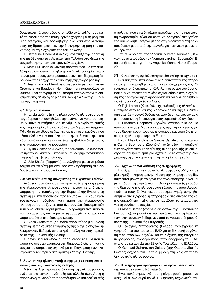δραστικότητά τους μέσα στο πεδίο ανάπτυξής τους κατά τη διαδικασία της καθημερινής χρήσης με τη βοήθεια μιας ενεργούς διαμεσολάβησης ανάμεσα στις λειτουργίες, τις δραστηριότητες της διοίκησης, τη ροή της εργασίας και τη διαχείριση της τεκμηρίωσης.

Η Catherine Dherent (Γαλλία), ανέπτυξε την πολιτική της Διεύθυνσης των Αρχείων της Γαλλίας στο θέμα της αρχειοθέτησης των ηλεκτρονικών αρχείων.

Ο Matti Pulkkinen (Φιλανδία) προσπάθησε, με την αξιολόγηση του κόστους της ηλεκτρονικής πληροφορίας, να επιτύχει μια προσέγγιση προσαρμοσμένη στη διαχείριση δεδομένων της εποχής της εφαρμογής της πληροφορικής.

O Jean-François Blerot σε συνεργασία με τους Lieven Creemers και Baudouin Henri Quennery παρουσίασε το Adonis. Ένα πρόγραμμα που αφορά την ηλεκτρονική διαχείριση της αλληλογραφίας και των φακέλων της Ευρωπαϊκής Επιτροπής.

#### $2/3$ : Νομικό πλαίσιο

Η ταχεία ανάπτυξη της ηλεκτρονικής πληροφορίας υπογράμμισε και συνέβαλε στην ανάγκη να χρησιμοποιηθούν κοινά συστήματα για τη νόμιμη διαχείριση αυτής της πληροφορίας. Ποιος ο ρόλος των Δημοσίων Αρχείων. Πώς θα μετατεθούν οι βασικές αρχές και οι κανόνες που εξασφαλίζουν την ασφάλεια και την αυθεντικότητα του κάθε συνόλου εγγράφων σε ένα περιβάλλον διαχείρισης της ηλεκτρονικής πληροφορίας.

Ο Hylko Oosterloo (Βέλγιο) παρουσίασε μία ευρωπαϊκή πρωτοβουλία των Εμπορικών Επιμελητηρίων για την εφαρμογή της ψηφιοποίησης.

Ο Udo Shafer (Γερμανία) ασχολήθηκε με τα Δημόσια Αρχεία και το δίλημμα ανάμεσα στην πρόσβαση στα δεδομένα και την προστασία τους.

#### 2/4: Αποτελέσματα της συνεργασίας σε ευρωπαϊκό επίπεδο

Ανάμεσα στα διαφορετικά κράτη-μέλη, η διαχείριση της ηλεκτρονικής πληροφορίας επηρεάστηκε από την εφαρμογή της τυπολογίας της Ευρωπαϊκής Ενωσης τη σχετική με την προστασία των τεκμηρίων. Σε κάθε κράτος-μέλος, η πρόσβαση και η χρήση της ηλεκτρονικής πληροφορίας ορίζονται από ένα σύνολο διαφορετικών τύπων νομοθετικών ρυθμίσεων. Το ερώτημα είναι ποιο είναι το καθεστώς των νομικών εφαρμογών, και πώς διαφοροποιούνται στα διάφορα κράτη.

O Claes Granstrom (Σουηδία) παρουσίασε μια μελέτη σχετική με τις νομικές εφαρμογές της διαχείρισης των ηλεκτρονικών δεδομένων στα κράτη-μέλη και στις περιφέρειες της Ευρωπαϊκής Ενωσης.

Ο Kevin Schurer (Αγγλία) παρουσίασε το DLM που αφορά τις σχέσεις ανάμεσα στη δημόσια διοίκηση και τις αρχειακές υπηρεσίες σχετικά με τη διαχείριση των ηλεκτρονικών τεκμηρίων στα κράτη-μέλη της Ένωσης.

# 3. Διάχυση της ηλεκτρονικής πληροφορίας στους ευρω**παίους πολίτες: κοινωνικές πλευρές**

Μέσα σε λίγα χρόνια η διάδοση της πληροφορικής γνώρισε μια μεγάλη ανάπτυξη και άλλαξε όψη. Αυτή η παράλληλη συνεδρίαση προσπάθησε να καταδείξει πώς ο πολίτης, που έχει δικαίωμα πρόσβασης στην πρωτότυπη πληροφορία, είναι σε θέση να οδηγηθεί στη γνώση της και να λάβει ενεργό μέρος στη διαδικασία λήψης αποφάσεων μέσα από την τεχνολογία των νέων μέσων ενημέρωσης.

Στη συνεδρίαση προήδρευσε ο Peter Horsman (Βέλγιο), με αντιπρόεδρο τον Norman Jardine (Ευρωπαϊκή Επιτροπή) και εισηγητή την Angelika Menne-Haritz (Γερμαvία).

#### 3/1: Εκπαίδευση, εξιδείκευση και δυνατότητες ε<u>ρ</u>γασίας

Εξαιτίας των μεταβολών των δυνατοτήτων της πληροφορικής, μεταβλήθηκε και ο τρόπος διαχείρισής της. Οι χρήστες, οι διοικητικοί υπάλληλοι και οι αρχειονόμοι οφείλουν να αποκτήσουν νέες εξειδικεύσεις στη διαχείριση της ηλεκτρονικής πληροφορίας και να οικειοποιηθούν τις νέες τεχνολογικές εξελίξεις.

Ο Thjis Laeven (Κάτω Χώρες), ανέπτυξε τις ολλανδικές εμπειρίες στον τομέα της διδασκαλίας και της εξειδίκευσης στα ηλεκτρονικά δεδομένα: ανανέωση και συνεργασία με προοπτική τη δημιουργία ενός ευρωπαϊκού σχεδίου.

H Elizabeth Shepherd (Αγγλία), αναφέρθηκε σε μια πρόταση ενός σχεδίου εφαρμογής της πληροφορικής για τους διοικητικούς, τους αρχειονόμους και τους διαχειριστές της πληροφορικής: το E-term.

Eνώ η Elisa Carolina de Santos Canalejo (Ισπανία) και η Carina Stromberg (Σουηδία), ανέπτυξαν τη συμβολή των αρχείων στην κοινωνία της πληροφορικής με επίκεντρο τη σουηδική εμπειρία σχετικά με το στόχο της διαχείρισης της ηλεκτρονικής πληροφορίας στη χρήση.

#### 3/2: Οργάνωση και διάθεση της πληροφορίας

Η αύξηση της ηλεκτρονικής πληροφορίας οδήγησε σε μία έκρηξη πληροφορικής. Η ροή της πληροφορίας δεν συνδέεται μόνον με το έργο της τελειοποίησης αλλά και με τη δομή της οργάνωσης. Οι παραδοσιακές μέθοδοι της διάχυσης της πληροφορίας χάνουν την αποτελεσματικότητά τους. Σ' ένα έγκυρο σύστημα ενημέρωσης, βασισμένο στα έγγραφα, η πληροφορία στο σύνολό της και η αναμφισβήτητη αξία της σχηματίζουν τα απαραίτητα για τη σύνθεση στοιχεία.

Ο Albert Berger (γραφείο εκδόσεων της Ευρωπαϊκής Επιτροπής), παρουσίασε την οργάνωση και τη διάχυση των ηλεκτρονικών δεδομένων από το γραφείο δημοσιεύσεων της Ευρωπαϊκής Επιτροπής.

Ο Γεώργιος Μητροφάνης (Ελλάδα) περιέγραψε τη χρησιμότητα του προτύπου ΕΑD για τη δικτυακή οργάνωση των ιστορικών αρχείων και τη διάχυση της ιστορικής πληροφορίας, αναφερόμενος στην εφαρμογή του EAD οτα ιστορικά αρχεία της Εθνικής Τράπεζας της Ελλάδος.

Ο Gennadi Zaharovitch Zalaev (της Ομοσπονδιακής Ρωσίας) ασχολήθηκε με τη συμβολή στη διάχυση της ηλεκτρονικής πληροφορίας.

# 3/3: Η πληροφορία προορισμένη να προωθήσει τη συ-**Vεργασία σε ευρωπαϊκό επίπεδο**

Είναι πολύ σημαντικό που η πληροφορία μπορεί να διαχυθεί σ' ένα ευρύ κοινό. Η ψηφιακή τεχνολογία επι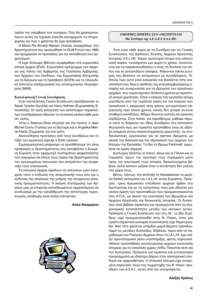τρέπει την υπέρβαση των συνόρων. Πώς θα χρησιμοποιήσουν αυτές τις τεχνικές όσοι θα καταχωρούν τις πληροφορίες και πώς ο χρήστης θα έχει πρόσβαση;

H Maria Pia Rinaldi Mariani (Ιταλία) αναφέρθηκε στη δραστηριότητα που ακολούθησε το DLM-Forum του 1996 και προχώρησε σε προτάσεις για την εκπαίδευση των αρχειονόμων.

Η Inge Schoups (Βέλγιο) αναφέρθηκε στα ευρωπαϊκά οπτικά αρχεία (EVA). Ευρωπαϊκό πρόγραμμα των Αρχείων της πόλης της Αμβέρσας της Τελέπολις Αμβέρσας, των Αρχείων του Λονδίνου, της Ευρωπαϊκής Επιτροπής για τη διάσωση και τη πρόσβαση (ECPA) και το Ολλανδικό Ιστιτούτο επεξεργασίας της επιστημονικής πληροφορίας (NIWI).

# **Καταλη κτική Γενική Συνεδρίαση**

Στην καταληκτική Γενική Συνέλευση προήδρευσαν οι Sarah Tyacke (Αγγλία) και Hans Hofman (Ευρωπαϊκής Επιτροπής). Οι τρείς εισηγητές των αντίστοιχων παραλλήλων συνεδριάσεων έδωσαν τη συνολική εικόνα κάθε μιας απ' αυτές.

Ήταν ο Seamus Ross (Αγγλία) για την πρώτη, ο Jean Michel Cornu (Γαλλία) για τη δεύτερη και η Angelika Menne-Haritz (Γερμανία) για την τρίτη.

Ακολούθησαν προτάσεις από τους συνέδρους και τη λήξη των εργασιών κήρυξε ο Erkki Likanen.

Συμπερασματικά μπορούμε να προσθέσουμε ότι είναι προφανείς οι δραστηριότητες που καταβάλλει η Ενωμένη Ευρώπη στην εφαρμογή συστημάτων ψηφιοποίησης των τεκμηρίων σε όλους τους τομείς της δραστηριότητας των οργανωμένων κοινωνιών που επιτρέπουν την αναμεταξύ τους επικοινωνία.

Τα ελληνικά Αρχεία οφείλουν να σπεύσουν γιατί ελλοχεύει τόσο ο κίνδυνος της απομόνωσής τους όσο και ο κίνδυνος της απώλειας της μνήμης της σύγχρονης ελληνικής πραγματικότητας. Η ανάγκη στελέχωσης των Αρχείων μας με επαρκώς εκπαιδευμένους αρχειονόμους σε συνδυασμό με την εγκαθίδρυση της αντίστοιχης τεχνολογικής υποδομής είναι πλέον επιτακτική.

#### *Aλίκη Νικηφόρου*



# **ΟΜΟΡΦΕΣ ΗΜΕΡΕΣ ΣΤΟ ΑΜΣΤΕΡΝΤΑΜ** 30ο Συνέδριο της Δ.Ε.Α.Ε.Ι (Ι.Α.L.*HI*)

Έτσι είναι κάθε φορά με τα Συνέδρια και τις Γενικές Συνελεύσεις της Διεθνούς Ένωσης Αρχείων Εργατικής Ιστορίας (Ι.Α.L.ΗΙ). Καμιά τριανταριά άτομα που κάνουν καλή παρέα, τουλάχιστον μια φορά το χρόνο, συναντώνται για να παρακολουθήσουν ο ένας τη δουλειά του άλλου και να ανταλλάξουν απόψεις. Φαίνονται πάντα ευτυχείς που βλέπουν να ανταμώνουν με συναδέλφους. Πιστεύω πως αυτό είναι ειλικρινές και βασίζεται στην ικανοποίηση που δίνει η αίσθηση της επαναλαμβανόμενης επαφής και συνεργασίας για τα ιδρύματα των εργατικών αρχείων, που τώρα περνούν δύσκολα χρόνια με προοπτική ακόμα χειρότερη. Όταν ο κόσμος της εργασίας ακόμη μαστίζεται από την τεράστια κρίση και την ανεργία που προκάλεσε η εφαρμογή νέας φάσης αυτοματισμού παραγωγής πριν είκοσι χρόνια, κανείς δεν μπορεί να είναι σταθερά αισιόδοξος. Μάχες δίνονται πολλές και αρκετές κερδίζονται. Στην Ιταλία, για παράδειγμα, μάθαμε πέρυσι κατά τη διάρκεια του 29ου Συνεδρίου στο Ινστιτούτο Φερτρινέλι πως μια τεράστια προσπάθεια είναι σε εξέλιξη ανάμεσα στους πανεπιστημιακούς ερευνητές, τις συνδικαλιστικές οργανώσεις και τα σχετικά ιδρύματα, με σκοπό την διάσωση και την αξιοποίηση των αρχείων του Κόσμου της Εργασίας. Το ίδιο το ίδρυμα Fertrinelli όμως, είναι σε κρίση σήμερα.

Δυστυχώς εξάλλου οι Ιταλοί, όπως και οι Γάλλοι και οι Γερμανοί, έχουν την προσοχή τους στραμμένη μόνο προς την εσωτερική τους Ιστορία, δικαιολογημένα βέβαια, αλλά λείπουν μαζικά όταν η συνάντηση δεν γίνεται στη χώρα τους.

Φέτος, πάντως, την έκπληξη τη διασφάλισαν τα μεγάλα διεθνή ανοίγματα του Ι.Α.L.ΗΙ. εκτός Ευρώπης. Πράγματι, τρεις Αμερικανοί υπεύθυνοι αρχείων ήρθαν στο Άμστερνταμ και με τις εισηγήσεις τους μας έδωσαν μια εικόνα άμεση των προσπαθειών που πραγματοποιούνται στις Η.Π.Α., με σκοπό την ενοποίηση των Ιδρυμάτων και Αρχείων Εργατικής και Κοινωνικής Ιστορίας. Οι δυσκολίες είναι βέβαια τεράστιες και προέρχονται από τις κληρονομικές αντιπαλότητες μεταξύ των κέντρων αυτών. Πρόπερσι η Γενική Συνέλευση του Ι.Α.L.HI., το 28ο Συνέδριο, είχε πραγματοποιηθεί στην Ν. Υόρκη, όπου μια πρώτη σημαντική ευκαιρία συνεννόησης είχε δημιουργηθεί. Από τότε φαίνεται υπήρξαν μικρά βήματα προόδου, παρά τις μεγάλες δυσκολίες. Εξάλλου, πέρα από το παράδειγμα των Ρωσικών Αρχείων όπου το Ι.Α.L.ΗΙ. έχει παίξει πρωτοποριακό ρόλο υποστήριξης, φέτος παρουσιάσθηκαν προσπάθειες συγκέντρωσης αρχείων κοινωνικής ιστορίας για τις ασιατικές χώρες (Ινδία, Πακιστάν κλπ) και την Αυστραλία. Πρόκειται για τεράστια και εντυπωσιακά προγράμματα με ιδιαίτερο βάρος στην ηλεκτρονική υποδομή και αρχειοθέτηση. Η ελληνική πλευρά είχε ενισχυμένη παρουσία, λόγω της συμμετοχής του Φ. Ηλιού, προέδρου των Α.Σ.Κ.Ι., εκτός από τον υπογράφοντα.

*Αλέξης Κράους*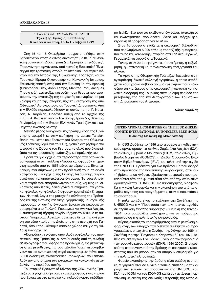#### **"Η ΑΝΑΤΟΛΗ ΣΥΝΑΝΤΑ ΤΗ ΔΥΣΗ:** Τράπεζες, Εμπόριο, Επενδύσεις", Κωνσταντινούπολη, 15-16 Οκτωβρίου 1999

Στις 15 και 16 Οκτωβρίου πραγματοποιήθηκε στην Κωνσταντινούπολη Διεθνής συνάντηση με θέμα "Η Ανατολή συναντά τη Δύση: Τράπεζες, Εμπόριο, Επενδύσεις". Τη συνάντηση οργάνωσαν από κοινού η Ευρωπαϊκή Ένωση για την Τραπεζική Ιστορία, το Ιστορικό Ερευνητικό Κέντρο για την Ιστορία της Οθωμανικής Τράπεζας και το Τουρκικό Ίδρυμα Οικονομικής και Κοινωνικής Ιστορίας. Επιφανείς επιστήμονες από την Ευρώπη και την Αμερική (Christopher Clay, John Lampe, Manfred Pohl, Jacques Thobie κ.ά.) ανέπτυξαν και συζήτησαν θέματα που αφορούσαν την ανάπτυξη της τουρκικής οικονομίας, σε μια κρίσιμη καμπή της ιστορίας της: τη μετατροπή της από Οθωμανική Αυτοκρατορία σε Τουρκική Δημοκρατία. Από την Ελλάδα παρακολούθησαν τη συνάντηση οι Γ. Νοταράς, Ν. Καρόλας, Γιολάντα Χατζή από τα Αρχεία της Ε.Τ.Ε., Α. Κωτσέλη από το Αρχείο της Τράπεζας Πίστεως, Μ. Δερτιλή από την Ένωση Ελληνικών Τραπεζών και ο καθηγητής Κώστας Κωστής.

Μεγάλο μέρος του χρόνου της πρώτης μέρας της Συνάντησης αφιερώθηκε στην εισήγηση της Lorans Tanatar-Baruh, του Ιστορικού Ερευνητικού Κέντρου της Οθωμανικής Τράπεζας (ιδρύθηκε το 1997), η οποία αναφέρθηκε στο ιστορικό της ίδρυσης του Κέντρου, το υλικό που διαχειρίζεται και τις προοπτικές ανάπτυξης και προβολής του.

Πρόκειται για αρχεία, τα περισσότερα των οποίων είναι γραμμένα στη γαλλική γλώσσα και αφορούν τη χρονική περίοδο από το 1853 μέχρι τις μέρες μας. Είναι ταξινομημένα σύμφωνα με την προέλευσή τους σε εννέα κατηγορίες. Τα αρχεία της Γενικής Διεύθυνσης συγκεντρώνουν τα σημαντικότερα έγγραφα. Τα συμπληρώνουν σειρές που αφορούν λογαριασμούς, νομικές και δικαστικές υποθέσεις, λειτουργικά συστήματα, στεγαστικοί φάκελοι και φάκελοι διαφόρων τραπεζικών ζητημάτων. Φυσικά, λόγω της μετοχικής σύνθεσης της Τράπεζας και της έντονης γαλλικής, γερμανικής και αγγλικής παρουσίας σ' αυτήν, έγγραφα βρίσκονται μικροφωτογραφημένα από Γαλλικά, Γερμανικά και Αγγλικά Αρχεία. Η συστηματική τήρηση αρχείου άρχισε το 1890 με τη σύσταση Υπηρεσίας Αρχείων, συνέπεσε δε με την ανέγερση του νέου κτιρίου της Διοίκησης στην περιοχή του Γαλατά, όπου προβλέφθηκε κάποιος χώρος και για τη φύλαξη των αρχείων.

Αξιοπρόσεκτη ενότητα αποτελούν οι φάκελοι του προσωπικού της Τράπεζας, οι οποίοι εκτός από τη συνήθη αλληλογραφία που αφορά τις προσλήψεις, τις μετακινησεις τις μεταθέσεις, τις συνταξιοδοτήσεις, περιλαμβάνουν και μια εντυπωσιακή σειρά φωτογραφιών (πάνω από 3.000 ολόσωμες φωτογραφίες υπαλλήλων) που αποτελούν την αποτύπωση των ιστορικών και κοινωνικών μεταβολών της περιόδου αυτής.

Το Ιστορικό Ερευνητικό Κέντρο της Οθωμανικής Τράπεζας στεγάζεται σήμερα σε τρεις ορόφους ενός κτιρίου που βρίσκεται στο κεντρικό και πολυσύχναστο πεζόδρομο Istiklâl. Στο ισόγειο εκτίθενται έγγραφα, αντικείμενα και φωτογραφίες, προβάλεται βίντεο και υπάρχει ηλεκτρονική πληροφόρηση για το υλικό.

Στον 1ο όροφο στεγάζεται η οικονομική βιβλιοθήκη που περιλαμβάνει 5.000 τίτλους τραπεζικής, εμπορικής, πολιτικής και κοινωνικής Ιστορίας στα Γαλλικά, Αγγλικά, Γερμανικά και φυσικά στα Τουρκικά.

Τέλος, στον 2ο όροφο γίνεται η συντήρηση, η ταξινόμηση, η καταγραφή και η ηλεκτρονική επεξεργασία του υλικού.

Το Αρχείο της Οθωμανικής Τράπεζας θεωρείται ως η εγκυρότερη ιδιωτική συλλογή εγγράφων, η οποία υποδέχεται κάθε χρόνο σοβαρό αριθμό ερευνητών που ενδιαφέρονται για έρευνα στην οικονομική, κοινωνική και πολιτική διαδρομή της Τουρκίας στην κρίσιμη περίοδο της μετάβασής της από την Αυτοκρατορία των Σουλτάνων στη Δημοκρατία του Ατατούρκ.

#### *Νίκος Καρόλας*

# **INTERNATIONAL COMMITTEE OF THE BLUE SHIELD/ COMITÉ INTERNATIONAL DU BOUCLIER BLEU (ICBS) Η Διεθνής Επιτροπή της Μπλε Ασπίδας**

Η ICBS ιδρύθηκε το 1996 από τέσσερις μη κυβερνητι-Κούς οργανισμούς: το Διεθνές Συμβούλιο Αρχείων (ICA), το Διεθνές Συμβούλιο Μουσείων (ICOM), το Διεθνές Συμβούλιο Μνημείων (ICOMOS), τη Διεθνή Ομοσπονδία Ενώσεων Βιβλιοθηκονόμων (IFLA) και τελεί υπό την αιγίδα της UNESCO. Πρόκειται για ένα πρόγραμμα που αφορά στην προστασία της πολιτιστικής κληρονομιάς, όταν αυτή βρίσκεται σε κίνδυνο, εξαιτίας καταστροφών που προκαλούνται είτε από φυσικά αίτια είτε από την ανθρώπινη δραστηριότητα. Η UNESCO, ως παρατηρητής, διασφαλίζει την καλή λειτουργία και την υλοποίησή του από τις ομάδες εργασίας του προγράμματος, όταν οι περιστάσεις το απαιτήσουν.

Η μπλε ασπίδα είναι το έμβλημα της Συνθήκης της UNESCO για την "Προστασία των πολιτιστικών αγαθών σε περίπτωση ένοπλης σύρραξης" (Συνθήκη της Χάγης -1954) ενώ συμβολίζει ταυτόχρονα και το πρόγραμμα προστασίας της πολιτιστικής κληρονομιάς.

Κύριος σκοπός του προγράμματος είναι η βελτίωση εφαρμογής των υπαρχόντων διεθνών συνθηκών και προγραμμάτων, όπως είναι η Συνθήκη της Χάγης του 1954, η Συνθήκη για την "Παγκόσμια Κληρονομιά" του 1972 καθώς και εκείνη των Ηνωμένων Εθνών για τον περιορισμό των φυσικών καταστροφών (IDNR, 1990-2000). Στοχεύει επίσης στο συντονισμό της δράσης σε επείγουσες καταστάσεις που θα μπορούσαν να αποβούν επιβλαβείς για την πολιτιστική κληρονομιά.

Φορείς υλοποίησης της δράσης είναι ομάδες οι οποίες συγκροτούνται σε εθνικό ή τοπικό επίπεδο με την αρωγή των εθνικών αντιπροσωπειών της UNESCO, του ICA, του ICOM και του ICOMOS και έχουν αντίστοιχη οργάνωση με εκείνη της Διεθνούς Επιτροπής της Μπλε Α-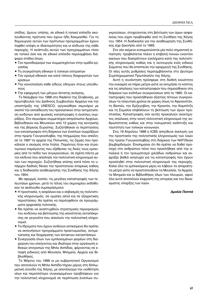οπίδας. Δρουν, επίσης, σε εθνικό ή τοπικό επίπεδο ακολουθώντας πρότυπα που έχουν ήδη δοκιμασθεί. Για τη δημιουργία αυτών των πρότυπων προγραμμάτων έχουν ληφθεί υπόψη οι ιδιαιτερότητες και οι κίνδυνοι της κάθε περιοχής. Η ανάπτυξη αυτών των προγραμμάτων τόσο σε τοπικό όσο και σε εθνικό επίπεδο περιλαμβάνει διάφορα στάδια όπως:

- Τον προσδιορισμό των συμμετεχόντων στην ομάδα εργασίας
- Τη συγκρότηση εθνικών ή τοπικών επιτροπών
- Τον ορισμό εθνικών και κατά τόπους διαχειριστών των κρίσεων
- Την κοινοποίηση κάθε είδους οδηγιών στους υπεύθυνους
- Την εφαρμογή των μέτρων έκτατης ανάγκης.

Το Νοέμβριο του 1998 στο Radenci της Σλοβενίας, με πρωτοβουλία του Διεθνούς Συμβουλίου Αρχείων και την υποστήριξη της UNESCO, οργανώθηκε σεμινάριο με σκοπό την εκπαίδευση του προσωπικού στην αντιμετώπιση κινδύνων από φυσικές καταστροφές ή ένοπλες συρράξεις. Στο σεμινάριο συμμετείχαν εκπρόσωποι Αρχείων, Βιβλιοθηκών και Μουσείων από 12 χώρες της κεντρικής και της βόρειας Ευρώπης. Συζητήθηκαν οι περιπτώσεις των καταστροφών στη διάρκεια των ένοπλων συρράξεων στην πρώην Γιουγκοσλαβία, της πλημμύρας που απείλησε το 1997 τα αρχεία της Πολωνίας, τις ζημιές που προκάλεσε ο σεισμός στην Ιταλία. Παρόντες ήταν και στρατιωτικοί παράγοντες που εξέθεσαν τις δικές τους εμπειρίες από το πεδίο των συγκρούσεων, σε σχέση πάντα με τον κίνδυνο που απείλησε την πολιτιστική κληρονομιά αυτών των περιοχών. Συζητήθηκε επίσης κατά πόσο το υπάρχον διεθνές δίκαιο την προστατεύει επαρκώς καθώς και η διαδικασία αναθεώρησης της Συνθήκης της Χάγης του 1954.

Με αφορμή, λοιπόν, τις μεγάλες καταστροφές των τελευταίων χρόνων, μετά το τέλος του σεμιναρίου εκδόθηκαν τα ακόλουθα συμπεράσματα:

- Η προστασία, η ασφάλεια και ο σεβασμός ης πολιτιστικής κληρονομιάς -σε ομαλές αλλά και σε εξαιρετικές περιστάσεις- θα πρέπει να περιληφθούν σε προγράμματα αρχειακής πολιτικής.
- Θα πρέπει να αναπτυχθούν στρατηγικές περιορισμού του κινδύνου και βελτίωσης της ικανότητας ανταπόκρισης σε γεγονότα που απειλούν την πολιτιστική κληρονομιά.
- Τα Ιδρύματα που έχουν ανάλογο αντικείμενο θα πρέπει να εκπονήσουν προγράμματα προετοιμασίας, αντιμετώπισης και διαχείρισης των έκτακτων καταστάσεων.
- Συνεργασία όλων των εμπλεκομένων φορέων στη διαχείριση του επείγοντος και ιδιαίτερα στην οργάνωση εθνικών επιτροπών της Μπλε Ασπίδας, φέρνοντας σε επαφή ειδικούς από Μουσεία, Μνημεία, Αρχεία και Βιβλιοθήκες.

Το Μάρτιο του 1999 οι μη κυβερνητικοί Οργανισμοί που αποτελούν τη Μπλε Ασπίδα πήραν μέρος στη διπλωματική σύνοδο της Χάγης, με αποτέλεσμα την υιοθέτηση νέων και περισσότερο συγκεκριμένων προβλέψεων για την πολιτιστική κληρονομιά σε περίπτωση ένοπλων συ-

γκρούσεων, στοχεύοντας στη βελτίωση των όρων ασφαλείας που είχαν προβλεφθεί από τη Συνθήκη της Χάγης του 1954. Η διαδικασία για την αναθεώρηση της Συνθήκης είχε ξεκινήσει από το 1993.

Στο νέο κείμενο ενσωματώνεται μία πολύ σημαντική απαίτηση: προβλέπεται πλέον η επιβολή ποινών εναντίον εκείνων που διαπράττουν εγκλήματα κατά της πολιτιστικής κληρονομιάς καθώς και η λειτουργία ενός ειδικού Σώματος που θα εποπτεύει την εφαρμογή της Συνθήκης. Οι νέες αυτές ρυθμίσεις περιλαμβάνονται στο Δεύτερο Συμπληρωματικό Πρωτόκολλο της Χάγης.

Aυτή η συνάντηση πρόσφερε στη διεθνή κοινότητα την ευκαιρία να πάρει μέτρα ώστε να εκτιμήσει το κόστος και τις απώλειες των καταστροφών που σημειώθηκαν στη διάρκεια των ενόπλων συγκρούσεων από το 1990. Οι καταστροφές που προκλήθηκαν εξαιτίας τέτοιων συγκρούσεων τα τελευταία χρόνια σε χώρες όπως το Αφγανιστάν, τη Βοσνία, την Ερζεγοβίνη, την Κροατία, την Καμπότζη και τη Σομαλία επιβάλλουν τη βελτίωση των όρων προστασίας. Καταστροφές σαν αυτές προκαλούν ανεκτίμητες απώλειες στην κοινή πολιτιστική κληρονομιά της ανθρωπότητας καθώς και στην πνευματική ανάπτυξη και ταυτότητα των τοπικών κοινωνιών.

Στις 19 Απριλίου 1999 η ICBS απηύθυνε έκκληση για την προστασία της πολιτιστικής κληρονομιάς των λαών της πρώην Γιουγκοσλαβίας στη διάρκεια των ΝΑΤΟϊκών βομβαρδισμών. Επισημαίνει ότι θα πρέπει να δοθεί προσοχή στο ανθρώπινο πόνο που προκλήθηκε από την απώλεια ή τον τραυματισμό χιλιάδων ανθρώπων και εκφράζει βαθιά ανησυχία για τις καταστροφές που έχουν προκληθεί στην πολιτιστική κληρονομιά της περιοχής. Καλεί όλα τα εμπλεκόμενα μέρη να λάβουν τα απαραίτητα μέτρα ώστε να προστατευθούν τα Μουσεία, τα Αρχεία, τα Μνημεία και οι Βιβλιοθήκες όλων των πλευρών, αφού όλα αυτά αποτελούν έκφραση της ιστορίας και του δικαιώματος ύπαρξης των λαών.

#### *<i><u>Αμαλία Παππά</u>*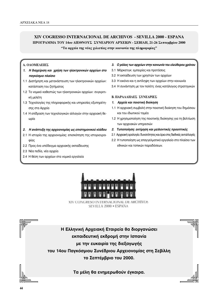# **XIV COGRESSO INTERNACIONAL DE ARCHIVOS - SEVILLA 2000 - ESPANA ΠΡΟΓΡΑΜΜΑ ΤΟΥ 14ου ΔΙΕΘΝΟΥΣ ΣΥΝΕΔΡΙΟΥ ΑΡΧΕΙΩΝ - ΣΕΒΙΛΗ, 21-26 Σεπτεμβρίου 2000**

**"Τα αρχεία της νέας χιλιετίας στην κοινωνία της πληροφορίας"** 

# **Δ. ΟΛΟΜΕΛΕΙΕΣ**

- 1. Η διαχείριση και χρήση των ηλεκτρονικών αρχείων στο **παγκόσμιο πλαίσιο**
- 1.1 Διατήρηση και μετανάστευση των ηλεκτρονικών αρχείων: κατάσταση του ζητήματος
- 1.2 Το νομικό καθεστώς των ηλεκτρονικών αρχείων: συγκριτική μελέτη
- 1.3 Τεχνολογίες της πληροφορικής και υπηρεσίες εξυπηρέτησης στα Αρχεία
- 1.4 Η επίδραση των τεχνολογικών αλλαγών στην αρχειακή θεωρία

# 2. Η ανάπτυξη της αρχειονομίας ως επιστημονικού κλάδου

- 2.1 Η ιστορία της αρχειονομίας: επισκόπηση της ιστοριογρα- $\varphi$ ίας
- 2.2 Προς ένα υπόδειγμα αρχειακής εκπαίδευσης
- 2.3 Νέα πεδία, νέα αρχεία
- 2.4 Η θέση των αρχείων στα νομικά εργαλεία

# 3. Ο ρόλος των αρχείων στην κοινωνία του ελεύθερου χρόνου

- 3.1 Μάρκετιγκ: εμπειρίες και προτάσεις
- 3.2 Η εκπαίδευση των χρηστών των αρχείων
- 3.3 Η εικόνα και η αντίληψη των αρχείων στην κοινωνία
- 3.4 Η συνάντηση με τον πολίτη: ένας κατάλογος στρατηγικών

# **B. ΠΑΡΑΛΛΗΛΕΣ ΣΥΝΕΛΡΙΕΣ**

- 1. *Αρχεία και ποιοτική διοίκηση*
- 1.1 Η αρχειακή συμβολή στην ποιοτική διοίκηση του δημόσιου και του ιδιωτικού τομέα
- 1.2 Η χρησιμοποίηση της ποιοτικής διοίκησης για τη βελτίωση των αρχειακών υπηρεσιών
- 2. Τυποποίηση: εκτίμηση και μελλοντικές προοπτικές
- 2.1 Αρχειακή ορολογία: δυνατότητες και όρια στις διεθνείς ανταλλαγές
- 2.2 Η τυποποίηση ως επαγγελματικό εργαλείο στο πλαίσιο των εθνικών και τοπικών παραδόσεων.



XIV CONGRESO INTERNACIONAL DE ARCHIVOS SEVILLA 2000 · ESPANA



**Τα μέλη θα ενημερωθούν έγκαιρα.** 

ra G 帀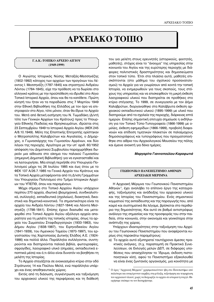# **©Д** ∧ФХЕІАКО ТОПІО

# Γ.Α.Κ.-ΤΟΠΙΚΟ ΑΡΧΕΙΟ ΑΙΓΙΟΥ **(1949-1999)**

Ο Αιγιώτης Ιστορικός Νύσης Μεταξάς-Μεσσηνέζης (1902-1992) κάτοχος των αρχείων των προγόνων του Λέοντος Ι. Μεσσηνέζη (1787-1845) και στρατηγού Ανδρέου Λόντου (1784-1845), είχε την πρόθεση να τα δωρίσει στο ελληνικό κράτος με την προϋπόθεση να ιδρυθεί στο Αίγιο Τοπικό Ιστορικό Αρχείο, όπου και θα τα κατέθετε. Πρώτη κίνησή του ήταν να τα παραδώσει στις 7 Μαρτίου 1949 στην Εθνική Βιβλιοθήκη της Ελλάδος με τον όρο να επιστραφούν στο Αίγιο, τότε μόνον, όταν θα ίδρυε το Αρχείο του. Μετά από θετική εισήγηση του Ν. Τωμαδάκη (Δ/ντή τότε των Γενικών Αρχείων του Κράτους) προς το Υπουργείο Εθνικής Παιδείας και Θρησκευμάτων, ιδρύεται στις 23 Σεπτεμβρίου 1949 το Ιστορικό Αρχείο Αιγίου (ΦΕΚ 245 Α/8.10.1949). Μέλη της Εποπτικής Επιτροπής ορίστηκαν ο Μητροπολίτης Καλαβρύτων και Αιγιαλείας, ο Δήμαρχος, ο Γυμνασιάρχης του Γυμνασίου Αρρένων, και δύο λόγιοι της περιοχής. Αργότερα με την υπ' αριθ. 60/1952 απόφαση του Δημοτικού Συμβουλίου παραχωρήθηκε δωρεάν μια αίθουσα στο οίκημα του παλαιού Γυμνασίου (σημερινή Δημοτική Βιβλιοθήκη) για να εγκατασταθεί και να λειτουργήσει. Μία εποχή περιήλθε στο Υπουργείο Πολιτισμού μέχρι τις 26 Ιουλίου 1985 και έως ότου με το ΦΕΚ 137 Α/26.7.1985 τα Γενικά Αρχεία του Κράτους και τα Τοπικά Αρχεία μεταφέρονται από τη Δ/νση Γραμμάτων του Υπουργείου Πολιτισμού στο Τμήμα Ιστορικών Αρχείων του ΥΠΕΠΘ, όπου και παραμένουν.

Μέχρι σήμερα στο Τοπικό Αρχείου Αιγίου υπάρχουν περίπου 270 αρχεία, ιδιωτικά (βιομηχανικά, συνδικαλιστικά, συλλογές), εκπαιδευτικά (σχολείων), διοικητικά, δικαστικά και δημοτικά-κοινοτικά. Τα σημαντικότερα είναι τα αρχεία του Ανδρέα Λόντου (1827-1844) και Λέοντα Μεσσηνέζη (1798-1841). Επίσης έχουν διασωθεί και μεταφερθεί στο Τοπικό Αρχείο Αιγίου αξιόλογα αρχεία απαραίτητα για τη μελέτη της τοπικής ιστορίας, όπως τα αρχεία του Σωματείου Σταφιδεργατριών (1933-1983), του Δήμου Αιγίου (1838-1987), του Ειρηνοδικείου Αιγίου (1841-1939), του Λιμενικού Ταμείου (1870-1997), του εργοστασίου της Χαρτοποιίας Δυτικής Ελάδος Α.Ε. (1924-1986) και πολλά άλλα. Παράλληλα συλλέγονται, συντηρούνται και διατηρούνται παλαιά βιβλία, φωτογραφίες, σφραγίδες, λαογραφικό υλικό (σημαίες, εκπαιδευτικά εποπτικά μέσα) και ό,τι άλλο είναι δυνατόν να βοηθήσει τη μελέτη της Ιστορίας.

Το Αρχείο στεγάζεται σε ενοικιασμένο κτίριο στην οδό Στράτωνος 14 και Παύλου Μελά, ενώ παράλληλα υπάρχει και ένας αποθηκευτικός χώρος.

Εκτός από τη διάσωση, συγκέντρωση και ταξινόμηση του αρχειακού υλικού της περιφέρειας και τη διάθεσή του για μελέτη στους ερευνητές (ιστορικούς, φοιτητές, μαθητές), στόχος είναι το "άνοιγμα" της υπηρεσίας στην κοινωνία του Αιγίου και της ευρύτερης περιοχής με διάφορες πολιτιστικές δραστηριότητες και δημοσιεύματα στον τοπικό τύπο. Έτσι στα πλαίσια αυτά, μαθητές επισκέπτονται (στο μάθημα του σχολικού προσανατολισμού) το Αρχείο για να γνωρίσουν από κοντά την τοπική Ιστορία, να ενημερωθούν για τους σκοπούς, τους στόχους της υπηρεσίας και να επισκεφθούν τη μικρή έκθεση λαογραφικού υλικού που διατηρείται σε προθήκες στο κτίριο στέγασης. Το 1999, σε συνεργασία με τον Δήμο Καλαβρύτων, διοργανώθηκε στα Καλάβρυτα έκθεση αρχειακού εκπαιδευτικού υλικού (1895-1999) με υλικό που διατηρούμε από τα σχολεία της περιοχής, διάρκειας επτά ημερών. Επίσης σημαντική επιτυχία σημείωσε η εκδήλωση για τον Τοπικό Τύπο-Τυπογραφεία (1866-1999) με ομιλίες, έκθεση εφημερίδων (1866-1999), προβολή διαφανειών και επίδοση τιμητικών πλακετών σε παλαίμαχους δημοσιογράφους και τυπογράφους που πραγματοποιήθηκε στο αίθριο του Αρχαιολογικού Μουσείου της πόλης και έμεινε ανοικτή για δέκα ημέρες.

#### **Μαργαρίτα Γιαννοπούλου-Καραφωτιά**

# ΓΕΩΠΟΝΙΚΟ ΠΑΝΕΠΙΣΤΗΜΙΟ ΑΘΗΝΩΝ **APXEIAKH MEPIMNA**

Η Αρχειακή Μέριμνα του Γεωπονικού Πανεπιστημίου Αθηνών<sup>1</sup>, έχει αναλάβει το επίπονο έργο της καταγραφής, ταξινόμησης και ανάδειξης του αρχειακού υλικού και της Ιστορίας του Πανεπιστημίου. Ενός σημαντικού κομματιού της εκπαίδευσης και της παραγωγής που, από καιρό και συστηματικά θα λέγαμε, βρίσκεται στο περιθώριο της δημοσιότητας. Και αυτό σε βαθμό αντιστρόφως ανάλογο της σημασίας και της προσφοράς του στην παιδεία, στην κοινωνία, στην οικονομία και γενικότερα στην ανάπτυξη της χώρας.

Υπάρχουν ιδιαιτερότητες στην ταξινόμηση του Αρχείου του Γεωπονικού Πανεπιστημίου που αναφέρονται κυρίως στις παρακάτω παραμέτρους:

α) Το αρχείο αυτό εξυπηρετεί ταυτόχρονα άμεσες πρακτικές ανάγκες, (π.χ. παραπομπή σε Πρακτικά Συνελεύσεων, σε Εκλογές μελών ΔΕΠ, σε διάφορες υποθέσεις που απασχόλησαν το Ίδρυμα, έκδοση πιστοποιητικών κλπ), αφού το Πανεπιστήμιο εξακολουθεί να είναι ένας ζωντανός οργανισμός, μια κοινότητα με

 $1$  Ο όρος "Αργειαχή Μέριμνα" γρησιμοποιούνταν ήδη στο Πανεπιστήμιο από παλιότερα και αναφέρονταν ακριβώς στη φύλαξη, ταξινόμηση και τεκμηρίωση του αρχειακού υλικού, χωρίς να διαχωρίζει το αρχείο σε ιστορικό ή ενεργό. Θεωρήσαμε σκόπιμο να τον διατηρήσουμε.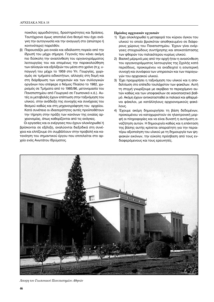ποικίλες αρμοδιότητες, δραστηριότητες και δράσεις. Ταυτόχρονα όμως αποτελεί ένα θεσμό που έχει ανάγκη την αυτογνωσία και την αναγωγή στο (απώτερο ή κοντινότερο) παρελθόν.

β) Παρουσιάζει μια ενιαία και αδιάλειπτη πορεία από την ίδρυσή του μέχρι σήμερα. Γεγονός που κάνει ακόμη πιο δύσκολη την ανασύνθεση του οργανογράμματος λειτουργίας του και επομένως την παρακολούθηση των αλλαγών και εξελίξεών του μέσα στο χρόνο (π.χ. υπαγωγή του μέχρι το 1959 στο Υπ. Γεωργίας, χωρισμός σε τμήματα ειδικοτήτων, αλλαγές στη δομή και στη διάρθρωση των υπηρεσιών και των συλλογικών οργάνων που επέφερε ο Νόμος Πλαίσιο το 1982, χωρισμός σε Τμήματα από το 1985/86, μετονομασία του Πανεπιστημίου από Γεωργικό σε Γεωπονικό κ.ά.). Αυτές οι μεταβολές έχουν επίπτωση στην ταξινόμηση του υλικού, στην ανάδειξη της συνοχής και συνέχειας του θεσμού καθώς και στη μηχανογράφηση του αρχείου. Κατά συνέπεια οι ιδιαιτερότητες αυτές προϋποθέτουν την τήρηση στην πράξη των κανόνων της ενιαίας αρχειονομίας, όπως καθορίζονται από τις ανάγκες.

Οι εργασίες και οι ενέργειες που έχουν ολοκληρωθεί ή βρίσκονται σε εξέλιξη, αναλύονται διεξοδικά στη συνέχεια και ελπίζουμε ότι συμβάλλουν στην προβολή και κατανόηση του σημαντικού έργου που επιτελείται στο αρχείο ενός Ανωτάτου Ιδρύματος.

### **Πρόοδος αρχειακών εργασιών**

- 1) Έχει ολοκληρωθεί η μεταφορά του κύριου όγκου του υλικού το οποίο βρισκόταν αποθηκευμένο σε διάφορους χώρους του Πανεπιστημίου. Έχουν γίνει ενέργειες στοιχειώδους συντήρησης και αποκατάστασης των φθορών του παλαιότερου κυρίως υλικού.
- 2) Βασική μέριμνά μας από την αρχή ήταν η ανασύνθεση του οργανογράμματος λειτουργίας της Σχολής κατά περιόδους, προκειμένου να αναδειχτεί η εσωτερική συνοχή και συνάφεια των υπηρεσιών και των παραγωγών του αρχειακού υλικού.
- 3) Έχει προχωρήσει η ταξινόμηση του υλικού και η αποδελτίωση στο επίπεδο τουλάχιστον των φακέλων. Αυτή τη στιγμή γνωρίζουμε με ακρίβεια το περιεχόμενο αυτών καθώς και των υποφακέλων σε ικανοποιητικό βαθμό. Ακόμη έχουν αντικατασταθεί οι παλαιοί και φθαρμένοι φάκελοι, με κατάλληλους αρχειονομικούς φακέλους.
- 4) Έχουμε ακόμη δημιουργήσει τη βάση δεδομένων, προκειμένου να καταχωριστούν σε ηλεκτρονική μορφή οι πληροφορίες και να είναι δυνατή η αυτόματη αναζήτηση αυτών. Η δημιουργία καθώς και η επέκταση της βάσης αυτής κρίνεται απαραίτητη για την περαιτέρω αξιοποίηση του υλικού με τη δημιουργία των ψηφιακών εικόνων, την εύκολη πρόσβαση από τους ενδιαφερόμενους και τους ερευνητές.



Αποψη του Γεωπονικού Πανεπιστημίου Αθηνών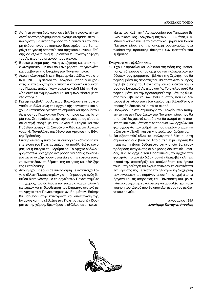- 5) Αυτή τη στιγμή βρίσκεται σε εξέλιξη η εισαγωγή των δελτίων στο πρόγραμμα που έχουμε ετοιμάσει στον υπολογιστή, με σκοπό την όσο το δυνατόν συντομότερη έκδοση ενός συνοπτικού Ευρετηρίου που θα παρέχει τη γενική εποπτεία του αρχειακού υλικού. Επίσης σε εξέλιξη ακόμη βρίσκεται η μηχανογράφηση του Αρχείου του ενεργού προσωπικού.
- 6) Βασικό μέλημά μας είναι η αναζήτηση και απόκτηση φωτογραφικού υλικού που αναφέρεται σε γεγονότα και συμβάντα της Ιστορίας του Πανεπιστημίου.
- 7) Ακόμη, ολοκληρώθηκε η δημιουργία σελίδας web στο INTERNET. Τη σελίδα του Αρχείου, μπορούν οι χρήστες να την αναζητήσουν στην ηλεκτρονική διεύθυνση του Πανεπιστημίου (www.aua.gr/arxeioG1.htm). Η σελίδα αυτή θα ενημερώνεται και θα εμπλουτίζεται με τα νέα στοιχεία.
- 8) Για την προβολή του Αρχείου, βρισκόμαστε σε συνεργασία με άλλα μέλη της αρχειακής κοινότητας και έχουμε καταστήσει γνωστή τη σημασία και την αξία του Αρχείου του Γεωπονικού Πανεπιστημίου και την Ιστορία του. Στα πλαίσια αυτής της συνεργασίας είμαστε σε συνεχή επαφή με την Αρχειακή Εταιρία και τον Πρόεδρο αυτής κ. Ζ. Συνοδινό καθώς και τον Αρχειονόμο Ν. Παντελάκη, υπεύθυνο του Αρχείου της Εθνικής Τράπεζας.

Επίσης δίνεται η ευκαιρία σε διάφορες εκδηλώσεις και επετείους του Πανεπιστημίου, να προβληθεί το έργο μας και η Ιστορία του Ιδρύματος. Το Αρχείο εξάλλου ήδη αποτελεί ένα χώρο αναφοράς για όσους ενδιαφέρονται να αναζητήσουν στοιχεία για την έρευνά τους, να ανατρέξουν σε θέματα της ιστορίας και εξέλιξης της Εκπαίδευσης.

9) Ακόμη έχουμε έρθει σε συνεννόηση με αντίστοιχα Αρχεία άλλων Πανεπιστημίων για τη δημιουργία ενός δικτύου διασύνδεσης με τα αρχεία των Πανεπιστημίων της χώρας, που θα δώσει την ευκαιρία για ανταλλαγή εμπειριών και τη διευθέτηση προβλημάτων σχετικά με τα Αρχεία των Πανεπιστημιακών Ιδρυμάτων. Επίσης θα βοηθήσει στην καταγραφή και αποτύπωση της Ιστορίας και της εξέλιξης των Πανεπιστημιακών Ιδρυμάτων της χώρας. Βρισκόμαστε εξάλλου σε επικοινωνία με τον Καθηγητή Αρχειονομίας του Τμήματος Βιβλιοθηκονομίας - Αρχειονομίας των Τ.Ε.Ι Αθήνας κ. Α. Μπάγια καθώς και με το αντίστοιχο Τμήμα του Ιόνιου Πανεπιστημίου, για την απαρχή συνεργασίας στα πλαίσια της πρακτικής άσκησης των φοιτητών του Τμήματος.

# **Ενέργειες που εξελίσσονται**

- 1) Έχουμε προτείνει και βρίσκεται στη φάση της υλοποίησης, η δημιουργία του αρχείου των παλαιοτέρων εκδόσεων- συγγραμμάτων - βιβλίων της Σχολής, που θα περιλαμβάνει τις εκδόσεις που θα αποτελέσουν μέρος της Βιβλιοθήκης του Πανεπιστημίου και ειδικότερα μέρος του Ιστορικού Αρχείου αυτής. Το σκέλος αυτό θα περιλαμβάνει και την προετοιμασία της μόνιμης έκθεσης των βιβλίων και των ενθυμημάτων, που θα λειτουργεί σε χώρο του νέου κτιρίου της Βιβλιοθήκης ο οποίος θα διατεθεί γι' αυτό το σκοπό.
- 2) Προχωρούμε στη δημιουργία του Αρχείου των Καθηγητών και των Πρυτάνεων του Πανεπιστημίου, που θα αποτελεί ξεχωριστό κομμάτι και θα αφορά στην απόκτηση και ενσωμάτωση των προσωπικών αρχείων και φωτογραφιών των ανθρώπων που έπαιξαν σημαντικό ρόλο στην εξέλιξη και στην ιστορία του Ιδρύματος.
- 3) Θα αξιοποιηθεί τέλος το υπολογιστικό δίκτυο με τη δημιουργία δύο βάσεων. Από αυτές, η μεν πρώτη θα περιέχει τη βάση δεδομένων στην οποία θα έχουν πρόσβαση ανάγνωσης οι διάφορες διοικητικές μονάδες, π.χ. το αρχείο του Προσωπικού, το αρχείο των φοιτητών, το αρχείο διδακτορικών διατριβών κλπ, με σκοπό την υποστήριξη και υποβοήθηση του έργου τους. Στη δεύτερη θα έχουν επιπλέον τη δυνατότητα ενημέρωσής της με σκοπό την ηλεκτρονική διαχείριση των εγγράφων που παράγονται αυτή τη στιγμή από τα όργανα και τις υπηρεσίες του Πανεπιστημίου, με απώτερο στόχο την ευκολότερη και ασφαλέστερη ταξινόμηση του υλικού που θα αποτελεί μέρος του μελλοντικού αρχείου.

*Ιανουάριος 1999 Δημήτρης Παναγιωτόπουλος* 

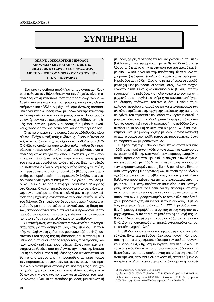# $Σ$ ΥΝΤΗΡΗΣΗ

# **ΜΙΑ ΝΕΑ ΟΙΚΟΛΟΓΙΚΗ ΜΕΘΟΔΟΣ <u>ΔΠΟΛΥΜΑΝΣΗΣ ΚΑΙ ΑΠΕΝΤΟΜΟΣΗΣ</u> ΒΙΒΛΙΑΚΩΝ ΚΑΙ ΑΡΧΕΙΑΚΩΝ ΣΥΛΛΟΓΩΝ ΜΕ ΤΗ ΧΡΗΣΗ ΤΟΥ ΜΟΡΙΑΚΟΥ ΑΖΩΤΟΥ (Ν2) THΣ ΑΤΜΟΣΦΑΙΡΑΣ**

Ένα από τα σοβαρά προβλήματα που αντιμετωπίζουν οι υπεύθυνοι των Βιβλιοθηκών και των Αρχείων είναι η αποτελεσματική καταπολέμηση της προσβολής των συλλογών από τα έντομα και τους μικροοργανισμούς. Οι επιστήμονες καταβάλλουν μέχρι σήμερα έντονες προσπάθειες για την ανεύρεση νέων μεθόδων για την ικανοποιητική αντιμετώπιση του προβλήματος αυτού. Προσπαθούν να ανεύρουν και να εφαρμόσουν νέες μεθόδους μη τοξι-Κές, που δεν εγκυμονούν αμέσους ή εμμέσους κινδύνους, τόσο για τον άνθρωπο όσο και για το περιβάλλον.

Οι μέχρι σήμερα χρησιμοποιούμενες μέθοδοι δεν είναι αθώες. Ενέχουν τοξικούς κινδύνους. Εφαρμόζονται σε τοξικό περιβάλλον, π.χ. το οξείδιο του αιθυλενίου (CH2-O-CH2), το οποίο χρησιμοποιείται πολύ, καθότι δεν προσβάλλει κανένα συνθετικό στοιχείο του βιβλίου, είναι αποτελεσματικό και για την απολύμανση και για την απεντόμωση, είναι όμως τοξικό, καρκινογόνο, και η χρήση του έχει απαγορευθεί σε πολλές χώρες. Επίσης, τοξικές και παθογενείς είναι οι χημικές ουσίες όπως η φωσφίνη, οι περμεθρίνες, οι οποίες προκαλούν βλάβες στον θυρεοειδή, τα πυρεθροειδή, που προκαλούν βλάβες στο νευρο-ενδοκρινολογικό σύστημα του ανθρώπου, το βρωμιούχο μεθύλιο, το οποίο επιφέρει ορισμένες αλλεργίες στο δέρμα. Όλες οι χημικές ουσίες οι οποίες, ενίοτε, αφήνουν υπολείμματα πάνω στο υλικό μας, επιφέρουν μείωση της μηχανικής αντιστάσεως των συνθετικών υλικών του βιβλίου. Οι χημικές αυτές ουσίες, υγρές ή αέριες, αντιδρούν με τα υποστρώματα, αλλοιώνουν τη δομή αυτών, απορροφώνται από αυτά και ελευθερώνονται με την πάροδο του χρόνου, με τοξικές επιδράσεις στον άνθρωπο, στο χρήστη νενικά, αλλά και στο περιβάλλον.

Οι επιστήμονες, στο πλαίσιο των αγωνιωδών αυτών προoπαθειών, για την ανεύρεση μιας νέας μεθόδου, μη τοξικής, κατέληξαν στη χρήση του μοριακού αζώτου (N2), συστατικού του αέρος της ατμόσφαιρας που εισπνέουμε. Η μέθοδος αυτή είναι καρπός τετραετούς συνεργασίας, κόπων πολλών ετών και προσπαθειών. Συνεργάστηκαν επιστημονικά κλιμάκια από την Αγγλία, την Ιταλία, την Ισπανία και τη Σουηδία. Η νέα αυτή μέθοδος δίδει ικανοποιητικά και θετικά αποτελέσματα στην προσπάθεια αντιμετωπίσεως των παρασιτικών οργανισμών και των εντόμων, που προσβάλλουν αντικείμενα ιστορικής και πολιτισμικής αξίας, χωρίς χρήση χημικών τοξικών αερίων ή άλλων ουσιών, επικινδύνων για την υγεία των χρηστών και τη μόλυνση του περιβάλλοντος. Είναι μια πρωτοπόρος μέθοδος, μια οικολογική μέθοδος, χωρίς συνέπειες επί του ανθρώπου και του περιβάλλοντος. Είναι εφαρμόσιμη, με τα θεμιτά θετικά αποτελέσματα, όχι μόνο στην περίπτωση του αρχειακού και βιβλιακού υλικού, αλλά και στην περίπτωση ξύλινων καλλιτεχνημάτων (αγάλματα, έπιπλα κ.ά.) καθώς και σε υφάσματα. Η μέθοδος αυτή δίδει τέλος στις μέχρι σήμερα εφαρμοζόμενες χημικές μεθόδους, οι οποίες μεταξύ άλλων υποχρέωναν τους υπευθύνους να αποσύρουν τα βιβλία, μετά την εφαρμογή της μεθόδου, για πολύ καιρό από τον χρήστη, μέχρις ότου επιτευχθεί μία πλήρης και ικανοποιητική "χημική κάθαρση, απόπλυση" του αντικειμένου. Η νέα αυτή οι**κολογική μέθοδος απολυμάνσεως και απεντομώσεως των** υλικών, στηρίζεται στην αρχή της μειώσεως της τιμής του οξυγόνου του ατμοσφαιρικού αέρα, τον κορεσμό αυτού με μοριακό άζωτο και την ολοκληρωτική αφαίρεση όλων των λοιπών συστατικών του<sup>1</sup>. Η εφαρμογή της μεθόδου δεν επιφέρει καμία δομική αλλαγή στα διάφορα υλικά και αντικείμενα. Είναι μία μορφή μαζικής μεθόδου ("mass method") αντιμετωπίσεως του προβλήματος της προσβολής εντόμων και παρασιτικών μικροοργανισμών.

Η εφαρμογή της μεθόδου έχει θετικά αποτελέσματα 100% στην περίπτωση κάθε οικογένειας και κατηγορίας εντόμων, από δε την κατηγορία των μικροοργανισμών, οι οποίοι προσβάλουν το βιβλιακό και αρχειακό υλικό έχει αποτελεσματικότητα 100% στην περίπτωση παρουσίας των μικροοργανισμών aspergillum & penicillum. Είναι οι δύο κατηγορίες μικροοργανισμών, οι οποίοι προσβάλουν σχεδόν αποκλειστικά τα βιβλία και γενικά το χαρτί. Καταβάλλονται προσπάθειες για την αποτελεσματικότητα της μεθόδου 100% στην περίπτωση κάθε είδους και κατηγορίας μικροοργανισμών. Πρέπει να σημειώσουμε, ότι στην περίπτωση των μικροοργανισμών δεν θανατώνονται τα οπέρματα των μικροοργανισμών τα οποία άλλωστε δεν έχουν βιολογική ζωή, σύμφωνα με τους ειδικούς. Η μέθοδος είναι γνωστή με το όνομα VELOXY. Η μέθοδος αυτή δεν δημιουργεί προβλήματα υγείας στους χρήστες των μηχανημάτων, ούτε πριν ούτε μετά την εφαρμογή της μεθόδου. Όπως αναφέραμε, το μοριακό άζωτο δεν είναι τοξικό. Δεν χρησιμοποιούνται χημικά εντομοκτόνα και μυκητοκτόνα χημικά υλικά.

Η μέθοδος όσον αφορά την εφαρμογή της είναι πολύ εύκολη. Είναι μια μέθοδος ηλεκτρομηχανική. Χρησιμοποιεί φορητά μηχανήματα, τέσσερα τον αριθμό, συνολικού βάρους 34,5 Kg. Δημιουργείται ένα περιβάλλον μη τοξικό, εντός θυλάκων, οι οποίοι κατασκευάζονται στις διαστάσεις του προς απολύμανση-απεντόμωση υλικού ή αντικειμένου, από ένα ειδικό πλαστικό, αποτελούμενο από τρία επικαλυπτόμενα στρώματα, διαφορετικής συνθέ-

 $^1\,$ Ο ατμοσφαιρικός αέρας αποτελείται από:

α) άζωτο = 78,084000%, β) οξυγόνο = 20,946000%, γ) αργό = 0,93400011%,  $\delta$ ) διοξείδιο του άνθραχα = 0,033000%, ε) νέο = 0,001820% στ) ήλιο =  $0,000524\%$ , ζ) μεθάνιο =0,000200% και η) κρυπτό = 0,000114%.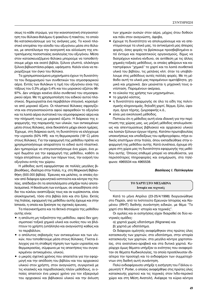σεως το κάθε στρώμα, για την ικανοποιητική στεγανοποίηση του θύλακα-θαλάμου ή φακέλου ή πακέτου, το οποίο θα κατασκευάσουμε για τις ανάγκες μας. Το κοινό πλαστικό επιτρέπει την είσοδο του οξυγόνου μέσα στο θύλακα, με αποτέλεσμα την ανατροπή και αλλοίωση της επιτρεπόμενης ποσοστιαίας αναλογίας του οξυγόνου. Μέσα στον κατασκευαζόμενο θύλακα μπορούμε να τοποθετήσουμε μέχρι και εκατό βιβλία, ξύλινα γλυπτά, ολόκληρα ξύλινα βιβλιοστάσια-ράφια, υφάσματα. Καλόν είναι να περιορίζουμε τον όγκο του θύλακα.

Τα χρησιμοποιούμενα μηχανήματα έχουν τη δυνατότητα του διαχωρισμού των συνθετικών του ατμοσφαιρικού αέρα. Εντός των θυλάκων η τιμή του οξυγόνου είναι της τάξεως του 0,3% μέχρι 0,4% και του μοριακού αζώτου 96-97%. Δεν υπάρχει κανένα άλλο συνθετικό του ατμοσφαιρικού αέρα. Με τη χρησιμοποίηση του ειδικού αυτού πλαστικού, δημιουργείται ένα περιβάλλον στεγανό, κορεσμένο από μοριακό άζωτο. Οι πλαστικοί θύλακες σφραγίζονται και στεγανοποιούνται αφού αφαιρεθούν το οξυγόνο και τα λοιπά αέρια συστατικά του ατμοσφαιρικού αέρα και την πλήρωσή τους με μοριακό άζωτο. Η διάρκεια της εφαρμογής, της παραμονής των υλικών, των αντικειμένων μέσα στους θύλακες, είναι δεκαπέντε μέχρι είκοσι ημέρες. Έχουμε, στη διάρκεια αυτή, τη δυνατότητα να ελέγχουμε την υγρασία (50% HR) και τη θερμοκρασία (18°C) μέσα στους θύλακες. Για την εφαρμογή της μεθόδου πρέπει να χρησιμοποιήσουμε απαραίτητα το ειδικό αυτό πλαστικό. Δεν ημπορούμε να στεγανοποιήσουμε ένα χώρο, ένα μικρό δωμάτιο για την εφαρμογή της μεθόδου, καθότι οι τοίχοι επιτρέπουν, μέσω των πόρων τους, την εισροή του οξυγόνου εντός του χώρου.

Η μέθοδος αυτή εφαρμόστηκε σε πολλές μεγάλες βιβλιοθήκες, ιδιαίτερα στην Ιταλία, π.χ. στη Μαρκιανή Βιβλιοθήκη (500.000 βιβλία). Έρευνες και μελέτες, οι οποίες έγιναν από διάφορα ερευνητικά ινστιτούτα και κέντρα της Ιταλίας, απέδειξαν ότι τα αποτελέσματα υπήρξαν πολύ αποτελεσματικά. Η θανάτωση των εντόμων, σε οποιοδήποτε στάδιο του κύκλου αναπτύξεώς τους και αν ευρίσκονται, είναι ολοκληρωτική, τόσο στα βιβλία όσο και στο ξύλο. Εκτός της Ιταλίας, εφαρμογή της μεθόδου αυτής έχουμε και στην Ισπανία, η οποία και ξεκίνησε τις σχετικές έρευνες.

Τα πλεονεκτήματα και τα θετικά στοιχεία της μεθόδου αυτής είναι:

- η απόλυτη μη τοξικότητα της μεθόδου, αφού δεν χρησιμοποιεί τοξικά χημικά υλικά και ουσίες που να βλάπτουν το χρήστη (υπάλληλο και αναγνώστη) καθώς και το περιβάλλον,
- ο απόλυτος σεβασμός των αντικειμένων και των υλικών, που τοποθετούμε μέσα στους θύλακες. Γίνεται έλεγχος για τη σταθερή τήρηση των τιμών υγρασίας και θερμοκρασίας, σύμφωνα με τις απαιτήσεις του συγκεκριμένου αντικειμένου, υλικού,
- ο μικρός σχετικά χρόνος που απαιτείται για την εφαρμογή και την απόδοση του βιβλίου και του αρχειακού υλικού στον χρήστη, στον αναγνώστη, συγκριτικά με τις κλασικές και παραδοσιακές πλέον μεθόδους, οι οποίες απαιτούν ένα μακρύ χρόνο για τον εξαερισμό του αρχειακού και βιβλιακού υλικού και την έκλυση

των χημικών ουσιών στον αέρα, μέχρις ότου δοθούν και πάλι στον αναγνώστη, άφοβα,

- $\bullet$ έχουμε τη δυνατότητα να απολυμαίνουμε και να απεντομώνουμε τα υλικά μας, τα αντικείμενά μας άπειρες φορές, όσες φορές τα βρίσκουμε προσβεβλημένα από έντομα και παρασιτικούς οργανισμούς, δίχως να διατρέχουν κανένα κίνδυνο, σε αντίθεση με τις άλλες χημικές-τοξικές μεθόδους, οι οποίες φθείρουν και καταστρέφουν "χημικά" το χαρτί και τα λοιπά συνθετικά υλικά του βιβλίου, τις μελάνες κλπ. όταν τα υποβάλλουμε στις μεθόδους αυτές πολλές φορές. Με τη μέθοδο αυτή τα υλικά μας παραμένουν αμετάβλητα, χημικά και μηχανικά. Δεν μειώνεται η μηχανική τους αντίσταση. Παραμένουν ακέραια,
- το εύκολο της χρήσης των μηχανημάτων,
- το χαμηλό κόστος,
- η δυνατότητα εφαρμογής σε όλα τα είδη της πολιτισμικής κληρονομιάς, δηλαδή χαρτί, δέρμα, ξύλο, ύφασμα, έργα τέχνης, ζωγραφικής κ.ά.,
- είναι μια οικολογική μέθοδος.

Πιστεύω ότι η μέθοδος αυτή είναι ιδανική για την περίπτωση της χώρας μας, ως μαζική μέθοδος απολυμάνσεως και απεντομώσεως βιβλιακού και αρχειακού υλικού και λοιπών ξύλινων έργων τέχνης. Κατόπιν πρωτοβουλίας υποκινήσεως και υποδείξεως του αρθρογράφου, πήγε ειδικός επιστήμων στην Ιταλία, όπου εκπαιδεύθηκε στην εφαρμογή της μεθόδου αυτής. Κατά συνέπεια, έχουμε σήμερα στη χώρα μας τη δυνατότητα εφαρμογής της μεθόδου αυτής. Όποιος επιθυμεί μπορεί να απευθύνεται, για περισσότερες πληροφορίες και ενημέρωση, στα τηλέφωνα: 4965534 και 4965538.

#### Βασίλειος Ι. Πελτίκογλου

# ΤΟ ΧΑΡΤΙ ΣΤΟ ΜΕΣΑΙΩΝΑ Ιστορία και τεχνικές

Κατά το μήνα Απρίλιο (23-25/4/1998) διοργανώθηκε στο Παρίσι, από το Ινστιτούτο Ερευνών Ιστορίας και Κειμένου (IRHT) διεθνής συνάντηση ειδικών, με θέμα "Το χαρτί στο Μεσαίωνα· ιστορία και τεχνικές".

Οι ομιλίες και οι εισηγήσεις είχαν διαιρεθεί σε δύο κεντρικές ομάδες:

- α) χαρτιά χωρίς υδατόσημα (filigranes) και
- β) χαρτιά με υδατόσημα.

Οι διάφοροι ομιλητές αναφέρθηκαν στις πρώτες ύλες κατασκευής των χαρτιών, στα υδατόσημα, στην ιστορία κατασκευής των χαρτιών, στα μεγάλα κέντρα χαρτοποιίας, στα ανατολικο-αραβικά και στα δυτικά χαρτιά. Κυρίαρχα όμως θέματα υπήρξαν οι ενότητες που αναφερόταν σε θέματα Κωδικολογίας, τα οποία προσέλκυσαν ιδιαίτερα την προσοχή και το ενδιαφέρον των συμμετεχόντων στη διεθνή αυτή συνάντηση.

Πολύ ενδιαφέρουσα υπήρξε η εισήγηση του Γάλλου ερευνητή Υ. Porter, ο οποίος αναφέρθηκε στις πρώτες ύλες κατασκευής χαρτιού και τις τεχνικές στον Ινδο-περσικό χώρο και στη Μέση Ανατολή. Ανέφερε τα κύρια κέντρα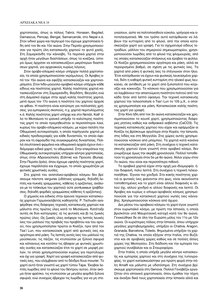χαρτοποιίας, όπως οι πόλεις Tabriz, Horasan, Bagdad, Damascus, Pencap, Bengal, Samarcande, στο Nepal κ.ά. Στον ινδικό χώρο και περίγυρό του έχουμε χαρτοποιεία ήδη από τον 9ο και 10ο αιώνα. Στην Περσία χρησιμοποιούσαν για πρώτη ύλη κατασκευής χαρτιού το φυτό χασίς. Στη Σαμαρκάνδη την κάνναβη. Τα περσικά χαρτιά στην αρχή ήταν μεγάλων διαστάσεων, όπως τα κινέζικα, ύστερα όμως άρχισαν να κατασκευάζουν μικρότερων διαστάσεων χαρτιά, για αρχειακούς κυρίως λόγους.

Στον αραβο-ισλαμικό κόσμο υπήρχαν πολλά χαρτοποιεία, τα οποία χρησιμοποιούσαν νερόμυλους. Οι Άραβες από τον 15ο αιώνα και εφεξής κατασκεύαζαν και χαρτονομίσματα. Στον Ινδο-μογγολο-αραβικό κόσμο υπήρχαν κάθε είδους και ποιότητας χαρτιά. Καλής ποιότητας χαρτιά κατασκευάζονταν στη Σαμαρκάνδη, Βαγδάτη, Βεγγάλη ενώ στη Δαμασκό είχαμε στην αρχή καλής ποιότητας χαρτιά, μετά όμως τον 17ο αιώνα η ποιότητα του χαρτιού άρχισε να φθίνει. Η ποιότητα είναι κατώτερη για πολλαπλές χρήσεις, για εμπορικούς σκοπούς, π.χ. χαρτιά περιτυλίγματος κ.ά. Καλής ποιότητας χαρτί υπήρχε και στο Νεπάλ. Καθ' όλο το Μεσαίωνα το ιρανικό υπήρξε το καλύτερης ποιότητας χαρτί το οποίο προμηθευόταν οι περισσότεροι λαοί, κυρίως του αραβο-ισλαμικού κόσμου, με κύριο πελάτη την Οθωμανική αυτοκρατορία, η οποία παρήγγειλε χαρτιά με ειδικές προδιαγραφές για κάθε δυναστεία, τα οποία έφεραν και τη σφραγίδα της συγκεκριμένης δυναστείας. Πολλά σουλτανικά φιρμάνια και οθωμανικά αρχεία έχουν ένα ιδιόμορφο ειδικό χαρτί, το οθωμανικό. Στην επικράτεια της Οθωμανικής αυτοκρατορίας υπήρχαν κέντρα χαρτοποιίας, όπως στην Αδριανούπολη (Edirne) και Προύσα (Bursa). Στην Περσία (Ιράν), όπου έχουμε υψηλής ποιότητας χαρτί, έχουμε παράλληλα και έγχρωμο, το οποίο χρωμάτιζαν με φυτικές χρωστικές ουσίες.

Στα χαρτιά του ανατολικο-αραβικού κόσμου δεν βρίσκουμε πάντοτε vergures (υδάτινες γραμμές, δηλαδή λεπτές και πυκνές γραμμώσεις, κάθετες ή οριζόντιες, ανάλογα με το τσάκισμα του χαρτιού) ούτε pontuseaux (ραβδώσεις, δηλαδή φαρδιές γραμμώσεις κάθετες ή οριζόντιες).

Ο χημικός και ειδικός στην έρευνα τεχνικών κατασκευής χαρτιών Γερμανοελβετός καθηγητής P. Tschudin avaφέρθηκε στις διάφορες τεχνικές κατασκευής χαρτιών και μάλιστα στις πρώτες ύλες κατά το Μεσαίωνα. Κατέταξε αυτές σε δύο κατηγορίες: α) τις φυτικές και β) τις ζωικές πρώτες ύλες. Ως ζωικές ύλες ανέφερε τις λεπτές λευκές ίνες του μαλλιού της προβιάς του προβάτου και του αρνιού, που χρησιμοποίησαν πρώτοι οι Κινέζοι, πριν από τον Tsa'i Lun, που κατασκεύασε χαρτί από φυτικές ίνες και αργότερα από ράκη. Τις λεπτές αυτές ίνες του μαλλιού τις μούσκευαν, τις πίεζαν, τις κτυπούσαν με ξύλινα σφυριά και κόπανους και κατόπιν τις έβαφαν με φυτικές χρωστικές ουσίες και κατασκεύαζαν έτσι το χαρτί σε μορφή ρολών, το οποίο χρησιμοποιούσαν κυρίως για περιτύλιγμα και όχι για γραφή. Χαρτί για γραφή κατασκεύαζαν από φυτικές ίνες, που ελάμβαναν από το δένδρο ficus mourier. Το χαρτί αυτό ήταν γνωστό ως χαρτί τύπου Tapa. Έκοβαν λεπτές λωρίδες από το φλοιό του δέντρου αυτού, όταν ακόμα ήταν φρέσκο, τις κτυπούσαν με μεγάλα φαρδιά ξύλινα σφυριά, ενώ συνεχώς έβρεχαν τις λωρίδες για να μη στεγνώσουν, ώστε να πολτοποιηθούν εύκολα, γρήγορα και αποτελεσματικά. Με τον τρόπο αυτό κατόρθωναν να λάβουν την κυτταρίνη από το φλοιό, από την οποία κατασκεύαζαν χαρτί για γραφή. Για το σχηματισμό είδους τετραδίων, μάλλον του σημερινού σημειωματαρίου, χρησιμοποιούσαν λωρίδες από το φλοιό της φλαμουριάς, από τις οποίες κατασκεύαζαν σπάγκους και έραβαν τα φύλλα. Οι Κινέζοι χρησιμοποιούσαν αργότερα και ράκη, αλλά σε περιορισμένο βαθμό, σε σχέση με τις φυτικές ίνες. Τα χαρτιά από ράκη ή φυτικές ίνες τα στέγνωναν στον ήλιο. Έτσι κατόρθωναν να έχουν και φυσικώς λευκασμένα χαρτιά, διότι η καθαρή φυτική κυτταρίνη στο ηλιακό φως λευκαίνει, σε αντίθεση με το χαρτί από ξυλοπολτό που κιτρινίζει και κοκκινίζει. Το κόσκινο που χρησιμοποιούσαν για να λαμβάνουν την απαιτούμενη ποσότητα πολτού από τον κάδο ήταν από λεπτό ύφασμα. Την τεχνική κατασκευής χαρτιού την τελειοποίησε ο Tsa'i Lun το 105 μ.Χ., ο οποίος χρησιμοποίησε και ράκη. Κατασκεύασε καλής ποιότητας χαρτί για γραφή.

Στην Κίνα ήδη από τον 3ο αιώνα κατασκεύαζαν και χρησιμοποιούσαν το κουσέ χαρτί, χρησιμοποιώντας διάφορες ρητίνες καθώς και ανθρακικό ασβέστιο (CaCO3). Τις τεχνικές κατασκευής χαρτιού που είχαν και εφάρμοζαν οι Κινέζοι τις βρίσκουμε αργότερα στην Κορέα, την Ιαπωνία, στις Ινδίες και στη Μογγολία. Στις χώρες αυτές χρησιμοποιούσαν κόσκινα από μπαμπού. Τα χαρτιά κατά κανόνα τα κατασκεύαζαν από ράκη. Στη συνέχεια η τεχνική κατασκευής χαρτιού έγινε γνωστή στον αραβικό κόσμο, δεν γνωρίζουμε όμως την ακριβή χρονολογία. Πολλοί τοποθετούν τη χρονολογία στον 5ο με 6ο αιώνα. Άλλοι γύρω στον 7ο αιώνα, που είναι και περισσότερο πιθανό.

Τα αραβικά χαρτιά είχαν στην αρχή μια ιδιομορφία: ήταν διαφανή, πολύ λεπτά. Στη συνέχεια η τεχνική τελειοποιήθηκε. Έγιναν πιο χονδρά. Στα κακής ποιότητος χαρτιά οι φυτικές ίνες φαίνονται στο φως, είναι ακανόνιστα τοποθετημένες και το χαρτί είναι αλλού διαφανές κι αλλού όχι, αλλού χονδρό κι αλλού διαφανές και λεπτό. Οι Άραβες και κυρίως ο ισλαμο-αραβικός κόσμος χρησιμοποιούσε για την κατασκευή χαρτιού νωπές ίνες κάνναβης. Χρησιμοποιούσαν κόσκινα από άχυρο.

Δια μέσου του αραβικού κόσμου το χαρτί έγινε γνωστό στον ευρωπαϊκό κόσμο, με πρώτη την Ισπανία, η οποία βρισκόταν υπό Μαυριτανική κατοχή κατά τον 9ο αιώνα. Γενικεύθηκε δε σε όλη την Ευρώπη μόλις τον 11ο με 12ο αιώνα. Οι κυριότερες πόλεις στην Ισπανία, όπου υπήρχαν μεγάλες χαρτοβιομηχανίες, υπήρξαν οι Chativa, Aragon, Granada, Barcelona, Toledo. Φημισμένα υπήρξαν τα χαρτιά της Chativa, τα οποία εξήγαν στην Ιταλία, στο Βυζάντιο και σε αραβικές χώρες καθώς και σε πολλές άλλες χώρες της Μεσογείου. Στη διάδοση και την εμπορία του χαρτιού συνέβαλαν και οι Σταυροφόροι.

Στην Ιταλία, η οποία υπήρξε μεγάλο κέντρο κατασκευής και εμπορίας χαρτιού και στη συνέχεια της τυπογραφίας, το χαρτί κατασκευάστηκε για πρώτη φορά στην πόλη Amalfi και μάλιστα με υδατόσημα. Στη συνέχεια βρίσκουμε χαρτοποιεία στη Genova. Πολλοί Γενοβέζοι εργαζόταν στα ισπανικά χαρτοποιεία, όπου έμαθαν την τέχνη και άνοιξαν δικά τους χαρτοποιεία στην Ισπανία αλλά και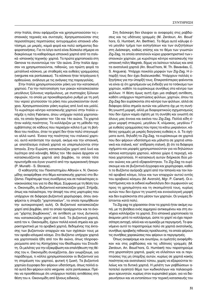στην Ιταλία, όπου εφάρμοζαν και χρησιμοποιούσαν τις ισπανικές τεχνικές και συνταγές. Χρησιμοποιούσαν στις περισσότερες περιπτώσεις αντιγραμμένα ισπανικά υδατόσημα, με μικρές, καμιά φορά και πολύ ασήμαντες διαφοροποιήσεις. Για το λόγο αυτό είναι δύσκολο σήμερα να διακρίνουμε τα καθαρόαιμα ισπανικά χαρτιά από τα ιταλικά -ισπανικής τεχνικής- χαρτιά. Τα πρώτα χαρτοποιεία στη Genova τα συναντούμε τον 12ο αιώνα. Στην Ιταλία άρχισαν να χρησιμοποιούνται, πιθανώς, για πρώτη φορά τα μεταλλικά κόσκινα, με σταθερές και ευθείες γραμμώσεις (vergures και pontuseaux). Τα κόσκινα ήταν τετράγωνα ή ορθογώνια, ανάλογα με τις ανάγκες της παραγγελίας.

Στην Ιταλία χρησιμοποιούσαν ράκη για την κατασκευή χαρτιού. Για την πολτοποίηση των ρακών κατασκεύασαν μεγάλους ξύλινους νερόμυλους, με συστοιχίες ξύλινων σφυριών, τα οποία με προκαθορισμένο ρυθμό με τη ροή του νερού χτυπούσαν τα ράκη που μουσκεύονταν συνέχεια. Χρησιμοποιούσαν ράκη κυρίως από λινό και μαλλί. Το κυριότερο κέντρο κατασκευής χαρτιού στην Ιταλία υπήρξε η πόλη Fabriano, όπου υπήρχαν πολλά χαρτοποιεία, τα οποία ήκμασαν τον 13ο και 14ο αιώνα. Τα χαρτιά ήταν καλής ποιότητος. Τα κολλάριζαν με τη μέθοδο της εμβάπτισης σε κάδους που περιείχαν κόλλα ή με τη βοήθεια του πινέλου, όταν το χαρτί δεν ήταν πολύ στεγνωμένο αλλά νωπό. Ένεκα της ποιότητας του ιταλικού χαρτιού, αυτό κατέκτησε την αγορά, ακόμα και την ισπανική, με αποτέλεσμα ιταλικά χαρτιά να υπερπωλούνται στην Ισπανία. Στην Ευρώπη κατασκεύαζαν χαρτί από λινό και λιγότερο από κάνναβη. Μόλις τον 18ο αιώνα άρχισαν να κατασκευάζονται χαρτιά από βαμβάκι, το οποίο τότε πρωτοήρθε και έγινε γνωστό από την αμερικανική ήπειρο (P. Munafò - S. Storace).

Ο καθηγητής του Πανεπιστημίου Αθηνών κ. Ν. Οικονομίδης αναφέρθηκε στο θέμα κατασκευής χαρτιού στο Buζάντιο. Παρέπεμψε τους συνέδρους και σε παλαιότερες ανακοινώσεις του για το ίδιο θέμα. Σύμφωνα με τη θέση του κ. Οικονομίδη, οι Βυζαντινοί κατασκεύαζαν χαρτί. Στήριξε, όπως και παλαιότερα, την άποψή του στις μαρτυρίες που υπάρχουν σε διάφορα βυζαντινά χειρόγραφα, όπου αναφέρεται η ύπαρξη "χαρτοποιείων", τα οποία προμήθευαν την αυτοκρατορική αυλή. Οι Βυζαντινοί κατασκεύαζαν χαρτί από βαμβάκι, από το οποίο προέρχονταν και το όνομα "χάρτης βομβύκινος", σε αντίθεση με τους Δυτικούς που κατασκεύαζαν χαρτί από λινό. Τα βυζαντινά χαρτιά, κατά τον κ. Οικονομίδη, έχουν πολλά κοινά σημεία και χαρακτηριστικά με τα αραβικά χαρτιά, δεδομένης της έκτασης των βυζαντινών επαρχιών και των σχέσεών τους με τον αραβο-ισλαμικό κόσμο. Στο Βυζάντιο υπήρχαν χαρτιά και χαρτοποιεία ήδη από τον 8ο αιώνα, όπως πληροφορούμαστε από τις Κατηχήσεις του Θεόδωρου του Στουδίτη. Οι μελέτες για την εξακρίβωση και επαλήθευση της θέσης του κ. Οικονομίδη συνεχίζονται. Δεν γνωρίζουμε, για παράδειγμα, τι κόλλα χρησιμοποιούσαν οι Βυζαντινοί για τη στερέωση του χαρτιού, φυτική ή ζωική. Τα βυζαντινά χαρτώα έγγραφα δεν φέρουν υδατόσημα, όπως πολλά από αυτά δεν φέρουν ούτε vergures ούτε pontuseaux. Πρέπει να προσθέσουμε ότι υπάρχουν πολλές αντιθέσεις στη θέση του κ. Οικονομίδη από ξένους ειδικούς.

Στη διάσκεψη δεν έλειψαν οι αναφορές στις ραβδώσεις και τις υδάτινες γραμμές (M. Zerdoun, An. Boud' hors, G. Humbert, An. Berthier). Το θέμα αυτό κάλυψε ένα μεγάλο τμήμα των εισηγήσεων και των συζητήσεων στη Διάσκεψη, καθώς επίσης και το θέμα των γνωστών Zig-Zag, τα οποία αποτελούν κύριο χαρακτηριστικό των ισπανικών χαρτιών, με κυριότερο κέντρο κατασκευής την ισπανική πόλη Magreb, δίχως να λείπουν τελείως και από τα ανατολικά χαρτιά (An. Boud'hors, M. Th. Bavavéas, C. S. Anguera). Υπάρχει ποικιλία μορφών των Zig-Zag. Η ύπαρξή τους δεν έχει διαλευκανθεί. Υπάρχουν πολλές εξηγήσεις για την ύπαρξή τους. Επικρατέστερες φαίνονται να είναι α) ότι χρησίμευαν ως ένδειξη για το τσάκισμα των χαρτιών, καθότι τα ευρίσκουμε συνήθως στο κέντρο των φύλλων. Η θέση όμως αυτή έχει μια σοβαρή αντίθεση, καθότι υπάρχουν περιπτώσεις φύλλων, χαρτιών, όπου τα Zig-Zag δεν ευρίσκονται στο κέντρο των φύλλων, αλλά σε διάφορα άλλα σημεία αυτών και μάλιστα όχι με τη συνήθη γνωστή μορφή, αλλά με διαφορετικούς σχηματισμούς που δεν έχουν καμία σχέση με τη συνήθη και γνωστή σε όλους μας έννοια και εικόνα του Zig-Zag. Πολλά είδη έχουν μορφή σταυρού, μεγάλου Χ, κλίμακας, μεγάλου Γ με ευθείες γραμμώσεις που προς τα κάτω μικραίνουν, κάθετες γραμμές με μικρές διαγώνιες ευθείες κ. ά. Τα σχήματα αυτά, δηλαδή τα Zig-Zag, τα ευρίσκουμε σε χαρτιά που δεν φέρουν υδατόσημα και μάλιστα σε χαρτιά ισπανικά και ιταλικά, κατ' επίδραση ιταλική. β) ότι τα διάφορα σχήματα και μορφές χρησιμοποιούνταν για να δηλώσουν κάποια κατηγορία χαρτιού, κάποιο χώρο ή περιοχή, κάποια χαρτοποιία. Η κατασκευή αυτών διήρκεσε δύο μόνον αιώνες και μετά εξαφανίστηκαν. Τα Zig-Zag τα ευρίσκουμε και σε βυζαντινά έγγραφα και χειρόγραφα, καθότι το Βυζάντιο αγόραζε χαρτί από την Ισπανία και τον λοιπό αραβικό κόσμο, λόγω και των επαρχιών αυτού εντός του αραβικού κόσμου (Μ. Ανατολή, Mgr. P. Canart). Οι επιστήμονες και οι ειδικοί κωδικολόγοι δεν συμφωνούν ως προς τη χρησιμότητα και τη σκοπιμότητά τους, κυρίως αυτών που δεν έχουν τη γνωστή και εννοιολογική μορφή και δεν ευρίσκονται στο μέσον των χαρτιών. Οι γνώμες διίστανται κατά πολύ.

Τα Zig-zag τα χάρασσαν όταν τα χαρτιά ήταν ακόμη νωπά, με τη βοήθεια ενός αιχμηρού αντικειμένου και στη συνέχεια κολλάριζαν τα χαρτιά. Στα ισπανικά χαρτοποιεία τα έκαμναν μετά το κολλάρισμα, ώστε το χαρτί να έχει περισσότερη αντοχή, αλλά και να ομοιάζει με περγαμηνή. Το φαινόμενο αυτό το παρατηρούμε πολύ σε χαρτιά ανατολικής, συνήθως αραβικής πιθανώς προέλευσης, τα οποία φέρουν τις συνήθεις χαρακώσεις που φέρουν οι περγαμηνές.

Όπως αναφέραμε και ανωτέρω, οι ομιλητές αναφέρθηκαν και στις ραβδώσεις και τις υδάτινες γραμμές (Μ. Zerdoun, An. Boud'hors, G. Humbert) που παρατηρούμε στα χειροποίητα χαρτιά, χωρίς να ελλείπουν και οι περιπτώσεις της μη ύπαρξης αυτών, κυρίως σε χαρτιά κακής ποιότητας και ανατολικού τύπου, χωρίς να εξαιρούνται τελείως και τα δυτικά χαρτιά. Η μελέτη των ραβδώσεων αποτελεί αγαπητό θέμα των κωδικολόγων και παλαιογράφων ερευνητών, κυρίως στον ευρωπαϊκό χώρο, για να διερευνήσουν και να εντοπίσουν την τεχνική κατασκευής του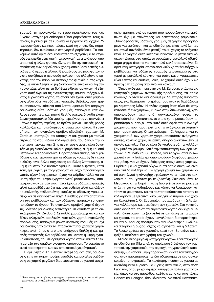χαρτιού, τη χρονολογία, το χώρο προέλευσής του κ.ά. Έχουν καταγραφεί διάφοροι τύποι ραβδώσεων, τους οποίους ευρίσκουμε σε ευρωπαϊκά έγγραφα και αρχεία. Υπάρχουν όμως και περιπτώσεις κατά τις οποίες δεν παρατηρούμε, δεν ευρίσκουμε στα χαρτιά ραβδώσεις. Το φαιvόμενο αυτό ορισμένοι ερευνητές το εξηγούν με το γεγονός ότι, επειδή στην αρχή τα κόσκινα ήταν από άχυρο, από μπαμπού ή άλλες φυτικές ύλες, για δε την κατασκευή - αποτύπωση των ραβδώσεων χρησιμοποιούσαν λεπτές λωρίδες από άχυρο ή άλλους ξηραμένους μίσχους φυτών, ενίοτε συνέβαινε ο περισσός πολτός, που ελάμβανε ο εργάτης από τον κάδο, να σκέπαζε τις φυτικές αυτές λωρίδες, με αποτέλεσμα να μη διακρίνονται εύκολα και δη στο γυμνό μάτι, αλλά με τη βοήθεια ειδικών οργάνων. Η εξήγηση αυτή έχει και τις αντιθέσεις της, καθότι υπάρχουν όντως ευρωπαϊκά χαρτιά, τα οποία δεν έχουν ούτε ραβδώσεις αλλά ούτε και υδάτινες γραμμές. Βεβαίως, όταν χρησιμοποιούνταν κόσκινα από λεπτό ύφασμα δεν υπήρχαν pαβδώσεις ούτε υδάτινες γραμμές. Υπάρχουν, κατ' άλλους ερευνητές, και χαρτιά διπλής όψεως, δηλαδή ελάμβαναν χαρτοπολτό δύο φορές, περιμένοντας να στεγνώσει κάπως η πρώτη στρώση, το πρώτο φύλλο. Πολλές φορές κολλάριζαν και το ενδιάμεσο στρώμα του πολτού. Η ερευνήτρια των ανατολικο-αραβικο-εβραϊκών χαρτιών Μ. Zerdoun υποτηρίζει ότι υπάρχουν και χαρτιά με τριπλό στρώμα πολτού, ειδικά κολλαρισμένα, που δίνουν την εντύπωση περγαμηνής. Στις περιπτώσεις αυτές είναι δυνατόν να μη διακρίνονται καλά οι ραβδώσεις, ακόμη και από μεταλλικά τελάρα-κόσκινα. Παρατηρείται επίσης, ότι οι ραβδώσεις και περισσότερο οι υδάτινες γραμμές δεν είναι ευθείες, είναι άλλες παχύτερες και άλλες λεπτότερες, ακόμη και στην ίδια υδάτινη γραμμή. Τούτο εξηγείται, κατά τους ερευνητές, με το γεγονός ότι οι μίσχοι των διαφόρων φυτών είχαν διαφορετικό πάχος και φάρδος, αλλά και ότι με τη λήψη του υγρού χαρτοπολτού μετακινούνταν, απομακρύνονταν μεταξύ τους. Έτσι έχουμε υδάτινες γραμμές αλλά και ραβδώσεις όχι πάντοτε ευθείες αλλά και ολίγον καμπυλωτές, τεθλασμένες -κυρίως οι υδάτινες γραμμώσεις- και σε διαφορετικά πάχη. Συνήθως για την αποτύπωση των ραβδώσεων και των υδάτινων γραμμών χρησιμοποιούσαν το άχυρο. Τα ανατολικο-αραβικά χαρτιά έχουν τις υδάτινες ραβδώσεις λεπτότερες, σε αντίθεση με τα δυτικά χαρτιά (M. Zerdoun). Σε πολλά χαρτιά αρχείων και κωδίκων ελληνικών, αραβικών, κοπτικών, χαρτιά ανατολικής προέλευσης, υπάρχουν μόνον υδάτινες γραμμές και όχι ραβδώσεις ή το αντίθετο. Υπάρχουν τύποι χαρτιών, χαρακτηριστικοί τύποι, στα οποία υπάρχουν διπλές ή και τριπλές, τετραπλές κλπ ραβδώσεις, σε μεγάλη ή μικρή σχετικά απόσταση, που σε ορισμένα χαρτιά φτάνει και τα 17 εκ. η μεταξύ των ομάδων-ενοτήτων απόσταση. Το φαινόμενο αυτό παρατηρείται κυρίως στα κοπτικά χειρόγραφα<sup>1</sup>.

Η ερευνήτρια An. Berthier αναφερόμενη στις ραβδώσεις είπε ότι παρατηρούμε φαρδιές και μεγάλες ραβδώσεις σε χαρτιά μεγάλων διαστάσεων και σε χαρτιά αρχειακής χρήσης, ενώ σε χαρτιά που προοριζόταν για εκτύπωση έχουμε στενότερες και λεπτότερες ραβδώσεις. Όσον αφορά τις υδάτινες γραμμές σε χαρτιά προοριζόμενα για εκτύπωση και με υδατόσημα, είναι πολύ λεπτές και στενά συνδεδεμένες μεταξύ τους, χωρίς το ελάχιστο κενό. Τα χαρτιά αυτά κατασκευάζονταν με μεταλλικά κόσκινα-τελάρα, στα οποία το συρμάτινο-μεταλλικό υδατόσημο-μήτρα έπρεπε να ήταν πολύ καλά στερεωμένο. Σε ορισμένη κατηγορία ισπανο-αραβικών χαρτιών υπάρχουν pαβδώσεις και υδάτινες γραμμές αποτυπωμένες στο χαρτί με μεταλλικό κόσκινο, για τούτο και οι γραμμώσεις είναι λεπτές και ευθείες, ίσιες. Τα χαρτιά αυτά έχουν ως πρώτη ύλη τα ράκη από λινό και κάνναβη.

τριών P. Munafò και S. Storace, για το χρωματισμό των Όπως ανέφερε η ερευνήτρια Μ. Zerdoun, υπάρχει μια κατηγορία χαρτιών ανατολικής προέλευσης, τα οποία κοκκινίζουν όταν τα διαβάζουμε με λαμπτήρες πυρακτώσεως, ενώ διατηρούν το χρώμα τους όταν τα διαβάζουμε με λαμπτήρες Νέον. Η πλέον ισχυρή θέση είναι ότι στην κατασκευή των χαρτιών, κυρίως στην Άπω Ανατολή, χρησιμοποιούσαν ίνες από συγκεκριμένο φυτό, το Phellodendrum Amurense, το οποίο χρησιμοποιούσαν περισσότερο οι Κινέζοι. Στο φυτό αυτό οφείλεται η αλλαγή χρώματος, που παρατηρείται στην ανάγνωση με λαμπτήρες πυρακτώσεως. Όπως ανέφερε η C. Anguera, για το χρωματισμό των χαρτιών χρησιμοποιούσαν ανόργανες ουσίες, κόκκινο χώμα, αιματίτη, σίδηρο ανακατωμένο με άργιλο και κάλιο. Για να είναι δε γυαλιστερά, τα κολλάριζαν μετά το βάψιμο. Κατά την τοποθέτηση των ερευνηχαρτιών στην Ιταλία χρησιμοποιούσαν διαφόρου χρώματος ράκη, για να έχουν διάφορες αποχρώσεις χαρτιών. Ευρίσκουμε και χαρτιά δίχρωμα, τα οποία συνήθως είναι δύο φύλλα κολλημένα. Το ζαχαρί χρώμα των χαρτιών από ράκη λινού ή κάνναβης οφειλόταν κατά πολύ στο κολλάρισμα, που γινόταν με τη ζελατίνη. Συγκεκριμένα, το Μεσαίωνα στην Ευρώπη - στη Δύση- έπλεναν τα ράκη με στάχτη, για να καθαρίσουν και κάπως να λευκάνουν, κατόπιν τα μούσκευαν και τα πολτοποιούσαν και κατόπιν τα κολλάριζαν με ζελατίνη, ακριβώς για να πάρουν ένα χρώμα ζαχαρί-μπεζ. Οι Ευρωπαίοι προτιμούσαν τη ζελατίνη για κολλάρισμα και στερέωση των χαρτιών. Στο γεγονός αυτό οφείλεται το ότι τα ευρωπαϊκά χαρτιά δεν έχουν μεγάλη διαπερατότητα (porosité) σε αντίθεση με τα αραβικά χαρτιά, τα οποία έχουν μεγαλύτερη διαπερατότητα, καθότι οι Άραβες προτιμούσαν για κόλλα την αμυλόκολλα σιταριού ή ρυζιού, δίχως να αγνοείται και η ζελατίνη. Το λευκό χρώμα των χαρτιών, κατά τον 18ο αιώνα και εφεξής, οφείλεται στη χρήση του χλωρίου.

Μια δεύτερη μεγάλη κατηγορία χαρτιών είναι τα χαρτιά με υδατόσημα (filigrane), τα οποία μας δηλώνουν τον χαρτοποιό, την χαρτοποιία, την περιοχή, τη χρονολογία κατασκευής -με κάποια μικρή παρέκκλιση- ενίοτε τον τυπογράφο, όταν παρατηρούμε τα ίδια υδατόσημα σε ένα συγκεκριμένο τυπογραφείο. Τα καλύτερης ποιότητας χαρτιά με υδατόσημα τα ευρίσκουμε κυρίως στην Ιταλία, στην πόλη Fabriano, όπου μέχρι σήμερα υπάρχουν πολλά χαρτοποιεία, όπως και στο παρελθόν, καθώς επίσης και στις πόλεις  $^{-1}$  Ο συντάκτης του παρόντος παρατήρησε παρόμοια φαινόμενα και σε ελληνικά **Genova και Bologna, όπου ένεκα του γνωστού Πανεπιστη-**

χειρόγραφα με ανατολικό χαρτί στη βιβλιοθήκη της μονής Σινά.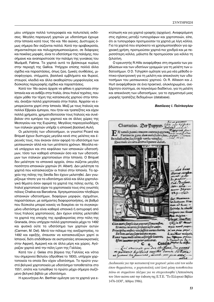μίου υπήρχαν πολλά τυπογραφεία και πολυτελείς εκδόσεις. Μεγάλη παραγωγή χαρτιών με υδατόσημα έχουμε στην Ισπανία κατά τους 15ο και 16ο αιώνες. Δυστυχώς όμως σήμερα δεν σώζονται πολλά. Κατά την αραβοκρατία, σημαντικότερο και πολυχρησιμοποιούμενο, σε διάφορες και ποικίλες μορφές, είναι το υδατόσημο της παλάμης, που σήμαινε και αναπαριστούσε την παλάμη της γυναίκας του Μωάμεθ, Fatima. Τα χαρτιά αυτά τα βρίσκουμε κυρίως στην περιοχή της Gallica. Υπήρχαν επίσης πολλά άλλα σχέδια και παραστάσεις, όπως ζώα, ζωικές συνθέσεις, μισοφέγγαρα, στέμματα, βασιλικά εμβλήματα και θυρεοί, σταυροί, κλειδιά και άλλα ακαθορίστου μορφολογίας και δύσκολης περιγραφής σχέδια και παραστάσεις.

Κατά τον 16ο αιώνα άρχισε να φθίνει η χαρτοποιία στην Ισπανία και να ανθίζει στην Ιταλία, όπου Ιταλοί τεχνίτες, που είχαν μάθει την τέχνη της κατασκευής χαρτιού στην Ισπανία, άνοιξαν πολλά χαρτοποιεία στην Ιταλία. Άρχισαν να εμπορεύονται χαρτί στην Ισπανία. Μαζί με τους Ιταλούς και πολλοί Εβραίοι έμποροι, που ήταν και τραπεζίτες και είχαν πολλά χρήματα, χρηματοδοτούσαν τους Ιταλούς και συνέβαλαν στο εμπόριο του χαρτιού και σε άλλες χώρες της Μεσογείου και της Ευρώπης. Μεγάλος παραγγελιοδόχος των ιταλικών χαρτιών υπήρξε η ισπανική βασιλική Αυλή.

Οι μελετητές των υδατοσήμων, οι γνωστοί Picard και Briquet έχουν δυστυχώς μεγάλα κενά στις μελέτες και έρευνές τους, που έκαναν όσον αφορά τα υδατόσημα των μεσαιωνικών αλλά και των μετέπειτα χρόνων. Μεγάλα κενά υπάρχουν και στο κεφάλαιο των ισπανικών υδατοσήμων, τόσο των καθαρά ισπανικών όσο και των υδατοσήμων των ιταλικών χαρτοποιείων στην Ισπανία. Ο Briquet δεν μελέτησε τα ισπανικά αρχεία, όπου σώζεται μεγάλη ποσότητα ισπανικών χαρτιών (H. Albert). Δεν μελέτησε τα χαρτιά που κατασκεύαζαν οι Ιταλοί στην Ισπανία. Τα αρχεία της πόλης της Sevilla δεν έχουν μελετηθεί. Δεν γνωρίζουμε τίποτε για τα υδατόσημα αλλά και άλλα χαρτολογικά θέματα όσον αφορά τα χαρτιά της πόλης αυτής. Οι Ιταλοί χαρτοποιοί είχαν τα χαρτοποιεία τους στις γνωστές πόλεις Chativa και Barcelona. Χρησιμοποιούσαν πληθώρα ισπανικών υδατοσήμων, διαφόρων μορφών, σχημάτων, παραστάσεων, με ασήμαντες διαφοροποιήσεις, σε βαθμό που δύσκολα μπορεί κανείς να διακρίνει αν τα συγκεκριμένα υδατόσημα είναι καθαρά ισπανικά ή αντιγραφή από τους Ιταλούς χαρτοποιούς. Δεν έχουν επίσης μελετηθεί τα χαρτιά της εποχής της αραβοκρατίας στην πόλη της Granada, όπου υπήρχαν πολλά χαρτοποιεία μέχρι το 1492 και φυσικά ούτε τα υδατόσημα των χαρτιών αυτών (Carmen, M. Del). Μετά τον πόλεμο της ανεξαρτησίας, το 1492 και εφεξής, έπαυσαν να κατασκευάζουν χαρτί οι Ισπανοί, διότι επιδόθηκαν σε εκστρατείες αποικιοκρατικές στην Αφρική, Αμερική και σε άλλα μέρη και χώρες. Αγόραζαν χαρτιά από την πόλη Lyon της Γαλλίας.

Κατά τον J. Gelas στα βόρεια της Γαλλίας και νότια του σημερινού Βελγίου (ιδρύθηκε το 1830), υπήρχαν χαρτοποιεία τα οποία δεν είχαν υδατόσημα. Το πρώτο γνωστό βελγικό χαρτοποιείο με υδατόσημο τοποθετείται στο 1551, οπότε και τυπώθηκε το πρώτο μέχρι σήμερα σωζόμενο βελγικό βιβλίο με υδατόσημο.

Η ερευνήτρια An. Berthier ομίλησε για τα χαρτιά για ε-

κτύπωση και για χαρτιά γραφής (αρχείων). Αναφερόμενη στις σχέσεις μεταξύ τυπογράφων και χαρτοποιών, είπε, ότι οι τυπογράφοι προτιμούσαν τα χαρτιά με λίγη κόλλα. Για τα χαρτιά που επρόκειτο να χρησιμοποιηθούν για αρχειακή χρήση, προτιμούσαν χαρτιά πιο χονδρά και με περισσότερη κόλλα, μάλιστα δε προτιμούσαν για κόλλα τη ζελατίνη.

Ο ερευνητής R.Hills αναφέρθηκε στη σημασία των ραβδώσεων και των υδατίνων γραμμών για τη μελέτη των υδατοσήμων. Ο D. Tchypkin ομίλησε για μια νέα μέθοδο οπτικο-ηλεκτρονική για τη μελέτη και απεικόνιση των υδατοσήμων του μεσαιωνικού χαρτιού. Οι R. Allisson και J. Hurt αναφέρθηκαν σε ένα πρακτικό, ολοκληρωμένο, ανεξάρτητο σύστημα, σε παγκόσμιο διαδίκτυο, για τη μελέτη και απεικόνιση των υδατοσήμων, για το σχηματισμό μιας μορφής τραπέζης δεδομένων (database).

# Βασίλειος Ι. Πελτίκογλου



Διαδικασία για την κατασκευή του χαρτιού: μέσα από τον κάδο όπου θερμαίνεται, ο χαρτοπολτός από λινά ράκη τοποθετείται πάνω σε συρμάτινο πλέγμα για να στερεοποιηθεί (Απεικόνιση του 16ου αιώνα από την έκδοση της Ε.Τ.Ε. "Το Ελληνικό Βιβλίο 1476-1830", Αθήνα 1986).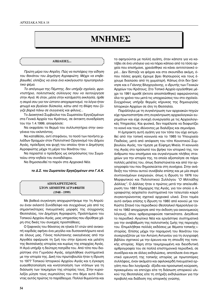# **MNHMEZ**

#### ΑΠΩΛΕΙΕΣ...

Πρώτη μέρα του Απρίλη. Πώς να πιστέψεις την είδηση του θανάτου του Δημήτρη Αγραφιώτη; Μέχρι να επιβεβαιωθεί, ελπίζεις να είναι ένα κακόγουστο πρωταπριλιάτικο ψέμα.

Το απόγευμα της Πέμπτης, δεν υπήρξε σχολείο, φροντιστήριο, πολιτιστικός σύλλογος που να λειτούργησε στην Αγιά. Κι όταν, μέσα στην κατάμεστη εκκλησία, ήρθε η σειρά σου για τον ύστατο αποχαιρετισμό, τα λόγια ήταν φτωχά και βγαίναν δύσκολα, κάτω από τη θλίψη που ζύγιζε βαριά πάνω σε συγγενείς και φίλους...

Το Διοικητικό Συμβούλιο του Σωματείου Εργαζομένων στα Γενικά Αρχεία του Κράτους, σε έκτακτη συνεδρίαση του την 1.4.1999, αποφάσισε:

Να εκφράσει τα θερμά του συλλυπητήρια στην οικογένεια του εκλιπόντος.

Να καταθέσει, αντί στεφάνου, το ποσό των πενήντα χιλιάδων δραχμών στον Πολιτιστικό Οργανισμό του Δήμου Αγιάς, πρόεδρος και ψυχή του οποίου ήταν ο Δημήτρης Αγραφιώτης μέχρι τη μέρα του θανάτου του.

Να παραστεί ο πρόεδρος ως εκπρόσωπος του Σωματείου στην κηδεία του συναδέλφου.

Να δημοσιευθεί το παρόν στα Αρχειακά Νέα.

### το Δ.Σ. του Σωματείου Εργαζομένων στα Γ.Α.Κ.

# **ΔΠΟΥΔΙΡΕΤΙΣΜΟΣ** ΣΤΟΝ ΔΗΜΗΤΡΗ ΑΓΡΑΦΙΩΤΗ  $(1948 - 1999)$

Με βαθειά συγκίνηση αποχωριστήκαμε την 1η Απριλίου έναν εκλεκτό Συνάδελφο και συγχρόνως μία από τις σημαντικότερες πνευματικές μορφές της σύγχρονης Θεσσαλίας, τον Δημήτρη Αγραφιώτη, Προϊστάμενο του Τοπικού Αρχείου Αγιάς, μιας υπηρεσίας που ιδρύθηκε χάρη στις δικές του συνεχείς προσπάθειες.

Ο ξαφνικός του θάνατος σε ηλικία 51 ετών από ανακοπή καρδιάς αφήνει ένα μεγάλο και δυσαναπλήρωτο κενό σε όλους μας. Γόνος πολύτεκνης οικογένειας από την Αργιθέα αφιέρωσε τη ζωή του στην έρευνα και μελέτη της θεσσαλικής ιστορίας και κυρίως της επαρχίας Αγιάς. Η Αγιά υπήρξε η δεύτερη πατρίδα του. Από τότε που διορίστηκε στο Γυμνάσιο Αγιάς, ασχολήθηκε συστηματικά με την ιστορία της. Δική του πρωτοβουλία ήταν η ίδρυση το 1977 Τοπικού Ιστορικού Αρχείου Αγιάς και η έγκαιρη ευαισθητοποίηση και κινητοποίηση των ντόπιων για τη διάσωση των τεκμηρίων της ιστορίας τους. Στην κυριολεξία μύησε τους συμπολίτες του στο θέμα αυτό δίνοντας αυτός πρώτος το παράδειγμα. Πολλοί θυμούνται και

το αφηγούνται με πολλή αγάπη, όταν κάποτε για να κατέβει σε ένα υπόγειο για να πάρει κάποιο από τα τόσα αρχεία που επισήμανε, χρειάσθηκε να κάνει αντιτετανικό ορό... Δεν δίσταζε να ψάχνει και στα σκουπίδια ακόμη, όπου πόσες φορές έχουμε βρει θησαυρούς και τους έχουμε διασώσει από τη χωματερή. Κάπως έτσι δεν ξεκίνησε και ο Γιάννης Βλαχογιάννης, ο ιδρυτής των Γενικών Αρχείων του Κράτους; Στο Τοπικό Αρχείο εργάσθηκε μέχρι το 1991 αμισθί (έκτοτε αποσπάσθηκε) αφιερώνοντας όλο το χρόνο του μετά τις υποχρεώσεις του στο σχολείο. Συγχρόνως υπήρξε θερμός κήρυκας της δημιουργίας Ιστορικών Αρχείων σε όλη τη Θεσσαλία.

Παράλληλα με τη συγκέντρωση των αρχειακών πηγών είχε πρωτοστατήσει στη συγκέντρωση αρχαιολογικών ευρημάτων και είχε συνεχή συνεργασία με τις Αρχαιολογικές Υπηρεσίες. Και φυσικά, δεν παρέλειπε να διαφωτίζει το κοινό και τους ιθύνοντες με διαλέξεις και σεμινάρια.

Η έμπρακτη αυτή αγάπη για τον τόπο του είχε εκτιμηθεί από την τοπική κοινωνία και το 1985 το Υπουργείο Παιδείας, μετά από απόφαση του τότε Κοινοτικού Συμβουλίου Αγιάς, τον τίμησε με Εύφημη Μνεία. Η κοινωνία της Αγιάς στο πρόσωπό του βρήκε τον ιστορικό της, τον άνθρωπο που επισήμανε και συγκέντρωσε πλήθος στοιχείων για την ιστορία της, τα οποία αξιοποίησε σε πάρα πολλές μελέτες του, όπως διαπιστώνεται και από την εργογραφία του που δημοσιεύεται στη συνέχεια. Στην ανάδειξη του τόπου αυτού συνέβαλε επίσης και με μία σειρά συντονισμένων ενεργειών, όπως η ίδρυση το 1976 του Μορφωτικού και Πολιτιστικού Συλλόγου "Ο Μιλτιάδης Δάλλας". Ο Δάλλας ήταν ο πρώτος μετά την απελευθέρωση του 1881 δήμαρχος της Αγιάς, για τον οποίο ο Αγραφιώτης ασχολείτο συστηματικά τον τελευταίο καιρό συγκεντρώνοντας σχετικό αρχειακό υλικό. Στον τομέα αυτό ανήκει επίσης η ίδρυση το 1980 από κοινού με τον Κώστα Σπανό του περιοδικού Θεσσαλικό Ημερολόγιο (από το 1982 αποχώρησε από την έκδοση για οικονομικούς λόγους), όπου αρθρογραφούσε τακτικότατα. Διηύθυνε το περιοδικό Αγιώτικα Νέα και εργάστηκε συστηματικά για την αναβάθμιση της πολιτιστικής ζωής της περιοχής του. Επιμελήθηκε πολλές εκδόσεις με θέματα τοπικής ιστορίας. Επίσης μέχρι την παραμονή του θανάτου του συνεργαζόταν με τον Αντώνη Αντωνίου για τη συγγραφή βιβλίου σχετικού με την έρευνα και τη σπουδή της τοπικής ιστορίας. Χάρη στην τεκμηριωμένη και διεισδυτική αρθρογραφία του σε πολλά επιστημονικά περιοδικά, σε συνέδρια και σε άλλες εκδηλώσεις, αποτέλεσε ένα σημαντικό ερευνητή της τοπικής ιστορίας με πρωτοπόρες συλλήψεις, έναν ακάματο και αφιλοκερδή πνευματικό εργάτη που δεν λογάριαζε έξοδα και προσωπική κούραση, προκειμένου να επιτύχει είτε τη διάσωση ιστορικού υλικού της Θεσσαλίας είτε τη στήριξη εκδηλώσεων για την προβολή και διάδοση της ιστορικής γνώσης.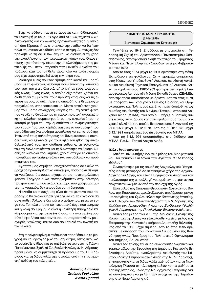Στην κατεύθυνση αυτή εντάσσεται και η διδακτορική του διατριβή με θέμα "Η Αγιά από το 1800 μέχρι το 1881. Οικονομικές και κοινωνικές πραγματικότητες", η οποία απ' όσο ξέρουμε ήταν στο τελικό της στάδιο και θα ήταν πολύ σημαντικό να εκδοθεί κάποια στιγμή. Δυστυχώς δεν πρόλαβε να τη δει τυπωμένη και να αισθανθεί τη χαρά της ολοκλήρωσης των πνευματικών κόπων του. Όπως επίσης είχε πάντα την πίκρα της μη ολοκλήρωσης της μετάταξής του στην υπηρεσία των Γενικών Αρχείων του Κράτους, κάτι που το ήθελε πάρα πολύ και πολλές φορές μας είχε εκμυστηρευθεί αυτή την πίκρα του.

Ιδιαίτερα εμείς που τον ζήσαμε από κοντά και μας τίμησε με τη φιλία του, νιώθουμε πολύ έντονη την απουσία του, γιατί πάνω απ' όλα ο Δημήτρης ήταν ένας πραγματικός Φίλος. Ένας φίλος, ο οποίος είχε πάντα χρόνο και διάθεση να συμμεριστεί τους προβληματισμούς και τις ανησυχίες μας, να συζητήσει για οποιοδήποτε θέμα μας απασχολούσε, υπηρεσιακό και μη. Με το αστείρευτο χιούμορ του, με τις απλόχερες κινήσεις του, τη ζεστή φωνή που γέμιζε το δωμάτιο, με τη χαρακτηριστική αγραφιώτικη και φιλόξενη συμπεριφορά του, την ειλικρίνειά του, το καθαρό βλέμμα του, την αμεσότητα και πληθωρικότητα του χαρακτήρα του, κέρδιζε αμέσως το συνομιλητή του μεταδίδοντας ένα αίσθημα ασφάλειας και εμπιστοσύνης. Ήταν από τους παλαιότερους και δυναμικότερους συναδέλφους και ξεχώριζε για το υψηλό του ήθος, τη συναδελφικότητά του, την αίσθηση ευθύνης, τη φιλοπονία του, τη διαλλακτικότητα και τη δυνατότητα να βρίσκει λύσεις σε δύσκολα προβλήματα, χαρίσματα για τα οποία απολάμβανε την εκτίμηση όλων των συναδέλφων και προϊσταμένων του.

Αγαπητέ μας Δημήτρη, αποχαιρετώντας σε εκείνο το βροχερό πρωταπριλιάτικο απόγευμα, πόσο πολύ θέλαμε να νομίζουμε ότι συμμετείχαμε σε μια πρωταπριλιάτικη φάρσα. Γρήγορα όμως επανερχόμασταν στην οδυνηρή πραγματικότητα, που ακόμα και τώρα που γράφουμε αυτές τις γραμμές, δεν μπορούμε να τη δεχτούμε.

Η ελπίδα και η ευχή μας είναι ότι το φωτεινό σου παράδειγμα θα ακολουθήσει η νέα γενιά και το έργο σου θα συνεχισθεί. Άλλωστε δεν μένει ο άνθρωπος, μένει το έργο του. Το πολύ σημαντικό πνευματικό έργο που αφήνεις και η καλή σου φήμη θα είναι η καλύτερη παρηγοριά και κληρονομιά για την οικογένειά σου, την αγαπημένη σου σύντροφο Λίτσα που πάντα σου συμπαραστεκόταν με ισχυρές "γειώσεις" και τα δυο σου παιδιά τον Κωστή και τον Νικόλα.

Στη συνέχεια κρίναμε σκόπιμο να παραθέσουμε το βιογραφικό και εργογραφικό του σημείωμα, όπως ακριβώς το συνέταξε ο ίδιος και το υπέβαλε φέτος στον κ. Γιάννη Παπαϊωάννου, Σχολικό Σύμβουλο Φιλολόγων Ν. Λάρισας, προκειμένου να συμμετάσχει σε πρόγραμμα του ΠΕΚ Λάρισας για τη διδασκαλία της Ιστορίας υπό την επιστημονική ευθύνη του τελευταίου.

> Αντώνης Αντωνίου Σταύρος Γουλούλης Αννίτα Πρασσά

# ΔΗΜΗΤΡΗΣ ΚΩΝ. ΑΓΡΑΦΙΩΤΗΣ  $(1948-1999)$ Βιογραφικό Σημείωμα και Εργογραφία

Γεννήθηκε το 1948. Σπούδασε με υποτροφία στη Φιλοσοφική Σχολή του Αριστοτέλειου Πανεπιστημίου Θεσσαλονίκης, από την οποία έλαβε το πτυχίο του Τμήματος Μέσων και Νέων Ελληνικών Σπουδών το μήνα Φεβρουάριο του 1972.

Από το έτος 1974 μέχρι το 1991 εργάστηκε στη Μέση Εκπαίδευση ως φιλόλογος. Στην ιεραρχία υπηρέτησε στις θέσεις του Υποδιευθυντή Λυκείου, Διευθυντή Λυκείου και Διευθυντή Τεχνικού Επαγγελματικού Λυκείου. Κατά το σχολικό έτος 1982-1983 φοίτησε στη Σχολή Επιμορφώσεως Λειτουργών Μέσης Εκπαιδεύσεως (ΣΕΛΜΕ). από την οποία αποφοίτησε με άριστα. Από το έτος 1978 με απόφαση των Υπουργών Εθνικής Παιδείας και Θρησκευμάτων και Πολιτισμού και Επιστημών διορίσθηκε ως άμισθος Διευθυντής του Μονίμου Τοπικού Ιστορικού Αρχείου Αγιάς (ΜΤΙΑΑ), του οποίου υπήρξε ο βασικός συντελεστής στην ίδρυση και στον εμπλουτισμό του με αρχειακό υλικό και του οποίου διετέλεσε υπεύθυνος από τις 24.5.1977 μέχρι 18.12.1978. Από τις 18.12.1978 μέχρι 5.12.1991 υπήρξε άμισθος Διευθυντής του ΜΤΙΑΑ.

Από τις 5.12.1991 αποσπάσθηκε στο διάδοχο του ΜΤΙΑΑ, Γ.Α.Κ. - Τοπικό Αρχείο Ανιάς.

#### Άλλες δραστηριότητες

Κατά το 1976 υπήρξε ιδρυτικό μέλος του Μορφωτικού και Πολιτιστικού Συλλόγου των Αγιωτών "Ο Μιλτιάδης Δάλλας".

Συνεργάστηκε με τις αρμόδιες Αρχαιολογικές Υπηρεσίες για τη μεταφορά σε στεγασμένο χώρο της Αρχαιολογικής Συλλογής του τέως Ημιγυμνασίου Αγιάς και τον εμπλουτισμό της με συλλογή νομισμάτων, οστράκων και αρχιτεκτονικών μελών από την περιοχή της Αγιάς.

Είναι μέλος της Εταιρείας Θεσσαλικών Ερευνών του Βόλου, της Εταιρείας Ιστορικών Ερευνών της Λάρισας, μέλος - συνεργάτης του Ομίλου Φίλων της Θεσσαλικής Ιστορίας, του Συλλόγου των Φίλων των Αρχαιοτήτων Ν. Λαρίσης, της Ομάδας των Αρχαιοφίλων Αγιάς, του Συνδέσμου Φιλολόγων Ν. Λάρισας και της Πανελλήνιας Ένωσης Φιλολόγων.

Διατέλεσε μέλος του Δ.Σ. της Μουσικής Σχολής της Κοινότητας της Αγιάς και εξακολουθεί να είναι μέλος της Επιτροπής της Κοινοτικής (σήμερα Δημοτικής) Βιβλιοθήκης από το 1980 μέχρι σήμερα. Από το έτος 1995 ορίστηκε με απόφαση του Κοινοτικού Συμβουλίου της Κοινότητας Αγιάς Πρόεδρος του Πολιτιστικού Οργανισμού του (σήμερα) Δήμου Αγιάς.

Διατέλεσε επίσης επί σειρά ετών αναπληρωματικό και τακτικό μέλος της Εφορείας της Δημόσιας Κεντρικής Βιβλιοθήκης Λαρίσης, αναπληρωτής Διευθυντής του Κέντρου Λαϊκής Επιμορφώσεως Αγιάς (της ΝΕΛΕ Λαρίσης), επιμορφωτής για τη διδασκαλία μαθημάτων για τη Νεοελληνική Γλώσσα στη Διοίκηση καθώς και τα μαθήματα Τοπικής Ιστορίας, μέλος της Νομαρχιακής Επιτροπής για τη συγκέντρωση και μελέτη των στοιχείων της Παράδοσης στο Νομό Λαρίσης κ.ά.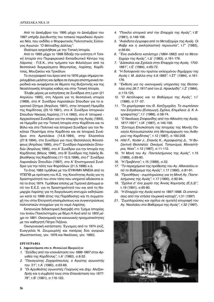Aπό το Δεκέμβριο του 1995 μέχρι το Δεκέμβριο του 1997 υπήρξε Διευθυντής του τοπικού περιοδικού Αγιώτι*κα Νέα, που εκδίδει ο Μορφωτικός Πολιτιστικός Σύλλο*γος Αγιωτών "Ο Μιλτιάδης Δάλλας".

Ιδιαίτερα ασχολήθηκε με την Τοπική Ιστορία.

Aπό το 1993 μέχρι το 1998 δίδαξε την ενότητα *Η Τοπική Ιστορία* στο Περιφερειακό Εκπαιδευτικό Κέντρο της Λάρισας - Π.Ε.Κ., στα τμήματα των Φιλολόγων από τα θεσσαλικά διαμερίσματα Μαγνησίας, Λαρίσης, Καρδίτσας, Μουζακίου και Τρικάλων.

Το συγγραφικό του έργο από το 1976 μέχρι σήμερα περιλαμβάνει μελέτες και άρθρα σε έγκυρα επιστημονικά περιοδικά και αναφέρεται σε θέματα της Βυζαντινής και της Νεοελληνικής Ιστορίας καθώς και στην Τοπική Ιστορία.

Έλαβε μέρος με εισηγήσεις σε Συνέδρια στη Lyon (21 Απριλίου 1990), στη Λάρισα για τη θεσσαλική ιστορία (1989), στο Α' Συνέδριο Λαρισαϊκών Σπουδών για το αγροτικό ζήτημα (Απρίλιος 1991), στην Ιστορική Ημερίδα της Καρδίτσας (23.10.1991), στο Α' Συνέδριο Ιστορικών Σπουδών Νίκαιας Λαρίσης (11.4.1992), στο Α' Ιστορικό -Αρχαιολογικό Συνέδριο για την επαρχία της Αγιάς (1993), σε Ημερίδα για την Τοπική Ιστορία στην Καρδίτσα και το Βόλο και στο Πολιτικό και Ιστορικό Συνέδριο για τον Νικόλαο Πλαστήρα στην Καρδίτσα και σε Ιστορικά Συνέδρια στα Αμπελάκια (14.8.1994), στην Ελασσόνα (27.8.1994), στο Συνέδριο για τους Θεσσαλούς Φιλοσόφους (Απρίλιος 1995), στο Γ' Συνέδριο Λαρισαϊκών Σπουδών (Απρίλιος 1995), στο Α' Συνέδριο για την Ιστορία της Καρδίτσας (Μάιος 1996), στο Β' Συνέδριο της Λαϊκής Βιβλιοθήκης της Καρδίτσας (11-12.5.1996), στο Γ' Συνέδριο Λαρισαϊκών Σπουδών (1997), στο Α' Επιστημονικό Συνέδριο για την πόλη των Φαρσάλων (21.5.1998) κ.ά.

Το έτος 1985 τιμήθηκε με την ΕΥΦΗΜΗ ΜΝΕΙΑ από το ΥΠΕΠΘ με πρόταση του Κ.Σ. της Κοινότητας Αγιάς για τη δραστηριότητά του στον τόπο που υπηρετεί αδιάκοπα από το έτος 1974. Τιμήθηκε επίσης με Τιμητικό Δίπλωμα από τον Ε.Ε.Σ. για τη δραστηριότητά του και από τη Noμαρχία Λαρίσης για τη διοργάνωση επιτυχών εκδηλώσεων κατά το 1999 (έτος της Παράδοσης) και τη συμμετοχή του στην Επιτροπή επισημάνσεως και συγκεντρώσεως πολιτιστικών στοιχείων για το νομό Λαρίσης.

Εκπονούσε διδακτορική διατριβή στο Τμήμα Ιστορίας του Ιονίου Πανεπιστημίου με θέμα Η Αγιά από το 1800 μέχρι το 1881. Οικονομικές και κοινωνικές πραγματικότητες με τον καθηγητή Πέτρο Πιζάνια.

Οικογενειακή κατάσταση: Έγγαμος από το 1974 (σύζ. Ευαγγελία Ν. Ζουμουρλή) και πατέρας δύο αγοριών (Κωνσταντίνος, γεν. 1976 και Νικόλαος, γεν. 1980).

# **ΕΡΓΟΓΡΑΦΙΑ**

- **Γ.** Δημοσιεύματα στο π. Θεσσαλικό Ημερολόγιο
- 1. "Σελίδες από την επανάσταση του 1866-1867 στην Αρ*γιθέα της Καρδίτσας", τ.Α' (1980), σ.8-32.*
- 2. "Παναγιώτης Ζαχαρόπουλος, ο Αγιώτης αγωνιστής *του '21", τ.Α'* (1980), σ.63-66.
- 3. "Οι Αργιθεάτες αγωνιστές Γεώργιος και Δημ. Αλεξανδρής και η συμβολή τους στην Επανάσταση του 1877-78", τ.Β' (1981), σ.116-122.
- *4. "Ποικίλα ιστορικά από την Επαρχία της Αγιάς", τ.Β'*  $(1981), \sigma.146-156.$
- 5. "Ανέκδοτα έγγραφα από το Μεταξοχώρι της Αγιάς. Οι *º·'Ú Î·È Ë ÂÎÎÏËÛÈ·ÛÙÈ΋ ÂÚÈÔ˘Û›·",* Ù.°' (1982),  $\sigma$ .56-64.
- *6. "Ένα ανέκδοτο κατάστιχο (1864-1882) από το Μεταξοχώρι της Αγιάς", τ.Δ' (1983), σ.161-176.*
- 7. "Δάσκαλοι και Σχολεία στην Επαρχία της Αγιάς, 1700-1881", t.E' (1984), *o*.65-72.
- 8. "Η δολοφονία του πρώτου εκλεγμένου δημάρχου της *Αγιάς Ι. Μ. Δάλλα στις 4.9.1883", τ.Σ*Τ' (1984), σ.161-176.
- 9. "Έκθεση για τις οικονομικές υπηρεσίες της Θεσσα*λίας στις 26.7.1917 από τον Δ. Ηρακλείδη", τ.Ζ' (1984),*  $\sigma$ .113-125.
- 10. "Ο Αετόλοφος και το Βαθύρεμα της Αγιάς", τ.Ι'  $(1986), \sigma.17 -57.$
- 11. "Το χειρόγραφο του Θ. Χατζημιχάλη. Το συμπόσιον του Σατράπου (Εισαγωγή, Σχόλια, Επιμέλεια: Δ. Κ. Α*γραφιώτης)", τ.Ι'* (1986), σ.58-74.
- 12. "Ο Νικόλαος Στεφανίδης από την Αθανάτη της Αγιάς, *1817-1901", τ. ΙΑ'* (1987), σ. 145-156.
- 13. "Σύντομη Επισκόπηση της Ιστορίας της Μονής Παναγία Κατουσιώτισσα στη Μεταμόρφωση του Ανθηρού της Καρδίτσας", τ.12 (1987), σ.193-208.
- 14. Hild F., Koder J., Σπανός Κ., Αγραφιώτης Δ., "Η Bυζαντινή Θεσσαλία: Οικισμοί, Τοπωνύμια, Μοναστή*ρια, Ναοί", τ.12 (1987), σ.11-112.*
- 15. "Η Μονή του Αγ. Παντελεήμονος της Αγιάς", τ.15  $(1989)$ ,  $\sigma$ .65-80.
- 16. "Η Πρεβέντα", τ.15 (1989), σ.32.
- 17. "Το περιεχόμενο της πρόθεσης του Αγ. Αθανασίου α*πό το Βαθύρεμα της Αγιάς", τ.17 (1990), σ.81-91.*
- 18. "Προσθήκες συμπληρώσεις για τη Μονή Αγ. Παντε*λεήμονος της Αγιάς", τ.17 (1990), σ.92-94.*
- 19. "Σχόλια σ' ένα χωρίο της Άννας Κομνηνής (Ε,5,3)",  $\tau$ .19 (1991),  $\sigma$ .65-80.
- 20. "Η Επαρχία της Αγιάς κατά το 1897-1898. Οι επιπτώ*σεις από την ετήσια τουρκική κατοχή*", τ.31 (1997)
- 21. "Συμπληρώσεις και σχόλια σε ημιτελή επιγραφή του *Αγ. Νικολάου στο Βαθύρεμα της Αγιάς", τ.32 (1997).*

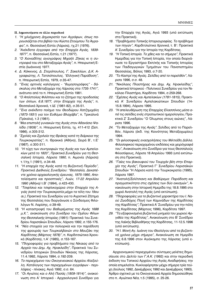# II. Δημοσιεύματα σε άλλα περιοδικά

- 1. "Η χιλιόχρονη Δημοκρατία των Αγράφων, όπως παρουσιάζεται στο βιβλίο του Κώστα Στούμπου Τα Άγραφα", π. Θεσσαλική Εστία (Λάρισα), τχ.21 (1976).
- 2. "Ανέκδοτα έγγραφα από την Επαρχία Αγιάς, 1839-1877", π. Θεσσαλική Εστία, τ.21 (1977).
- 3. "Ο Χιονιαδίτης αγιογράφος Μιχαήλ Ζήκας κι η συντροφιά του στο Μεταξοχώρι Αγιάς", π. Ηπειρωτική Εστία (Ιωάννινα) 1977.
- 4. Δ. Κόκκινος, Δ. Στερόπουλος, Γ. Σακελλίων, Δ.Κ. Αγραφιώτης, Λ. Τατσιόπουλος, "Ελληνική Παράδοση", π. Ηπειρωτική Εστία, 1979, σ.35-47.
- 5. "Ένας αρτινός καλόγερος "θυμησογράφος" δάσκαλος στο Μεταξοχώρι της Λάρισας στα 1735-1741", ανάτυπο από το π. Ηπειρωτική Εστία 1981.
- 6. "Ο Απόστολος Φιλίππου και το ζήτημα της προδοσίας των όπλων, 6.8.1877, στην Επαρχία της Αγιάς", π. Θεσσαλικά Χρονικά, τ.ΙΔ' (1981-82), σ.35-51.
- 7. "Ένα ανέκδοτο ποίημα του Θεοδώρου Χατζημιχάλη (1873-1931) για τον Ευθύμιο Βλαχάβα", π. Τρικαλινά (Τρίκαλα), τ.3 (1981).
- 8. "Μια επιστολή γυναικών της Αγιάς στον Αθανάσιο Ψαλίδα (1809)", π. Ηπειρωτική Εστία, τχ. 411-412 (Σεπ. 1986), о.305-312.
- 9. "Σχολές και Σχολεία της Θράκης κατά τη διάρκεια της Τουρκοκρατίας", π. Θρακικά (Αθήνα), Σειρά Β', τ.Ε'  $(1987), \sigma.300-311.$
- 10. "Η τύχη των συντροφιών της Αγιάς και των Αμπελακίων μετά το 1820", Πρακτικά Συνεδρίου για τη Θεσσαλική Ιστορία, Λάρισα 1990, π. Αιμονία (Λάρισα) τ.1/τχ.1 (1991), σ.34-48.
- 11. "Η επαρχία της Αγιάς κατά τη Βυζαντινή Περίοδο", Πρακτικά Διεθνούς Συνεδρίου: "Θεσσαλία, Δεκαπέντε χρόνια αρχαιολογικής έρευνας, 1975-1990, Αποτελέσματα και προοπτικές", Λυών, 17-22 Απριλίου 1990 (Αθήνα) τ.Β' (1994), σ.423-430.
- 12. "Τσιφλίκια και τσιφλικοχώρια στην Επαρχία της Αγιάς (κατά την Τουρκοκρατία μέχρι τα τέλη του 19ου αι.), Πρακτικά του Συνεδρίου για το Αγροτικό Ζήτημα της Θεσσαλίας που διοργάνωσε ο Σύνδεσμος Φιλολόγων Ν. Λαρίσης, σ.39-49.
- 13. "Η καταστροφή του Βαθυρέματος της Αγιάς 1688 μ.Χ.", ανακοίνωση στο Συνέδριο του Ομίλου Φίλων της Θεσσαλικής Ιστορίας (1991): Πρακτικά 1ου Συνεδρίου Λαρισαϊκών Σπουδών, Λάρισα 1992, σ.155-176.
- 14. "Νέα στοιχεία για την πολιορκία και την παράδοση της φρουράς των Τουρκαλβανών στο Μουζάκι της Καρδίτσας (Μάρτιος 1878)", π. Καρδιτσιώτικα Χρονικά (Καρδίτσα), τ.Α' (1985), σ.153-167.
- 15. "Πληροφορίες για προβλήματα της Νίκαιας από το Αρχείο του Δημ. Αχ. Ηρακλείδη", Πρακτικά 1ου Συνεδρίου Ιστορικών Σπουδών Νίκαιας της Λάρισας, 11.4.1992, Λάρισα 1994, σ.192-209.
- 16. Το περιεχόμενο του Οικογενειακού Αρχείου Αλεξούλη. Κατάλογος των περιεχομένων εγγράφων - περιλήψεις - πίνακες, Αγιά 1992, σ.σ. 64.
- 17. "Οι Αγιώτες και ο Αλή Πασάς (1809-1814)", ανακοίνωση στο Α' Ιστορικό - Αρχαιολογικό Συνέδριο για

την Επαρχία της Αγιάς, Αγιά 1993 (υπό εκτύπωση στα Πρακτικά).

- 18. "Προβλήματα Τοπικής Ιστοριογραφίας. Το πρόβλημα των πηγών", Καρδιτσιώτικα Χρονικά, τ. Β': Πρακτικά Α' Συνεδρίου για την Ιστορία της Καρδίτσας.
- 19. "Η Τοπική Ιστορία. Το χθες και το σήμερα", Πρακτικά Ημερίδας για την Τοπική Ιστορία, την οποία διοργάνωσε το Εργαστήριο Εκπ/κής και Τοπικής Ιστορίας των Παιδαγωγικών Τμημάτων του Πανεπιστημίου Θεσσαλίας, Βόλος 1993, σ.7-20.
- 20. "Το Καστρί της Αγιάς. Σελίδες από το παρελθόν", Λάρισα 1996, σ.σ. 48.
- 21. "Νικόλαος Πλαστήρας και Δημ. Αχ. Ηρακλείδης", Πρακτικά Ιστορικού - Πολιτικού Συνεδρίου για τον Νικόλαο Πλαστήρα, Καρδίτσα 1994, σ.259-268.
- 22. "Σχέσεις Αγιάς και Αμπελακίων (1781-1815), Πρακτικά Α' Συνεδρίου Αμπελακιώτικων Σπουδών (14-15.8.1994), Λάρισα 1995.
- 23. "Η απελευθέρωση της Επαρχίας Ελασσόνος μέσα από τις σελίδες ενός στρατιωτικού ημερολογίου, Πρακτικά Ζ' Συνεδρίου "Ο Όλυμπος στους αιώνες", Λάρισα 1996.
- 24. "Το Μεταξοχώρι της Αγιάς". Σελίδες από το Παρελθόν, Λάρισα (έκδ. της Κοινότητας Μεταξοχωρίου) 1994.
- 25. "Οι φιλοσοφικές ενασχολήσεις του Μιλτιάδη Δάλλα. Φιλοσοφικού περιεχομένου εκδόσεις και χειρόγραφά του", Ανακοίνωση στο Συνέδριο για τους Θεσσαλούς Φιλοσόφους, Λάρισα 18 Απριλίου 1993 (υπό εκτύπωση στα Πρακτικά).
- 26. "Γαίες του βακουφιού του Τουρχάν βέη στην Επαρχία της Αγιάς", Πρακτικά Γ' Συνεδρίου Λαρισαϊκών Σπουδών "Η Λάρισα κατά την Τουρκοκρατία (1995), Λάρισα 1997.
- 27. "Ανατολή/Σελίτσιανη και Βαθύρεμα: Παράδοση και πραγματικότητα στις σχέσεις των δύο οικισμών", Ανακοίνωση στην Ιστορική Ημερίδα της 18.8.1995 στο χωριό Ανατολή της Αγιάς (υπό εκτύπωση).
- 28. "Πληροφορίες για το βυζαντινό χαρακτήρα του Ι. Ναού Ζωοδόχος Πηγή των Καμινάδων της Καρδίτσας της Καρδίτσας", Πρακτικά Α' Συνεδρίου για την πόλη της Καρδίτσας (Μάρτιος 1996), Καρδίτσα 1997.
- 29. "Τα εξαφανισμένα βυζαντινά μνημεία του χωριού Αργιθέα της Καρδίτσας", Ανακοίνωση στο Β' Συνέδριο της Λαϊκής Βιβλιοθήκης της Καρδίτσας, 11-12.5.1996 (υπό εκτύπωση).
- 30. "Η Ι. Μονή Αγ. Ιωάννη του Θεολόγου από τα βυζαντινά χρόνια μέχρι σήμερα", Ανακοίνωση σε Ημερίδα της 6.8.1996 στον Αγιόκαμπο της Λάρισας (υπό εκτύπωση).

Αρχειονομικού περιεχομένου σύντομες μελέτες δημοσίευσε στο Δελτίο των Γ.Α.Κ. (1992) και στην περιοδική έκδοση του Τοπικού Αρχείου της Αγιάς Αναδιφήσεις, την οποία επιμελείται. Κυκλοφόρησαν μέχρι σήμερα τρία τεύχη (Ιούλιος 1992, Δεκέμβριος 1992 και Δεκέμβριος 1993). Άρθρο σχετικό με τα Οικογενειακά Αρχεία δημοσιεύθηκε στο π. Αγιώτικα Νέα, τ.5 (1995), σ. 25-26.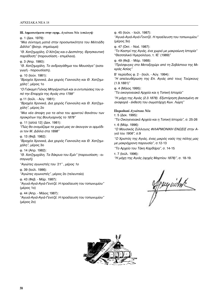**ΠΙ.** Δημοσιεύματα στην εφημ. Αγιώτικα Νέα (επιλογή)  $(D. 1 (Aek. 1979))$ *"Μια σύντομη ματιά στην προσωπικότητα του Μιλτιάδη*  $Δáλλa"$  (βιονρ. σημείωμα) *"Θ. Χατζημιχάλη, Ο Χότζας και ο Δεσπότης. Θρησκευτική τιαράδοση*" (παρουσίαση - επιμέλεια).  $(D. 3 (A<sub>πD</sub>, 1980))$ : *"Θ. Χατζημιχάλη, Το ανδραγάθημα του Μουσάγα"* (εισαγωγή - παρουσίαση). φ. 10 (Ιούν. 1981): *"Βραχέα Χρονικά, Δια χειρός Γιαννούλη και Θ. Χατζημιχάλη"*, μέρος 1ο *"Ο Γιάκομπ Γιόνας Μπγιέρνστωλ και οι εντυπώσεις του από την Επαρχία της Αγιάς στα 1799*" φ.11 (Ιούλ. - Αύγ. 1981): *"Βραχέα Χρονικά, Δια χειρός Γιαννούλη και Θ. Χατζημιχάλη"*, μέρος 2ο *"Μια νέα άποψη για τα αίτια του φρικτού θανάτου των ÚÔÎÚ›ÙˆÓ Ù˘ µÔ˘ÏÁ·ÚÈÓ‹˜ ÙÔ 1878"* φ. 11 [αλλά 12] (Δεκ. 1981): *"¶Ò˜ ı· ÔÓÔÌ¿˙·Ì ٷ ¯ˆÚÈ¿ Ì·˜ ·Ó ¿ÎÔ˘Á·Ó ÔÈ ·ÚÌfi‰È-ΟΙ ΤΟΝ Μ. Δάλλα στα 1898"*  $\phi$ . 13 (Φεβ. 1982): *"Βραχέα Χρονικά, Δια χειρός Γιαννούλη και Θ. Χατζημιχάλη"*, μέρος 3ο φ. 14 (Απρ. 1982): "Θ. Χατζημιχάλη, Τα δάκρυα του Εμίν" (παρουσίαση - εισαγωγή) *"∞ÁÈÒÙ˜ ·ÁˆÓÈÛÙ¤˜ ÙÔ˘ '21" , ̤ÚÔ˜ 1Ô* φ. 39 (Ιούλ. 1986): *"Αγιώτες αγωνιστές", μέρος 2ο (τελευταίο)* φ. 43 (Φεβ. - Μάρ. 1987): "Αγυιά-Αγιά-Αγιά-Γενιτζέ. Η προέλευση του τοπωνυμίου" (μέρος 1ο) Φ. 44 (Απρ. - Μάιος 1987): "Αγυιά-Αγιά-Αγιά-Γενιτζέ. Η προέλευση του τοπωνυμίου" (μέρος 2ο)

φ. 45 (Ιούν. - Ιούλ. 1987):

"Αγυιά-Αγιά-Αγιά-Γενιτζέ. Η προέλευση του τοπωνυμίου" (μέρος 3ο)

Φ. 47 (Οκτ. - Νοέ. 1987):

*"∆Ô ∫·ÛÙÚ› Ù˘ ∞ÁÈ¿˜, ¤Ó· ¯ˆÚÈfi Ì ̷ÎÚ·›ˆÓË πÛÙÔÚ›·"* "Θεσσαλικό Ημερολόγιο, τ. ΙΕ' (1989)"

Φ. 49 (Φεβ. - Μάρ. 1988): *"¶ÚfiÛÊ˘Á˜ ÛÙÔ ªÂÙ·ÍÔ¯ÒÚÈ ·fi ÙË ™Â'¿ÛÙÂÈ· Ù˘ ªÈκράς Ασίας"* 

B' περίοδος φ. 2 - (Ιούλ. - Αύγ. 1994):

*"Η απελευθέρωση της Επ. Αγιάς από τους Τούρκους* (1.9.1881)"

φ. 4 (Μάιος 1995):

*"*Τα οικογενειακά Αρχεία και η Τοπική Ιστορία"

*"Η μάχη της Αγιάς (2.3.1878). Εξιστόρηση βασισμένη σε αναφορά - έκθεση του σωματάρχη Κων. Λώρη"* 

# **Περιοδικό Αγιώτικα Νέα**

τ. 5 (Δεκ. 1995):

*"∆· √ÈÎÔÁÂÓÂȷο ∞گ›· Î·È Ë ∆ÔÈ΋ πÛÙÔÚ›·",* Û. 25-26 τ. 6 (Μάρ. 1996):

"Ο Μουσικός Σύλλονος ΦΙΛΑΡΜΟΝΙΚΗ ΕΝΩΣΙΣ στην Α*γιά του 1906", σ.*9

*"Ο Χριστός της Αγιάς, ένας μικρός ναός της πόλης μας* με μακρόχρονη παρουσία", σ.12-13

*"∆Ô ∞Ú¯Â›Ô ÙÔ˘ ∆¿ÎË ∫·Ú‰¿Ú·",* Û. 14-15

τ. 7 (Ιούλ. 1996):

*"Η μάχη της Αγιάς (αρχές Μαρτίου 1878)", σ. 18-19.* 

*Pouguidnk* 

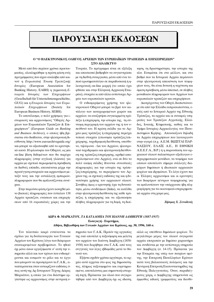# **ΠΑΡΟΥΣΙΑΣΗ ΕΚΛΟΣΕΩΝ**

# Ο "Ο ΗΛΕΚΤΡΟΝΙΚΟΣ ΟΔΗΓΟΣ ΑΡΧΕΙΩΝ ΤΩΝ ΕΥΡΩΠΑΪΚΩΝ ΤΡΑΠΕΖΩΝ & ΕΠΙΧΕΙΡΗΣΕΩΝ" **ΣΤΟ ΛΙΑΛΙΚΤΥΩ**

Μετά από δύο περίπου χρόνια προετοιμασίας, ολοκληρώθηκε η πρώτη φάση ενός προγράμματος που είχαν αναλάβει από κοινού η Ευρωπαϊκή Ένωση Τραπεζικής *Ιστορίας* (European Association for Banking History, EABH) η γερμανική *E*ταιρεία Ιστορίας των Επιχειρήσεων (Gesellschaft für Unternehmensgeschichte, GUG) και η Εταιρεία Ιστορίας των Ευρω- $\pi$ αϊκών Επιχειρήσεων (Society for European Business History, SEBH).

Το αποτέλεσμα, ο πολύ χρήσιμος για ιστορικούς και αρχειονόμους "Οδηγός Αρχείων των Ευρωπαϊκών Τραπεζών & Επιχειρήσεων" (*European Guide on Banking and Business Archives*), ο οποίος ήδη βρίσκεται στο διαδίκτυο, στην ηλεκτρονική διεύθυνση http://www.euroarchiveguide.org/ και μπορεί να αξιοποιηθεί από το ερευνητικό κοινό. Η φιλοσοφία του Οδηγού, ως μία on-line βάση δεδομένων που θα παρέχει πληροφορίες (στην αγγλική γλώσσα) για αργεία με σγετικά περιορισμένη πρόσβαση σε διεθνές επίπεδο, επεκτείνεται μέχρι την προσέγγιση ιστορικών και αρχειονόμων μεταξύ τους και την ανταλλαγή εμπειριώνπληροφοριών που θα εμπλουτίζονται συνέχεια.

Στην παρούσα φάση έχουν εισαχθεί μόνο βασικές πληροφορίες που έστειλαν 138 Αρχεία τραπεζών, ενώσεων και επιχειρήσεων από 16 ευρωπαϊκές χώρες και την

# Τουρκία. Το πρόγραμμα είναι σε εξέλιξη και αποσκοπεί βαθμηδόν να συγκεντρώσει με τη διεθνή συνεργασία, μέσα από ένα τυπικό ερωτηματολόγιο σε παραδοσιακή ή ηλεκτρονική on-line μορφή (το οποίο έχει φθάσει και στην Ελληνική Αρχειακή Εταιρεία), στοιχεία κι από άλλα αντίστοιχα Αργεία των ευρωπαϊκών κρατών.

Ο ενδιαφερόμενος χρήστης του ηλεκτρονικού Οδηγού μπορεί να βρεί τον κατάλογο των καταχωρισμένων χωρών και αρχείων, να αναζητήσει συγκεκριμένη τράπεζα ή επιχείρηση, την ιστορία της, τη σύντομη περιγραφή του αρχείου της ή τον υπεύθυνό του. Η πρώτη σελίδα για το Αρχείο μιας τράπεζας ή επιχείρησης περιέχει τυπικά στοιχεία (επωνυμία τράπεζας/επιχείρησης, ταχυδρομική διεύθυνση, υπεύθυνο, τηλέφωνα - fax του Αρχείου, ηλεκτρονικό ταχυδρομείο και ηλεκτρονική διεύθυνση της τράπεζας/επιχείρησης, αριθμό απασχολούμενων στο Αρχείο), ενώ σε δύο το πολύ ακόμη σελίδες δίνονται συνοπτικές πληροφορίες για την ιστορία της τράπεζας/επιχείρησης, το περιεχόμενο του Αργείου της, οι σγετικές εκδόσεις της και η δυνατότητα χρήσης του αρχειακού υλικού. Συνήθως όμως ο ερευνητής έχει τη δυνατότητα, μέσω συνδέσμων (links), να εισέλθει στην ηλεκτρονική διεύθυνση της κάθε τράπεζας ή επιχείρησης και να αξιοποιήσει πλήθος πληροφοριών για τη δομή, τη διοί $x$ ηση, τη δραστηριότητα, την ιστορία της κλπ. Εκτιμάται ότι στο μέλλον, και στο βαθμό που τα Ιστορικά Αρχεία περάσουν στην ηλεκτρονική απεικόνιση των τεκμηρίων τους, θα είναι δυνατή η ταχύτατη και άμεση πρόσβαση, μέσω internet, σε πλήθος μοναδικών πληροφοριών των Αρχείων των ευρωπαϊκών τραπεζών και επιχειρήσεων.

Διατρέχοντας τον Οδηγό, διαπιστώνουμε ότι από την Ελλάδα εκπροσωπούνται, εκτός από το Ιστορικό Αρχείο της Εθνικής Τράπεζας, τα αρχεία και οι συναφείς υπηρεσίες των Τραπεζών Αγροτικής, Ελλάδος, Ιονικής, Κτηματικής, καθώς και το Τμήμα Ιστορίας-Αρχαιολογίας του Πανεπιστημίου Κρήτης. Απουσιάζουν δηλαδή τα Αρχεία επιχειρήσεων που λειτουργούν στην αγορά (π.χ. Α.Ε.Μ. ΒΩΞΙΤΑΙ ΠΑΡ- $NAΣ$ ΣΟΥ, ΕΛΑΪΣ Α.Ε., Η ΕΘΝΙΚΗ Α.Ε.Ε.Γ.Α., Β.Ρ.) ή η παρουσίαση του αρχειακού υλικού παλαιότερων αξιόλογων επιχειρηματικών μονάδων, τα τεκμήρια των οποίων αποτελούν σήμερα συλλογές διαφόρων δημόσιων ή ιδιωτικών αρχειακών φορέων και ιδρυμάτων. Το λόγο έχουν πια οι Έλληνες αρχειονόμοι και οι ερευνητές των διαφόρων κέντρων τεκμηρίωσης για να εμπλουτίσουν την υπάρχουσα ήδη πληροφόρηση για τα οικονομικά-επιχειρηματικά αρχεία στη χώρα μας.

**Ζήσιμος Χ. Συνοδινός** 

# $ΔΩPΔ Φ. MAPKATOY, T*A KATAAOIIIA TOY IQANNH ΔAMBEPTH (1887-1937)*$ Εισαγωγή - Ευρετήρια, **Αθήνα, Βιβλιοθήκη των Γενικών Αρχείων του Κράτους, αρ. 30, 1996, 160 σ.**

Τον τελευταίο καιρό εντείνονται τα σχόλια για τη δυσλειτουργία των Γενικών Αρχείων του Κράτους λόγω των διάφορων συσσωρευμένων προβλημάτων. Το ηθικό όχι μόνο όσων εργαζόμαστε σ' αυτή την υπηρεσία αλλά και των τρίτων που ενδιαφέρονται και εκτιμούν το ρόλο και το έργο που μπορούν να προσφέρουν τα Γ.Α.Κ., αναπτερώνεται όταν αντικρίζουν εκδόσεις όπως αυτή της Δο Ιστορικού Τέχνης Δώρας Μαρκάτου, η οποία για ένα διάστημα εργάστηκε ως αρχειονόμος στην κεντρική υπηρεσία των Γ.Α.Κ. Προϊόν της εργασίας της εκεί αποτελεί η ταξινόμηση και μελέτη του αρχείου του Ιωάννη Δαμβέργη (1858-1938) που δωρήθηκε στα Γ.Α.Κ. από τους συγγενείς του λίγες εβδομάδες μετά το θάνατό του.

Εξήντα σχεδόν χρόνια αργότερα, το αρχείο αυτό έρχεται στο φως της δημοσιότητας, πλήρως ταξινομημένο και ευρετηριασμένο, αποτελώντας μια σημαντική ιστορική πηγή. Πρόκειται για υλικό που συγκροτήθηκε από τον Δαμβέργη όχι ως ιδιώτη,

αλλά ως υπεύθυνο δημόσιων φορέων. Το μεγαλύτερο μέρος του υλικού συγκροτεί αρχεία επιτροπών με δημόσιο χαρακτήρα και συνδέεται με την αντίστοιχη υπηρεσία του Δαμβέργη (σ. 14-15). Πρόκειται για την Εταιρεία της υπέρ των πατρίων αμύνης, την Επιτροπή Πανελληνίων Εράνων κατά τους βαλκανικούς πολέμους και την Κεντρική Επιτροπή Εκατονταετηρίδας της Εθνικής Παλιγγενεσίας. Όταν, παραδείγματος χάρη, ο Δαμβέργης υπηρετούσε ως έμμισθος ειδικός γραμματέας και διευθυ-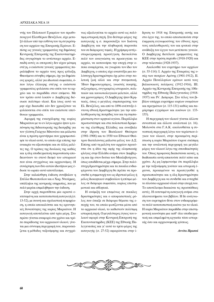ντής του Πολιτικού Γραφείου του πρωθυπουργού Ελευθέριου Βενιζέλου, είχε μεταξύ άλλων υπό την ευθύνη του τη συγκρότηση του αρχείου της Επιτροπής Εράνων. Επίσης ως γενικός γραμματέας της δημόσιας Κεντρικής Επιτροπής της Εκατονταετηρίδας συγκρότησε το αντίστοιχο αρχείο. Επειδή αυτές οι επιτροπές δεν είχαν μόνιμη στέγη, ο εκάστοτε γενικός γραμματέας παραλάμβανε το αρχείο τους προς φύλαξη. Φαινόμενο σύνηθες σήμερα, όχι για δημόσιους φορείς, αλλά για ιδιωτικά σωματεία, όπου λόγω έλλειψης στέγης ο εκάστοτε γραμματέας φυλάσσει στο σπίτι του το αρχείο και το παραδίδει στον επόμενο. Με τον τρόπο αυτό λοιπόν ο Δαμβέργης διέσωσε πολύτιμο υλικό. Και ίσως αυτό να μην είχε διασωθεί εάν δεν χρειαζόταν να φυλάσσεται στο σπίτι του εκάστοτε υπεύθυνου γραμματέα.

Αφορμή της ενασχόλησης της κυρίας Μαρκάτου με το εν λόγω αρχείο ήταν η εκπόνηση της διδακτορικής της διατριβής για τον γλύπτη Γεώργιο Μπονάνο και μάλιστα είναι η πρώτη ερευνήτρια που χρησιμοποίησε το υλικό αυτό, το οποίο είχε επίσης την ευκαιρία να αξιοποιήσει και σε άλλες μελέτες της. Ο τρόπος της δουλειάς της καθώς και η όλη υποδειγματική παρουσίαση αποδεικνύουν το στενό δεσμό του ιστορικού που είναι συγχρόνως και αρχειονόμος. Η συνάρτηση των δύο αυτών ιδιοτήτων μας έδωσε το ωραίο αυτό αποτέλεσμα.

Στην καλαίσθητη έκδοση συνέβαλαν η Στέλλα Φωτοπούλου και ο Χαο. Ντούρμας, υπάλληλοι της κεντρικής υπηρεσίας, που με πολύ μεράχι επιμελήθηκαν την έκδοση.

Στην αρχή παρατίθεται μία αρκετά εκτεταμένη και κατατοπιστική εισαγωγή (σ. 13-52), με πυκνή και σχολαστική τεκμηρίωση, η οποία αποκαλύπτει και τις ερευνητικές δυνατότητες της κυρίας Μαρκάτου. Η εισαγωγή αποτελείται από τρία μέρη. Στο πρώτο γίνεται αναφορά στο χρόνο και τρόπο παράδοσης του αρχειακού υλικού, γίνεται μια σύντομη περιγραφή του, παρουσιάζεται η μέθοδος ταξινόμησης και συγχρόνως αξιολογείται το αρχείο αυτό ως πολύτιμη ιστορική πηγή. Στο δεύτερο μέρος της εισαγωγής η σ. παρουσιάζει τον Ιωάννη Δαμβέργη και την πληθωρική παρουσία του σε διάφορους τομείς. Η χρήσιμη αυτή ιστοριογραφική προσέγγιση διευκολύνει πολύ τον αναγνώστη να προσεγγίσει το αρχείο, να κατανοήσει την εποχή στην οποία αναφέρεται, να γνωρίσει τον ίδιο τον  $\Delta$ αμβέργη, ο οποίος είχε αναπτύξει μια πολύπτυχη δραστηριότητα όχι μόνο στην πολιτική ζωή αλλά και στην πνευματική. Ήταν δημοσιογράφος, γνωστός ποιητής, πεζογράφος, συγγραφέας ιστορικών, πολιτικών και κοινωνιολογικών μελετών, αλλά και χρονογράφος. Ο Δαμβέργης ήταν Κρητικός, όπως ο μεγάλος συμπατριώτης του Ελ. Βενιζέλος, και από το 1896 ανέπτυξε έντονη εθνική δραστηριότητα για την απελευθέρωση της πατρίδας του και τη συμπαράσταση στον κρητικό αγώνα. Παράλληλα πρωτοστάτησε και στα πολιτιστικά δρώμενα της ελεύθερης Ελλάδας και συνέβαλε στην ίδουση του Βασιλικού Θεάτρου (1901-1908) και το 1930 του Εθνικού Θεάτρου διατελώντας μάλιστα μέλος του Δ.Σ. Επίσης από τη μελέτη του αρχείου προκύπτει ότι η ιδέα της αφής της ολυμπιακής φλόγας στην Ελλάδα ανήκει στον Δαμβέργη και όχι στον δούκα του Μακλεβούργου, όπως αποδίδεται μέχρι σήμερα. Στην πολύπτυχη δραστηριότητα και τα ποικίλα ενδιαφέροντα του Δαμβέργη θα πρέπει να προστεθεί η συμμετοχή του ως ιδρυτικό μέλος ή μέλος διοικητικού συμβουλίου ή επίτιμο μέλος σε διάφορα σωματεία, κυρίως επιστημονικά και αθλητικά.

Η ανάμιξή του επομένως σε ποικίλες δραστηριότητες και ο αποφασιστικός ρόλος που έπαιξε σε διάφορα θέματα της εποχής του, τα οποία φωτίζονται μέσα από το αρχειακό υλικό, το καθιστούν πολύτιμη ιστορική πηγή. Ο μεγαλύτερος όγκος του υλικού αφορά στην Κεντρική Επιτροπή της Εκατονταετηρίδος (ΚΕΕ) της Εθνικής Παλιγγενεσίας και γι' αυτό το τρίτο μέρος της εισαγωγής (σ. 27-52) αφιερώνεται στην ίδρυση το 1918 της Επιτροπής αυτής και στο έργο της, το οποίο αποσκοπούσε στην έκφραση ευγνωμοσύνης του έθνους προς τους απελευθερωτές του και φυσικά στην ανάδειξη του έργου των μετέπειτα γενεών. Ο Δαμβέργης διετέλεσε γραμματέας της ΚΕΕ στην πρώτη περίοδο (1918-1920) και στην τελευταία (1928-1937).

Ακολουθεί του ευρετήριο των αρχείων (σ. 55-114): Ι. Αρχείο της Εταιρείας της υπέρ των πατρίων Αμύνης (1901-1912), Π. Αρχείο Πανελληνίων εράνων κατά τους βαλκανικούς πολέμους (1912-1916), ΙΙΙ. Αρχείο της Κεντρικής Επιτροπής της 100ετηρίδος της Εθνικής Παλιγγενεσίας (1918-1937) και IV. Διάφορα. Στο τέλος του βιβλίου υπάρχει ευρετήριο κυρίων ονομάτων και πραγμάτων (σ. 115-131) καθώς και παράρτημα εγγράφων και εικόνων (σ. 133-155).

Η περιγραφή του υλικού γίνεται άλλοτε συνοπτικά και άλλοτε αναλυτικά (σ. 16). Μολονότι στα Γ.Α.Κ. ακολουθείται η συνοπτική περιγραφή λόγω του τεράστιου όγκου του υλικού, στην προκειμένη περίπτωση η κυρία Μαρκάτου έκρινε σκόπιμη και την αναλυτική περιγραφή για μεγάλο μέρος του υλικού λόγω της σπουδαιότητάς του. Όπως προφανώς διαπιστώνει κανείς, η διαδικασία αυτή απαιτούσε πολύ κόπο και χρόνο. Ας μη λησμονούμε ότι παράλληλα με την ταξινόμηση γινόταν και ιστορική έρευνα, προκειμένου να προσεγγισθεί η προσωπικότητα και η όλη δραστηριότητα του Δαμβέργη και να συνδεθεί και ενταχθεί το πλούσιο αρχειακό υλικό στην εποχή του. Το αποτέλεσμα δικαιώνει τις προσπάθειες αυτές. Η εκτεταμένη εισαγωγή ανήκει στα πλεονεκτήματα του βιβλίου. Η δε ανάγνωση του ευρετηρίου δίνει στον ενδιαφερόμενο πολύ κατατοπιστική εικόνα για το υλικό. Η κυρία Μαρκάτου παραδίδει στην επιστημονική κοινότητα μια καθ' όλα υποδειγματική και επιμελημένη εργασία τόσο ιστορικής όσο και αρχειονομικής φύσεως.

#### $A$ ννίτα Πρασσά

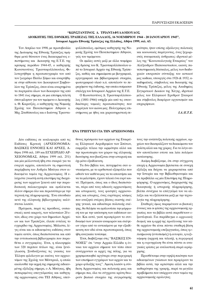# **"ΚΩΝΣΤΑΝΤΙΝΟΣ Δ. ΤΡΙΑΝΤΑΦΥΛΛΟΠΟΥΛΟΣ**  $\Lambda$ ΙΟΙΚΗΤΗΣ ΤΗΣ ΕΘΝΙΚΗΣ ΤΡΑΠΕΖΑΣ ΤΗΣ ΕΛΛΑΔΟΣ, 16 ΝΟΕΜΒΡΙΟΥ 1944 - 20 ΙΑΝΟΥΑΡΙΟΥ 1945", Ιστορικό Αρχείο Εθνικής Τράπεζας της Ελλάδος, Αθήνα 1999, σελ. 63.

Τον Απρίλιο του 1998, με πρωτοβουλία της Διοίκησης της Εθνικής Τράπεζας τιμήθηκε μετά θάνατον ένας διακεκριμένος επιστήμονας και Διοικητής της Ε.Τ.Ε. της  $x$ ρίσιμης περιόδου 1944-45, ο  $x$ αθηγητής Κωνσταντίνος Τριανταφυλλόπουλος. Φιλοτεγνήθηκε η προσωπογραφία του από τον ζωγράφο Παύλο Σάμιο και αναρτήθηκε στην αίθουσα του Διοικητικού Συμβουλίου της Τράπεζας, όπου είναι αναρτημένα τα πορτραίτα όλων των διοικητών της από το 1841 έως σήμερα, σε μια επίσημη τελετή όπου μίλησαν για τον τιμώμενο ο Διοικητής κ. Θ. Καρατζάς, ο καθηγητής της Νομικής Σχολής του Πανεπιστημίου Αθηνών κ. Μιχ. Σταθόπουλος και ο Ιωάννης Τριανταφυλλόπουλος, ομότιμος καθηγητής της Noμικής Σχολής του Πανεπιστημίου Αθηνών, γιός του τιμώμενου.

Οι ομιλίες αυτές μαζί με άλλα τεκμήρια της δράσης του Κ. Τριανταφυλλόπουλου από το Ιστορικό Αργείο της Εθνικής Τράπε-<sup>ζ</sup>ας, καθώς και σημειώματα με βιογραφικά, εργογραφικά και βιβλιογραφικά στοιχεία, φωτογραφικό υλικό κ.ά. αποτελούν το πεοιεχόμενο της έκδοσης, την οποία ετοίμασαν στελέχη του Ιστορικού Αρχείου της Ε.Τ.Ε.

Ο Κωνσταντίνος Δ. Τριανταφυλλόπουλος (1881-1966) υπήρξε μία από τις σπουδαιότερες νομικές προσωπικότητες που σφράγισε τον αιώνα μας. Πολυγράφος επιστήμονας με ήθος και χαρακτηριστική σε-

μνότητα, ήταν επίσης αξιόλογος πολιτικός και κοινωνικός παράγοντας, ένας ξεχωριστός πνευματικός άνθρωπος: ιδρυτικό μέλος της "Κοινωνιολογικής Εταιρείας" του Αλέξανδοου Παπαναστασίου, ικανός πανεπιστημιακός δάσκαλος, μέλος των διαδογικών επιτροπών σύνταξης του αστικού μας κώδικα, υπουργός στα 1926 & 1932, ακαδημαϊκός, σύμβουλος και διοικητής της Εθνικής Τράπεζας, μέλος της Ακαδημίας Συγκριτικού Δικαίου της Χάγης, ιδρυτικό μέλος του Ελληνικού Ερυθρού Σταυρού και σύμβουλος διαφόρων οργανισμών και επιχειρήσεων.

*π.∞./∂.∆.∂.*

# **€ΝΑ ΤΡΗΙΤΎΧΟ ΓΙΑ ΤΗΝ ΑΡΧΕΙΟΝΟΜΙΑ**

Δύο εκδόσεις σε κυκλοφορία από τις Εκδόσεις Κριτική (APXEIONOMIA: ΒΑΣΙΚΕΣ ΕΝΝΟΙΕΣ ΚΑΙ ΑΡΧΕΣ, Αθήνα 1998 σελ. 189 και ΕΓΧΕΙΡΙΔΙΟ ΑΡ-ΧΕΙΟΝΟΜΙΑΣ, Αθήνα 1999 σελ. 251) και μία μελλοντική ήδη στα σκαριά για τα ενεργά αρχεία, αποτελούν τη σημαντική παρέμβαση του Ανδρέα Μπάγια στον ειδικευμένο τομέα της Αρχειονομίας. Η ελάχιστα γνωστή αυτή επιστήμη της διαχείρισης των αρχείων ξεκινά από την παραδοσιακή παλαιογραφία και εμπλέκεται πλέον σήμερα όλο και περισσότερο με την τεχνική της πληροφορικής. Ένα σπουδαίο πενό της ελληνικής βιβλιογραφίας καλύπτεται λοιπόν.

Πράγματι, παρά τις προόδους, ουσιαστικές κατά καιρούς, των τελευταίων 20 ετών, ιδίως στο χώρο των δημοσίων Αρχείων και των Τραπεζών, έλειπε εντελώς το εγχειρίδιο της Αρχειονομίας. Μάλιστα, λίγες είναι και οι ειδικευμένες εκδόσεις στον τομέα αυτόν, όπως διαπιστώνεται και από την εντυπωσιακή βιβλιογραφία που παραθέτει ο συγγραφέας. Έτσι, η πλειοψηφία των 320 περίπου τίτλων της, είναι ξενόγλωσση. Συνδυάζοντας τις γνώσεις του Έλληνα φιλόλογου με εκείνες του αρχειονόμου της Σχολής του Μόντρεαλ, η οποία ακολουθεί την αιχμή της σημερινής ειδικευμένης εξέλιξης σήμερα, ο Α. Μπάγιας, ήδη πεπειραμένος επαγγελματίας και καθηγητής αρχειονομίας στα ΤΕΙ Αθήνας, υπεύθυνος πρόσφατα των αρχείων της Εταιρείας Ελληνικού Αεροδρομίου των Σπάτων, εκφράζει τέλεια την ωριμότητα αλλά και την πρωτοπορία του χώρου της ελληνικής διανόησης που βασίζεται στην ιστορική και όχι μόνο εξειδίκευση.

Τα δύο βιβλία του, πετυχημένα σαν αντικείμενα, με το ερεθιστικό εξώφυλλο που ωθούν τον καθένα μας να τα αποκτήσει και να τα μελετήσει, έχουν τελικά ένα ευρύ κοινό. Πράγματι, όπως και ο ίδιος διαπιστώνει, πέρα από τους ειδικούς αρχειονόμους και ιστορικούς, τους φοιτητές αρχειονομίας και ιστορίας, ένας ευρύτερος κόσμος που αναζητά στέρεες βάσεις σωστής σκέψης γενικά, και ειδικότερα πολιτικής σκέψης, θα θελήσει να εμπλουτίσει την μόρφωσή του με την απόκτηση των εκδόσεων αυτών. Και αυτό, γιατί προσφέρουν το συνδυασμό των γενικών αναφορών και σκέψεων γύρω από το αντικείμενο με την εξειδίκευση που εδώ είναι πρωτοποριακή, όπως ήδη αναγκαία τονίσαμε.

Έτσι, διαβάζουμε στις "ΒΑΣΙΚΕΣ ΕΝ-ΝΟΙΕΣ" ότι "στην Αρχαία Ελλάδα η έννοια του αρχείου σήμαινε τον τόπο όπου συνέρχονταν οι αρχές της πόλης, για να χρησιμοποιηθεί αργότερα στην περιγραφή των επισήμων εγγράφων των αρχών και το χώρο φύλαξής τους". Άμεση λοιπόν η σύνδεση Αρχειονομίας και πολιτικής μιας και σήμερα πια, όλα τα σύγχρονα κράτη θεωρούν βασικό στοιχείο της συγκρότησής

τους την ανάπτυξη πολιτικής αρχείων, αργείων που διασφαλίζουν τα δικαιώματα του πολίτη αλλά και της χώρας. Για το λόγο αυτόν αποτέλεσαν ενίοτε και λεία πολέμου κατάκτησης.

Ακόμη διαβάζουμε, ότι στην σύγχρονη εποχή η Αρχειονομία βρίσκεται σε συνεχή εξέλιξη και δείχνει να χειραφετείται από την Ιστορία και την Βιβλιοθηκονομία και να προβάλλει ως μία Επιστήμη της Πληροφόρησης. Ο αρχειονόμος, διαχειριστής της διοικητικής ή ιστορικής πληροφόρησης, βλέπει συνέχεια το επάγγελμά του να αλλάζει και να εξελίσσεται μαζί με την τεχνολογία της πληροφόρησης.

Σταθερές όμως παραμένουν οι βασικές έννοιες και οι φάσεις της αρχειονομικής εργασίας που τα βιβλία αυτά παραθέτουν εξαντλητικά. Για παράδειγμα ο *αρχειακός*  $\delta$ εσμός και η αρχή της προέλευσης του κάθε αρχείου θα είναι πάντα σταθερή βάση της αρχειονομικής επεξεργασίας, όπως η ε- $\pi$ ισήμανση (εντοπισμός) ή αυτοψία, η ταξι*vóμηση* (αρχική και τελική), η περιγραφή *και η ευρετηρίαση θα είναι πάντα οι ανα*γκαίες φάσεις με ανελαστική σειρά ιεράρχησης.

Προσθέτουμε στην υψηλή ποιότητα των ειδικευμένων γνώσεων που προφέρουν τα βιβλία αυτά, την αρτιότητα αλλά και την καθαρότητα της γραφής, παρά τα μεγάλα προβλήματα που υπάρχουν στον τομέα της αρχειονομικής ορολογίας.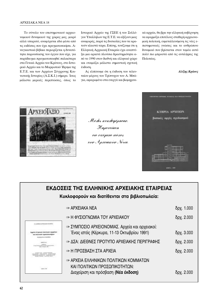Το σύνολο του επιστημονικού αρχειονομικού δυναμικού της χώρας μας, μικρό αλλά υπαρκτό, αναφέρεται εδώ μέσα από τις εκδόσεις που έχει πραγματοποιήσει. Αναγκαστικά βέβαια περιορίζεται η δυνατότητα παρουσίασης του έργου που είχε, για παράδειγμα πραγματοποιηθεί παλαιότερα στα Γενικά Αρχεία του Κράτους, στο Ιστορικό Αρχείο και το Μορφωτικό Ίδρυμα της Ε.Τ.Ε. και των Αρχείων Σύγχρονης Κοινωνικής Ιστορίας (Α.Σ.Κ.Ι.) σήμερα. Ίσως μάλιστα μερικές περιπτώσεις, όπως το

Ιστορικό Αρχείο της ΓΣΕΕ ή του Συλλόγου Υπαλλήλων της Ε.Τ.Ε. να αξίζουν μιας αναφοράς, παρά τις δυσκολίες που τα κρατούν κλειστά τώρα. Επίσης, τονίζουμε ότι η Ελληνική Αρχειακή Εταιρεία έχει αναπτύξει μια αρκετά πλούσια δραστηριότητα από το 1990 στον διεθνή και ελληνικό χώρο και ετοιμάζει μάλιστα σημαντική σχετική έκδοση.

Ας ελπίσουμε ότι η έκδοση του τελευταίου μέρους του Τρίπτυχου του Α. Μπάγια, αφιερωμένο στα ενεργά και βιομηχανικά αρχεία, θα βρει την ελληνική κυβέρνηση να εφαρμόζει επιτέλους σταθερή αρχειονομική πολιτική, εκμεταλλευόμενη τις νέες επιστημονικές γνώσεις και το ανθρώπινο δυναμικό που βρίσκεται στον τομέα αυτό πολύ πιο μπροστά από τις αντιλήψεις της Πολιτείας.

Αλέξης Κράους



Módis kvkdogópnoav. Пароvоїаоп oto etiópevo teóxos nov Apxeuaniov Newv.



# ΕΚΔΟΣΕΙΣ ΤΗΣ ΕΛΛΗΝΙΚΗΣ ΑΡΧΕΙΑΚΗΣ ΕΤΑΙΡΕΙΑΣ Κυκλοφορούν και διατίθενται στα βιβλιοπωλεία:

| ∞ APXEIAKA NEA                                                                               | δρχ. 1.000 |
|----------------------------------------------------------------------------------------------|------------|
| ∞ Η ΦΥΣΙΟΓΝΩΜΙΑ ΤΟΥ ΑΡΧΕΙΑΚΟΥ                                                                | δρχ. 2.000 |
| ∞ ΣΥΜΠΟΣΙΟ ΑΡΧΕΙΟΝΟΜΙΑΣ. Αρχεία και αρχειακοί:<br>Ένας ιστός (Κέρκυρα, 11-13 Οκτωβρίου 1991) | δρχ. 3.000 |
| ∞ ΔΣΑ: ΔΙΕΘΝΕΣ ΠΡΟΤΥΠΟ ΑΡΧΕΙΑΚΗΣ ΠΕΡΙΓΡΑΦΗΣ                                                  | δρχ. 2.000 |
| ∞ Η ΠΡΟΣΒΑΣΗ ΣΤΑ ΑΡΧΕΙΑ                                                                      | δρχ. 2.000 |
| ∞ ΑΡΧΕΙΑ ΕΛΛΗΝΙΚΩΝ ΠΟΛΙΤΙΚΩΝ ΚΟΜΜΑΤΩΝ<br>ΚΑΙ ΠΟΛΙΤΙΚΩΝ ΠΡΟΣΩΠΙΚΟΤΗΤΩΝ:                       |            |
| Διαχείριση και πρόσβαση ( <b>Νέα έκδοση)</b>                                                 | δρχ. 2.000 |